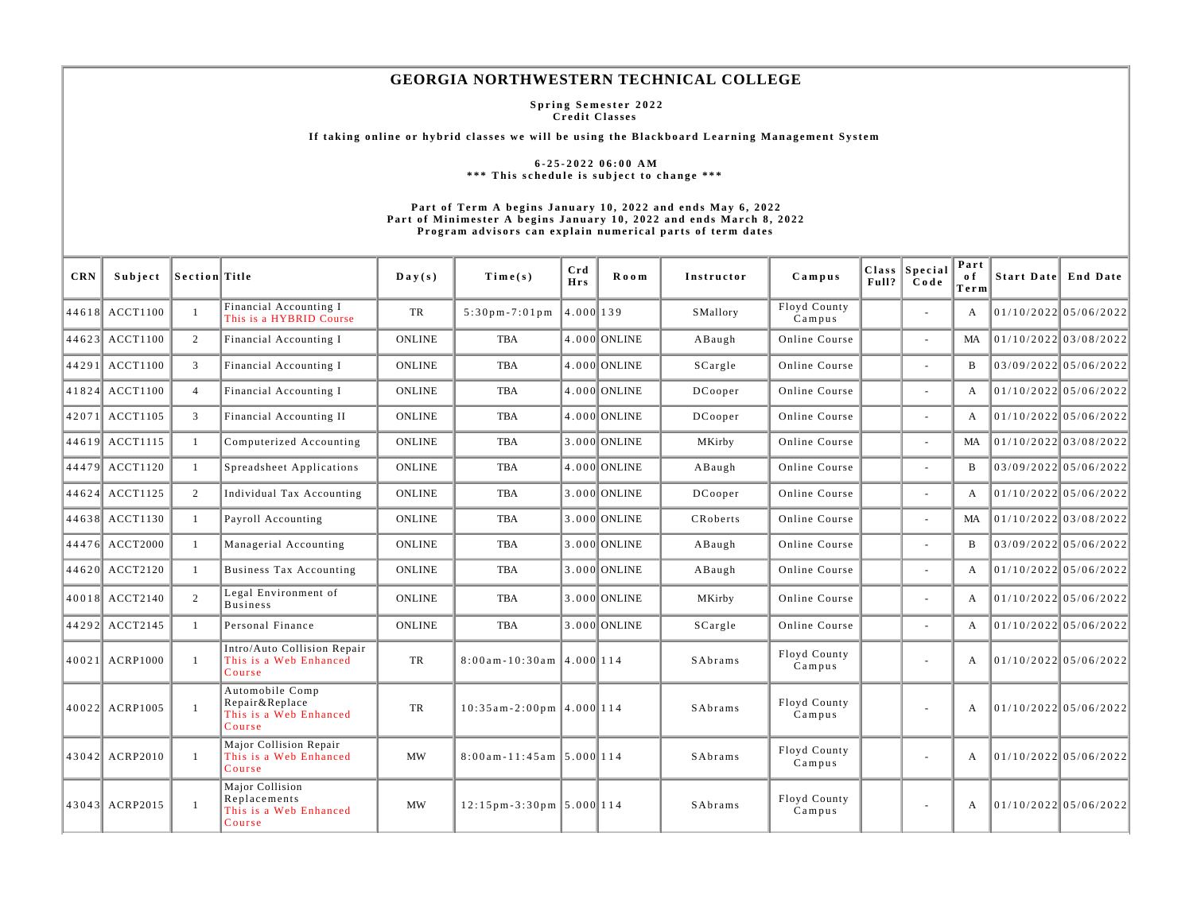## **GEORGIA NORTHWESTERN TECHNICAL COLLEGE**

**Spring Semester 2022 Credit Classes** 

**If taking online or hybrid classes we will be using the Blackboard Learning Management System** 

**6-25-2022 06:00 AM \*\*\* This schedule is subject to change \*\*\*** 

## **Part of Term A begins January 10, 2022 and ends May 6, 2022 Part of Minimester A begins January 10, 2022 and ends March 8, 2022 Program advisors can explain numerical parts of term dates**

| <b>CRN</b> | Subject        | Section Title  |                                                                       | $\mathbf{D}\mathbf{a}\mathbf{y}(\mathbf{s})$ | Time(s)                     | Crd<br><b>Hrs</b> | Room         | Instructor | Campus                 | Full? $\ $ | Class Special<br>Code    | Part<br>o f<br>Term | Start Date End Date     |
|------------|----------------|----------------|-----------------------------------------------------------------------|----------------------------------------------|-----------------------------|-------------------|--------------|------------|------------------------|------------|--------------------------|---------------------|-------------------------|
|            | 44618 ACCT1100 | $\mathbf{1}$   | Financial Accounting I<br>This is a HYBRID Course                     | TR                                           | $5:30$ pm - $7:01$ pm       | 4.000 139         |              | SMallory   | Floyd County<br>Campus |            | $\sim$                   | A                   | 01/10/2022 05/06/2022   |
|            | 44623 ACCT1100 | 2              | Financial Accounting I                                                | <b>ONLINE</b>                                | <b>TBA</b>                  |                   | 4.000 ONLINE | ABaugh     | Online Course          |            | $\sim$                   | MA                  | 01/10/2022 03/08/2022   |
|            | 44291 ACCT1100 | $\mathbf{3}$   | Financial Accounting I                                                | <b>ONLINE</b>                                | <b>TBA</b>                  |                   | 4.000 ONLINE | SCargle    | Online Course          |            |                          | $\overline{B}$      | 03/09/2022 05/06/2022   |
|            | 41824 ACCT1100 | $\overline{4}$ | Financial Accounting I                                                | <b>ONLINE</b>                                | TBA                         |                   | 4.000 ONLINE | DCooper    | Online Course          |            | $\sim$                   | A                   | 01/10/2022 05/06/2022   |
|            | 42071 ACCT1105 | 3              | Financial Accounting II                                               | <b>ONLINE</b>                                | <b>TBA</b>                  |                   | 4.000 ONLINE | DCooper    | Online Course          |            | ÷.                       | A                   | 01/10/2022 05/06/2022   |
|            | 44619 ACCT1115 | $\mathbf{1}$   | Computerized Accounting                                               | <b>ONLINE</b>                                | <b>TBA</b>                  |                   | 3.000 ONLINE | MKirby     | Online Course          |            | $\sim$                   | MA                  | 01/10/2022 03/08/2022   |
|            | 44479 ACCT1120 | $\mathbf{1}$   | Spreadsheet Applications                                              | <b>ONLINE</b>                                | <b>TBA</b>                  |                   | 4.000 ONLINE | ABaugh     | Online Course          |            |                          | B                   | $03/09/2022$ 05/06/2022 |
|            | 44624 ACCT1125 | 2              | Individual Tax Accounting                                             | <b>ONLINE</b>                                | <b>TBA</b>                  |                   | 3.000 ONLINE | DCooper    | Online Course          |            | $\overline{\phantom{a}}$ | A                   | 01/10/2022 05/06/2022   |
|            | 44638 ACCT1130 | 1              | Payroll Accounting                                                    | <b>ONLINE</b>                                | TBA                         |                   | 3.000 ONLINE | CRoberts   | Online Course          |            | $\sim$                   | MA                  | 01/10/2022 03/08/2022   |
|            | 44476 ACCT2000 | $\mathbf{1}$   | Managerial Accounting                                                 | <b>ONLINE</b>                                | TBA                         |                   | 3.000 ONLINE | ABaugh     | Online Course          |            |                          | B                   | $03/09/2022$ 05/06/2022 |
|            | 44620 ACCT2120 | $\mathbf{1}$   | <b>Business Tax Accounting</b>                                        | <b>ONLINE</b>                                | TBA                         |                   | 3.000 ONLINE | ABaugh     | Online Course          |            | ÷.                       | A                   | 01/10/2022 05/06/2022   |
|            | 40018 ACCT2140 | 2              | Legal Environment of<br><b>Business</b>                               | <b>ONLINE</b>                                | <b>TBA</b>                  |                   | 3.000 ONLINE | MKirby     | Online Course          |            | $\sim$                   | $\mathbf{A}$        | $01/10/2022$ 05/06/2022 |
|            | 44292 ACCT2145 | $\mathbf{1}$   | Personal Finance                                                      | <b>ONLINE</b>                                | TBA                         |                   | 3.000 ONLINE | SCargle    | Online Course          |            | $\sim$                   | A                   | 01/10/2022 05/06/2022   |
|            | 40021 ACRP1000 | $\mathbf{1}$   | Intro/Auto Collision Repair<br>This is a Web Enhanced<br>Course       | TR                                           | $8:00$ am-10:30am 4.000 114 |                   |              | SAbrams    | Floyd County<br>Campus |            |                          | $\mathbf{A}$        | 01/10/2022 05/06/2022   |
|            | 40022 ACRP1005 | $\mathbf{1}$   | Automobile Comp<br>Repair&Replace<br>This is a Web Enhanced<br>Course | TR                                           | $10:35$ am-2:00pm 4.000 114 |                   |              | SAbrams    | Floyd County<br>Campus |            | ÷.                       | A                   | 01/10/2022 05/06/2022   |
|            | 43042 ACRP2010 | -1             | Major Collision Repair<br>This is a Web Enhanced<br>Course            | MW                                           | $8:00$ am-11:45am 5.000 114 |                   |              | SAbrams    | Floyd County<br>Campus |            |                          | A                   | 01/10/2022 05/06/2022   |
|            | 43043 ACRP2015 | $\mathbf{1}$   | Major Collision<br>Replacements<br>This is a Web Enhanced<br>Course   | <b>MW</b>                                    | $12:15$ pm-3:30pm 5.000 114 |                   |              | SAbrams    | Floyd County<br>Campus |            | $\sim$                   | A                   | 01/10/2022 05/06/2022   |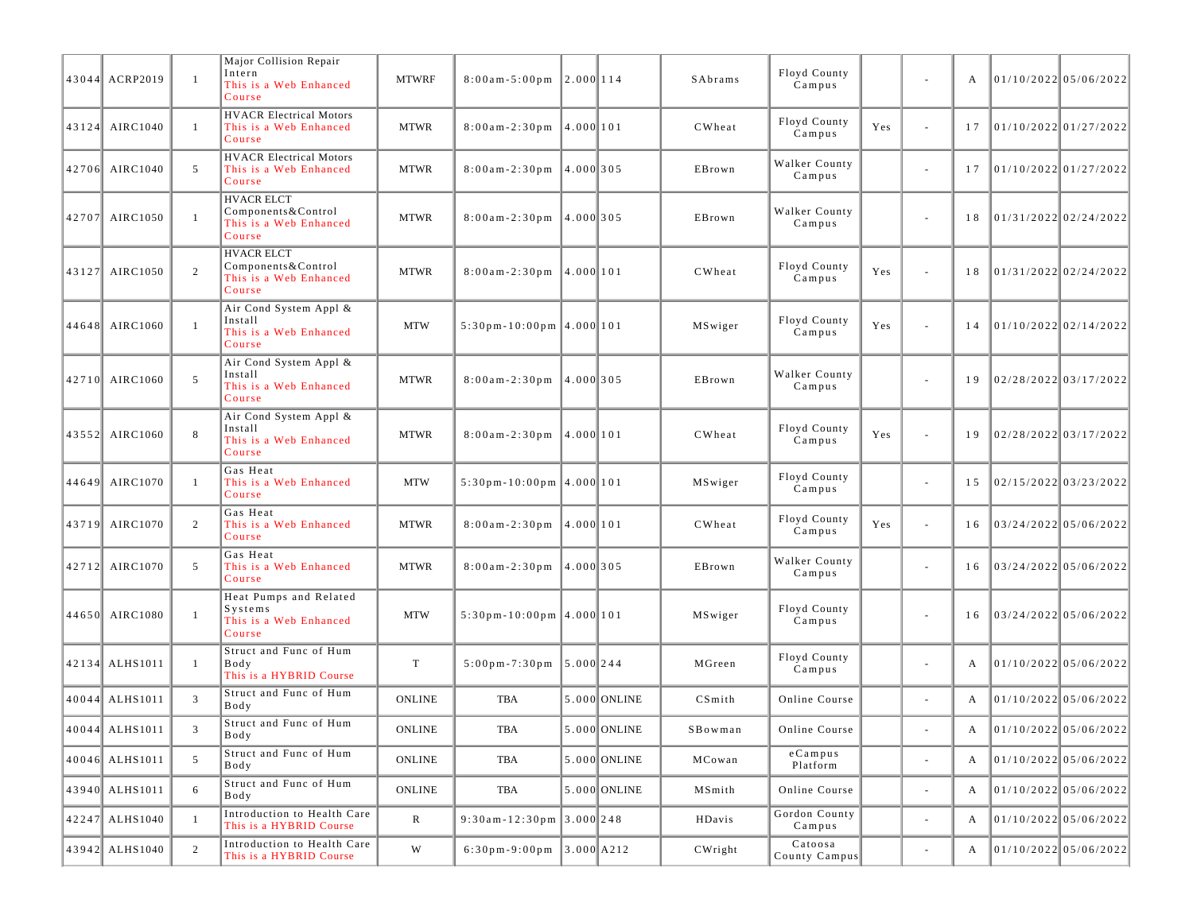| 43044 ACRP2019 | $\overline{1}$ | Major Collision Repair<br>Intern<br>This is a Web Enhanced<br>Course          | <b>MTWRF</b>  | $8:00$ am - $5:00$ pm                             | 2.000 114  |                | SAbrams | Floyd County<br>Campus   |     | $\overline{\phantom{a}}$ |    | 01/10/2022 05/06/2022 |  |
|----------------|----------------|-------------------------------------------------------------------------------|---------------|---------------------------------------------------|------------|----------------|---------|--------------------------|-----|--------------------------|----|-----------------------|--|
| 43124 AIRC1040 | $\overline{1}$ | <b>HVACR Electrical Motors</b><br>This is a Web Enhanced<br>Course            | <b>MTWR</b>   | $8:00am-2:30pm$ 4.000 101                         |            |                | CWheat  | Floyd County<br>Campus   | Yes | ä,                       | 17 | 01/10/2022 01/27/2022 |  |
| 42706 AIRC1040 | 5              | <b>HVACR Electrical Motors</b><br>This is a Web Enhanced<br>Course            | <b>MTWR</b>   | $8:00$ am - 2:30 pm                               | 14.0001305 |                | EBrown  | Walker County<br>Campus  |     | $\overline{\phantom{a}}$ | 17 | 01/10/2022 01/27/2022 |  |
| 42707 AIRC1050 | $\overline{1}$ | <b>HVACR ELCT</b><br>Components & Control<br>This is a Web Enhanced<br>Course | <b>MTWR</b>   | $8:00$ am-2:30pm 4.000 305                        |            |                | EBrown  | Walker County<br>Campus  |     |                          | 18 | 01/31/2022 02/24/2022 |  |
| 43127 AIRC1050 | 2              | <b>HVACR ELCT</b><br>Components & Control<br>This is a Web Enhanced<br>Course | <b>MTWR</b>   | $8:00$ am - 2:30 pm $\vert 4.000 \vert 101$       |            |                | CWheat  | Floyd County<br>Campus   | Yes | ä,                       | 18 | 01/31/2022 02/24/2022 |  |
| 44648 AIRC1060 | $\overline{1}$ | Air Cond System Appl &<br>Install<br>This is a Web Enhanced<br>Course         | <b>MTW</b>    | $5:30 \text{ pm} - 10:00 \text{ pm}$ 4.000 101    |            |                | MSwiger | Floyd County<br>Campus   | Yes | i,                       | 14 | 01/10/2022 02/14/2022 |  |
| 42710 AIRC1060 | 5              | Air Cond System Appl &<br>Install<br>This is a Web Enhanced<br>Course         | <b>MTWR</b>   | $8:00am-2:30pm$ 4.000 305                         |            |                | EBrown  | Walker County<br>Campus  |     |                          | 19 | 02/28/2022 03/17/2022 |  |
| 43552 AIRC1060 | 8              | Air Cond System Appl &<br>Install<br>This is a Web Enhanced<br>Course         | <b>MTWR</b>   | $8:00$ am - 2:30 pm $\vert 4.000 \vert 101$       |            |                | CWheat  | Floyd County<br>Campus   | Yes | i,                       | 19 | 02/28/2022 03/17/2022 |  |
| 44649 AIRC1070 | $\overline{1}$ | Gas Heat<br>This is a Web Enhanced<br>Course                                  | <b>MTW</b>    | $5:30 \text{ pm} - 10:00 \text{ pm}$ 4.000 101    |            |                | MSwiger | Floyd County<br>Campus   |     | ä,                       | 15 | 02/15/2022 03/23/2022 |  |
| 43719 AIRC1070 | 2              | Gas Heat<br>This is a Web Enhanced<br>Course                                  | <b>MTWR</b>   | $8:00am-2:30pm$ 4.000 101                         |            |                | CWheat  | Floyd County<br>Campus   | Yes | ä,                       | 16 | 03/24/2022 05/06/2022 |  |
| 42712 AIRC1070 | 5              | Gas Heat<br>This is a Web Enhanced<br>Course                                  | <b>MTWR</b>   | $8:00am-2:30pm$ 4.000 305                         |            |                | EBrown  | Walker County<br>Campus  |     | $\overline{\phantom{a}}$ | 16 | 03/24/2022 05/06/2022 |  |
| 44650 AIRC1080 | $\overline{1}$ | Heat Pumps and Related<br>Systems<br>This is a Web Enhanced<br>Course         | <b>MTW</b>    | $5:30 \text{ pm} - 10:00 \text{ pm}$ 4.000 101    |            |                | MSwiger | Floyd County<br>Campus   |     |                          | 16 | 03/24/2022 05/06/2022 |  |
| 42134 ALHS1011 | -1             | Struct and Func of Hum<br>Body<br>This is a HYBRID Course                     | $\mathbf T$   | $5:00 \text{ pm} - 7:30 \text{ pm}$   5.000   244 |            |                | MGreen  | Floyd County<br>Campus   |     | $\overline{\phantom{a}}$ | А  | 01/10/2022 05/06/2022 |  |
| 40044 ALHS1011 | 3              | Struct and Func of Hum<br>Body                                                | <b>ONLINE</b> | TBA                                               |            | 5.000 ONLINE   | CSmith  | Online Course            |     | ä,                       | A  | 01/10/202205/06/2022  |  |
| 40044 ALHS1011 |                | Struct and Func of Hum<br>Body                                                | <b>ONLINE</b> | TBA                                               |            | $5.000$ ONLINE | SBowman | Online Course            |     |                          |    | 01/10/2022 05/06/2022 |  |
| 40046 ALHS1011 | 5              | Struct and Func of Hum<br>Body                                                | <b>ONLINE</b> | TBA                                               |            | 5.000 ONLINE   | MCowan  | $e$ Campus<br>Platform   |     | $\blacksquare$           |    | 01/10/2022 05/06/2022 |  |
| 43940 ALHS1011 | 6              | Struct and Func of Hum<br>Body                                                | ONLINE        | TBA                                               |            | $5.000$ ONLINE | MSmith  | Online Course            |     | ÷,                       |    | 01/10/2022 05/06/2022 |  |
| 42247 ALHS1040 | $\overline{1}$ | Introduction to Health Care<br>This is a HYBRID Course                        | $\mathbb{R}$  | $9:30$ am - 12:30pm 3.000 248                     |            |                | HDavis  | Gordon County<br>Campus  |     | $\blacksquare$           | A  | 01/10/2022 05/06/2022 |  |
| 43942 ALHS1040 | $\overline{2}$ | Introduction to Health Care<br>This is a HYBRID Course                        | W             | 6:30pm-9:00pm $3.000$ A212                        |            |                | CWright | Catoosa<br>County Campus |     | $\overline{\phantom{a}}$ | A  | 01/10/2022 05/06/2022 |  |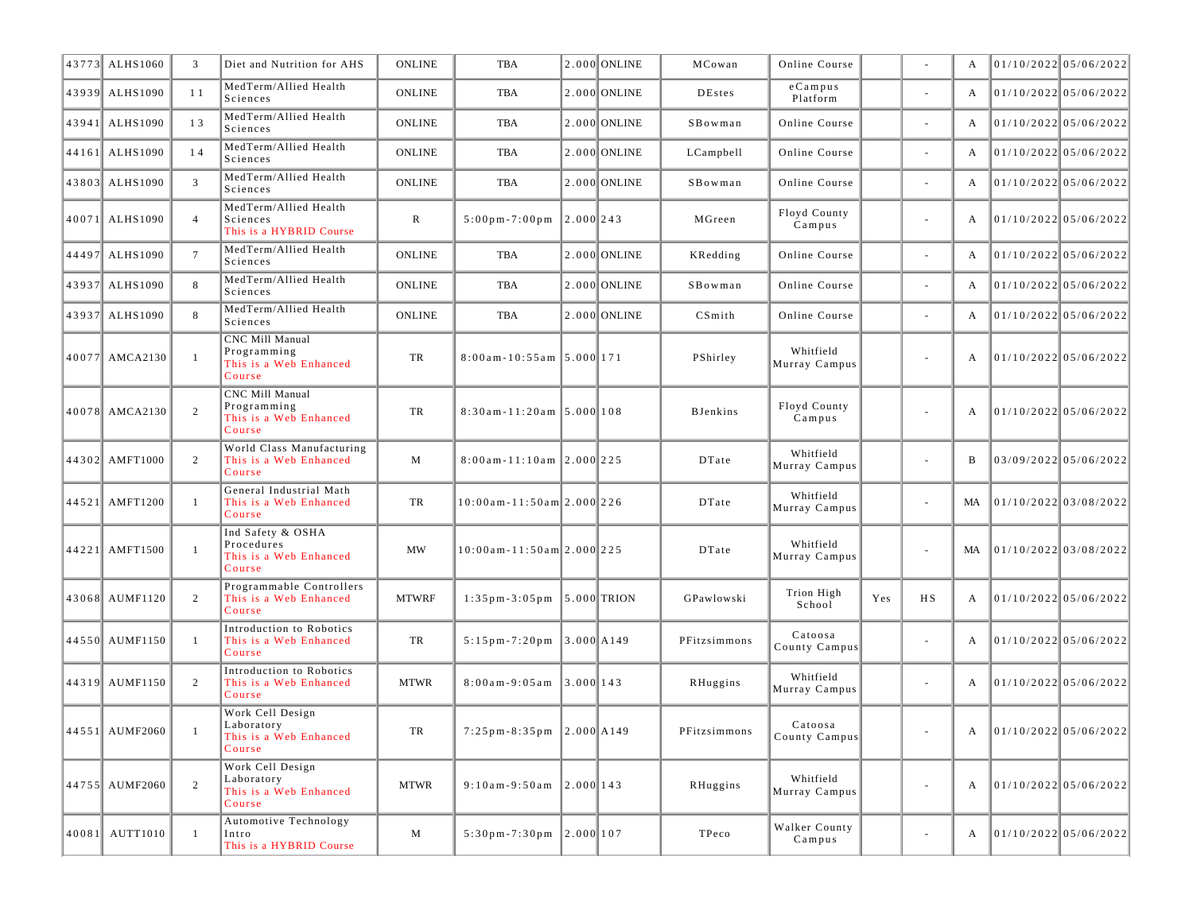| 43773 ALHS1060 | 3              | Diet and Nutrition for AHS                                                | <b>ONLINE</b> | TBA                                             |             | 2.000 ONLINE   | MCowan          | Online Course              |     |           | A            | 01/10/2022 05/06/2022   |
|----------------|----------------|---------------------------------------------------------------------------|---------------|-------------------------------------------------|-------------|----------------|-----------------|----------------------------|-----|-----------|--------------|-------------------------|
| 43939 ALHS1090 | 11             | MedTerm/Allied Health<br>Sciences                                         | <b>ONLINE</b> | TBA                                             |             | 2.000 ONLINE   | <b>DEstes</b>   | $e$ Campus<br>Platform     |     | $\sim$    | A            | 01/10/2022 05/06/2022   |
| 43941 ALHS1090 | 13             | MedTerm/Allied Health<br>Sciences                                         | <b>ONLINE</b> | <b>TBA</b>                                      |             | 2.000 ONLINE   | SBowman         | Online Course              |     | $\sim$    | A            | 01/10/2022 05/06/2022   |
| 44161 ALHS1090 | 14             | MedTerm/Allied Health<br>Sciences                                         | <b>ONLINE</b> | TBA                                             |             | 2.000 ONLINE   | LCampbell       | Online Course              |     |           | A            | 01/10/2022 05/06/2022   |
| 43803 ALHS1090 | 3              | MedTerm/Allied Health<br>Sciences                                         | <b>ONLINE</b> | TBA                                             |             | 2.000 ONLINE   | SBowman         | Online Course              |     |           | A            | $01/10/2022$ 05/06/2022 |
| 40071 ALHS1090 | $\overline{4}$ | MedTerm/Allied Health<br>Sciences<br>This is a HYBRID Course              | R             | $5:00 \,\mathrm{p m}$ - $7:00 \,\mathrm{p m}$   | $2.000$ 243 |                | MGreen          | Floyd County<br>Campus     |     | $\sim$    | A            | 01/10/2022 05/06/2022   |
| 44497 ALHS1090 | $\tau$         | MedTerm/Allied Health<br>Sciences                                         | <b>ONLINE</b> | TBA                                             |             | $2.000$ ONLINE | KRedding        | Online Course              |     |           | A            | $01/10/2022$ 05/06/2022 |
| 43937 ALHS1090 | 8              | MedTerm/Allied Health<br>Sciences                                         | <b>ONLINE</b> | <b>TBA</b>                                      |             | 2.000 ONLINE   | SBowman         | Online Course              |     | $\sim$    | A            | 01/10/2022 05/06/2022   |
| 43937 ALHS1090 | 8              | MedTerm/Allied Health<br>Sciences                                         | <b>ONLINE</b> | <b>TBA</b>                                      |             | 2.000 ONLINE   | CSmith          | Online Course              |     | $\sim$    | A            | 01/10/2022 05/06/2022   |
| 40077 AMCA2130 | -1             | CNC Mill Manual<br>Programming<br>This is a Web Enhanced<br>Course        | TR            | $8:00$ am-10:55am 5.000 171                     |             |                | PShirley        | Whitfield<br>Murray Campus |     |           | A            | $01/10/2022$ 05/06/2022 |
| 40078 AMCA2130 | 2              | <b>CNC Mill Manual</b><br>Programming<br>This is a Web Enhanced<br>Course | TR            | $8:30$ am-11:20am 5.000 108                     |             |                | <b>BJenkins</b> | Floyd County<br>Campus     |     |           | A            | $01/10/2022$ 05/06/2022 |
| 44302 AMFT1000 | $\overline{2}$ | World Class Manufacturing<br>This is a Web Enhanced<br>Course             | M             | $8:00$ am-11:10am 2.000 225                     |             |                | DTate           | Whitfield<br>Murray Campus |     |           | B            | 03/09/2022 05/06/2022   |
| 44521 AMFT1200 | $\mathbf{1}$   | General Industrial Math<br>This is a Web Enhanced<br>Course               | TR            | $10:00$ am - $11:50$ am $2.000$ $226$           |             |                | DTate           | Whitfield<br>Murray Campus |     |           | MA           | 01/10/2022 03/08/2022   |
| 44221 AMFT1500 | 1              | Ind Safety & OSHA<br>Procedures<br>This is a Web Enhanced<br>Course       | MW            | 10:00am-11:50am 2.000 225                       |             |                | DTate           | Whitfield<br>Murray Campus |     | $\sim$    | MA           | 01/10/2022 03/08/2022   |
| 43068 AUMF1120 | 2              | Programmable Controllers<br>This is a Web Enhanced<br>Course              | <b>MTWRF</b>  | $1:35 \text{ pm} - 3:05 \text{ pm}$ 5.000 TRION |             |                | GPawlowski      | Trion High<br>School       | Yes | <b>HS</b> | A            | 01/10/2022 05/06/2022   |
| 44550 AUMF1150 | 1              | Introduction to Robotics<br>This is a Web Enhanced<br>Course              | TR            | $5:15 \text{ pm} - 7:20 \text{ pm}$ 3.000 A149  |             |                | PFitzsimmons    | Catoosa<br>County Campus   |     | $\sim$    | A            | 01/10/2022 05/06/2022   |
| 44319 AUMF1150 | 2              | Introduction to Robotics<br>This is a Web Enhanced<br>Course              | <b>MTWR</b>   | $8:00am - 9:05am$                               | $3.000$ 143 |                | RHuggins        | Whitfield<br>Murray Campus |     |           | A            | 01/10/2022 05/06/2022   |
| 44551 AUMF2060 | $\mathbf{1}$   | Work Cell Design<br>Laboratory<br>This is a Web Enhanced<br>Course        | TR            | $7:25 \text{ pm} - 8:35 \text{ pm}$ 2.000 A149  |             |                | PFitzsimmons    | Catoosa<br>County Campus   |     |           |              | 01/10/2022 05/06/2022   |
| 44755 AUMF2060 | 2              | Work Cell Design<br>Laboratory<br>This is a Web Enhanced<br>Course        | <b>MTWR</b>   | $9:10am-9:50am$ 2.000 143                       |             |                | RHuggins        | Whitfield<br>Murray Campus |     | $\sim$    | A            | 01/10/2022 05/06/2022   |
| 40081 AUTT1010 | $\mathbf{1}$   | Automotive Technology<br>Intro<br>This is a HYBRID Course                 | M             | $5:30 \text{ pm} - 7:30 \text{ pm}$ 2.000 107   |             |                | TPeco           | Walker County<br>Campus    |     | $\sim$    | $\mathbf{A}$ | 01/10/2022 05/06/2022   |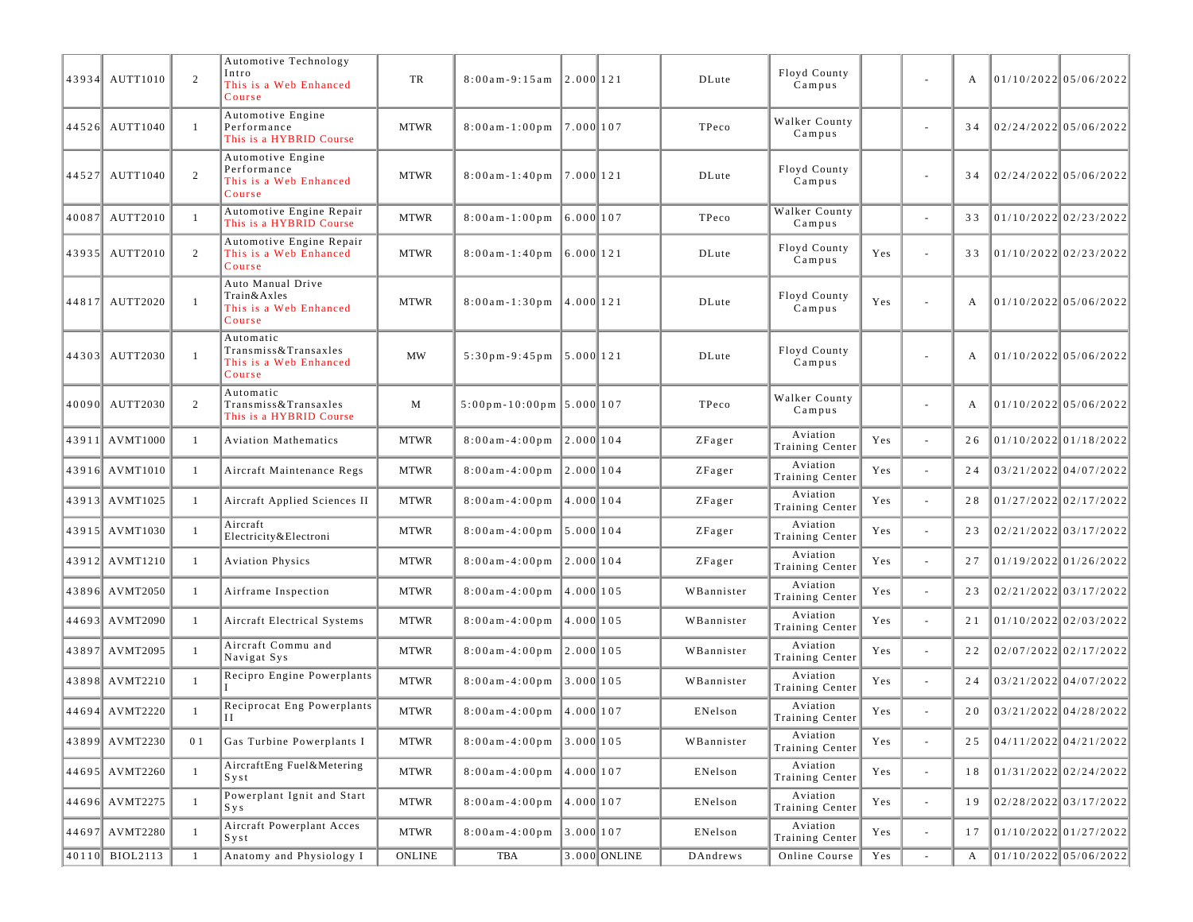| 43934 AUTT1010 | 2              | Automotive Technology<br>Intro<br>This is a Web Enhanced<br>Course    | TR          | $8:00$ am - 9:15 am                                 | 2.000 121    |              | DLute      | Floyd County<br>Campus      |     | $\overline{\phantom{a}}$ | A  | 01/10/2022 05/06/2022    |
|----------------|----------------|-----------------------------------------------------------------------|-------------|-----------------------------------------------------|--------------|--------------|------------|-----------------------------|-----|--------------------------|----|--------------------------|
| 44526 AUTT1040 | $\overline{1}$ | Automotive Engine<br>Performance<br>This is a HYBRID Course           | <b>MTWR</b> | $8:00$ am - 1:00 pm                                 | 17.0001107   |              | TPeco      | Walker County<br>Campus     |     | $\overline{\phantom{a}}$ | 34 | 02/24/2022 05/06/2022    |
| 44527 AUTT1040 | 2              | Automotive Engine<br>Performance<br>This is a Web Enhanced<br>Course  | <b>MTWR</b> | $8:00$ am-1:40pm 7.000 121                          |              |              | DLute      | Floyd County<br>Campus      |     | ä,                       | 34 | 02/24/2022 05/06/2022    |
| 40087 AUTT2010 | $\overline{1}$ | Automotive Engine Repair<br>This is a HYBRID Course                   | <b>MTWR</b> | $8:00$ am-1:00pm 6.000 107                          |              |              | TPeco      | Walker County<br>$C$ ampus  |     | $\overline{\phantom{a}}$ | 33 | 01/10/2022 02/23/2022    |
| 43935 AUTT2010 | 2              | Automotive Engine Repair<br>This is a Web Enhanced<br>Course          | <b>MTWR</b> | $8:00$ am-1:40pm 6.000 121                          |              |              | DLute      | Floyd County<br>Campus      | Yes | ä,                       | 33 | 01/10/2022 02/23/2022    |
| 44817 AUTT2020 | $\overline{1}$ | Auto Manual Drive<br>Train&Axles<br>This is a Web Enhanced<br>Course  | <b>MTWR</b> | $8:00$ am-1:30pm 4.000 121                          |              |              | DLute      | Floyd County<br>Campus      | Yes | ä,                       | A  | 01/10/2022 05/06/2022    |
| 44303 AUTT2030 | $\overline{1}$ | Automatic<br>Transmiss&Transaxles<br>This is a Web Enhanced<br>Course | <b>MW</b>   | $5:30 \text{ pm} - 9:45 \text{ pm}$   $5.000$   121 |              |              | DLute      | Floyd County<br>Campus      |     |                          | A  | 01/10/202205/06/2022     |
| 40090 AUTT2030 | 2              | Automatic<br>Transmiss&Transaxles<br>This is a HYBRID Course          | M           | $5:00 \text{ pm} - 10:00 \text{ pm}$ 5.000 107      |              |              | TPeco      | Walker County<br>Campus     |     | $\overline{\phantom{a}}$ | А  | $101/10/2022$ 05/06/2022 |
| 43911 AVMT1000 | -1             | <b>Aviation Mathematics</b>                                           | <b>MTWR</b> | $8:00$ am - 4:00 pm                                 | 12.0001104   |              | ZFager     | Aviation<br>Training Center | Yes | ÷,                       | 26 | 01/10/2022 01/18/2022    |
| 43916 AVMT1010 | -1             | Aircraft Maintenance Regs                                             | <b>MTWR</b> | $8:00a m - 4:00 p m$                                | 12.0001104   |              | ZFager     | Aviation<br>Training Center | Yes | ä,                       | 24 | 03/21/2022 04/07/2022    |
| 43913 AVMT1025 | $\overline{1}$ | Aircraft Applied Sciences II                                          | <b>MTWR</b> | $8:00$ am - 4:00 pm                                 | $14.000$ 104 |              | ZFager     | Aviation<br>Training Center | Yes | ä,                       | 28 | 01/27/2022 02/17/2022    |
| 43915 AVMT1030 | $\overline{1}$ | Aircraft<br>Electricity & Electroni                                   | <b>MTWR</b> | $8:00$ am - 4:00 pm                                 | 5.000    104 |              | ZFager     | Aviation<br>Training Center | Yes | ÷,                       | 23 | 02/21/2022 03/17/2022    |
| 43912 AVMT1210 | -1             | <b>Aviation Physics</b>                                               | <b>MTWR</b> | $8:00a m - 4:00 p m$                                | 2.000 104    |              | ZFager     | Aviation<br>Training Center | Yes | $\overline{\phantom{a}}$ | 27 | 01/19/2022 01/26/2022    |
| 43896 AVMT2050 | $\overline{1}$ | Airframe Inspection                                                   | <b>MTWR</b> | $8:00$ am - 4:00 pm                                 | 4.000 105    |              | WBannister | Aviation<br>Training Center | Yes | ä,                       | 23 | 02/21/2022 03/17/2022    |
| 44693 AVMT2090 | -1             | Aircraft Electrical Systems                                           | <b>MTWR</b> | $8:00$ am - 4:00 pm                                 | 14.0001105   |              | WBannister | Aviation<br>Training Center | Yes | ÷,                       | 21 | 01/10/2022 02/03/2022    |
| 43897 AVMT2095 | $\overline{1}$ | Aircraft Commu and<br>Navigat Sys                                     | <b>MTWR</b> | $8:00$ am - 4:00 pm                                 | 12.0001105   |              | WBannister | Aviation<br>Training Center | Yes | $\overline{\phantom{a}}$ | 22 | $02/07/2022$ 02/17/2022  |
| 43898 AVMT2210 | $\overline{1}$ | Recipro Engine Powerplants                                            | <b>MTWR</b> | $8:00$ am - 4:00 pm                                 | 3.000105     |              | WBannister | Aviation<br>Training Center | Yes | ÷,                       | 24 | 03/21/2022 04/07/2022    |
| 44694 AVMT2220 |                | Reciprocat Eng Powerplants<br>$_{\rm II}$                             | <b>MTWR</b> | $8:00am-4:00pm$ 4.000 107                           |              |              | ENelson    | Aviation<br>Training Center | Yes | ä,                       | 20 | 03/21/2022 04/28/2022    |
| 43899 AVMT2230 | 0 1            | Gas Turbine Powerplants I                                             | <b>MTWR</b> | $8:00am-4:00pm$ 3.000 105                           |              |              | WBannister | Aviation<br>Training Center | Yes | ÷,                       | 25 | 04/11/2022 04/21/2022    |
| 44695 AVMT2260 | -1             | AircraftEng Fuel&Metering<br>Syst                                     | <b>MTWR</b> | $8:00a m - 4:00p m$                                 | 4.000 107    |              | ENelson    | Aviation<br>Training Center | Yes | ÷,                       | 18 | 01/31/2022 02/24/2022    |
| 44696 AVMT2275 | $\overline{1}$ | Powerplant Ignit and Start<br>S y s                                   | <b>MTWR</b> | $8:00am-4:00pm$ 4.000 107                           |              |              | ENelson    | Aviation<br>Training Center | Yes | $\Box$                   | 19 | 02/28/2022 03/17/2022    |
| 44697 AVMT2280 | $\overline{1}$ | Aircraft Powerplant Acces<br>Syst                                     | <b>MTWR</b> | $8:00$ am-4:00pm 3.000 107                          |              |              | ENelson    | Aviation<br>Training Center | Yes | $\overline{\phantom{a}}$ | 17 | 01/10/2022 01/27/2022    |
| 40110 BIOL2113 | -1             | Anatomy and Physiology I                                              | ONLINE      | TBA                                                 |              | 3.000 ONLINE | DAndrews   | Online Course               | Yes | $\overline{\phantom{a}}$ | A  | 01/10/2022 05/06/2022    |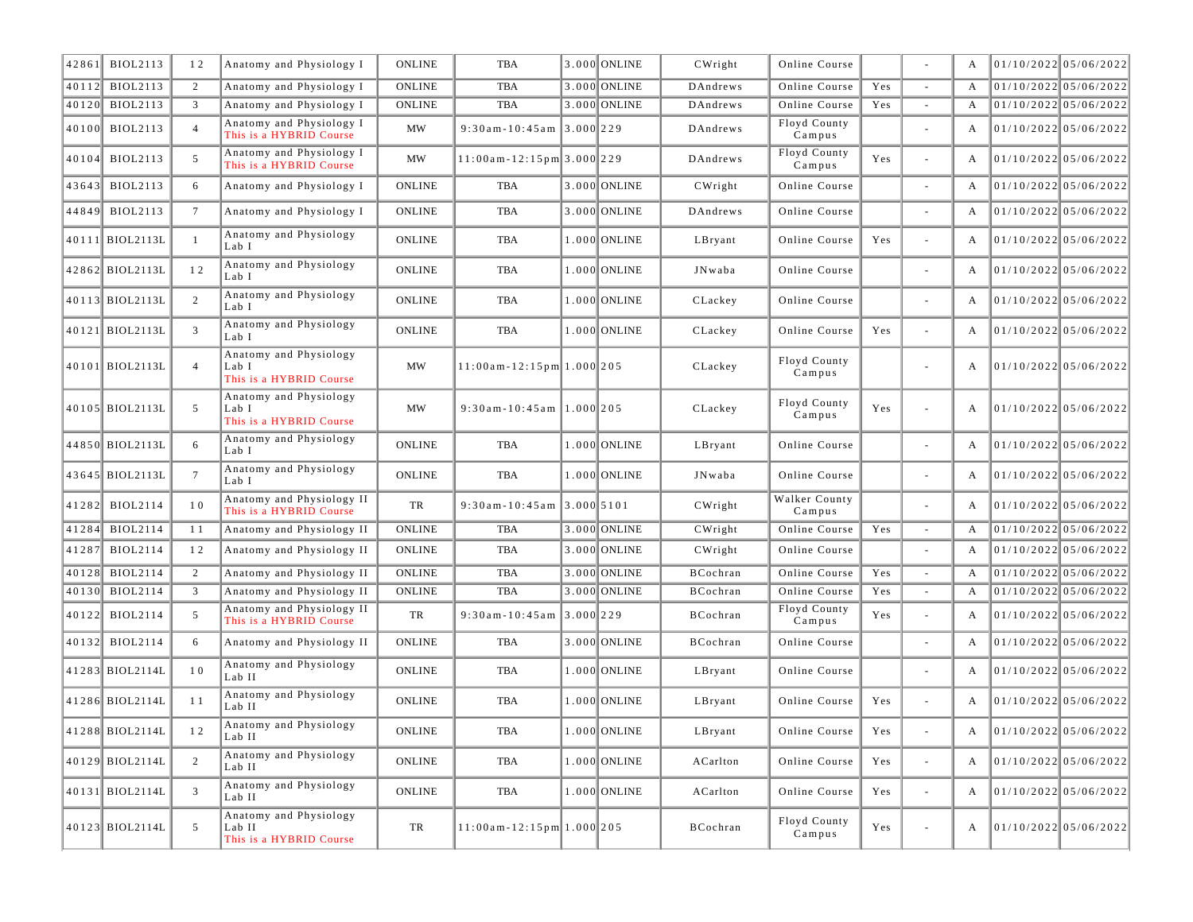| 42861 | <b>BIOL2113</b> | 12              | Anatomy and Physiology I                                    | <b>ONLINE</b>         | TBA                               |             | 3.000 ONLINE   | CWright                  | Online Course           |     |                          | A | 01/10/2022 05/06/2022   |
|-------|-----------------|-----------------|-------------------------------------------------------------|-----------------------|-----------------------------------|-------------|----------------|--------------------------|-------------------------|-----|--------------------------|---|-------------------------|
| 40112 | <b>BIOL2113</b> | 2               | Anatomy and Physiology I                                    | <b>ONLINE</b>         | TBA                               |             | 3.000 ONLINE   | DAndrews                 | Online Course           | Yes | $\sim$                   | A | $01/10/2022$ 05/06/2022 |
| 40120 | <b>BIOL2113</b> | 3               | Anatomy and Physiology I                                    | <b>ONLINE</b>         | <b>TBA</b>                        |             | 3.000 ONLINE   | DAndrews                 | Online Course           | Yes |                          | A | $01/10/2022$ 05/06/2022 |
| 40100 | <b>BIOL2113</b> | $\overline{4}$  | Anatomy and Physiology I<br>This is a HYBRID Course         | <b>MW</b>             | $9:30$ am - $10:45$ am            | $3.000$ 229 |                | DAndrews                 | Floyd County<br>Campus  |     |                          | A | $01/10/2022$ 05/06/2022 |
| 40104 | <b>BIOL2113</b> | 5               | Anatomy and Physiology I<br>This is a HYBRID Course         | <b>MW</b>             | $11:00$ am - 12:15pm 3.000 229    |             |                | DAndrews                 | Floyd County<br>Campus  | Yes | $\overline{\phantom{a}}$ | A | 01/10/2022 05/06/2022   |
| 43643 | <b>BIOL2113</b> | 6               | Anatomy and Physiology I                                    | <b>ONLINE</b>         | TBA                               |             | 3.000 ONLINE   | CWright                  | Online Course           |     |                          | A | 01/10/2022 05/06/2022   |
| 44849 | <b>BIOL2113</b> | $7\overline{ }$ | Anatomy and Physiology I                                    | <b>ONLINE</b>         | TBA                               |             | 3.000 ONLINE   | DAndrews                 | Online Course           |     | $\overline{\phantom{a}}$ | A | $01/10/2022$ 05/06/2022 |
|       | 40111 BIOL2113L | $\overline{1}$  | Anatomy and Physiology<br>Lab I                             | <b>ONLINE</b>         | TBA                               |             | 1.000 ONLINE   | LBryant                  | Online Course           | Yes | $\bar{a}$                | A | 01/10/2022 05/06/2022   |
|       | 42862 BIOL2113L | 12              | Anatomy and Physiology<br>Lab I                             | <b>ONLINE</b>         | TBA                               |             | 1.000 ONLINE   | JNwaba                   | Online Course           |     | $\sim$                   | A | $01/10/2022$ 05/06/2022 |
|       | 40113 BIOL2113L | 2               | Anatomy and Physiology<br>Lab I                             | <b>ONLINE</b>         | TBA                               |             | 1.000 ONLINE   | CLackey                  | Online Course           |     | $\bar{a}$                | A | $01/10/2022$ 05/06/2022 |
|       | 40121 BIOL2113L | 3               | Anatomy and Physiology<br>Lab I                             | <b>ONLINE</b>         | TBA                               |             | 1.000 ONLINE   | CLackey                  | Online Course           | Yes | $\omega$                 | A | 01/10/2022 05/06/2022   |
|       | 40101 BIOL2113L | $\overline{4}$  | Anatomy and Physiology<br>Lab I<br>This is a HYBRID Course  | <b>MW</b>             | $11:00am - 12:15pm$ 1.000 205     |             |                | CLackey                  | Floyd County<br>Campus  |     | $\overline{\phantom{a}}$ | A | 01/10/2022 05/06/2022   |
|       | 40105 BIOL2113L | 5               | Anatomy and Physiology<br>Lab I<br>This is a HYBRID Course  | <b>MW</b>             | $9:30$ am - 10:45am   1.000   205 |             |                | CLackey                  | Floyd County<br>Campus  | Yes |                          | A | $01/10/2022$ 05/06/2022 |
|       | 44850 BIOL2113L | 6               | Anatomy and Physiology<br>Lab I                             | <b>ONLINE</b>         | TBA                               |             | 1.000 ONLINE   | LBryant                  | Online Course           |     | $\sim$                   | A | $01/10/2022$ 05/06/2022 |
|       | 43645 BIOL2113L | $7\phantom{.0}$ | Anatomy and Physiology<br>Lab I                             | <b>ONLINE</b>         | TBA                               |             | 1.000 ONLINE   | JNwaba                   | Online Course           |     | $\overline{\phantom{a}}$ | A | 01/10/2022 05/06/2022   |
|       | 41282 BIOL2114  | 10              | Anatomy and Physiology II<br>This is a HYBRID Course        | TR                    | $9:30$ am - 10:45am 3.000 5101    |             |                | CWright                  | Walker County<br>Campus |     | $\sim$                   | A | $01/10/2022$ 05/06/2022 |
| 41284 | <b>BIOL2114</b> | 11              | Anatomy and Physiology II                                   | <b>ONLINE</b>         | <b>TBA</b>                        |             | 3.000 ONLINE   | CWright                  | Online Course           | Yes | $\overline{\phantom{a}}$ | A | $01/10/2022$ 05/06/2022 |
| 41287 | <b>BIOL2114</b> | 12              | Anatomy and Physiology II                                   | <b>ONLINE</b>         | TBA                               |             | 3.000 ONLINE   | CWright                  | Online Course           |     | $\sim$                   | A | $01/10/2022$ 05/06/2022 |
| 40128 | <b>BIOL2114</b> | 2               | Anatomy and Physiology II                                   | <b>ONLINE</b>         | TBA                               |             | 3.000 ONLINE   | BCochran                 | Online Course           | Yes | $\omega$                 | A | $01/10/2022$ 05/06/2022 |
| 40130 | <b>BIOL2114</b> | 3               | Anatomy and Physiology II                                   | <b>ONLINE</b>         | <b>TBA</b>                        |             | 3.000 ONLINE   | BCochran                 | Online Course           | Yes | $\omega$                 | A | $01/10/2022$ 05/06/2022 |
| 40122 | <b>BIOL2114</b> | 5               | Anatomy and Physiology II<br>This is a HYBRID Course        | TR                    | $9:30$ am - $10:45$ am            | $3.000$ 229 |                | BCochran                 | Floyd County<br>Campus  | Yes | $\overline{\phantom{a}}$ | A | $01/10/2022$ 05/06/2022 |
|       | 40132 BIOL2114  | 6               | Anatomy and Physiology II                                   | <b>ONLINE</b>         | TBA                               |             | 3.000 ONLINE   | BCochran                 | Online Course           |     | $\sim$                   | A | $01/10/2022$ 05/06/2022 |
|       | 41283 BIOL2114L | 10              | Anatomy and Physiology<br>Lab II                            | <b>ONLINE</b>         | TBA                               |             | 1.000 ONLINE   | LBryant                  | Online Course           |     | $\sim$                   | A | $01/10/2022$ 05/06/2022 |
|       | 41286 BIOL2114L | 11              | Anatomy and Physiology<br>Lab II                            | <b>ONLINE</b>         | TBA                               |             | 1.000 ONLINE   | LBryant                  | Online Course           | Yes | $\bar{a}$                | A | 01/10/2022 05/06/2022   |
|       | 41288 BIOL2114L |                 | Anatomy and Physiology<br>Lab II                            | $\mathop{\rm ONLINE}$ | TBA                               |             | $1.000$ ONLINE | $\operatorname{LBryant}$ | Online Course           | Yes |                          |   | 01/10/2022 05/06/2022   |
|       | 40129 BIOL2114L | 2               | Anatomy and Physiology<br>Lab II                            | ONLINE                | TBA                               |             | $1.000$ ONLINE | ACarlton                 | Online Course           | Yes | $\omega$                 | A | 01/10/2022 05/06/2022   |
|       | 40131 BIOL2114L | $\mathfrak{Z}$  | Anatomy and Physiology<br>Lab II                            | ONLINE                | TBA                               |             | $1.000$ ONLINE | ACarlton                 | Online Course           | Yes | $\omega$                 | A | 01/10/2022 05/06/2022   |
|       | 40123 BIOL2114L | 5               | Anatomy and Physiology<br>Lab II<br>This is a HYBRID Course | TR                    | $11:00$ am - $12:15$ pm 1.000 205 |             |                | BCochran                 | Floyd County<br>Campus  | Yes | $\overline{\phantom{a}}$ | A | 01/10/2022 05/06/2022   |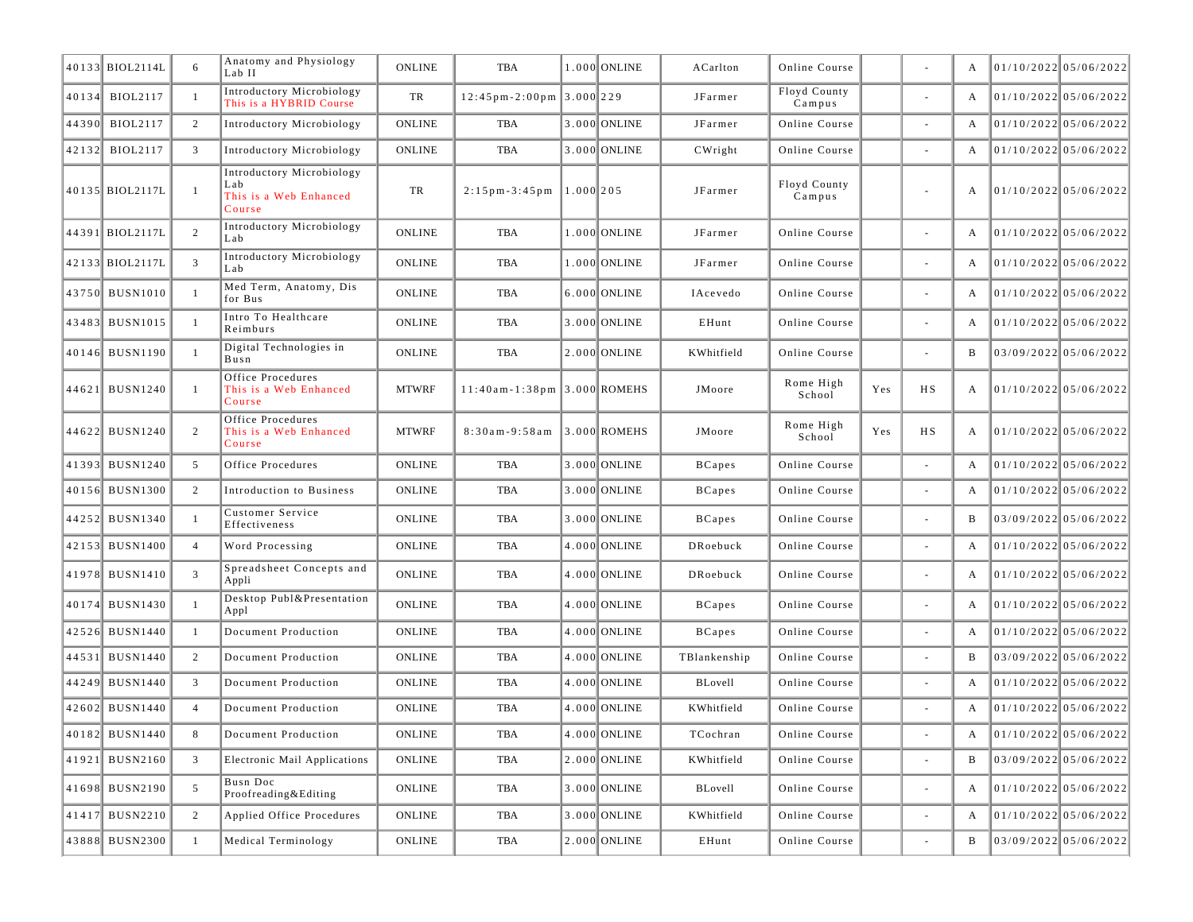|       | 40133 BIOL2114L | 6              | Anatomy and Physiology<br>Lab II                                     | <b>ONLINE</b> | TBA                                            |              | 1.000 ONLINE   | ACarlton      | Online Course          |     |                          | A | $01/10/2022$ 05/06/2022 |
|-------|-----------------|----------------|----------------------------------------------------------------------|---------------|------------------------------------------------|--------------|----------------|---------------|------------------------|-----|--------------------------|---|-------------------------|
|       | 40134 BIOL2117  | -1             | Introductory Microbiology<br>This is a HYBRID Course                 | TR            | $12:45 \text{ pm} - 2:00 \text{ pm }3.000$ 229 |              |                | JFarmer       | Floyd County<br>Campus |     | $\overline{\phantom{a}}$ | A | 01/10/2022 05/06/2022   |
| 44390 | <b>BIOL2117</b> | 2              | Introductory Microbiology                                            | <b>ONLINE</b> | TBA                                            |              | 3.000 ONLINE   | JFarmer       | Online Course          |     | $\overline{\phantom{a}}$ | A | 01/10/2022 05/06/2022   |
|       | 42132 BIOL2117  | 3              | Introductory Microbiology                                            | <b>ONLINE</b> | TBA                                            |              | 3.000 ONLINE   | CWright       | Online Course          |     | $\overline{\phantom{a}}$ | A | 01/10/2022 05/06/2022   |
|       | 40135 BIOL2117L | $\overline{1}$ | Introductory Microbiology<br>Lab<br>This is a Web Enhanced<br>Course | TR            | $2:15$ pm - 3:45 pm                            | $1.000$  205 |                | JFarmer       | Floyd County<br>Campus |     | $\overline{\phantom{a}}$ | A | 01/10/2022 05/06/2022   |
|       | 44391 BIOL2117L | 2              | Introductory Microbiology<br>Lab                                     | <b>ONLINE</b> | TBA                                            |              | 1.000 ONLINE   | JFarmer       | Online Course          |     | $\overline{\phantom{a}}$ | A | 01/10/2022 05/06/2022   |
|       | 42133 BIOL2117L | 3              | Introductory Microbiology<br>Lab                                     | <b>ONLINE</b> | TBA                                            |              | 1.000 ONLINE   | JFarmer       | Online Course          |     | $\overline{\phantom{a}}$ | A | 01/10/2022 05/06/2022   |
|       | 43750 BUSN1010  | $\overline{1}$ | Med Term, Anatomy, Dis<br>for Bus                                    | <b>ONLINE</b> | <b>TBA</b>                                     |              | 6.000 ONLINE   | IAcevedo      | Online Course          |     | $\overline{\phantom{a}}$ | A | 01/10/2022 05/06/2022   |
|       | 43483 BUSN1015  | $\overline{1}$ | Intro To Healthcare<br>Reimburs                                      | <b>ONLINE</b> | TBA                                            |              | 3.000 ONLINE   | EHunt         | Online Course          |     | $\overline{\phantom{a}}$ | A | 01/10/2022 05/06/2022   |
|       | 40146 BUSN1190  | $\overline{1}$ | Digital Technologies in<br>Busn                                      | <b>ONLINE</b> | TBA                                            |              | 2.000 ONLINE   | KWhitfield    | Online Course          |     | $\sim$                   | B | 03/09/2022 05/06/2022   |
|       | 44621 BUSN1240  | $\overline{1}$ | Office Procedures<br>This is a Web Enhanced<br>Course                | <b>MTWRF</b>  | $11:40$ am-1:38pm 3.000 ROMEHS                 |              |                | JMoore        | Rome High<br>School    | Yes | H S                      | A | 01/10/2022 05/06/2022   |
|       | 44622 BUSN1240  | 2              | Office Procedures<br>This is a Web Enhanced<br>Course                | <b>MTWRF</b>  | $8:30am - 9:58am$                              |              | $3.000$ ROMEHS | JMoore        | Rome High<br>School    | Yes | НS                       | A | 01/10/2022 05/06/2022   |
|       | 41393 BUSN1240  | 5              | Office Procedures                                                    | <b>ONLINE</b> | <b>TBA</b>                                     |              | 3.000 ONLINE   | <b>BCapes</b> | Online Course          |     | $\overline{\phantom{a}}$ | A | 01/10/2022 05/06/2022   |
|       | 40156 BUSN1300  | 2              | Introduction to Business                                             | <b>ONLINE</b> | TBA                                            |              | 3.000 ONLINE   | <b>BCapes</b> | Online Course          |     | $\overline{\phantom{a}}$ | A | 01/10/2022 05/06/2022   |
|       | 44252 BUSN1340  | $\overline{1}$ | Customer Service<br>Effectiveness                                    | <b>ONLINE</b> | <b>TBA</b>                                     |              | 3.000 ONLINE   | <b>BCapes</b> | Online Course          |     | $\sim$                   | B | 03/09/2022 05/06/2022   |
|       | 42153 BUSN1400  | $\overline{4}$ | Word Processing                                                      | <b>ONLINE</b> | <b>TBA</b>                                     |              | 4.000 ONLINE   | DRoebuck      | Online Course          |     | $\overline{\phantom{a}}$ | A | 01/10/2022 05/06/2022   |
|       | 41978 BUSN1410  | $\overline{3}$ | Spreadsheet Concepts and<br>Appli                                    | <b>ONLINE</b> | TBA                                            |              | 4.000 ONLINE   | DRoebuck      | Online Course          |     | $\overline{\phantom{a}}$ | A | 01/10/2022 05/06/2022   |
|       | 40174 BUSN1430  | $\overline{1}$ | Desktop Publ&Presentation<br>Appl                                    | <b>ONLINE</b> | <b>TBA</b>                                     |              | 4.000 ONLINE   | <b>BCapes</b> | Online Course          |     | $\overline{\phantom{a}}$ | A | 01/10/2022 05/06/2022   |
|       | 42526 BUSN1440  | -1             | Document Production                                                  | <b>ONLINE</b> | <b>TBA</b>                                     |              | 4.000 ONLINE   | <b>BCapes</b> | Online Course          |     |                          | A | 01/10/2022 05/06/2022   |
|       | 44531 BUSN1440  | 2              | Document Production                                                  | <b>ONLINE</b> | TBA                                            |              | 4.000 ONLINE   | TBlankenship  | Online Course          |     | $\overline{\phantom{a}}$ | B | $03/09/2022$ 05/06/2022 |
|       | 44249 BUSN1440  | 3              | Document Production                                                  | <b>ONLINE</b> | TBA                                            |              | 4.000 ONLINE   | BLovell       | Online Course          |     | $\overline{\phantom{a}}$ | A | $01/10/2022$ 05/06/2022 |
|       | 42602 BUSN1440  | $\overline{4}$ | Document Production                                                  | <b>ONLINE</b> | <b>TBA</b>                                     |              | 4.000 ONLINE   | KWhitfield    | Online Course          |     | $\overline{\phantom{a}}$ | A | $01/10/2022$ 05/06/2022 |
|       | 40182  BUSN1440 | 8              | Document Production                                                  | ONLINE        | TBA                                            |              | 4.000 ONLINE   | TCochran      | Online Course          |     |                          |   | 01/10/2022 05/06/2022   |
|       | 41921 BUSN2160  | 3              | Electronic Mail Applications                                         | ONLINE        | TBA                                            |              | $2.000$ ONLINE | KWhitfield    | Online Course          |     | $\blacksquare$           | B | 03/09/2022 05/06/2022   |
|       | 41698 BUSN2190  | 5              | Busn Doc<br>Proofreading&Editing                                     | ONLINE        | TBA                                            |              | 3.000 ONLINE   | BLovell       | Online Course          |     | $\overline{\phantom{a}}$ | A | 01/10/2022 05/06/2022   |
|       | 41417 BUSN2210  | 2              | Applied Office Procedures                                            | ONLINE        | TBA                                            |              | 3.000 ONLINE   | KWhitfield    | Online Course          |     | $\overline{\phantom{a}}$ | A | 01/10/2022 05/06/2022   |
|       | 43888 BUSN2300  | -1             | Medical Terminology                                                  | ONLINE        | TBA                                            |              | $2.000$ ONLINE | EHunt         | Online Course          |     | $\overline{\phantom{a}}$ | B | 03/09/2022 05/06/2022   |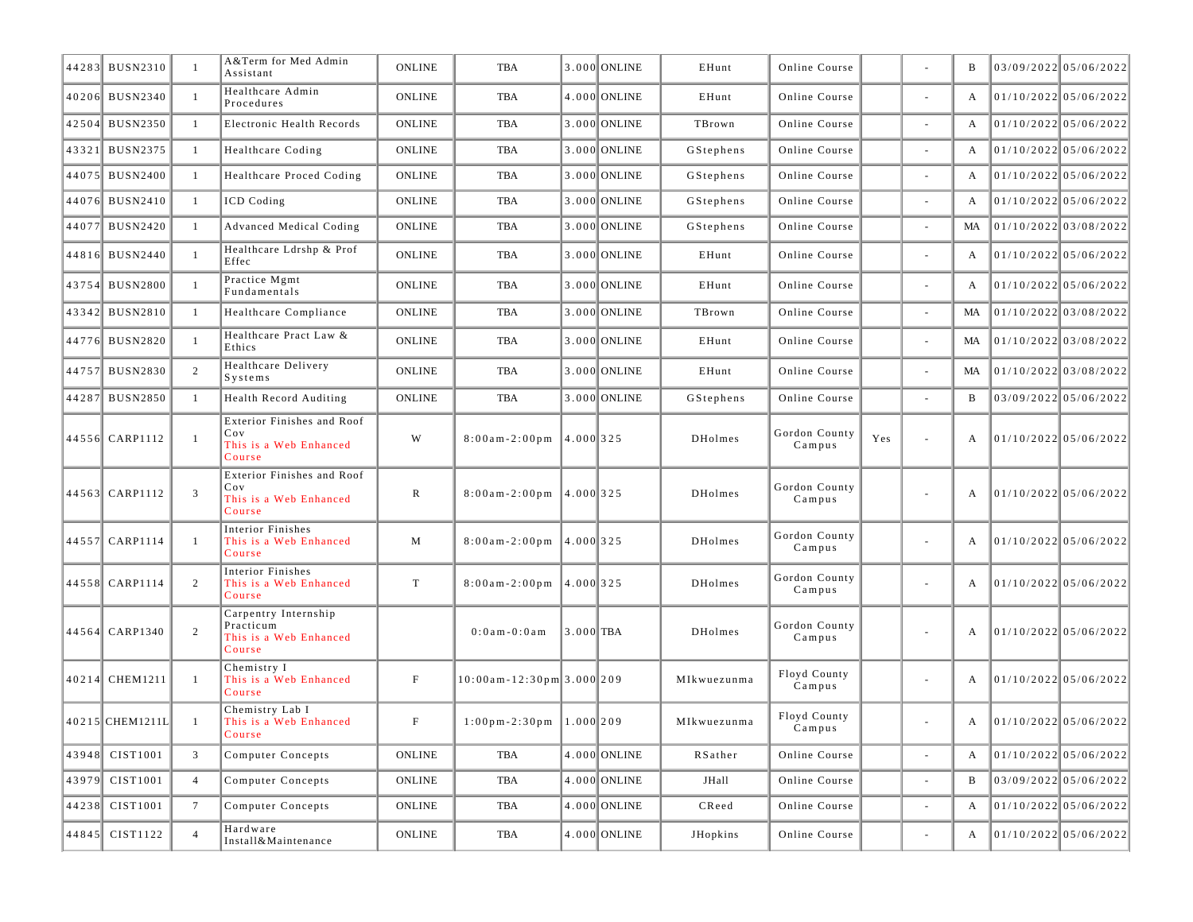| 44283 BUSN2310  |                | A&Term for Med Admin<br>Assistant                                     | <b>ONLINE</b> | TBA                                              |             | 3.000 ONLINE   | EHunt          | Online Course           |     |                          | B            | $03/09/2022$ 05/06/2022 |
|-----------------|----------------|-----------------------------------------------------------------------|---------------|--------------------------------------------------|-------------|----------------|----------------|-------------------------|-----|--------------------------|--------------|-------------------------|
| 40206 BUSN2340  | -1             | Healthcare Admin<br>Procedures                                        | <b>ONLINE</b> | TBA                                              |             | 4.000 ONLINE   | EHunt          | Online Course           |     | $\overline{\phantom{a}}$ | A            | 01/10/2022 05/06/2022   |
| 42504 BUSN2350  | -1             | Electronic Health Records                                             | <b>ONLINE</b> | TBA                                              |             | 3.000 ONLINE   | TBrown         | Online Course           |     |                          | A            | 01/10/2022 05/06/2022   |
| 43321 BUSN2375  | -1             | Healthcare Coding                                                     | <b>ONLINE</b> | TBA                                              |             | 3.000 ONLINE   | GStephens      | Online Course           |     | $\overline{\phantom{a}}$ | A            | 01/10/2022 05/06/2022   |
| 44075 BUSN2400  | -1             | Healthcare Proced Coding                                              | <b>ONLINE</b> | TBA                                              |             | 3.000 ONLINE   | GStephens      | Online Course           |     | $\sim$                   | A            | $01/10/2022$ 05/06/2022 |
| 44076 BUSN2410  | -1             | ICD Coding                                                            | <b>ONLINE</b> | TBA                                              |             | 3.000 ONLINE   | GStephens      | Online Course           |     | $\overline{\phantom{a}}$ | A            | $01/10/2022$ 05/06/2022 |
| 44077 BUSN2420  | -1             | <b>Advanced Medical Coding</b>                                        | <b>ONLINE</b> | TBA                                              |             | 3.000 ONLINE   | GStephens      | Online Course           |     |                          | MA           | 01/10/2022 03/08/2022   |
| 44816 BUSN2440  | -1             | Healthcare Ldrshp & Prof<br>Effec                                     | <b>ONLINE</b> | TBA                                              |             | 3.000 ONLINE   | EHunt          | Online Course           |     | $\overline{\phantom{a}}$ | A            | $01/10/2022$ 05/06/2022 |
| 43754 BUSN2800  | $\overline{1}$ | Practice Mgmt<br>Fundamentals                                         | <b>ONLINE</b> | TBA                                              |             | 3.000 ONLINE   | EHunt          | Online Course           |     | $\overline{\phantom{a}}$ | A            | 01/10/2022 05/06/2022   |
| 43342 BUSN2810  | -1             | Healthcare Compliance                                                 | <b>ONLINE</b> | TBA                                              |             | 3.000 ONLINE   | TBrown         | Online Course           |     | $\overline{\phantom{a}}$ | MA           | 01/10/2022 03/08/2022   |
| 44776 BUSN2820  | $\overline{1}$ | Healthcare Pract Law &<br>Ethics                                      | <b>ONLINE</b> | <b>TBA</b>                                       |             | 3.000 ONLINE   | EHunt          | Online Course           |     | $\overline{\phantom{a}}$ | MA           | 01/10/2022 03/08/2022   |
| 44757 BUSN2830  | 2              | Healthcare Delivery<br>Systems                                        | <b>ONLINE</b> | TBA                                              |             | 3.000 ONLINE   | EHunt          | Online Course           |     | $\sim$                   | MA           | 01/10/2022 03/08/2022   |
| 44287 BUSN2850  | -1             | <b>Health Record Auditing</b>                                         | <b>ONLINE</b> | <b>TBA</b>                                       |             | 3.000 ONLINE   | GStephens      | Online Course           |     |                          | B            | 03/09/2022 05/06/2022   |
| 44556 CARP1112  | $\overline{1}$ | Exterior Finishes and Roof<br>Cov<br>This is a Web Enhanced<br>Course | W             | $8:00am - 2:00pm$                                | 4.000 325   |                | DHolmes        | Gordon County<br>Campus | Yes | $\overline{\phantom{a}}$ | A            | 01/10/2022 05/06/2022   |
| 44563 CARP1112  | 3              | Exterior Finishes and Roof<br>Cov<br>This is a Web Enhanced<br>Course | R             | $8:00am - 2:00pm$                                | 14.0001325  |                | DHolmes        | Gordon County<br>Campus |     |                          | A            | 01/10/2022 05/06/2022   |
| 44557 CARP1114  | $\overline{1}$ | Interior Finishes<br>This is a Web Enhanced<br>Course                 | M             | $8:00am - 2:00pm$                                | 4.000 325   |                | <b>DHolmes</b> | Gordon County<br>Campus |     | $\sim$                   | A            | 01/10/2022 05/06/2022   |
| 44558 CARP1114  | 2              | Interior Finishes<br>This is a Web Enhanced<br>Course                 | T             | $8:00am - 2:00pm$                                | 14.0001325  |                | DHolmes        | Gordon County<br>Campus |     | $\overline{\phantom{a}}$ | A            | 01/10/2022 05/06/2022   |
| 44564 CARP1340  | 2              | Carpentry Internship<br>Practicum<br>This is a Web Enhanced<br>Course |               | $0:0$ am $-0:0$ am                               | $3.000$ TBA |                | <b>DHolmes</b> | Gordon County<br>Campus |     |                          | A            | 01/10/2022 05/06/2022   |
| 40214 CHEM1211  | -1             | Chemistry I<br>This is a Web Enhanced<br>Course                       | F             | $10:00am - 12:30pm$ 3.000 209                    |             |                | MIkwuezunma    | Floyd County<br>Campus  |     | $\overline{\phantom{a}}$ | A            | $01/10/2022$ 05/06/2022 |
| 40215 CHEM1211L |                | Chemistry Lab I<br>This is a Web Enhanced<br>Course                   | $\mathbf F$   | $1:00 \text{ pm} - 2:30 \text{ pm}$   1.000  209 |             |                | MIkwuezunma    | Floyd County<br>Campus  |     |                          | A            | 01/10/2022 05/06/2022   |
| 43948 CIST1001  | $\mathfrak{Z}$ | Computer Concepts                                                     | <b>ONLINE</b> | TBA                                              |             | 4.000 ONLINE   | RSather        | Online Course           |     | $\bar{a}$                | $\mathbf{A}$ | 01/10/2022 05/06/2022   |
| 43979 CIST1001  | $\overline{4}$ | Computer Concepts                                                     | ONLINE        | TBA                                              |             | 4.000 ONLINE   | JHall          | Online Course           |     | $\bar{a}$                | $\, {\bf B}$ | 03/09/2022 05/06/2022   |
| 44238 CIST1001  | 7              | Computer Concepts                                                     | ONLINE        | TBA                                              |             | $4.000$ ONLINE | CReed          | Online Course           |     | $\blacksquare$           |              | 01/10/2022 05/06/2022   |
| 44845 CIST1122  | $\overline{4}$ | Hardware<br>Install&Maintenance                                       | ONLINE        | TBA                                              |             | $4.000$ ONLINE | JHopkins       | Online Course           |     | $\overline{\phantom{a}}$ | A            | 01/10/2022 05/06/2022   |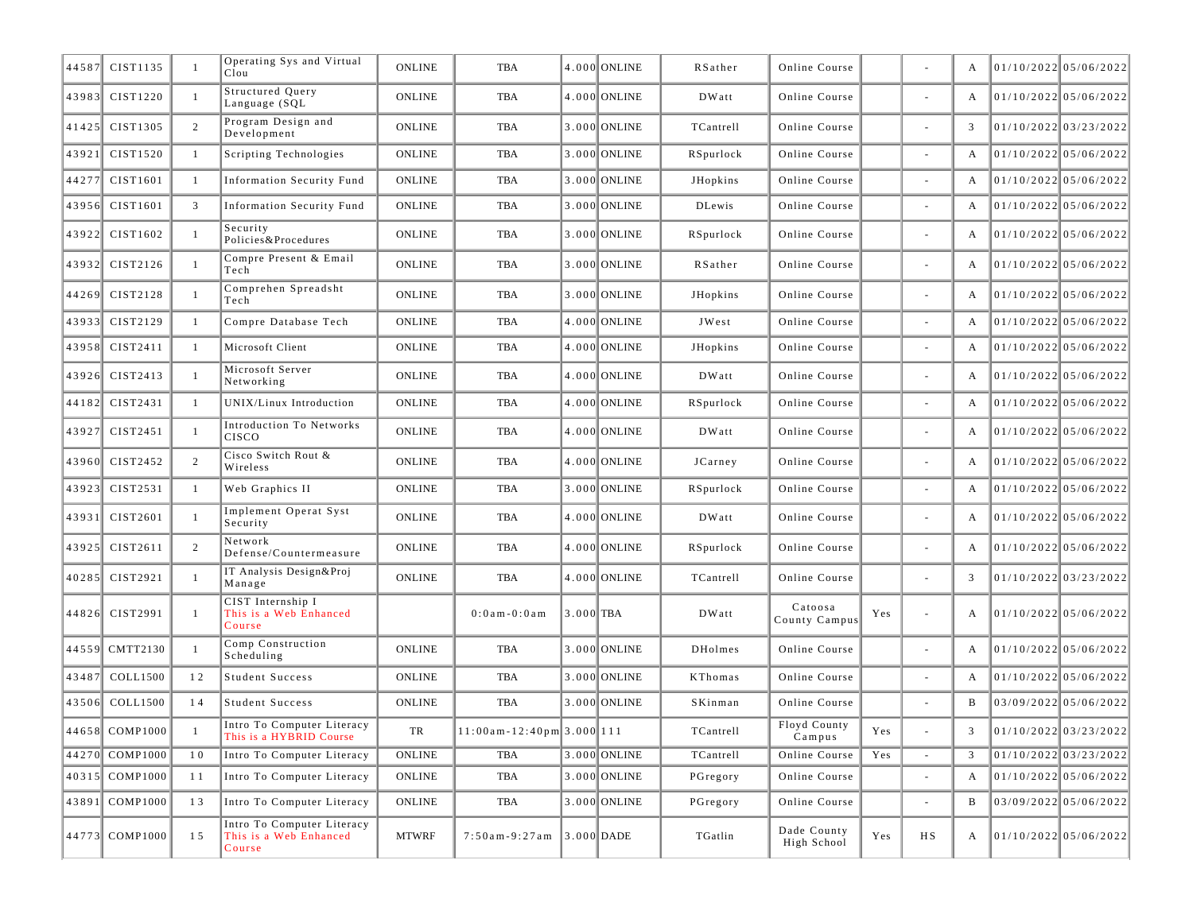| 44587 | CIST1135       |                | Operating Sys and Virtual<br>C1ou                              | <b>ONLINE</b> | TBA                            |           | 4.000 ONLINE   | RSather                                                  | Online Course              |                |                          | A |                       | 01/10/2022 05/06/2022   |
|-------|----------------|----------------|----------------------------------------------------------------|---------------|--------------------------------|-----------|----------------|----------------------------------------------------------|----------------------------|----------------|--------------------------|---|-----------------------|-------------------------|
|       | 43983 CIST1220 | -1             | <b>Structured Query</b><br>Language (SQL                       | <b>ONLINE</b> | <b>TBA</b>                     |           | 4.000 ONLINE   | DWatt                                                    | Online Course              |                | $\overline{\phantom{a}}$ | A |                       | 01/10/2022 05/06/2022   |
|       | 41425 CIST1305 | 2              | Program Design and<br>Development                              | <b>ONLINE</b> | <b>TBA</b>                     |           | 3.000 ONLINE   | TCantrell                                                | Online Course              |                | $\sim$                   | 3 |                       | $01/10/2022$ 03/23/2022 |
| 43921 | CIST1520       | -1             | Scripting Technologies                                         | <b>ONLINE</b> | TBA                            |           | 3.000 ONLINE   | RSpurlock                                                | Online Course              |                |                          | A |                       | 01/10/2022 05/06/2022   |
| 44277 | CIST1601       | -1             | <b>Information Security Fund</b>                               | <b>ONLINE</b> | TBA                            |           | 3.000 ONLINE   | JHopkins                                                 | Online Course              |                |                          | A |                       | 01/10/2022 05/06/2022   |
| 43956 | CIST1601       | 3              | <b>Information Security Fund</b>                               | <b>ONLINE</b> | TBA                            |           | 3.000 ONLINE   | <b>DLewis</b>                                            | Online Course              |                | $\overline{\phantom{a}}$ | A |                       | 01/10/2022 05/06/2022   |
|       | 43922 CIST1602 | $\overline{1}$ | Security<br>Policies&Procedures                                | <b>ONLINE</b> | TBA                            |           | 3.000 ONLINE   | RSpurlock                                                | Online Course              |                | $\overline{\phantom{a}}$ | A | 01/10/2022 05/06/2022 |                         |
|       | 43932 CIST2126 | -1             | Compre Present & Email<br>Tech                                 | <b>ONLINE</b> | TBA                            |           | 3.000 ONLINE   | RSather                                                  | Online Course              |                | $\blacksquare$           | A |                       | 01/10/2022 05/06/2022   |
| 44269 | CIST2128       | $\overline{1}$ | Comprehen Spreadsht<br>Tech                                    | <b>ONLINE</b> | TBA                            |           | 3.000 ONLINE   | <b>JHopkins</b>                                          | Online Course              |                | $\overline{\phantom{a}}$ | A |                       | 01/10/2022 05/06/2022   |
| 43933 | CIST2129       | -1             | Compre Database Tech                                           | <b>ONLINE</b> | TBA                            |           | 4.000 ONLINE   | JWest                                                    | Online Course              |                | $\overline{\phantom{a}}$ | A |                       | $01/10/2022$ 05/06/2022 |
| 43958 | CIST2411       | -1             | Microsoft Client                                               | <b>ONLINE</b> | TBA                            |           | $4.000$ ONLINE | JHopkins                                                 | Online Course              |                | $\sim$                   | A |                       | $01/10/2022$ 05/06/2022 |
|       | 43926 CIST2413 | $\overline{1}$ | Microsoft Server<br>Networking                                 | <b>ONLINE</b> | TBA                            |           | 4.000 ONLINE   | DWatt                                                    | Online Course              |                | $\overline{\phantom{a}}$ | A |                       | 01/10/2022 05/06/2022   |
| 44182 | CIST2431       | -1             | UNIX/Linux Introduction                                        | <b>ONLINE</b> | TBA                            |           | 4.000 ONLINE   | RSpurlock                                                | Online Course              |                | $\overline{\phantom{a}}$ | A |                       | 01/10/2022 05/06/2022   |
|       | 43927 CIST2451 | -1             | Introduction To Networks<br>CISCO                              | <b>ONLINE</b> | TBA                            |           | 4.000 ONLINE   | DWatt                                                    | Online Course              |                | $\overline{\phantom{a}}$ | А |                       | 01/10/2022 05/06/2022   |
| 43960 | CIST2452       | 2              | Cisco Switch Rout &<br>Wireless                                | <b>ONLINE</b> | TBA                            |           | 4.000 ONLINE   | JCarney                                                  | Online Course              |                | $\overline{\phantom{a}}$ | A |                       | 01/10/2022 05/06/2022   |
|       | 43923 CIST2531 | -1             | Web Graphics II                                                | <b>ONLINE</b> | TBA                            |           | 3.000 ONLINE   | RSpurlock                                                | Online Course              |                |                          | A |                       | 01/10/2022 05/06/2022   |
|       | 43931 CIST2601 | -1             | Implement Operat Syst<br>Security                              | <b>ONLINE</b> | TBA                            |           | 4.000 ONLINE   | DWatt                                                    | Online Course              |                | $\blacksquare$           | A |                       | 01/10/2022 05/06/2022   |
|       | 43925 CIST2611 | 2              | Network<br>Defense/Countermeasure                              | <b>ONLINE</b> | TBA                            |           | 4.000 ONLINE   | RSpurlock                                                | Online Course              |                | $\overline{\phantom{a}}$ | A |                       | 01/10/2022 05/06/2022   |
|       | 40285 CIST2921 | $\overline{1}$ | IT Analysis Design&Proj<br>Manage                              | <b>ONLINE</b> | TBA                            |           | 4.000 ONLINE   | TCantrell                                                | Online Course              |                | $\sim$                   | 3 |                       | 01/10/2022 03/23/2022   |
|       | 44826 CIST2991 | $\overline{1}$ | CIST Internship I<br>This is a Web Enhanced<br>Course          |               | $0:0$ am $-0:0$ am             | 3.000 TBA |                | DWatt                                                    | Catoosa<br>County Campus   | Yes            | $\bar{a}$                | A |                       | 01/10/2022 05/06/2022   |
|       | 44559 CMTT2130 |                | Comp Construction<br>Scheduling                                | <b>ONLINE</b> | TBA                            |           | 3.000 ONLINE   | <b>DHolmes</b>                                           | Online Course              |                | $\sim$                   | A | 01/10/2022 05/06/2022 |                         |
|       | 43487 COLL1500 | 12             | Student Success                                                | <b>ONLINE</b> | TBA                            |           | 3.000 ONLINE   | KThomas                                                  | Online Course              |                |                          | A |                       | 01/10/2022 05/06/2022   |
| 43506 | COLL1500       | 14             | <b>Student Success</b>                                         | <b>ONLINE</b> | TBA                            |           | 3.000 ONLINE   | SKinman                                                  | Online Course              |                |                          | B |                       | $03/09/2022$ 05/06/2022 |
|       | 44658 COMP1000 |                | Intro To Computer Literacy<br>This is a HYBRID Course          | TR            | $11:00$ am - 12:40pm 3.000 111 |           |                | $\ensuremath{\mathsf{T}}\ensuremath{\mathsf{C}}$ antrell | Floyd County<br>Campus     | $\mathbf{Yes}$ |                          |   |                       | 01/10/2022 03/23/2022   |
|       | 44270 COMP1000 | 10             | Intro To Computer Literacy                                     | ONLINE        | TBA                            |           | 3.000 ONLINE   | TCantrell                                                | Online Course              | Yes            | $\omega$                 |   |                       | $01/10/2022$ 03/23/2022 |
|       | 40315 COMP1000 | 11             | Intro To Computer Literacy                                     | ONLINE        | TBA                            |           | 3.000 ONLINE   | PGregory                                                 | Online Course              |                | $\overline{\phantom{a}}$ | A |                       | 01/10/2022 05/06/2022   |
|       | 43891 COMP1000 | 13             | Intro To Computer Literacy                                     | ONLINE        | TBA                            |           | $3.000$ ONLINE | PGregory                                                 | Online Course              |                |                          | B |                       | 03/09/2022 05/06/2022   |
|       | 44773 COMP1000 | 15             | Intro To Computer Literacy<br>This is a Web Enhanced<br>Course | <b>MTWRF</b>  | $7:50$ am-9:27am 3.000 DADE    |           |                | TGatlin                                                  | Dade County<br>High School | Yes            | $_{\rm H\,S}$            | A |                       | 01/10/2022 05/06/2022   |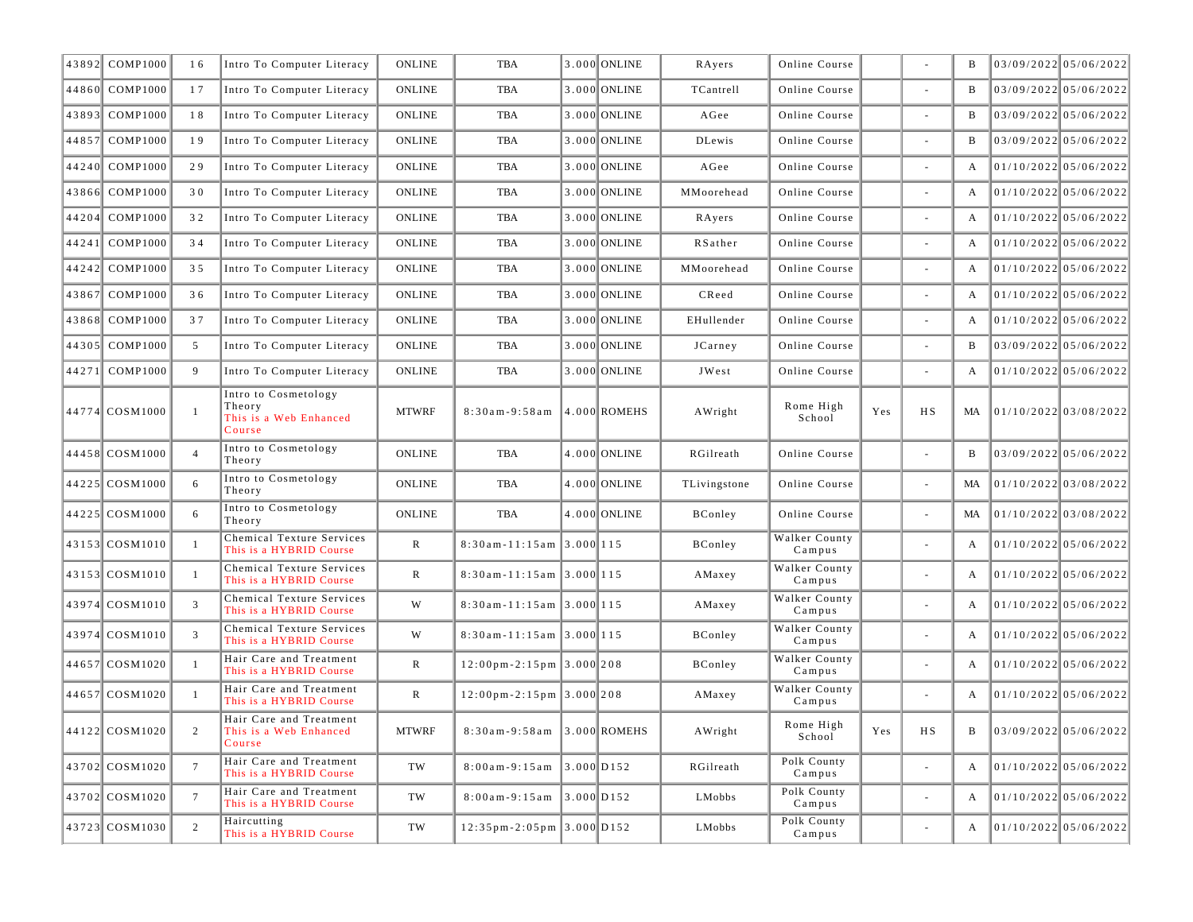| 43892 COMP1000 | 16              | Intro To Computer Literacy                                         | <b>ONLINE</b> | TBA                                                     | 3.000 ONLINE     | RAyers       | Online Course           |                |                          | B            | 03/09/2022 05/06/2022   |
|----------------|-----------------|--------------------------------------------------------------------|---------------|---------------------------------------------------------|------------------|--------------|-------------------------|----------------|--------------------------|--------------|-------------------------|
| 44860 COMP1000 | 17              | Intro To Computer Literacy                                         | <b>ONLINE</b> | <b>TBA</b>                                              | 3.000 ONLINE     | TCantrell    | Online Course           |                |                          | B            | 03/09/2022 05/06/2022   |
| 43893 COMP1000 | 18              | Intro To Computer Literacy                                         | <b>ONLINE</b> | TBA                                                     | 3.000 ONLINE     | AGee         | Online Course           |                |                          | B            | 03/09/2022 05/06/2022   |
| 44857 COMP1000 | 19              | Intro To Computer Literacy                                         | <b>ONLINE</b> | <b>TBA</b>                                              | 3.000 ONLINE     | DLewis       | Online Course           |                |                          | B            | 03/09/2022 05/06/2022   |
| 44240 COMP1000 | 29              | Intro To Computer Literacy                                         | <b>ONLINE</b> | TBA                                                     | 3.000 ONLINE     | AGee         | Online Course           |                |                          | A            | 01/10/2022 05/06/2022   |
| 43866 COMP1000 | 30              | Intro To Computer Literacy                                         | <b>ONLINE</b> | <b>TBA</b>                                              | 3.000 ONLINE     | MMoorehead   | Online Course           |                | $\sim$                   | A            | 01/10/2022 05/06/2022   |
| 44204 COMP1000 | 32              | Intro To Computer Literacy                                         | <b>ONLINE</b> | <b>TBA</b>                                              | 3.000 ONLINE     | RAyers       | Online Course           |                |                          | A            | $01/10/2022$ 05/06/2022 |
| 44241 COMP1000 | 34              | Intro To Computer Literacy                                         | <b>ONLINE</b> | TBA                                                     | 3.000 ONLINE     | RSather      | Online Course           |                |                          | A            | $01/10/2022$ 05/06/2022 |
| 44242 COMP1000 | 35              | Intro To Computer Literacy                                         | <b>ONLINE</b> | <b>TBA</b>                                              | 3.000 ONLINE     | MMoorehead   | Online Course           |                |                          | A            | 01/10/2022 05/06/2022   |
| 43867 COMP1000 | 36              | Intro To Computer Literacy                                         | <b>ONLINE</b> | <b>TBA</b>                                              | 3.000 ONLINE     | CReed        | Online Course           |                |                          | A            | $01/10/2022$ 05/06/2022 |
| 43868 COMP1000 | 37              | Intro To Computer Literacy                                         | <b>ONLINE</b> | TBA                                                     | 3.000 ONLINE     | EHullender   | Online Course           |                |                          | A            | $01/10/2022$ 05/06/2022 |
| 44305 COMP1000 | 5               | Intro To Computer Literacy                                         | <b>ONLINE</b> | <b>TBA</b>                                              | 3.000 ONLINE     | JCarney      | Online Course           |                | $\sim$                   | B            | 03/09/2022 05/06/2022   |
| 44271 COMP1000 | 9               | Intro To Computer Literacy                                         | <b>ONLINE</b> | <b>TBA</b>                                              | 3.000 ONLINE     | JWest        | Online Course           |                |                          | A            | $01/10/2022$ 05/06/2022 |
| 44774 COSM1000 | -1              | Intro to Cosmetology<br>Theory<br>This is a Web Enhanced<br>Course | <b>MTWRF</b>  | $8:30am - 9:58am$                                       | $ 4.000 $ ROMEHS | AWright      | Rome High<br>School     | Yes            | H S                      | MA           | 01/10/2022 03/08/2022   |
| 44458 COSM1000 | $\overline{4}$  | Intro to Cosmetology<br>Theory                                     | <b>ONLINE</b> | <b>TBA</b>                                              | 4.000 ONLINE     | RGilreath    | Online Course           |                | $\sim$                   | B            | 03/09/2022 05/06/2022   |
| 44225 COSM1000 | 6               | Intro to Cosmetology<br>Theory                                     | <b>ONLINE</b> | TBA                                                     | 4.000 ONLINE     | TLivingstone | Online Course           |                | $\sim$                   | MA           | 01/10/2022 03/08/2022   |
| 44225 COSM1000 | 6               | Intro to Cosmetology<br>Theory                                     | <b>ONLINE</b> | TBA                                                     | 4.000 ONLINE     | BConley      | Online Course           |                |                          | MA           | 01/10/2022 03/08/2022   |
| 43153 COSM1010 | -1              | Chemical Texture Services<br>This is a HYBRID Course               | R             | $8:30$ am-11:15am 3.000 115                             |                  | BConley      | Walker County<br>Campus |                | $\sim$                   | A            | 01/10/2022 05/06/2022   |
| 43153 COSM1010 | $\overline{1}$  | Chemical Texture Services<br>This is a HYBRID Course               | $\mathbb{R}$  | $8:30$ am - 11:15am 3.000 115                           |                  | AMaxey       | Walker County<br>Campus |                | $\sim$                   | A            | $01/10/2022$ 05/06/2022 |
| 43974 COSM1010 | 3               | Chemical Texture Services<br>This is a HYBRID Course               | W             | $8:30$ am-11:15am 3.000 115                             |                  | AMaxey       | Walker County<br>Campus |                |                          | A            | 01/10/2022 05/06/2022   |
| 43974 COSM1010 | 3               | Chemical Texture Services<br>This is a HYBRID Course               | W             | $8:30$ am-11:15am 3.000 115                             |                  | BConley      | Walker County<br>Campus |                | $\sim$                   | A            | 01/10/2022 05/06/2022   |
| 44657 COSM1020 | -1              | Hair Care and Treatment<br>This is a HYBRID Course                 | $\mathbb{R}$  | $12:00 \text{ pm} - 2:15 \text{ pm }3.000$ 208          |                  | BConley      | Walker County<br>Campus |                | $\overline{\phantom{a}}$ | A            | $01/10/2022$ 05/06/2022 |
| 44657 COSM1020 | $\mathbf{1}$    | Hair Care and Treatment<br>This is a HYBRID Course                 | $\mathbb{R}$  | $12:00 \text{ pm} - 2:15 \text{ pm }3.000   208$        |                  | AMaxey       | Walker County<br>Campus |                |                          | A            | 01/10/2022 05/06/2022   |
| 44122 COSM1020 |                 | Hair Care and Treatment<br>This is a Web Enhanced<br>Course        | <b>MTWRF</b>  | $8:30$ am - 9:58am 3.000 ROMEHS                         |                  | AWright      | Rome High<br>School     | $\mathbf{Yes}$ | HS                       | B            | 03/09/2022 05/06/2022   |
| 43702 COSM1020 | $7\overline{ }$ | Hair Care and Treatment<br>This is a HYBRID Course                 | TW            | $8:00am - 9:15am$ 3.000 D152                            |                  | RGilreath    | Polk County<br>Campus   |                | $\omega$                 | $\mathbf{A}$ | 01/10/2022 05/06/2022   |
| 43702 COSM1020 | $7\phantom{.0}$ | Hair Care and Treatment<br>This is a HYBRID Course                 | TW            | $8:00am - 9:15am$ 3.000 D152                            |                  | LMobbs       | Polk County<br>Campus   |                | $\overline{\phantom{a}}$ | A            | 01/10/2022 05/06/2022   |
| 43723 COSM1030 | 2               | Haircutting<br>This is a HYBRID Course                             | TW            | $12:35 \text{ pm} - 2:05 \text{ pm }3.000 \text{ D}152$ |                  | LMobbs       | Polk County<br>Campus   |                | $\overline{\phantom{a}}$ | A            | 01/10/2022 05/06/2022   |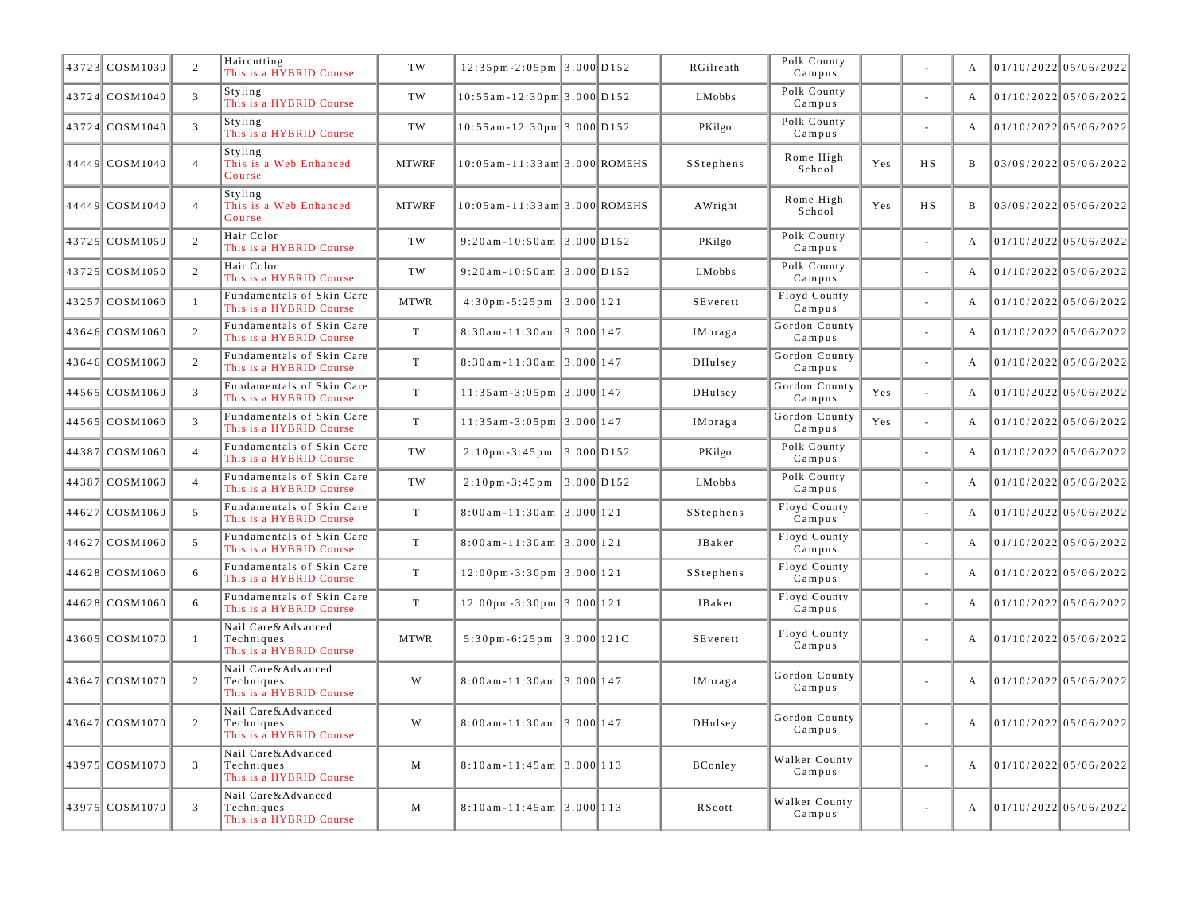| 43723 COSM1030 | 2              | Haircutting<br>This is a HYBRID Course                      | TW           | $12:35 \text{ pm} - 2:05 \text{ pm }3.000 \text{ D}152$ |                          | RGilreath | Polk County<br>Campus   |     | $\overline{a}$           | A            | 01/10/2022 05/06/2022   |  |
|----------------|----------------|-------------------------------------------------------------|--------------|---------------------------------------------------------|--------------------------|-----------|-------------------------|-----|--------------------------|--------------|-------------------------|--|
| 43724 COSM1040 | 3              | Styling<br>This is a HYBRID Course                          | TW           | $10:55$ am - 12:30pm 3.000 D152                         |                          | LMobbs    | Polk County<br>Campus   |     |                          | A            | $01/10/2022$ 05/06/2022 |  |
| 43724 COSM1040 | $\overline{3}$ | Styling<br>This is a HYBRID Course                          | TW           | $10:55$ am - 12:30pm 3.000 D152                         |                          | PKilgo    | Polk County<br>Campus   |     |                          | A            | $01/10/2022$ 05/06/2022 |  |
| 44449 COSM1040 | $\overline{4}$ | Styling<br>This is a Web Enhanced<br>Course                 | <b>MTWRF</b> | 10:05 am - 11:33 am 3.000 ROMEHS                        |                          | SStephens | Rome High<br>School     | Yes | H S                      | B            | 03/09/2022 05/06/2022   |  |
| 44449 COSM1040 | $\overline{4}$ | Styling<br>This is a Web Enhanced<br>Course                 | <b>MTWRF</b> | $10:05$ am - 11:33 am 3.000 ROMEHS                      |                          | AWright   | Rome High<br>School     | Yes | H S                      | B            | 03/09/2022 05/06/2022   |  |
| 43725 COSM1050 | 2              | Hair Color<br>This is a HYBRID Course                       | TW           | $9:20$ am-10:50am 3.000 D152                            |                          | PKilgo    | Polk County<br>Campus   |     |                          | A            | $01/10/2022$ 05/06/2022 |  |
| 43725 COSM1050 | 2              | Hair Color<br>This is a HYBRID Course                       | TW           | $9:20$ am - 10:50am 3.000 D152                          |                          | LMobbs    | Polk County<br>Campus   |     |                          | A            | $01/10/2022$ 05/06/2022 |  |
| 43257 COSM1060 | -1             | Fundamentals of Skin Care<br>This is a HYBRID Course        | <b>MTWR</b>  | $4:30 \text{ pm} - 5:25 \text{ pm}$ 3.000 121           |                          | SEverett  | Floyd County<br>Campus  |     |                          | A            | $01/10/2022$ 05/06/2022 |  |
| 43646 COSM1060 | 2              | Fundamentals of Skin Care<br>This is a HYBRID Course        | $\mathbf T$  | $8:30$ am - 11:30am 3.000 147                           |                          | IMoraga   | Gordon County<br>Campus |     |                          | A            | $01/10/2022$ 05/06/2022 |  |
| 43646 COSM1060 | $\overline{2}$ | Fundamentals of Skin Care<br>This is a HYBRID Course        | T            | $8:30$ am - 11:30am 3.000 147                           |                          | DHulsey   | Gordon County<br>Campus |     |                          | A            | $01/10/2022$ 05/06/2022 |  |
| 44565 COSM1060 | $\overline{3}$ | Fundamentals of Skin Care<br>This is a HYBRID Course        | T            | $11:35am-3:05pm$ 3.000 147                              |                          | DHulsey   | Gordon County<br>Campus | Yes | $\bar{a}$                | $\mathbf{A}$ | 01/10/2022 05/06/2022   |  |
| 44565 COSM1060 | $\overline{3}$ | Fundamentals of Skin Care<br>This is a HYBRID Course        | T            | $11:35am-3:05pm$ 3.000 147                              |                          | IMoraga   | Gordon County<br>Campus | Yes | ÷.                       | $\mathbf{A}$ | 01/10/2022 05/06/2022   |  |
| 44387 COSM1060 | $\overline{4}$ | Fundamentals of Skin Care<br>This is a HYBRID Course        | TW           | $2:10$ pm - 3:45 pm                                     | $3.000$ D <sub>152</sub> | PKilgo    | Polk County<br>Campus   |     |                          | $\mathbf{A}$ | $01/10/2022$ 05/06/2022 |  |
| 44387 COSM1060 | $\overline{4}$ | Fundamentals of Skin Care<br>This is a HYBRID Course        | TW           | $2:10 \text{ pm} - 3:45 \text{ pm}$ 3.000 D152          |                          | LMobbs    | Polk County<br>Campus   |     | ÷.                       | A            | $01/10/2022$ 05/06/2022 |  |
| 44627 COSM1060 | 5              | Fundamentals of Skin Care<br>This is a HYBRID Course        | T            | $8:00$ am-11:30am 3.000 121                             |                          | SStephens | Floyd County<br>Campus  |     | ÷.                       | $\mathbf{A}$ | $01/10/2022$ 05/06/2022 |  |
| 44627 COSM1060 | 5              | Fundamentals of Skin Care<br>This is a HYBRID Course        | T            | $8:00am - 11:30am$ 3.000 121                            |                          | JBaker    | Floyd County<br>Campus  |     |                          | $\mathbf{A}$ | $01/10/2022$ 05/06/2022 |  |
| 44628 COSM1060 | 6              | Fundamentals of Skin Care<br>This is a HYBRID Course        | T            | 12:00pm-3:30pm 3.000 121                                |                          | SStephens | Floyd County<br>Campus  |     |                          | A            | $01/10/2022$ 05/06/2022 |  |
| 44628 COSM1060 | 6              | Fundamentals of Skin Care<br>This is a HYBRID Course        | T            | $12:00 \text{ pm} - 3:30 \text{ pm } 3.000 121$         |                          | JBaker    | Floyd County<br>Campus  |     |                          | $\mathbf{A}$ | $01/10/2022$ 05/06/2022 |  |
| 43605 COSM1070 | $\mathbf{1}$   | Nail Care&Advanced<br>Techniques<br>This is a HYBRID Course | <b>MTWR</b>  | $5:30 \text{ pm} - 6:25 \text{ pm}$ 3.000 121C          |                          | SEverett  | Floyd County<br>Campus  |     |                          | $\mathbf{A}$ | $01/10/2022$ 05/06/2022 |  |
| 43647 COSM1070 | 2              | Nail Care&Advanced<br>Techniques<br>This is a HYBRID Course | W            | $8:00$ am-11:30am 3.000 147                             |                          | IMoraga   | Gordon County<br>Campus |     | ÷.                       | $\mathbf{A}$ | $01/10/2022$ 05/06/2022 |  |
| 43647 COSM1070 | 2              | Nail Care&Advanced<br>Techniques<br>This is a HYBRID Course | W            | $8:00$ am - 11:30am 3.000 147                           |                          | DHulsey   | Gordon County<br>Campus |     | ÷.                       | A            | $01/10/2022$ 05/06/2022 |  |
| 43975 COSM1070 | $\overline{3}$ | Nail Care&Advanced<br>Techniques<br>This is a HYBRID Course | M            | $8:10$ am - 11:45am 3.000 113                           |                          | BConley   | Walker County<br>Campus |     | $\overline{\phantom{a}}$ | A            | $01/10/2022$ 05/06/2022 |  |
| 43975 COSM1070 | $\overline{3}$ | Nail Care&Advanced<br>Techniques<br>This is a HYBRID Course | M            | $8:10$ am - 11:45 am $3.000$ 113                        |                          | RScott    | Walker County<br>Campus |     | ÷,                       | A            | $01/10/2022$ 05/06/2022 |  |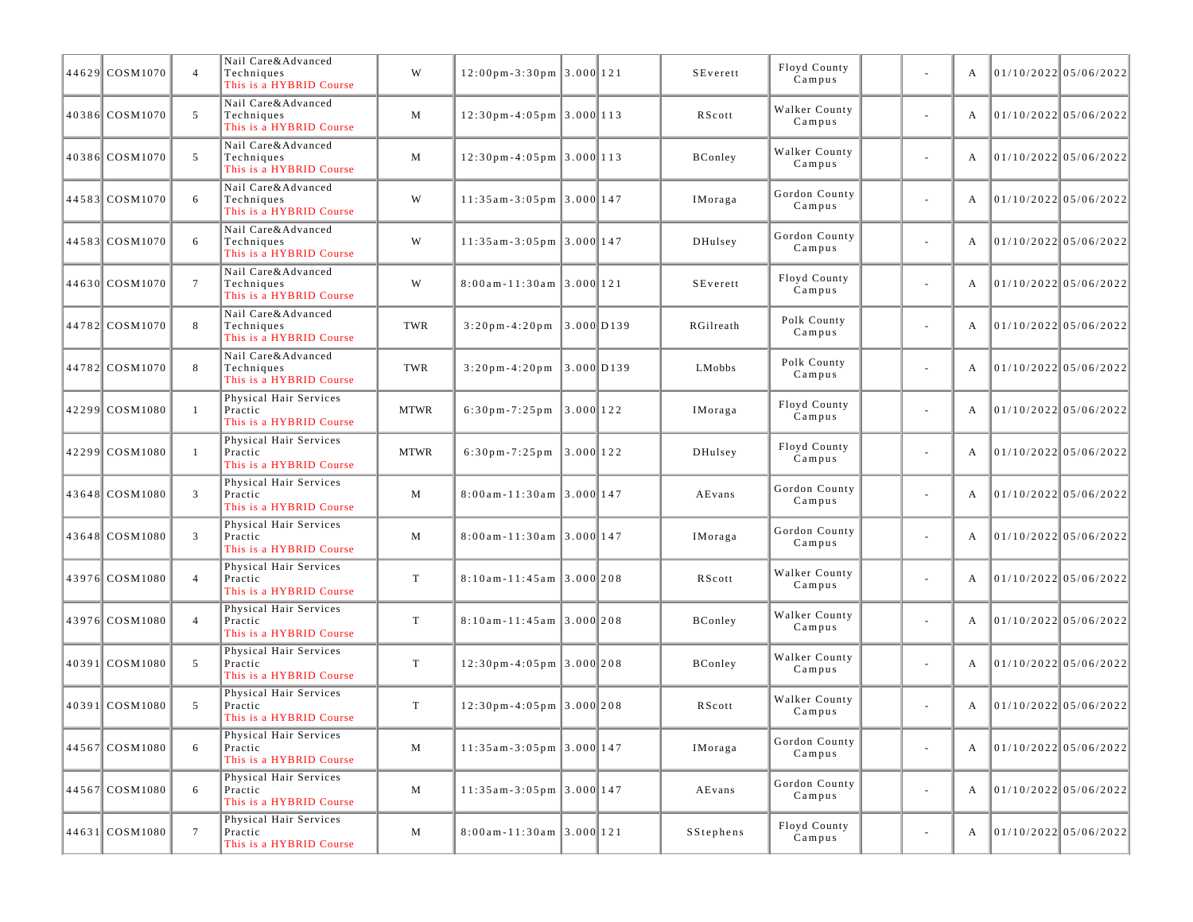| 44629 COSM1070 | $\overline{4}$  | Nail Care&Advanced<br>Techniques<br>This is a HYBRID Course  | W           | $12:00 \text{ pm} - 3:30 \text{ pm}$ 3.000 121 |           | SEverett       | Floyd County<br>Campus  |                          | А |                       | 01/10/2022 05/06/2022   |
|----------------|-----------------|--------------------------------------------------------------|-------------|------------------------------------------------|-----------|----------------|-------------------------|--------------------------|---|-----------------------|-------------------------|
| 40386 COSM1070 | 5               | Nail Care&Advanced<br>Techniques<br>This is a HYBRID Course  | M           | $12:30$ pm-4:05pm 3.000 113                    |           | RScott         | Walker County<br>Campus | $\overline{\phantom{a}}$ | A | 01/10/2022 05/06/2022 |                         |
| 40386 COSM1070 | 5               | Nail Care&Advanced<br>Techniques<br>This is a HYBRID Course  | M           | $12:30$ pm-4:05pm 3.000 113                    |           | BConley        | Walker County<br>Campus | ä,                       | А |                       | $01/10/2022$ 05/06/2022 |
| 44583 COSM1070 | 6               | Nail Care&Advanced<br>Techniques<br>This is a HYBRID Course  | W           | $11:35am-3:05pm$ 3.000 147                     |           | IMoraga        | Gordon County<br>Campus | ä,                       | А |                       | $01/10/2022$ 05/06/2022 |
| 44583 COSM1070 | 6               | Nail Care&Advanced<br>Techniques<br>This is a HYBRID Course  | W           | $11:35am-3:05pm$ 3.000 147                     |           | DHulsey        | Gordon County<br>Campus | $\overline{\phantom{a}}$ | A | 01/10/2022 05/06/2022 |                         |
| 44630 COSM1070 | $7\phantom{.0}$ | Nail Care&Advanced<br>Techniques<br>This is a HYBRID Course  | W           | $8:00$ am-11:30am 3.000 121                    |           | SEverett       | Floyd County<br>Campus  | ä,                       | А |                       | $01/10/2022$ 05/06/2022 |
| 44782 COSM1070 | 8               | Nail Care&Advanced<br>Techniques<br>This is a HYBRID Course  | TWR         | $3:20p m-4:20p m$ 3.000 D139                   |           | RGilreath      | Polk County<br>Campus   | ä,                       | А |                       | 01/10/2022 05/06/2022   |
| 44782 COSM1070 | 8               | Nail Care&Advanced<br>Techniques<br>This is a HYBRID Course  | TWR         | $3:20 \text{ pm} - 4:20 \text{ pm}$ 3.000 D139 |           | LMobbs         | Polk County<br>Campus   | $\overline{\phantom{a}}$ | А | 01/10/2022 05/06/2022 |                         |
| 42299 COSM1080 | -1              | Physical Hair Services<br>Practic<br>This is a HYBRID Course | <b>MTWR</b> | $6:30 \text{ pm} - 7:25 \text{ pm}$ 3.000 122  |           | IMoraga        | Floyd County<br>Campus  | ä,                       | A |                       | $01/10/2022$ 05/06/2022 |
| 42299 COSM1080 | $\overline{1}$  | Physical Hair Services<br>Practic<br>This is a HYBRID Course | <b>MTWR</b> | $6:30$ pm - $7:25$ pm                          | 3.000 122 | DHulsey        | Floyd County<br>Campus  | ä,                       | А |                       | 01/10/202205/06/2022    |
| 43648 COSM1080 | $\overline{3}$  | Physical Hair Services<br>Practic<br>This is a HYBRID Course | M           | $8:00$ am-11:30am 3.000 147                    |           | AEvans         | Gordon County<br>Campus | $\overline{\phantom{a}}$ | A | 01/10/2022 05/06/2022 |                         |
| 43648 COSM1080 | 3               | Physical Hair Services<br>Practic<br>This is a HYBRID Course | M           | $8:00$ am - 11:30am 3.000 147                  |           | IMoraga        | Gordon County<br>Campus | ä,                       | А |                       | 01/10/2022 05/06/2022   |
| 43976 COSM1080 | $\overline{4}$  | Physical Hair Services<br>Practic<br>This is a HYBRID Course | T           | $8:10$ am-11:45am 3.000 208                    |           | RScott         | Walker County<br>Campus | ä,                       | А |                       | $01/10/2022$ 05/06/2022 |
| 43976 COSM1080 | $\overline{4}$  | Physical Hair Services<br>Practic<br>This is a HYBRID Course | T           | $8:10$ am - 11:45am 3.000 208                  |           | BConley        | Walker County<br>Campus | $\overline{\phantom{a}}$ | A | 01/10/2022 05/06/2022 |                         |
| 40391 COSM1080 | 5               | Physical Hair Services<br>Practic<br>This is a HYBRID Course | $\mathbf T$ | $12:30p m - 4:05p m$ 3.000 208                 |           | <b>BConley</b> | Walker County<br>Campus | ä,                       | А |                       | $01/10/2022$ 05/06/2022 |
| 40391 COSM1080 | 5               | Physical Hair Services<br>Practic<br>This is a HYBRID Course | T           | $12:30$ pm-4:05pm 3.000 208                    |           | RScott         | Walker County<br>Campus | ä,                       | A |                       | $01/10/2022$ 05/06/2022 |
| 44567 COSM1080 | 6               | Physical Hair Services<br>Practic<br>This is a HYBRID Course | M           | $11:35$ am - 3:05 pm 3.000 147                 |           | IMoraga        | Gordon County<br>Campus | $\blacksquare$           | A | 01/10/2022 05/06/2022 |                         |
| 44567 COSM1080 | 6               | Physical Hair Services<br>Practic<br>This is a HYBRID Course | M           | $11:35am-3:05pm$ 3.000 147                     |           | AEvans         | Gordon County<br>Campus | ä,                       | A |                       | 01/10/2022 05/06/2022   |
| 44631 COSM1080 | $7\overline{ }$ | Physical Hair Services<br>Practic<br>This is a HYBRID Course | M           | $8:00$ am - 11:30am 3.000 121                  |           | SStephens      | Floyd County<br>Campus  | $\sim$                   | A |                       | 01/10/2022 05/06/2022   |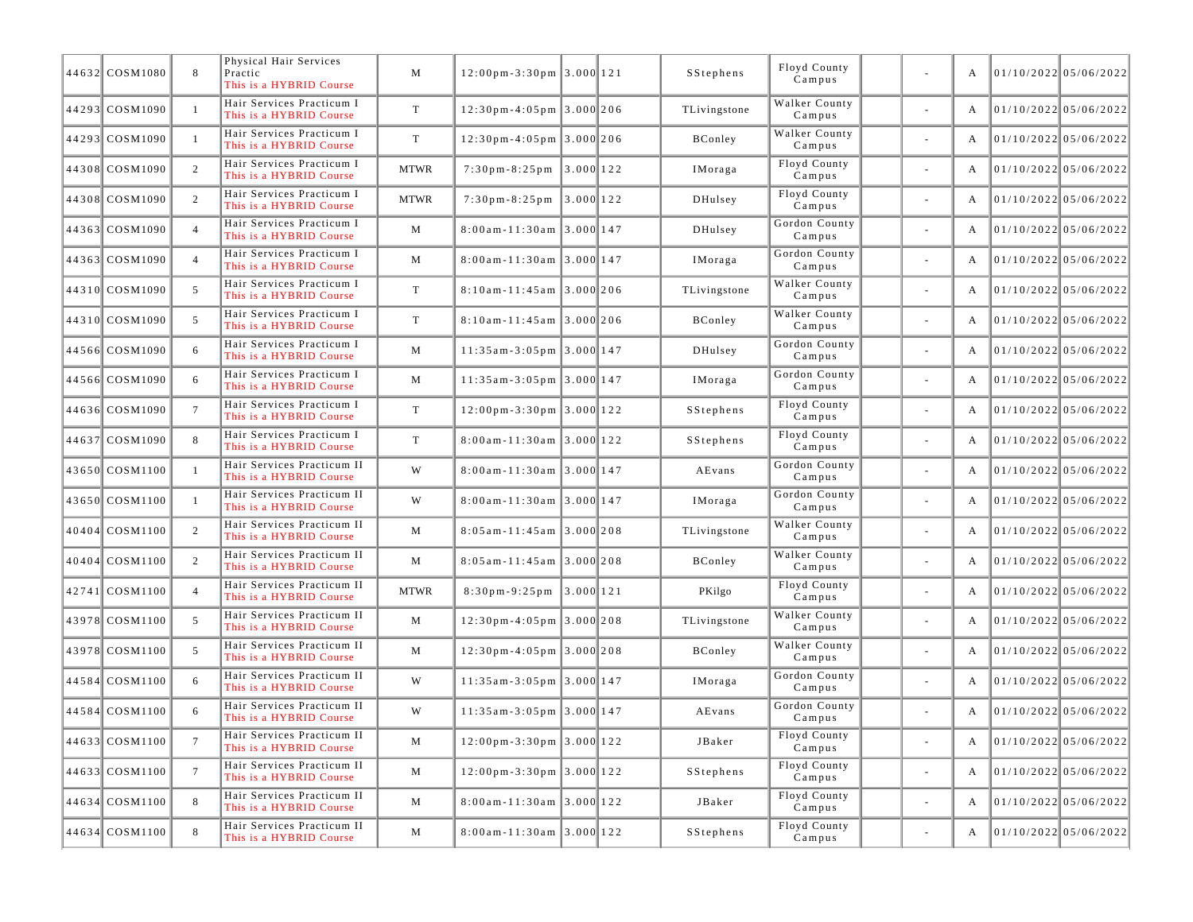| 44632 COSM1080 | 8               | Physical Hair Services<br>Practic<br>This is a HYBRID Course | M           | $12:00 \text{ pm} - 3:30 \text{ pm } 3.000 \text{ 121}$ |          | SStephens      | Floyd County<br>Campus  |        | A | 01/10/2022 05/06/2022   |                         |
|----------------|-----------------|--------------------------------------------------------------|-------------|---------------------------------------------------------|----------|----------------|-------------------------|--------|---|-------------------------|-------------------------|
| 44293 COSM1090 | -1              | Hair Services Practicum I<br>This is a HYBRID Course         | T           | $12:30$ pm-4:05pm 3.000 206                             |          | TLivingstone   | Walker County<br>Campus |        | A |                         | $01/10/2022$ 05/06/2022 |
| 44293 COSM1090 | -1              | Hair Services Practicum I<br>This is a HYBRID Course         | T           | $12:30$ pm-4:05pm 3.000 206                             |          | BConley        | Walker County<br>Campus |        | A |                         | $01/10/2022$ 05/06/2022 |
| 44308 COSM1090 | 2               | Hair Services Practicum I<br>This is a HYBRID Course         | <b>MTWR</b> | $7:30 \text{ pm} - 8:25 \text{ pm}$ 3.000 122           |          | IMoraga        | Floyd County<br>Campus  | $\sim$ | A | 01/10/2022 05/06/2022   |                         |
| 44308 COSM1090 | 2               | Hair Services Practicum I<br>This is a HYBRID Course         | <b>MTWR</b> | $7:30 \text{ p m} - 8:25 \text{ p m}$                   | 3.000122 | DHulsey        | Floyd County<br>Campus  |        | A |                         | 01/10/2022 05/06/2022   |
| 44363 COSM1090 | $\overline{4}$  | Hair Services Practicum I<br>This is a HYBRID Course         | M           | $8:00$ am-11:30am 3.000 147                             |          | DHulsey        | Gordon County<br>Campus |        | A |                         | $01/10/2022$ 05/06/2022 |
| 44363 COSM1090 | $\overline{4}$  | Hair Services Practicum I<br>This is a HYBRID Course         | M           | $8:00$ am-11:30am 3.000 147                             |          | IMoraga        | Gordon County<br>Campus | $\sim$ | A | 01/10/2022 05/06/2022   |                         |
| 44310 COSM1090 | 5               | Hair Services Practicum I<br>This is a HYBRID Course         | $\mathbf T$ | $8:10$ am - 11:45 am $3.000$ 206                        |          | TLivingstone   | Walker County<br>Campus |        | A |                         | 01/10/2022 05/06/2022   |
| 44310 COSM1090 | 5               | Hair Services Practicum I<br>This is a HYBRID Course         | T           | $8:10$ am - 11:45am 3.000 206                           |          | BConley        | Walker County<br>Campus |        | A |                         | $01/10/2022$ 05/06/2022 |
| 44566 COSM1090 | 6               | Hair Services Practicum I<br>This is a HYBRID Course         | M           | $11:35am-3:05pm$ 3.000 147                              |          | DHulsey        | Gordon County<br>Campus |        | A | 01/10/2022 05/06/2022   |                         |
| 44566 COSM1090 | 6               | Hair Services Practicum I<br>This is a HYBRID Course         | M           | $11:35$ am - 3:05 pm 3.000 147                          |          | <b>IMoraga</b> | Gordon County<br>Campus |        | A |                         | 01/10/2022 05/06/2022   |
| 44636 COSM1090 | $7\phantom{.0}$ | Hair Services Practicum I<br>This is a HYBRID Course         | T           | $12:00 \text{ pm} - 3:30 \text{ pm } 3.000$ 122         |          | SStephens      | Floyd County<br>Campus  |        | A |                         | $01/10/2022$ 05/06/2022 |
| 44637 COSM1090 | 8               | Hair Services Practicum I<br>This is a HYBRID Course         | T           | 8:00am-11:30am 3.000 122                                |          | SStephens      | Floyd County<br>Campus  | $\sim$ | A | 01/10/2022 05/06/2022   |                         |
| 43650 COSM1100 | -1              | Hair Services Practicum II<br>This is a HYBRID Course        | W           | $8:00$ am - 11:30am 3.000 147                           |          | AEvans         | Gordon County<br>Campus |        | A |                         | 01/10/2022 05/06/2022   |
| 43650 COSM1100 | -1              | Hair Services Practicum II<br>This is a HYBRID Course        | W           | $8:00$ am-11:30am 3.000 147                             |          | IMoraga        | Gordon County<br>Campus |        | A |                         | $01/10/2022$ 05/06/2022 |
| 40404 COSM1100 | 2               | Hair Services Practicum II<br>This is a HYBRID Course        | M           | $8:05$ am - 11:45 am $\vert 3.000 \vert 208$            |          | TLivingstone   | Walker County<br>Campus |        | A | 01/10/2022 05/06/2022   |                         |
| 40404 COSM1100 | 2               | Hair Services Practicum II<br>This is a HYBRID Course        | M           | $8:05$ am - 11:45 am $3.000$ 208                        |          | BConley        | Walker County<br>Campus |        | A |                         | 01/10/2022 05/06/2022   |
| 42741 COSM1100 | $\overline{4}$  | Hair Services Practicum II<br>This is a HYBRID Course        | <b>MTWR</b> | $8:30 \text{ pm} - 9:25 \text{ pm}$ 3.000 121           |          | PKilgo         | Floyd County<br>Campus  |        | A |                         | $01/10/2022$ 05/06/2022 |
| 43978 COSM1100 | 5               | Hair Services Practicum II<br>This is a HYBRID Course        | M           | $12:30$ pm-4:05pm 3.000 208                             |          | TLivingstone   | Walker County<br>Campus |        | A |                         | $01/10/2022$ 05/06/2022 |
| 43978 COSM1100 | 5               | Hair Services Practicum II<br>This is a HYBRID Course        | M           | $12:30$ pm-4:05pm 3.000 208                             |          | BConley        | Walker County<br>Campus |        | A |                         | 01/10/2022 05/06/2022   |
| 44584 COSM1100 | 6               | Hair Services Practicum II<br>This is a HYBRID Course        | W           | $11:35$ am-3:05pm 3.000 147                             |          | IMoraga        | Gordon County<br>Campus |        | A |                         | $01/10/2022$ 05/06/2022 |
| 44584 COSM1100 | 6               | Hair Services Practicum II<br>This is a HYBRID Course        | W           | $11:35$ am - 3:05 pm 3.000 147                          |          | AEvans         | Gordon County<br>Campus |        | A | 01/10/2022 05/06/2022   |                         |
| 44633 COSM1100 | $7\phantom{.0}$ | Hair Services Practicum II<br>This is a HYBRID Course        | M           | $12:00 \text{ pm} - 3:30 \text{ pm}$ 3.000 122          |          | JBaker         | Floyd County<br>Campus  |        | A | $01/10/2022$ 05/06/2022 |                         |
| 44633 COSM1100 | $7\phantom{.0}$ | Hair Services Practicum II<br>This is a HYBRID Course        | M           | $12:00 \text{ pm} - 3:30 \text{ pm}$ 3.000 122          |          | SStephens      | Floyd County<br>Campus  | $\sim$ |   |                         | 01/10/2022 05/06/2022   |
| 44634 COSM1100 | 8               | Hair Services Practicum II<br>This is a HYBRID Course        | M           | $8:00$ am - 11:30am 3.000 122                           |          | JBaker         | Floyd County<br>Campus  | $\sim$ | A | 01/10/2022 05/06/2022   |                         |
| 44634 COSM1100 | 8               | Hair Services Practicum II<br>This is a HYBRID Course        | M           | $8:00am - 11:30am$ 3.000 122                            |          | SStephens      | Floyd County<br>Campus  |        | A | 01/10/2022 05/06/2022   |                         |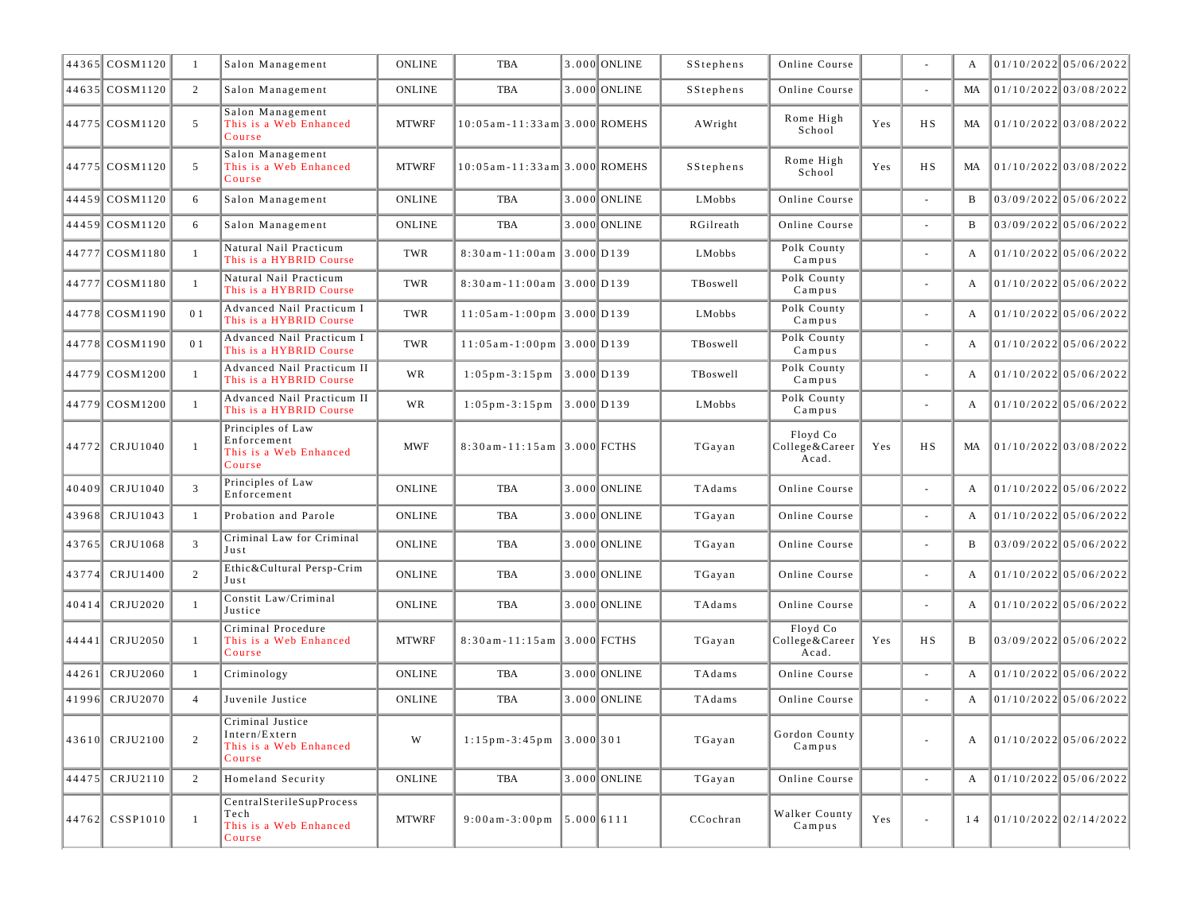|       | 44365 COSM1120 | -1             | Salon Management                                                      | <b>ONLINE</b> | TBA                                           |              | 3.000 ONLINE | SStephens | Online Course                       |     |                          | A            | 01/10/2022 05/06/2022   |
|-------|----------------|----------------|-----------------------------------------------------------------------|---------------|-----------------------------------------------|--------------|--------------|-----------|-------------------------------------|-----|--------------------------|--------------|-------------------------|
|       | 44635 COSM1120 | 2              | Salon Management                                                      | <b>ONLINE</b> | TBA                                           |              | 3.000 ONLINE | SStephens | Online Course                       |     |                          | MA           | 01/10/2022 03/08/2022   |
|       | 44775 COSM1120 | 5              | Salon Management<br>This is a Web Enhanced<br>Course                  | <b>MTWRF</b>  | $10:05$ am - 11:33 am 3.000 ROMEHS            |              |              | AWright   | Rome High<br>School                 | Yes | H S                      | MA           | 01/10/2022 03/08/2022   |
|       | 44775 COSM1120 | 5              | Salon Management<br>This is a Web Enhanced<br>Course                  | <b>MTWRF</b>  | 10:05am-11:33am 3.000 ROMEHS                  |              |              | SStephens | Rome High<br>School                 | Yes | H S                      | MA           | 01/10/2022 03/08/2022   |
|       | 44459 COSM1120 | 6              | Salon Management                                                      | <b>ONLINE</b> | <b>TBA</b>                                    |              | 3.000 ONLINE | LMobbs    | Online Course                       |     | $\sim$                   | B            | $03/09/2022$ 05/06/2022 |
|       | 44459 COSM1120 | 6              | Salon Management                                                      | <b>ONLINE</b> | TBA                                           |              | 3.000 ONLINE | RGilreath | Online Course                       |     |                          | B            | $03/09/2022$ 05/06/2022 |
|       | 44777 COSM1180 | -1             | Natural Nail Practicum<br>This is a HYBRID Course                     | TWR           | 8:30am-11:00am 3.000 D139                     |              |              | LMobbs    | Polk County<br>Campus               |     | $\overline{\phantom{a}}$ | A            | $01/10/2022$ 05/06/2022 |
|       | 44777 COSM1180 | $\overline{1}$ | Natural Nail Practicum<br>This is a HYBRID Course                     | TWR           | 8:30am-11:00am 3.000 D139                     |              |              | TBoswell  | Polk County<br>Campus               |     | $\sim$                   | A            | $01/10/2022$ 05/06/2022 |
|       | 44778 COSM1190 | 0 1            | Advanced Nail Practicum I<br>This is a HYBRID Course                  | TWR           | $11:05$ am-1:00pm 3.000 D139                  |              |              | LMobbs    | Polk County<br>Campus               |     | $\overline{\phantom{a}}$ | A            | 01/10/2022 05/06/2022   |
|       | 44778 COSM1190 | 0 <sub>1</sub> | Advanced Nail Practicum I<br>This is a HYBRID Course                  | TWR           | $11:05$ am-1:00pm 3.000 D139                  |              |              | TBoswell  | Polk County<br>Campus               |     | $\overline{\phantom{a}}$ | A            | $01/10/2022$ 05/06/2022 |
|       | 44779 COSM1200 | $\overline{1}$ | Advanced Nail Practicum II<br>This is a HYBRID Course                 | WR            | $1:05 \text{ pm-}3:15 \text{ pm }$ 3.000 D139 |              |              | TBoswell  | Polk County<br>Campus               |     | $\sim$                   | A            | $01/10/2022$ 05/06/2022 |
|       | 44779 COSM1200 | $\overline{1}$ | Advanced Nail Practicum II<br>This is a HYBRID Course                 | WR            | $1:05 \text{ pm} - 3:15 \text{ pm}$           | $3.000$ D139 |              | LMobbs    | Polk County<br>Campus               |     | $\overline{\phantom{a}}$ | A            | 01/10/2022 05/06/2022   |
|       | 44772 CRJU1040 | $\overline{1}$ | Principles of Law<br>Enforcement<br>This is a Web Enhanced<br>Course  | <b>MWF</b>    | 8:30am-11:15am 3.000 FCTHS                    |              |              | TGayan    | Floyd Co<br>College&Career<br>Acad. | Yes | H S                      | MA           | 01/10/2022 03/08/2022   |
| 40409 | CRJU1040       | $\overline{3}$ | Principles of Law<br>Enforcement                                      | <b>ONLINE</b> | TBA                                           |              | 3.000 ONLINE | TAdams    | Online Course                       |     | $\overline{\phantom{a}}$ | A            | 01/10/2022 05/06/2022   |
| 43968 | CRJU1043       | -1             | Probation and Parole                                                  | <b>ONLINE</b> | <b>TBA</b>                                    |              | 3.000 ONLINE | TGayan    | Online Course                       |     | $\sim$                   | A            | 01/10/2022 05/06/2022   |
| 43765 | CRJU1068       | 3              | Criminal Law for Criminal<br>Just                                     | <b>ONLINE</b> | TBA                                           |              | 3.000 ONLINE | TGayan    | Online Course                       |     | $\overline{\phantom{a}}$ | B            | 03/09/2022 05/06/2022   |
| 43774 | CRJU1400       | 2              | Ethic&Cultural Persp-Crim<br>Just                                     | <b>ONLINE</b> | TBA                                           |              | 3.000 ONLINE | TGayan    | Online Course                       |     | $\overline{\phantom{a}}$ | A            | 01/10/2022 05/06/2022   |
|       | 40414 CRJU2020 | -1             | Constit Law/Criminal<br>Justice                                       | <b>ONLINE</b> | TBA                                           |              | 3.000 ONLINE | TAdams    | Online Course                       |     | $\sim$                   | A            | 01/10/2022 05/06/2022   |
|       | 44441 CRJU2050 | $\overline{1}$ | Criminal Procedure<br>This is a Web Enhanced<br>Course                | <b>MTWRF</b>  | 8:30am-11:15am 3.000 FCTHS                    |              |              | TGayan    | Floyd Co<br>College&Career<br>Acad. | Yes | НS                       | B            | 03/09/2022 05/06/2022   |
| 44261 | CRJU2060       | -1             | Criminology                                                           | <b>ONLINE</b> | TBA                                           |              | 3.000 ONLINE | TAdams    | Online Course                       |     | $\overline{\phantom{a}}$ | A            | 01/10/2022 05/06/2022   |
| 41996 | CRJU2070       | $\overline{4}$ | Juvenile Justice                                                      | <b>ONLINE</b> | TBA                                           |              | 3.000 ONLINE | TAdams    | Online Course                       |     | $\bar{a}$                | $\mathbf{A}$ | $01/10/2022$ 05/06/2022 |
|       | 43610 CRJU2100 | 2              | Criminal Justice<br>Intern/Extern<br>This is a Web Enhanced<br>Course | W             | $1:15 \text{ pm-}3:45 \text{ pm }$ 3.000 301  |              |              | TGayan    | Gordon County<br>Campus             |     |                          | A            | 01/10/2022 05/06/2022   |
|       | 44475 CRJU2110 | 2              | Homeland Security                                                     | ONLINE        | TBA                                           |              | 3.000 ONLINE | TGayan    | Online Course                       |     | $\omega$                 | $\mathbf{A}$ | 01/10/2022 05/06/2022   |
|       | 44762 CSSP1010 | $\overline{1}$ | CentralSterileSupProcess<br>Tech<br>This is a Web Enhanced<br>Course  | <b>MTWRF</b>  | $9:00am-3:00pm$ 5.000 6111                    |              |              | CCochran  | Walker County<br>Campus             | Yes | $\overline{\phantom{a}}$ | 14           | 01/10/2022 02/14/2022   |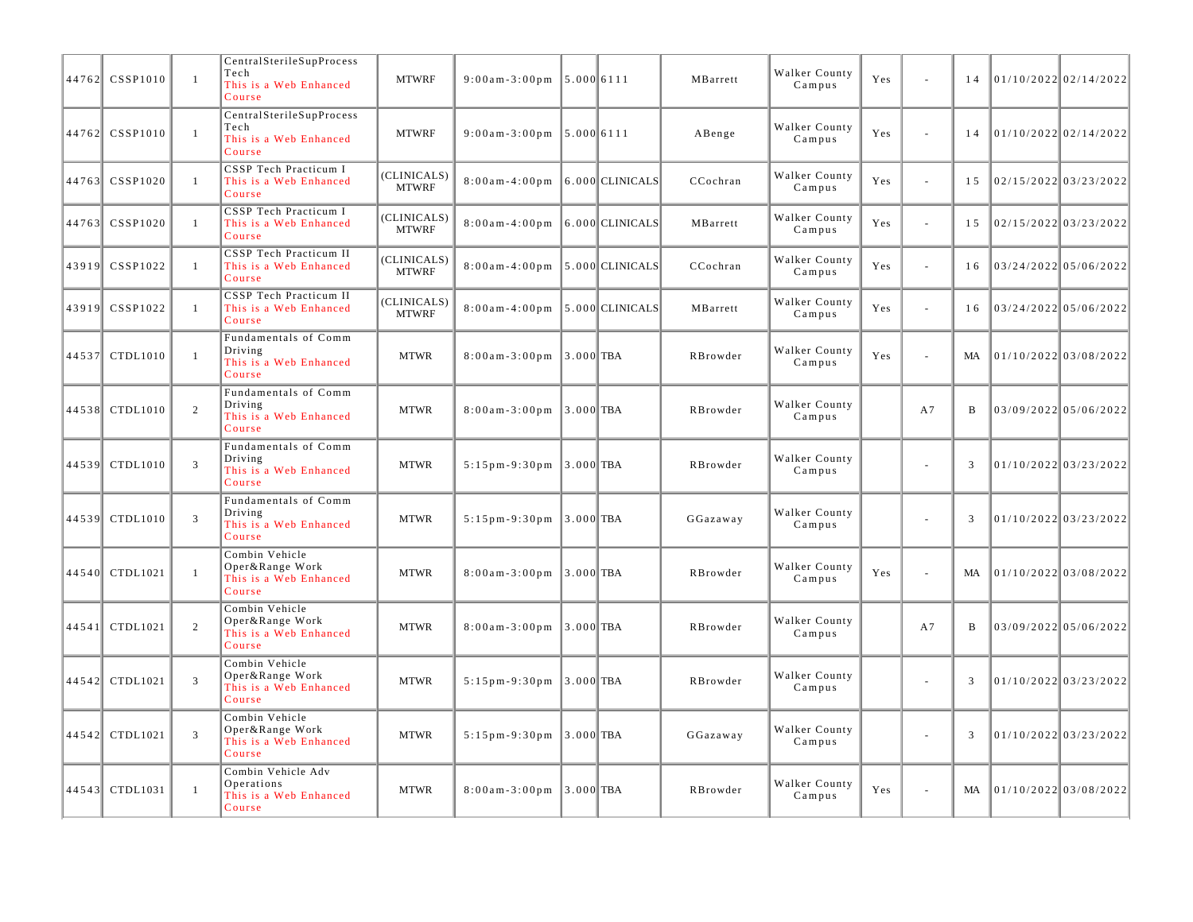|       | 44762 CSSP1010 | $\mathbf{1}$   | CentralSterileSupProcess<br>Tech<br>This is a Web Enhanced<br>Course   | <b>MTWRF</b>                | $9:00am - 3:00pm$          | 5.000 6111                        |                     | MBarrett | Walker County<br>Campus | Yes | L.     | 14  |                      | $01/10/2022$ 02/14/2022 |
|-------|----------------|----------------|------------------------------------------------------------------------|-----------------------------|----------------------------|-----------------------------------|---------------------|----------|-------------------------|-----|--------|-----|----------------------|-------------------------|
|       | 44762 CSSP1010 | $\mathbf{1}$   | CentralSterileSupProcess<br>Tech<br>This is a Web Enhanced<br>Course   | <b>MTWRF</b>                | $9:00$ am - 3:00 pm        | 5.000 6111                        |                     | ABenge   | Walker County<br>Campus | Yes | ÷,     | 14  |                      | 01/10/2022 02/14/2022   |
| 44763 | CSSP1020       | $\mathbf{1}$   | CSSP Tech Practicum I<br>This is a Web Enhanced<br>Course              | (CLINICALS)<br><b>MTWRF</b> | $8:00$ am - 4:00pm         |                                   | 6.000 CLINICALS     | CCochran | Walker County<br>Campus | Yes | L.     | 1.5 |                      | $02/15/2022$ 03/23/2022 |
| 44763 | CSSP1020       | $\mathbf{1}$   | CSSP Tech Practicum I<br>This is a Web Enhanced<br>Course              | (CLINICALS)<br><b>MTWRF</b> | $8:00$ am - 4:00pm         |                                   | 6.000 CLINICALS     | MBarrett | Walker County<br>Campus | Yes | ä,     | 15  |                      | $02/15/2022$ 03/23/2022 |
| 43919 | CSSP1022       | -1             | CSSP Tech Practicum II<br>This is a Web Enhanced<br>Course             | (CLINICALS)<br><b>MTWRF</b> | $8:00$ am - 4:00pm         |                                   | $5.000$ CLINICALS   | CCochran | Walker County<br>Campus | Yes | L.     | 16  |                      | $03/24/2022$ 05/06/2022 |
| 43919 | CSSP1022       | $\mathbf{1}$   | CSSP Tech Practicum II<br>This is a Web Enhanced<br>Course             | (CLINICALS)<br><b>MTWRF</b> | $8:00$ am - 4:00 pm        |                                   | $ 5.000 $ CLINICALS | MBarrett | Walker County<br>Campus | Yes | $\sim$ | 16  |                      | 03/24/2022 05/06/2022   |
|       | 44537 CTDL1010 | $\mathbf{1}$   | Fundamentals of Comm<br>Driving<br>This is a Web Enhanced<br>Course    | <b>MTWR</b>                 | $8:00$ am - 3:00pm         | $3.000$ TBA                       |                     | RBrowder | Walker County<br>Campus | Yes | ä,     | MA  |                      | $01/10/2022$ 03/08/2022 |
|       | 44538 CTDL1010 | 2              | Fundamentals of Comm<br>Driving<br>This is a Web Enhanced<br>Course    | <b>MTWR</b>                 | $8:00$ am - 3:00 pm        | $\parallel$ 3.000 $\parallel$ TBA |                     | RBrowder | Walker County<br>Campus |     | A7     | B   |                      | 03/09/2022 05/06/2022   |
|       | 44539 CTDL1010 | 3              | Fundamentals of Comm<br>Driving<br>Web Enhanced<br>This is a<br>Course | <b>MTWR</b>                 | $5:15$ pm - 9:30 pm        | $\parallel$ 3.000 $\parallel$ TBA |                     | RBrowder | Walker County<br>Campus |     | ä,     | 3   |                      | $01/10/2022$ 03/23/2022 |
|       | 44539 CTDL1010 | 3              | Fundamentals of Comm<br>Driving<br>This is a Web Enhanced<br>Course    | <b>MTWR</b>                 | $5:15$ pm - 9:30 pm        | $3.000$ TBA                       |                     | GGazaway | Walker County<br>Campus |     | L.     | 3   |                      | $01/10/2022$ 03/23/2022 |
|       | 44540 CTDL1021 | $\overline{1}$ | Combin Vehicle<br>Oper&Range Work<br>This is a Web Enhanced<br>Course  | <b>MTWR</b>                 | $8:00$ am - 3:00 pm        | $\ 3.000\ $ TBA                   |                     | RBrowder | Walker County<br>Campus | Yes | ÷,     | MA  |                      | 01/10/2022 03/08/2022   |
| 44541 | CTDL1021       | 2              | Combin Vehicle<br>Oper&Range Work<br>This is a Web Enhanced<br>Course  | <b>MTWR</b>                 | $8:00$ am - 3:00 pm        | $3.000$ TBA                       |                     | RBrowder | Walker County<br>Campus |     | A7     | B   |                      | $03/09/2022$ 05/06/2022 |
|       | 44542 CTDL1021 | 3              | Combin Vehicle<br>Oper&Range Work<br>This is a Web Enhanced<br>Course  | <b>MTWR</b>                 | $5:15$ pm-9:30pm 3.000 TBA |                                   |                     | RBrowder | Walker County<br>Campus |     | ÷,     | 3   |                      | $01/10/2022$ 03/23/2022 |
|       | 44542 CTDL1021 | $\overline{3}$ | Combin Vehicle<br>Oper&Range Work<br>This is a Web Enhanced<br>Course  | <b>MTWR</b>                 | $5:15$ pm - 9:30 pm        | $3.000$ TBA                       |                     | GGazaway | Walker County<br>Campus |     | ÷,     | 3   |                      | $01/10/2022$ 03/23/2022 |
| 44543 | CTDL1031       | $\mathbf{1}$   | Combin Vehicle Adv<br>Operations<br>This is a Web Enhanced<br>Course   | <b>MTWR</b>                 | $8:00$ am - $3:00$ pm      | $3.000$ TBA                       |                     | RBrowder | Walker County<br>Campus | Yes | ä,     | MA  | 01/10/202203/08/2022 |                         |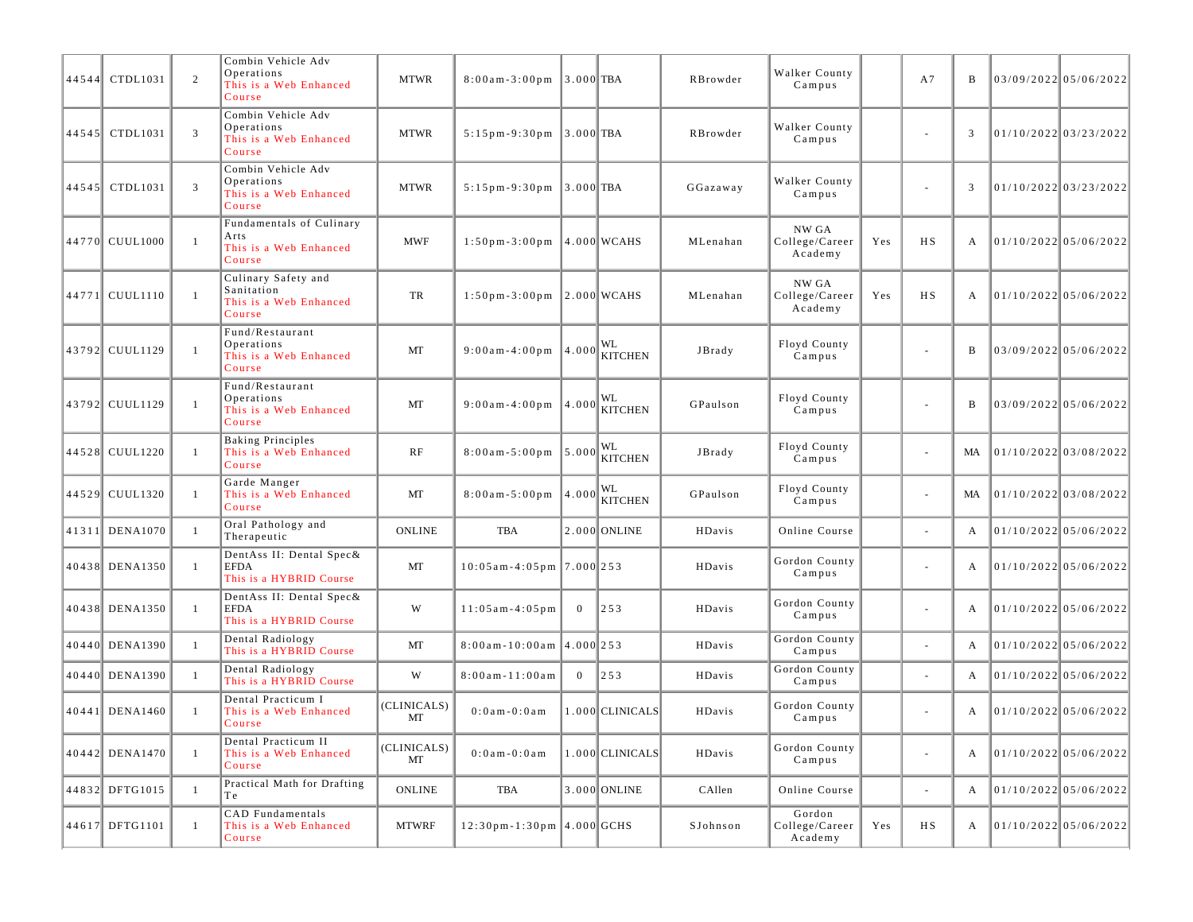| 44544 | CTDL1031         | 2              | Combin Vehicle Adv<br>Operations<br>This is a Web Enhanced<br>Course  | <b>MTWR</b>       | $8:00$ am - 3:00 pm                | $3.000$ TBA    |                      | RBrowder | Walker County<br>Campus             |     | A7                       | B  | $03/09/2022$ 05/06/2022 |
|-------|------------------|----------------|-----------------------------------------------------------------------|-------------------|------------------------------------|----------------|----------------------|----------|-------------------------------------|-----|--------------------------|----|-------------------------|
| 44545 | CTDL1031         | 3              | Combin Vehicle Adv<br>Operations<br>This is a Web Enhanced<br>Course  | <b>MTWR</b>       | $5:15$ pm - 9:30 pm                | $3.000$ TBA    |                      | RBrowder | Walker County<br>Campus             |     | ÷,                       | 3  | $01/10/2022$ 03/23/2022 |
| 44545 | CTDL1031         | 3              | Combin Vehicle Adv<br>Operations<br>This is a Web Enhanced<br>Course  | <b>MTWR</b>       | $5:15$ pm - 9:30 pm                | $3.000$ TBA    |                      | GGazaway | Walker County<br>Campus             |     | ÷,                       | 3  | $01/10/2022$ 03/23/2022 |
|       | 44770 CUUL1000   | $\mathbf{1}$   | Fundamentals of Culinary<br>Arts<br>This is a Web Enhanced<br>Course  | <b>MWF</b>        | $1:50$ pm - 3:00 pm                |                | $ 4.000 $ WCAHS      | MLenahan | NW GA<br>College/Career<br>Academy  | Yes | HS                       | А  | 01/10/2022 05/06/2022   |
|       | 44771 CUUL1110   | $\mathbf{1}$   | Culinary Safety and<br>Sanitation<br>This is a Web Enhanced<br>Course | TR                | $1:50p m - 3:00p m$ 2.000 WCAHS    |                |                      | MLenahan | NW GA<br>College/Career<br>Academy  | Yes | HS                       | А  | 01/10/2022 05/06/2022   |
|       | 43792 CUUL1129   | $\overline{1}$ | Fund/Restaurant<br>Operations<br>This is a Web Enhanced<br>Course     | MT                | $9:00$ am - 4:00 pm                | 4.000          | WL<br><b>KITCHEN</b> | JBrady   | Floyd County<br>Campus              |     | ÷,                       | B  | 03/09/2022 05/06/2022   |
|       | 43792 CUUL1129   | $\mathbf{1}$   | Fund/Restaurant<br>Operations<br>This is a Web Enhanced<br>Course     | MT                | $9:00$ am - 4:00 pm                | 4.000          | WL<br>KITCHEN        | GPaulson | Floyd County<br>Campus              |     | ÷,                       | B  | 03/09/2022 05/06/2022   |
|       | 44528 CUUL1220   | $\overline{1}$ | <b>Baking Principles</b><br>This is a Web Enhanced<br>Course          | RF                | $8:00a m - 5:00 p m$               | 5.000          | WL<br><b>KITCHEN</b> | JBrady   | Floyd County<br>Campus              |     |                          | МA | $01/10/2022$ 03/08/2022 |
|       | 44529 CUUL1320   | -1             | Garde Manger<br>This is a Web Enhanced<br>Course                      | MT                | $8:00am - 5:00pm$ 4.000            |                | WL<br>KITCHEN        | GPaulson | Floyd County<br>Campus              |     | $\overline{\phantom{a}}$ | MA | 01/10/2022 03/08/2022   |
|       | 41311 DENA1070   | $\mathbf{1}$   | Oral Pathology and<br>Therapeutic                                     | <b>ONLINE</b>     | <b>TBA</b>                         |                | 2.000 ONLINE         | HDavis   | Online Course                       |     | ÷,                       | А  | 01/10/2022 05/06/2022   |
|       | 40438 DENA1350   | -1             | DentAss II: Dental Spec&<br><b>EFDA</b><br>This is a HYBRID Course    | MT                | $10:05$ am - 4:05 pm   7.000   253 |                |                      | HDavis   | Gordon County<br>Campus             |     | $\overline{a}$           | A  | 01/10/2022 05/06/2022   |
|       | 40438 DENA1350   | -1             | DentAss II: Dental Spec&<br><b>EFDA</b><br>This is a HYBRID Course    | W                 | $11:05$ am $-4:05$ pm              | $\overline{0}$ | 253                  | HDavis   | Gordon County<br>Campus             |     | ä,                       | А  | $01/10/2022$ 05/06/2022 |
|       | 40440 DENA1390   | $\mathbf{1}$   | Dental Radiology<br>This is a HYBRID Course                           | MT                | $8:00$ am - 10:00am $ 4.000 253$   |                |                      | HDavis   | Gordon County<br>Campus             |     |                          | А  | $01/10/2022$ 05/06/2022 |
|       | 40440 DENA1390   | $\mathbf{1}$   | Dental Radiology<br>This is a HYBRID Course                           | W                 | $8:00am - 11:00am$                 | $\overline{0}$ | $\vert$ 253          | HDavis   | Gordon County<br>Campus             |     | ÷,                       | A  | 01/10/2022 05/06/2022   |
|       | $40441$ DENA1460 | -1             | Dental Practicum I<br>This is a Web Enhanced<br>Course                | (CLINICALS)<br>MT | $0:0$ am $-0:0$ am                 |                | 1.000 CLINICALS      | HDavis   | Gordon County<br>Campus             |     | $\overline{\phantom{a}}$ | A  | 01/10/2022 05/06/2022   |
|       | 40442 DENA1470   | -1             | Dental Practicum II<br>This is a Web Enhanced<br>Course               | (CLINICALS)<br>МT | $0:0$ a m - $0:0$ a m              |                | 1.000 CLINICALS      | HDavis   | Gordon County<br>Campus             |     | L,                       | А  | $01/10/2022$ 05/06/2022 |
|       | 44832 DFTG1015   | -1             | Practical Math for Drafting<br>Тe                                     | <b>ONLINE</b>     | TBA                                |                | 3.000 ONLINE         | CAllen   | Online Course                       |     | ÷,                       | А  | $01/10/2022$ 05/06/2022 |
|       | 44617 DFTG1101   | $\mathbf{1}$   | CAD Fundamentals<br>This is a Web Enhanced<br>Course                  | <b>MTWRF</b>      | $12:30$ pm-1:30pm 4.000 GCHS       |                |                      | SJohnson | Gordon<br>College/Career<br>Academy | Yes | HS                       | A  | $01/10/2022$ 05/06/2022 |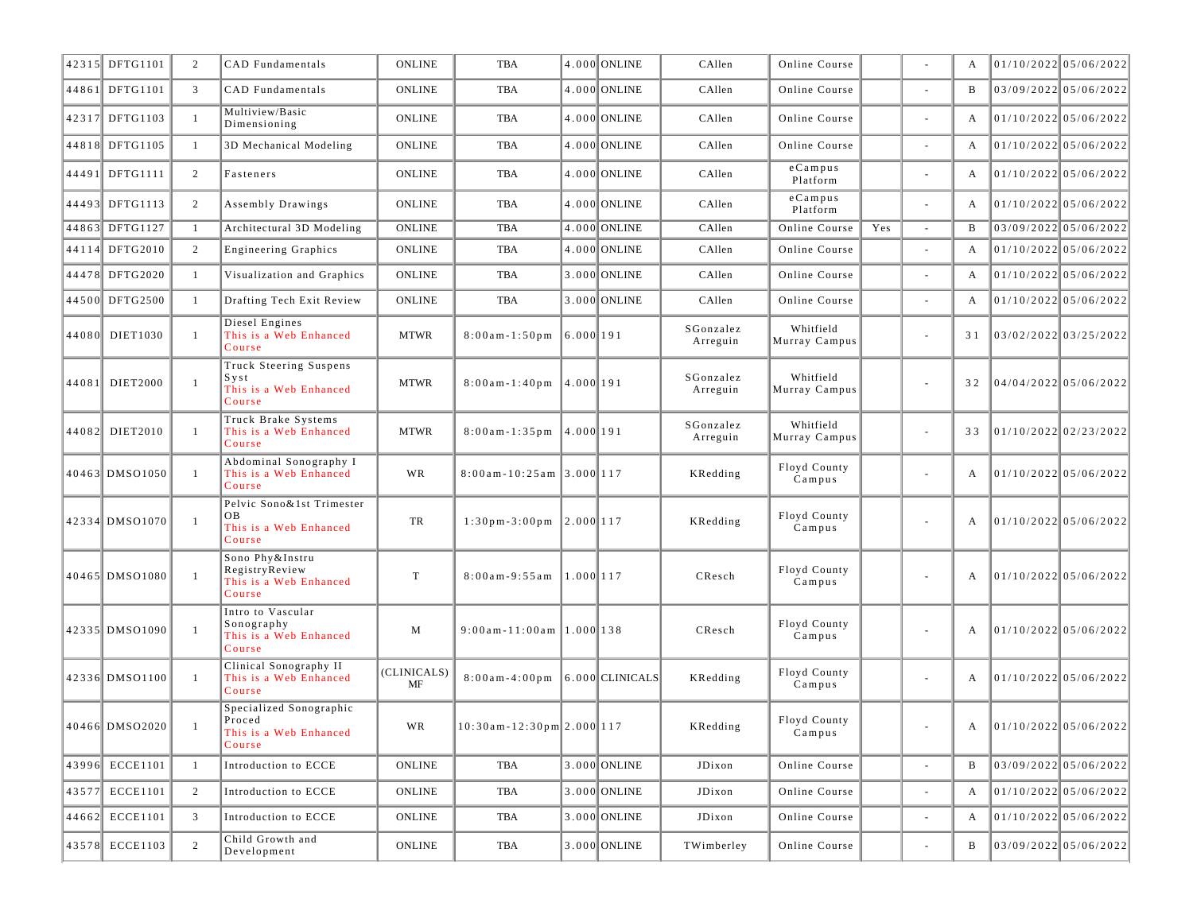|       | 42315 DFTG1101  | 2              | CAD Fundamentals                                                        | <b>ONLINE</b>         | <b>TBA</b>                                    |            | 4.000 ONLINE | CAllen                | Online Course              |     | $\sim$                   | A            | 01/10/2022 05/06/2022   |
|-------|-----------------|----------------|-------------------------------------------------------------------------|-----------------------|-----------------------------------------------|------------|--------------|-----------------------|----------------------------|-----|--------------------------|--------------|-------------------------|
|       | 44861 DFTG1101  | 3              | CAD Fundamentals                                                        | <b>ONLINE</b>         | TBA                                           |            | 4.000 ONLINE | CAllen                | Online Course              |     |                          | B            | 03/09/2022 05/06/2022   |
|       | 42317 DFTG1103  | -1             | Multiview/Basic<br>Dimensioning                                         | ONLINE                | TBA                                           |            | 4.000 ONLINE | CAllen                | Online Course              |     | $\sim$                   | A            | 01/10/2022 05/06/2022   |
|       | 44818 DFTG1105  | -1             | 3D Mechanical Modeling                                                  | ONLINE                | TBA                                           |            | 4.000 ONLINE | CAllen                | Online Course              |     | $\sim$                   | A            | 01/10/2022 05/06/2022   |
|       | 44491 DFTG1111  | 2              | Fasteners                                                               | <b>ONLINE</b>         | TBA                                           |            | 4.000 ONLINE | CAllen                | $e$ Campus<br>Platform     |     | $\sim$                   | A            | $01/10/2022$ 05/06/2022 |
|       | 44493 DFTG1113  | 2              | Assembly Drawings                                                       | <b>ONLINE</b>         | TBA                                           |            | 4.000 ONLINE | CAllen                | $e$ Campus<br>Platform     |     | $\sim$                   | A            | 01/10/2022 05/06/2022   |
|       | 44863 DFTG1127  | $\mathbf{1}$   | Architectural 3D Modeling                                               | <b>ONLINE</b>         | <b>TBA</b>                                    |            | 4.000 ONLINE | CAllen                | Online Course              | Yes | $\sim$                   |              | 03/09/2022 05/06/2022   |
|       | 44114 DFTG2010  | 2              | <b>Engineering Graphics</b>                                             | <b>ONLINE</b>         | TBA                                           |            | 4.000 ONLINE | CAllen                | Online Course              |     | $\sim$                   | A            | 01/10/2022 05/06/2022   |
|       | 44478 DFTG2020  | -1             | Visualization and Graphics                                              | <b>ONLINE</b>         | TBA                                           |            | 3.000 ONLINE | CAllen                | Online Course              |     | $\sim$                   | A            | $01/10/2022$ 05/06/2022 |
|       | 44500 DFTG2500  | -1             | Drafting Tech Exit Review                                               | <b>ONLINE</b>         | <b>TBA</b>                                    |            | 3.000 ONLINE | CAllen                | Online Course              |     | ÷.                       | A            | 01/10/2022 05/06/2022   |
|       | 44080 DIET1030  | -1             | Diesel Engines<br>This is a Web Enhanced<br>Course                      | <b>MTWR</b>           | $8:00$ am $-1:50$ pm                          | 6.000 191  |              | SGonzalez<br>Arreguin | Whitfield<br>Murray Campus |     | $\sim$                   | 31           | 03/02/2022 03/25/2022   |
| 44081 | <b>DIET2000</b> | $\overline{1}$ | Truck Steering Suspens<br>$S$ y s t<br>This is a Web Enhanced<br>Course | <b>MTWR</b>           | $8:00$ am - 1:40pm                            | 4.000 191  |              | SGonzalez<br>Arreguin | Whitfield<br>Murray Campus |     | $\overline{\phantom{a}}$ | 32           | 04/04/2022 05/06/2022   |
|       | 44082 DIET2010  | $\mathbf{1}$   | Truck Brake Systems<br>This is a Web Enhanced<br>Course                 | <b>MTWR</b>           | 8:00am-1:35pm 4.000 191                       |            |              | SGonzalez<br>Arreguin | Whitfield<br>Murray Campus |     | $\sim$                   | 33           | 01/10/2022 02/23/2022   |
|       | 40463 DMS01050  | -1             | Abdominal Sonography I<br>This is a Web Enhanced<br>Course              | WR                    | $8:00$ am - 10:25am 3.000 117                 |            |              | KRedding              | Floyd County<br>Campus     |     | $\overline{\phantom{a}}$ | A            | 01/10/2022 05/06/2022   |
|       | 42334 DMSO1070  | $\overline{1}$ | Pelvic Sono&1st Trimester<br>OВ<br>This is a Web Enhanced<br>Course     | TR                    | $1:30 \text{ pm} - 3:00 \text{ pm}$ 2.000 117 |            |              | KRedding              | Floyd County<br>Campus     |     | $\overline{\phantom{a}}$ | А            | 01/10/2022 05/06/2022   |
|       | 40465 DMS01080  | $\overline{1}$ | Sono Phy&Instru<br>RegistryReview<br>This is a Web Enhanced<br>Course   | $\mathbf T$           | $8:00am - 9:55am$                             | 1.000  117 |              | CResch                | Floyd County<br>Campus     |     |                          | А            | 01/10/2022 05/06/2022   |
|       | 42335 DMSO1090  | $\overline{1}$ | Intro to Vascular<br>Sonography<br>This is a Web Enhanced<br>Course     | M                     | $9:00$ am-11:00am  1.000 138                  |            |              | CResch                | Floyd County<br>Campus     |     | $\overline{\phantom{a}}$ | A            | 01/10/2022 05/06/2022   |
|       | 42336 DMS01100  | -1             | Clinical Sonography II<br>This is a Web Enhanced<br>Course              | (CLINICALS)<br>MF     | $8:00$ am - 4:00pm $ 6.000 $ CLINICALS        |            |              | KRedding              | Floyd County<br>Campus     |     | $\sim$                   | A            | 01/10/2022 05/06/2022   |
|       | 40466 DMSO2020  |                | Specialized Sonographic<br>Proced<br>This is a Web Enhanced<br>Course   | WR                    | $10:30$ am - $12:30$ pm $2.000$ 117           |            |              | KRedding              | Floyd County<br>Campus     |     |                          | A            | 01/10/2022 05/06/2022   |
|       | 43996 ECCE1101  | $\mathbf{1}$   | Introduction to ECCE                                                    | ONLINE                | TBA                                           |            | 3.000 ONLINE | JDixon                | Online Course              |     |                          | B            | 03/09/2022 05/06/2022   |
|       | 43577 ECCE1101  | 2              | Introduction to ECCE                                                    | ONLINE                | TBA                                           |            | 3.000 ONLINE | JDixon                | Online Course              |     | $\overline{\phantom{a}}$ | A            | 01/10/2022 05/06/2022   |
|       | 44662 ECCE1101  | 3              | Introduction to ECCE                                                    | <b>ONLINE</b>         | TBA                                           |            | 3.000 ONLINE | JDixon                | Online Course              |     | $\overline{\phantom{a}}$ | $\mathbf{A}$ | $01/10/2022$ 05/06/2022 |
|       | 43578 ECCE1103  | 2              | Child Growth and<br>Development                                         | $\mathop{\rm ONLINE}$ | TBA                                           |            | 3.000 ONLINE | TWimberley            | Online Course              |     | $\overline{\phantom{a}}$ | B            | $03/09/2022$ 05/06/2022 |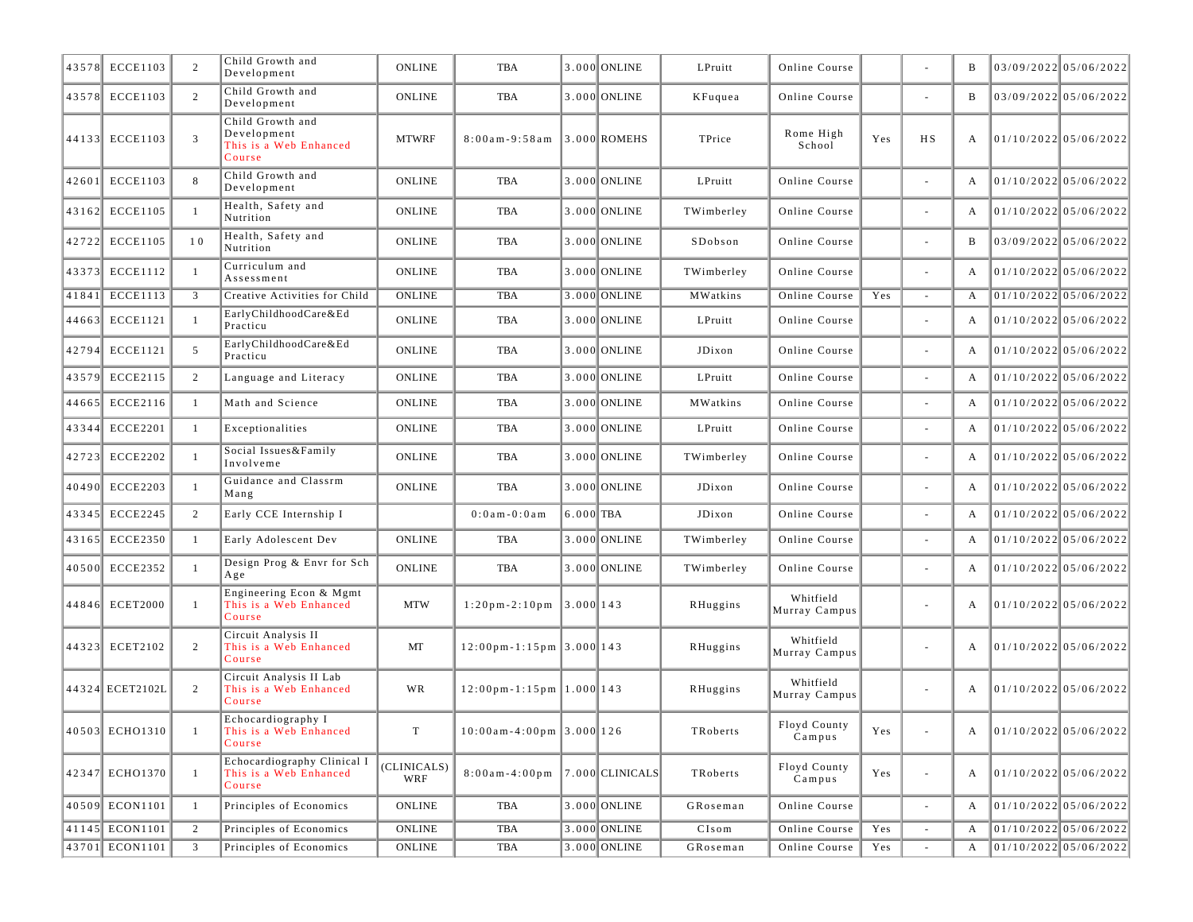| 43578 | <b>ECCE1103</b> | 2              | Child Growth and<br>Development                                     | <b>ONLINE</b>      | <b>TBA</b>                                             |             | 3.000 ONLINE     | LPruitt                                | Online Course              |                                                                                       |                          | B | 03/09/2022 05/06/2022   |
|-------|-----------------|----------------|---------------------------------------------------------------------|--------------------|--------------------------------------------------------|-------------|------------------|----------------------------------------|----------------------------|---------------------------------------------------------------------------------------|--------------------------|---|-------------------------|
|       | 43578 ECCE1103  | 2              | Child Growth and<br>Development                                     | <b>ONLINE</b>      | TBA                                                    |             | 3.000 ONLINE     | KFuquea                                | Online Course              |                                                                                       | ÷,                       | B | 03/09/2022 05/06/2022   |
|       | 44133 ECCE1103  | 3              | Child Growth and<br>Development<br>This is a Web Enhanced<br>Course | <b>MTWRF</b>       | $8:00am - 9:58am$                                      |             | $ 3.000 $ ROMEHS | TPrice                                 | Rome High<br>School        | Yes                                                                                   | H S                      | A | 01/10/2022 05/06/2022   |
|       | 42601 ECCE1103  | 8              | Child Growth and<br>Development                                     | <b>ONLINE</b>      | TBA                                                    |             | 3.000 ONLINE     | LPruitt                                | Online Course              |                                                                                       | $\sim$                   | A | 01/10/2022 05/06/2022   |
|       | 43162 ECCE1105  | $\overline{1}$ | Health, Safety and<br>Nutrition                                     | <b>ONLINE</b>      | TBA                                                    |             | 3.000 ONLINE     | TWimberley                             | Online Course              |                                                                                       |                          | A | 01/10/2022 05/06/2022   |
|       | 42722 ECCE1105  | 10             | Health, Safety and<br>Nutrition                                     | <b>ONLINE</b>      | TBA                                                    |             | 3.000 ONLINE     | SDobson                                | Online Course              |                                                                                       | $\overline{\phantom{a}}$ | B | 03/09/2022 05/06/2022   |
|       | 43373 ECCE1112  | $\mathbf{1}$   | Curriculum and<br>Assessment                                        | <b>ONLINE</b>      | <b>TBA</b>                                             |             | 3.000 ONLINE     | TWimberley                             | Online Course              |                                                                                       | $\sim$                   | A | $01/10/2022$ 05/06/2022 |
| 41841 | <b>ECCE1113</b> | 3              | Creative Activities for Child                                       | <b>ONLINE</b>      | <b>TBA</b>                                             |             | 3.000 ONLINE     | MWatkins                               | Online Course              | Yes                                                                                   | $\sim$                   | A | $01/10/2022$ 05/06/2022 |
| 44663 | <b>ECCE1121</b> | -1             | EarlyChildhoodCare&Ed<br>Practicu                                   | <b>ONLINE</b>      | TBA                                                    |             | 3.000 ONLINE     | LPruitt                                | Online Course              |                                                                                       |                          | А | $01/10/2022$ 05/06/2022 |
| 42794 | <b>ECCE1121</b> | 5              | EarlyChildhoodCare&Ed<br>Practicu                                   | <b>ONLINE</b>      | TBA                                                    |             | 3.000 ONLINE     | JDixon                                 | Online Course              |                                                                                       | $\overline{\phantom{a}}$ | A | 01/10/2022 05/06/2022   |
| 43579 | <b>ECCE2115</b> | 2              | Language and Literacy                                               | <b>ONLINE</b>      | TBA                                                    |             | 3.000 ONLINE     | LPruitt                                | Online Course              |                                                                                       | $\sim$                   | A | 01/10/202205/06/2022    |
| 44665 | ECCE2116        | -1             | Math and Science                                                    | <b>ONLINE</b>      | <b>TBA</b>                                             |             | 3.000 ONLINE     | MWatkins                               | Online Course              |                                                                                       | ÷,                       | A | $01/10/2022$ 05/06/2022 |
| 43344 | <b>ECCE2201</b> | -1             | Exceptionalities                                                    | <b>ONLINE</b>      | TBA                                                    |             | 3.000 ONLINE     | LPruitt                                | Online Course              |                                                                                       |                          | A | $01/10/2022$ 05/06/2022 |
|       | 42723 ECCE2202  | -1             | Social Issues&Family<br>Involveme                                   | <b>ONLINE</b>      | TBA                                                    |             | 3.000 ONLINE     | TWimberley                             | Online Course              |                                                                                       | ÷,                       | A | $01/10/2022$ 05/06/2022 |
| 40490 | <b>ECCE2203</b> | $\overline{1}$ | Guidance and Classrm<br>Mang                                        | <b>ONLINE</b>      | <b>TBA</b>                                             |             | 3.000 ONLINE     | JDixon                                 | Online Course              |                                                                                       |                          | A | 01/10/2022 05/06/2022   |
|       | 43345 ECCE2245  | 2              | Early CCE Internship I                                              |                    | $0:0$ a m - $0:0$ a m                                  | $6.000$ TBA |                  | JDixon                                 | Online Course              |                                                                                       |                          | A | 01/10/2022 05/06/2022   |
|       | 43165 ECCE2350  | -1             | Early Adolescent Dev                                                | <b>ONLINE</b>      | TBA                                                    |             | 3.000 ONLINE     | TWimberley                             | Online Course              |                                                                                       | $\overline{\phantom{a}}$ | A | 01/10/2022 05/06/2022   |
|       | 40500 ECCE2352  | $\mathbf{1}$   | Design Prog & Envr for Sch<br>Age                                   | <b>ONLINE</b>      | <b>TBA</b>                                             |             | 3.000 ONLINE     | TWimberley                             | Online Course              |                                                                                       |                          | A | 01/10/2022 05/06/2022   |
|       | 44846 ECET2000  | $\mathbf{1}$   | Engineering Econ & Mgmt<br>This is a Web Enhanced<br>Course         | <b>MTW</b>         | $1:20$ pm-2:10pm 3.000 143                             |             |                  | RHuggins                               | Whitfield<br>Murray Campus |                                                                                       |                          | A | 01/10/2022 05/06/2022   |
|       | 44323 ECET2102  | 2              | Circuit Analysis II<br>This is a Web Enhanced<br>Course             | MT                 | $12:00 \text{ pm} - 1:15 \text{ pm }3.000 \text{ 143}$ |             |                  | RHuggins                               | Whitfield<br>Murray Campus |                                                                                       | $\overline{\phantom{a}}$ | A | $01/10/2022$ 05/06/2022 |
|       | 44324 ECET2102L | 2              | Circuit Analysis II Lab<br>This is a Web Enhanced<br>Course         | WR                 | $12:00 \text{ pm} - 1:15 \text{ pm }1.0001143$         |             |                  | RHuggins                               | Whitfield<br>Murray Campus |                                                                                       | $\sim$                   | A | 01/10/2022 05/06/2022   |
|       | 40503 ECHO1310  |                | Echocardiography I<br>This is a Web Enhanced<br>Course              | T                  | $10:00$ am - 4:00 pm 3.000 126                         |             |                  | TRoberts                               | Floyd County<br>Campus     | $\operatorname*{Yes}% \left( X\right) \equiv\operatorname*{Yes}(\mathbb{R}^{3}\left)$ |                          | A | 01/10/2022 05/06/2022   |
|       | 42347 ECH01370  | $\mathbf{1}$   | Echocardiography Clinical I<br>This is a Web Enhanced<br>Course     | (CLINICALS)<br>WRF | $8:00a m - 4:00p m$                                    |             | 7.000 CLINICALS  | TRoberts                               | Floyd County<br>Campus     | Yes                                                                                   | $\sim$                   | A | 01/10/2022 05/06/2022   |
|       | 40509 ECON1101  | -1             | Principles of Economics                                             | ONLINE             | TBA                                                    |             | 3.000 ONLINE     | GRoseman                               | Online Course              |                                                                                       | $\omega$                 | A | 01/10/2022 05/06/2022   |
|       | 41145 ECON1101  | 2              | Principles of Economics                                             | <b>ONLINE</b>      | TBA                                                    |             | 3.000 ONLINE     | CIsom                                  | Online Course              | Yes                                                                                   |                          | A | $01/10/2022$ 05/06/2022 |
|       | 43701 ECON1101  | $\overline{3}$ | Principles of Economics                                             | ONLINE             | TBA                                                    |             | 3.000 ONLINE     | ${\bf G}$ R ${\bf o}$ s ${\bf e}$ m an | Online Course              | Yes                                                                                   |                          | A | 01/10/2022 05/06/2022   |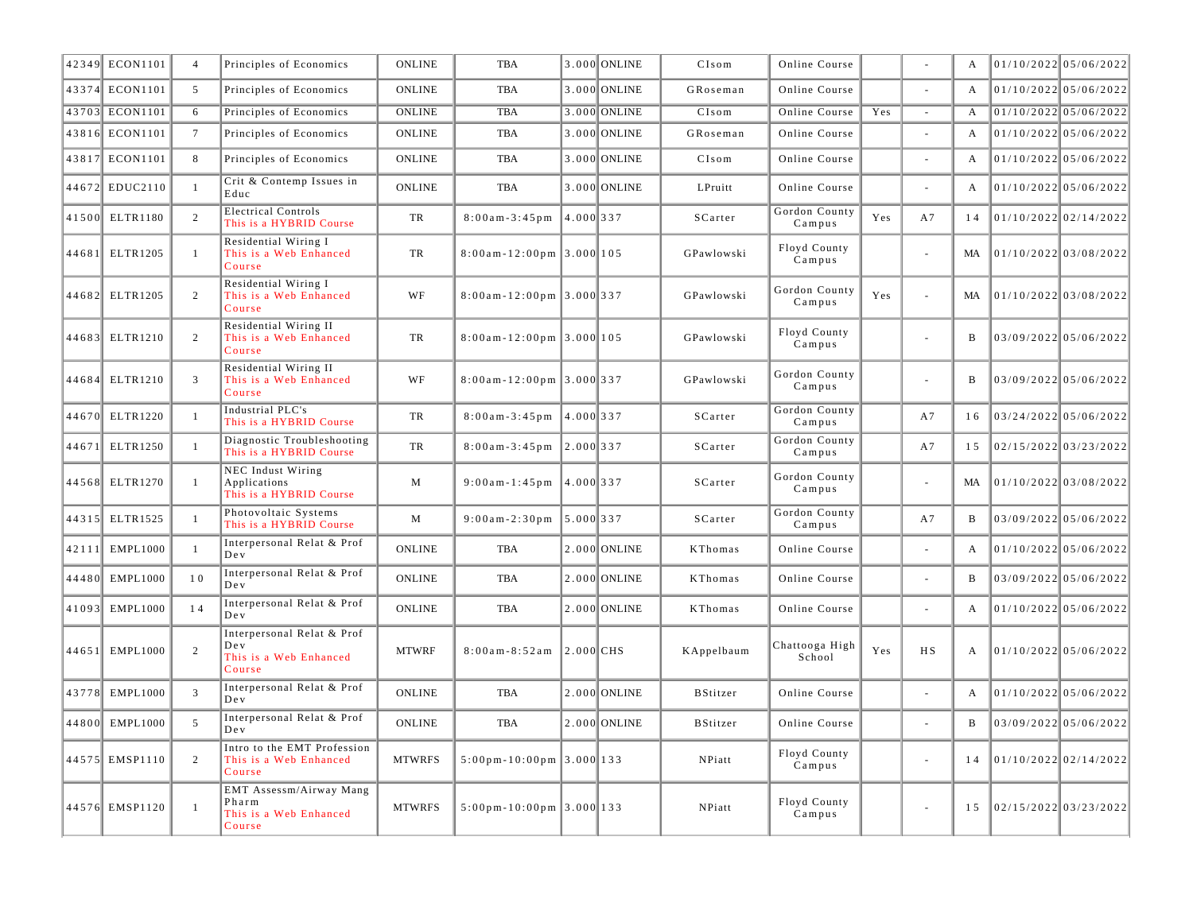|       | 42349 ECON1101  | $\overline{4}$  | Principles of Economics                                               | <b>ONLINE</b> | <b>TBA</b>                                      |              | 3.000 ONLINE   | CIsom           | Online Course            |     |                | A              | $01/10/2022$ 05/06/2022 |
|-------|-----------------|-----------------|-----------------------------------------------------------------------|---------------|-------------------------------------------------|--------------|----------------|-----------------|--------------------------|-----|----------------|----------------|-------------------------|
|       | 43374 ECON1101  | 5               | Principles of Economics                                               | <b>ONLINE</b> | <b>TBA</b>                                      |              | 3.000 ONLINE   | GRoseman        | Online Course            |     | L.             | A              | $01/10/2022$ 05/06/2022 |
|       | 43703 ECON1101  | 6               | Principles of Economics                                               | <b>ONLINE</b> | <b>TBA</b>                                      |              | 3.000 ONLINE   | CIsom           | Online Course            | Yes | $\sim$         | A              | $01/10/2022$ 05/06/2022 |
|       | 43816 ECON1101  | $7\overline{ }$ | Principles of Economics                                               | <b>ONLINE</b> | <b>TBA</b>                                      |              | 3.000 ONLINE   | GRoseman        | Online Course            |     | ÷.             | A              | $01/10/2022$ 05/06/2022 |
|       | 43817 ECON1101  | -8              | Principles of Economics                                               | <b>ONLINE</b> | <b>TBA</b>                                      |              | 3.000 ONLINE   | CIsom           | Online Course            |     |                | A              | $01/10/2022$ 05/06/2022 |
|       | 44672 EDUC2110  | $\mathbf{1}$    | Crit & Contemp Issues in<br>Educ                                      | <b>ONLINE</b> | <b>TBA</b>                                      |              | 3.000 ONLINE   | LPruitt         | Online Course            |     |                | A              | 01/10/2022 05/06/2022   |
|       | 41500 ELTR1180  | 2               | <b>Electrical Controls</b><br>This is a HYBRID Course                 | TR            | $8:00$ am - 3:45 pm                             | $4.000$ 337  |                | SCarter         | Gordon County<br>Campus  | Yes | A7             | 14             | 01/10/2022 02/14/2022   |
|       | 44681 ELTR1205  | -1              | Residential Wiring I<br>This is a Web Enhanced<br>Course              | TR            | $8:00$ am - 12:00pm 3.000 105                   |              |                | GPawlowski      | Floyd County<br>Campus   |     | ÷,             | MA.            | 01/10/2022 03/08/2022   |
|       | 44682 ELTR1205  | 2               | Residential Wiring I<br>This is a Web Enhanced<br>Course              | WF            | $8:00$ am-12:00pm 3.000 337                     |              |                | GPawlowski      | Gordon County<br>Campus  | Yes | ÷.             | MA             | 01/10/2022 03/08/2022   |
|       | 44683 ELTR1210  | 2               | Residential Wiring II<br>This is a Web Enhanced<br>Course             | TR            | $8:00$ am-12:00pm 3.000 105                     |              |                | GPawlowski      | Floyd County<br>Campus   |     | ÷.             | B              | 03/09/2022 05/06/2022   |
|       | 44684 ELTR1210  | $\mathbf{3}$    | Residential Wiring II<br>This is a Web Enhanced<br>Course             | WF            | $8:00$ am - 12:00pm 3.000 337                   |              |                | GPawlowski      | Gordon County<br>Campus  |     | ÷,             | B              | 03/09/2022 05/06/2022   |
|       | 44670 ELTR1220  | -1              | Industrial PLC's<br>This is a HYBRID Course                           | TR            | $8:00$ am - 3:45 pm                             | 4.000 337    |                | SCarter         | Gordon County<br>Campus  |     | A7             | 16             | 03/24/2022 05/06/2022   |
| 44671 | ELTR1250        | -1              | Diagnostic Troubleshooting<br>This is a HYBRID Course                 | TR            | $8:00$ am - 3:45 pm                             | 2.000 337    |                | SCarter         | Gordon County<br>Campus  |     | A7             | 15             | 02/15/2022 03/23/2022   |
|       | 44568 ELTR1270  | $\mathbf{1}$    | NEC Indust Wiring<br>Applications<br>This is a HYBRID Course          | M             | $9:00$ am - 1:45 pm                             | $14.000$ 337 |                | SCarter         | Gordon County<br>Campus  |     | ÷.             | MA             | 01/10/2022 03/08/2022   |
|       | 44315 ELTR1525  | $\mathbf{1}$    | Photovoltaic Systems<br>This is a HYBRID Course                       | $\mathbf{M}$  | $9:00$ am-2:30pm                                | $5.000$ 337  |                | SCarter         | Gordon County<br>Campus  |     | A7             | $\overline{B}$ | 03/09/2022 05/06/2022   |
| 42111 | <b>EMPL1000</b> | -1              | Interpersonal Relat & Prof<br>Dev                                     | <b>ONLINE</b> | <b>TBA</b>                                      |              | $2.000$ ONLINE | KThomas         | Online Course            |     | L.             | A              | 01/10/2022 05/06/2022   |
| 44480 | EMPL1000        | 10              | Interpersonal Relat & Prof<br>Dev                                     | <b>ONLINE</b> | <b>TBA</b>                                      |              | 2.000 ONLINE   | KThomas         | Online Course            |     | ÷.             | B              | 03/09/2022 05/06/2022   |
| 41093 | EMPL1000        | 14              | Interpersonal Relat & Prof<br>Dev                                     | <b>ONLINE</b> | <b>TBA</b>                                      |              | 2.000 ONLINE   | KThomas         | Online Course            |     |                | A              | 01/10/2022 05/06/2022   |
| 44651 | <b>EMPL1000</b> | 2               | Interpersonal Relat & Prof<br>Dev<br>This is a Web Enhanced<br>Course | <b>MTWRF</b>  | $8:00am - 8:52am$ 2.000 CHS                     |              |                | KAppelbaum      | Chattooga High<br>School | Yes | <b>HS</b>      | A              | 01/10/2022 05/06/2022   |
| 43778 | EMPL1000        | 3               | Interpersonal Relat & Prof<br>Dev                                     | <b>ONLINE</b> | <b>TBA</b>                                      |              | 2.000 ONLINE   | <b>BStitzer</b> | Online Course            |     | $\overline{a}$ | A              | 01/10/2022 05/06/2022   |
| 44800 | EMPL1000        | 5               | Interpersonal Relat & Prof<br>Dev                                     | <b>ONLINE</b> | TBA                                             |              | $2.000$ ONLINE | <b>BStitzer</b> | Online Course            |     |                | B              | 03/09/2022 05/06/2022   |
|       | 44575 EMSP1110  | 2               | Intro to the EMT Profession<br>This is a Web Enhanced<br>Course       | <b>MTWRFS</b> | $5:00 \text{ pm} - 10:00 \text{ pm } 3.000$ 133 |              |                | NPiatt          | Floyd County<br>Campus   |     | ÷,             | 14             | 01/10/2022 02/14/2022   |
|       | 44576 EMSP1120  | $\overline{1}$  | EMT Assessm/Airway Mang<br>Pharm<br>This is a Web Enhanced<br>Course  | <b>MTWRFS</b> | $5:00 \text{ pm} - 10:00 \text{ pm}$ 3.000 133  |              |                | NPiatt          | Floyd County<br>Campus   |     |                | 15             | $02/15/2022$ 03/23/2022 |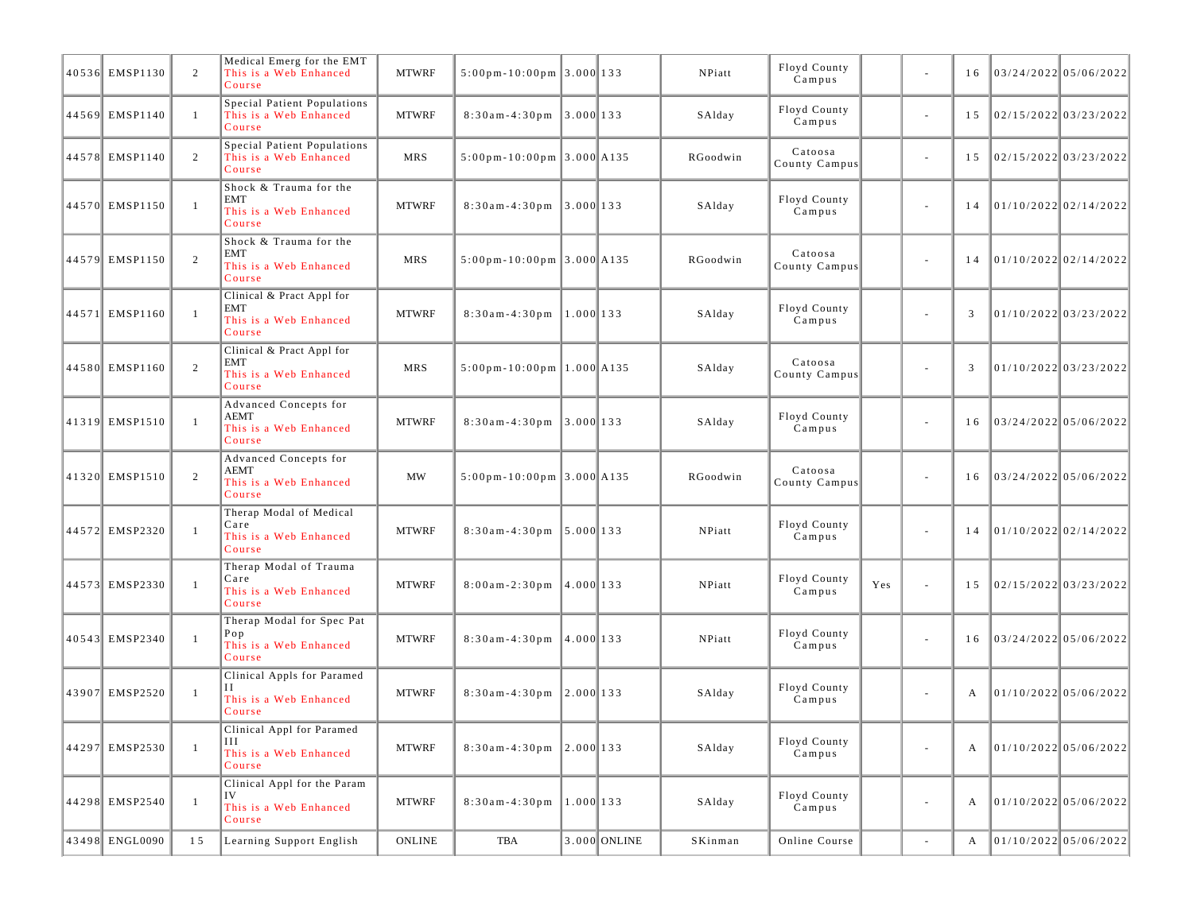| 40536 EMSP1130 | 2            | Medical Emerg for the EMT<br>This is a Web Enhanced<br>Course               | <b>MTWRF</b> | $5:00 \text{ pm} - 10:00 \text{ pm}$ 3.000 133   |             |              | NPiatt   | Floyd County<br>Campus   |     |                          | 16 | 03/24/2022 05/06/2022   |  |
|----------------|--------------|-----------------------------------------------------------------------------|--------------|--------------------------------------------------|-------------|--------------|----------|--------------------------|-----|--------------------------|----|-------------------------|--|
| 44569 EMSP1140 | -1           | Special Patient Populations<br>This is a Web Enhanced<br>Course             | <b>MTWRF</b> | $8:30am-4:30pm$ 3.000 133                        |             |              | SAlday   | Floyd County<br>Campus   |     | $\sim$                   | 15 | 02/15/2022 03/23/2022   |  |
| 44578 EMSP1140 | 2            | Special Patient Populations<br>This is a Web Enhanced<br>Course             | <b>MRS</b>   | $5:00 \text{ pm} - 10:00 \text{ pm } 3.000$ A135 |             |              | RGoodwin | Catoosa<br>County Campus |     | $\sim$                   | 15 | $02/15/2022$ 03/23/2022 |  |
| 44570 EMSP1150 | $\mathbf{1}$ | Shock & Trauma for the<br><b>EMT</b><br>This is a Web Enhanced<br>Course    | <b>MTWRF</b> | $8:30$ am-4:30pm 3.000 133                       |             |              | SAlday   | Floyd County<br>Campus   |     | $\sim$                   | 14 | 01/10/2022 02/14/2022   |  |
| 44579 EMSP1150 | 2            | Shock & Trauma for the<br>EMT<br>This is a Web Enhanced<br>Course           | <b>MRS</b>   | $5:00 \text{ pm} - 10:00 \text{ pm}$ 3.000 A135  |             |              | RGoodwin | Catoosa<br>County Campus |     | $\overline{\phantom{a}}$ | 14 | 01/10/2022 02/14/2022   |  |
| 44571 EMSP1160 | $\mathbf{1}$ | Clinical & Pract Appl for<br><b>EMT</b><br>This is a Web Enhanced<br>Course | <b>MTWRF</b> | $8:30$ am - 4:30 pm                              | $1.000$ 133 |              | SAlday   | Floyd County<br>Campus   |     | $\sim$                   | 3  | $01/10/2022$ 03/23/2022 |  |
| 44580 EMSP1160 | 2            | Clinical & Pract Appl for<br>EMT<br>This is a Web Enhanced<br>Course        | <b>MRS</b>   | $5:00 \text{ pm} - 10:00 \text{ pm}$ 1.000 A135  |             |              | SAlday   | Catoosa<br>County Campus |     | $\sim$                   | 3  | $01/10/2022$ 03/23/2022 |  |
| 41319 EMSP1510 | $\mathbf{1}$ | Advanced Concepts for<br>AEMT<br>This is a Web Enhanced<br>Course           | <b>MTWRF</b> | $8:30$ am - 4:30 pm                              | $3.000$ 133 |              | SAlday   | Floyd County<br>Campus   |     | $\overline{\phantom{a}}$ | 16 | 03/24/2022 05/06/2022   |  |
| 41320 EMSP1510 | 2            | Advanced Concepts for<br>AEMT<br>This is a Web Enhanced<br>Course           | MW           | $5:00 \text{ pm} - 10:00 \text{ pm}$ 3.000 A135  |             |              | RGoodwin | Catoosa<br>County Campus |     | $\overline{\phantom{a}}$ | 16 | $03/24/2022$ 05/06/2022 |  |
| 44572 EMSP2320 | $\mathbf{1}$ | Therap Modal of Medical<br>Care<br>This is a Web Enhanced<br>Course         | <b>MTWRF</b> | $8:30am-4:30pm$ 5.000 133                        |             |              | NPiatt   | Floyd County<br>Campus   |     | $\overline{\phantom{a}}$ | 14 | 01/10/2022 02/14/2022   |  |
| 44573 EMSP2330 | $\mathbf{1}$ | Therap Modal of Trauma<br>Care<br>This is a Web Enhanced<br>Course          | <b>MTWRF</b> | $8:00am-2:30pm$ 4.000 133                        |             |              | NPiatt   | Floyd County<br>Campus   | Yes | $\sim$                   | 15 | $02/15/2022$ 03/23/2022 |  |
| 40543 EMSP2340 | $\mathbf{1}$ | Therap Modal for Spec Pat<br>Pop<br>This is a Web Enhanced<br>Course        | <b>MTWRF</b> | $8:30$ am - 4:30pm                               | 4.000 133   |              | NPiatt   | Floyd County<br>Campus   |     | $\overline{\phantom{a}}$ | 16 | 03/24/2022 05/06/2022   |  |
| 43907 EMSP2520 | $\mathbf{1}$ | Clinical Appls for Paramed<br>Н<br>This is a Web Enhanced<br>Course         | <b>MTWRF</b> | $8:30$ am-4:30pm 2.000 133                       |             |              | SAlday   | Floyd County<br>Campus   |     | $\sim$                   | A  | $01/10/2022$ 05/06/2022 |  |
| 44297 EMSP2530 | $\mathbf{1}$ | Clinical Appl for Paramed<br>Ш<br>This is a Web Enhanced<br>Course          | <b>MTWRF</b> | $8:30$ am-4:30pm 2.000 133                       |             |              | SAlday   | Floyd County<br>Campus   |     | $\overline{\phantom{a}}$ | A  | 01/10/2022 05/06/2022   |  |
| 44298 EMSP2540 | $\mathbf{1}$ | Clinical Appl for the Param<br>IV<br>This is a Web Enhanced<br>Course       | <b>MTWRF</b> | $8:30$ am - 4:30 pm                              | $1.000$ 133 |              | SAlday   | Floyd County<br>Campus   |     | $\overline{\phantom{a}}$ | А  | 01/10/2022 05/06/2022   |  |
| 43498 ENGL0090 | 15           | Learning Support English                                                    | ONLINE       | TBA                                              |             | 3.000 ONLINE | SKinman  | Online Course            |     | $\sim$                   | A  | $01/10/2022$ 05/06/2022 |  |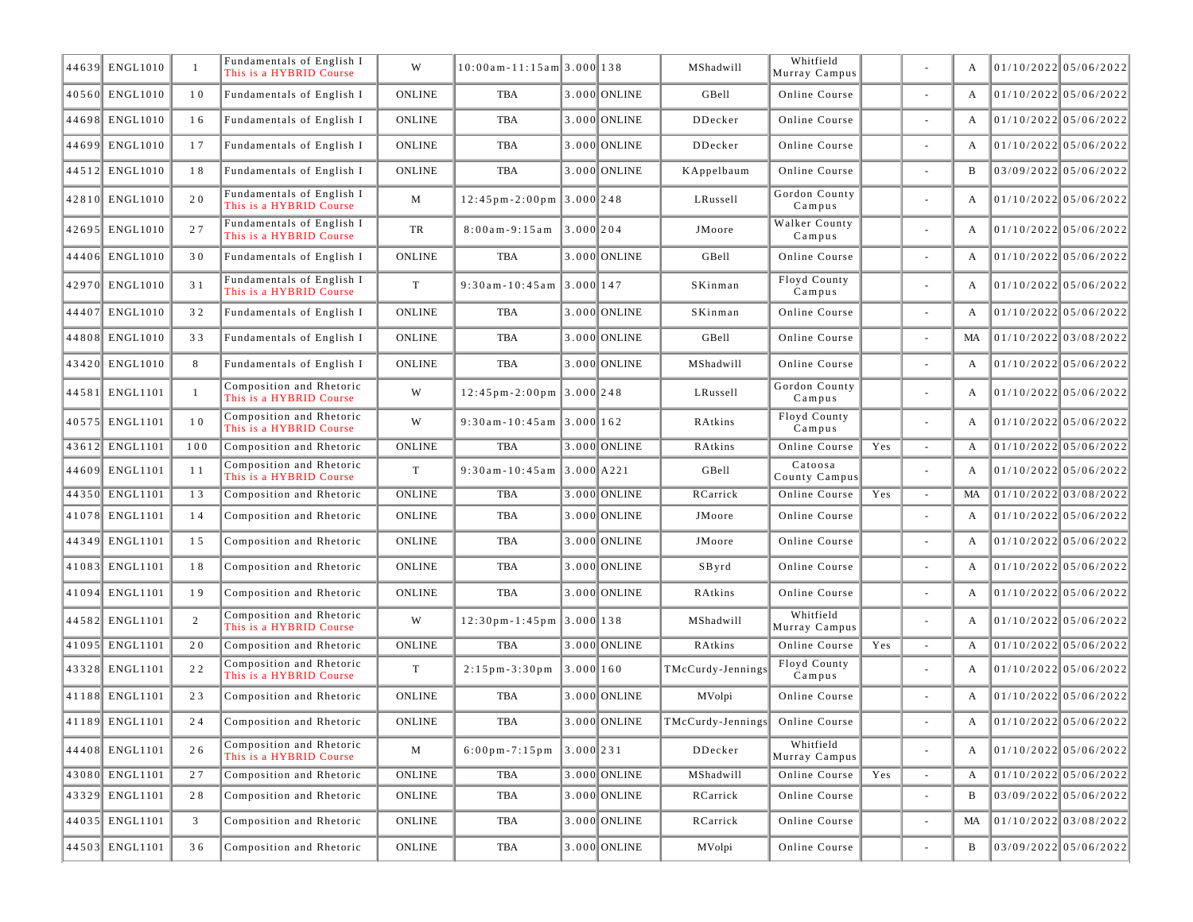| 44639 ENGL1010 | $\mathbf{1}$ | Fundamentals of English I<br>This is a HYBRID Course | W             | $10:00$ am - 11:15 am 3.000 138                 |           |              | MShadwill                         | Whitfield<br>Murray Campus |     |                          | A  | 01/10/2022 05/06/2022   |
|----------------|--------------|------------------------------------------------------|---------------|-------------------------------------------------|-----------|--------------|-----------------------------------|----------------------------|-----|--------------------------|----|-------------------------|
| 40560 ENGL1010 | 10           | Fundamentals of English I                            | <b>ONLINE</b> | TBA                                             |           | 3.000 ONLINE | GBell                             | Online Course              |     |                          | A  | 01/10/2022 05/06/2022   |
| 44698 ENGL1010 | 16           | Fundamentals of English I                            | <b>ONLINE</b> | TBA                                             |           | 3.000 ONLINE | DDecker                           | Online Course              |     | $\sim$                   | A  | $01/10/2022$ 05/06/2022 |
| 44699 ENGL1010 | 17           | Fundamentals of English I                            | <b>ONLINE</b> | TBA                                             |           | 3.000 ONLINE | DDecker                           | Online Course              |     |                          | A  | $01/10/2022$ 05/06/2022 |
| 44512 ENGL1010 | 18           | Fundamentals of English I                            | <b>ONLINE</b> | TBA                                             |           | 3.000 ONLINE | KAppelbaum                        | Online Course              |     |                          | B  | 03/09/2022 05/06/2022   |
| 42810 ENGL1010 | 20           | Fundamentals of English I<br>This is a HYBRID Course | M             | $12:45 \text{ pm} - 2:00 \text{ pm } 3.000$ 248 |           |              | LRussell                          | Gordon County<br>Campus    |     |                          | A  | $01/10/2022$ 05/06/2022 |
| 42695 ENGL1010 | 27           | Fundamentals of English I<br>This is a HYBRID Course | TR            | $8:00am-9:15am$ 3.000 204                       |           |              | JMoore                            | Walker County<br>Campus    |     |                          | A  | $01/10/2022$ 05/06/2022 |
| 44406 ENGL1010 | 30           | Fundamentals of English I                            | <b>ONLINE</b> | <b>TBA</b>                                      |           | 3.000 ONLINE | GBell                             | Online Course              |     |                          | A  | $01/10/2022$ 05/06/2022 |
| 42970 ENGL1010 | 31           | Fundamentals of English I<br>This is a HYBRID Course | T             | $9:30$ am-10:45am 3.000 147                     |           |              | SKinman                           | Floyd County<br>Campus     |     | $\sim$                   | A  | $01/10/2022$ 05/06/2022 |
| 44407 ENGL1010 | 32           | Fundamentals of English I                            | <b>ONLINE</b> | TBA                                             |           | 3.000 ONLINE | SKinman                           | Online Course              |     |                          | A  | $01/10/2022$ 05/06/2022 |
| 44808 ENGL1010 | 33           | Fundamentals of English I                            | <b>ONLINE</b> | TBA                                             |           | 3.000 ONLINE | GBell                             | Online Course              |     |                          | MA | 01/10/2022 03/08/2022   |
| 43420 ENGL1010 | 8            | Fundamentals of English I                            | <b>ONLINE</b> | <b>TBA</b>                                      |           | 3.000 ONLINE | MShadwill                         | Online Course              |     | $\sim$                   | A  | $01/10/2022$ 05/06/2022 |
| 44581 ENGL1101 | $\mathbf{1}$ | Composition and Rhetoric<br>This is a HYBRID Course  | W             | $12:45 \text{ pm} - 2:00 \text{ pm }3.000$ 248  |           |              | LRussell                          | Gordon County<br>Campus    |     |                          | A  | $01/10/2022$ 05/06/2022 |
| 40575 ENGL1101 | 10           | Composition and Rhetoric<br>This is a HYBRID Course  | W             | $9:30$ am - 10:45am 3.000 162                   |           |              | RAtkins                           | Floyd County<br>Campus     |     |                          | A  | 01/10/2022 05/06/2022   |
| 43612 ENGL1101 | 100          | Composition and Rhetoric                             | <b>ONLINE</b> | TBA                                             |           | 3.000 ONLINE | RAtkins                           | Online Course              | Yes | $\sim$                   | A  | $01/10/2022$ 05/06/2022 |
| 44609 ENGL1101 | -1-1         | Composition and Rhetoric<br>This is a HYBRID Course  | T             | $9:30$ am-10:45am 3.000 A221                    |           |              | GBell                             | Catoosa<br>County Campus   |     | $\overline{\phantom{a}}$ | A  | $01/10/2022$ 05/06/2022 |
| 44350 ENGL1101 | 13           | Composition and Rhetoric                             | <b>ONLINE</b> | <b>TBA</b>                                      |           | 3.000 ONLINE | RCarrick                          | Online Course              | Yes | $\sim$                   | MA | 01/10/2022 03/08/2022   |
| 41078 ENGL1101 | 14           | Composition and Rhetoric                             | <b>ONLINE</b> | TBA                                             |           | 3.000 ONLINE | JMoore                            | Online Course              |     |                          | A  | $01/10/2022$ 05/06/2022 |
| 44349 ENGL1101 | 15           | Composition and Rhetoric                             | <b>ONLINE</b> | TBA                                             |           | 3.000 ONLINE | JMoore                            | Online Course              |     |                          | A  | $01/10/2022$ 05/06/2022 |
| 41083 ENGL1101 | 18           | Composition and Rhetoric                             | <b>ONLINE</b> | TBA                                             |           | 3.000 ONLINE | SByrd                             | Online Course              |     |                          | A  | 01/10/2022 05/06/2022   |
| 41094 ENGL1101 | 19           | Composition and Rhetoric                             | <b>ONLINE</b> | TBA                                             |           | 3.000 ONLINE | RAtkins                           | Online Course              |     |                          | A  | $01/10/2022$ 05/06/2022 |
| 44582 ENGL1101 | 2            | Composition and Rhetoric<br>This is a HYBRID Course  | W             | $12:30$ pm - 1:45pm $ 3.000 138$                |           |              | MShadwill                         | Whitfield<br>Murray Campus |     | $\overline{\phantom{a}}$ | A  | 01/10/2022 05/06/2022   |
| 41095 ENGL1101 | 20           | Composition and Rhetoric                             | <b>ONLINE</b> | TBA                                             |           | 3.000 ONLINE | RAtkins                           | Online Course              | Yes | $\sim$                   | A  | $01/10/2022$ 05/06/2022 |
| 43328 ENGL1101 | 22           | Composition and Rhetoric<br>This is a HYBRID Course  | $\mathbf T$   | $2:15$ pm - 3:30 pm                             | 3.000 160 |              | TMcCurdy-Jennings                 | Floyd County<br>Campus     |     | $\overline{\phantom{a}}$ | A  | $01/10/2022$ 05/06/2022 |
| 41188 ENGL1101 | 23           | Composition and Rhetoric                             | <b>ONLINE</b> | TBA                                             |           | 3.000 ONLINE | MVolpi                            | Online Course              |     |                          | A  | $01/10/2022$ 05/06/2022 |
| 41189 ENGL1101 | 24           | Composition and Rhetoric                             | <b>ONLINE</b> | TBA                                             |           | 3.000 ONLINE | TMcCurdy-Jennings   Online Course |                            |     |                          | A  | 01/10/2022 05/06/2022   |
| 44408 ENGL1101 | 26           | Composition and Rhetoric<br>This is a HYBRID Course  | M             | $6:00 \text{ pm} - 7:15 \text{ pm}$ 3.000 231   |           |              | DDecker                           | Whitfield<br>Murray Campus |     |                          |    | $01/10/2022$ 05/06/2022 |
| 43080 ENGL1101 | 27           | Composition and Rhetoric                             | <b>ONLINE</b> | TBA                                             |           | 3.000 ONLINE | MShadwill                         | Online Course              | Yes |                          | A  | $01/10/2022$ 05/06/2022 |
| 43329 ENGL1101 | 28           | Composition and Rhetoric                             | ONLINE        | TBA                                             |           | 3.000 ONLINE | RCarrick                          | Online Course              |     |                          | B  | $03/09/2022$ 05/06/2022 |
| 44035 ENGL1101 | 3            | Composition and Rhetoric                             | ONLINE        | TBA                                             |           | 3.000 ONLINE | RCarrick                          | Online Course              |     |                          | MA | 01/10/2022 03/08/2022   |
| 44503 ENGL1101 | 36           | Composition and Rhetoric                             | ONLINE        | TBA                                             |           | 3.000 ONLINE | MVolpi                            | Online Course              |     |                          | B  | $03/09/2022$ 05/06/2022 |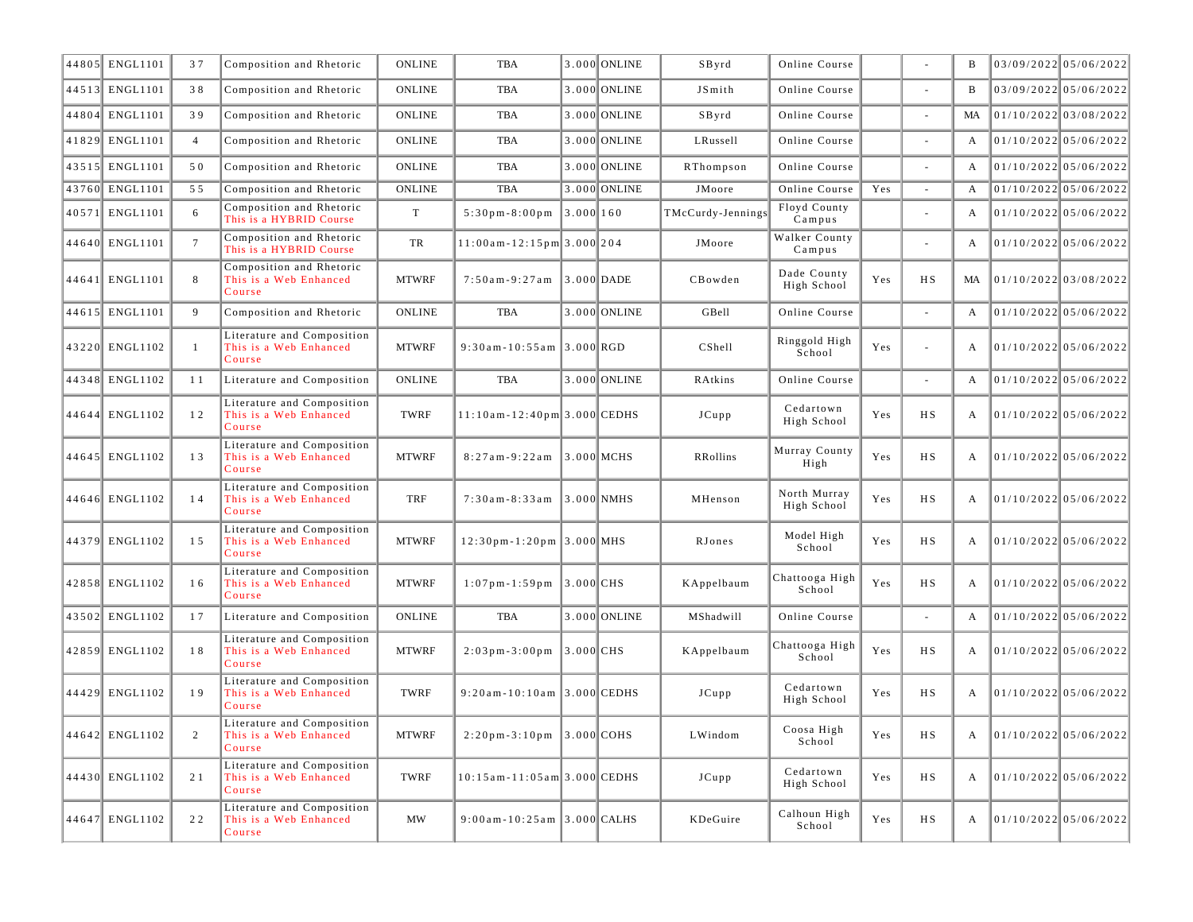| 44805 ENGL1101 | 37             | Composition and Rhetoric                                       | <b>ONLINE</b> | <b>TBA</b>                                     |           | 3.000 ONLINE | SByrd             | Online Course               |     |        | B            | 03/09/2022 05/06/2022   |
|----------------|----------------|----------------------------------------------------------------|---------------|------------------------------------------------|-----------|--------------|-------------------|-----------------------------|-----|--------|--------------|-------------------------|
| 44513 ENGL1101 | 38             | Composition and Rhetoric                                       | <b>ONLINE</b> | <b>TBA</b>                                     |           | 3.000 ONLINE | JSmith            | Online Course               |     |        | B            | 03/09/2022 05/06/2022   |
| 44804 ENGL1101 | 39             | Composition and Rhetoric                                       | <b>ONLINE</b> | <b>TBA</b>                                     |           | 3.000 ONLINE | SByrd             | Online Course               |     |        | <b>MA</b>    | $01/10/2022$ 03/08/2022 |
| 41829 ENGL1101 | $\overline{4}$ | Composition and Rhetoric                                       | ONLINE        | TBA                                            |           | 3.000 ONLINE | LRussell          | Online Course               |     |        | $\mathbf{A}$ | 01/10/2022 05/06/2022   |
| 43515 ENGL1101 | 50             | Composition and Rhetoric                                       | <b>ONLINE</b> | <b>TBA</b>                                     |           | 3.000 ONLINE | RThompson         | Online Course               |     |        | $\mathbf{A}$ | 01/10/2022 05/06/2022   |
| 43760 ENGL1101 | 55             | Composition and Rhetoric                                       | <b>ONLINE</b> | <b>TBA</b>                                     |           | 3.000 ONLINE | JMoore            | Online Course               | Yes |        | A            | $01/10/2022$ 05/06/2022 |
| 40571 ENGL1101 | 6              | Composition and Rhetoric<br>This is a HYBRID Course            | T             | $5:30$ pm $-8:00$ pm                           | 3.000 160 |              | TMcCurdy-Jennings | Floyd County<br>Campus      |     |        | A            | $01/10/2022$ 05/06/2022 |
| 44640 ENGL1101 | $\overline{7}$ | Composition and Rhetoric<br>This is a HYBRID Course            | TR            | $11:00$ am - $12:15$ pm 3.000 204              |           |              | JMoore            | Walker County<br>Campus     |     |        | A            | $01/10/2022$ 05/06/2022 |
| 44641 ENGL1101 | 8              | Composition and Rhetoric<br>This is a Web Enhanced<br>Course   | <b>MTWRF</b>  | $7:50am-9:27am$ 3.000 DADE                     |           |              | CBowden           | Dade County<br>High School  | Yes | H S    | MA           | $01/10/2022$ 03/08/2022 |
| 44615 ENGL1101 | 9              | Composition and Rhetoric                                       | <b>ONLINE</b> | <b>TBA</b>                                     |           | 3.000 ONLINE | GBell             | Online Course               |     | $\sim$ | $\mathbf{A}$ | $01/10/2022$ 05/06/2022 |
| 43220 ENGL1102 | $\mathbf{1}$   | Literature and Composition<br>This is a Web Enhanced<br>Course | <b>MTWRF</b>  | 9:30am-10:55am 3.000 RGD                       |           |              | CShell            | Ringgold High<br>School     | Yes | $\sim$ | A            | 01/10/2022 05/06/2022   |
| 44348 ENGL1102 | 11             | Literature and Composition                                     | <b>ONLINE</b> | <b>TBA</b>                                     |           | 3.000 ONLINE | RAtkins           | Online Course               |     |        | A            | 01/10/2022 05/06/2022   |
| 44644 ENGL1102 | 12             | Literature and Composition<br>This is a Web Enhanced<br>Course | TWRF          | $11:10$ am - $12:40$ pm 3.000 CEDHS            |           |              | JCupp             | Cedartown<br>High School    | Yes | H S    | A            | $01/10/2022$ 05/06/2022 |
| 44645 ENGL1102 | 13             | Literature and Composition<br>This is a Web Enhanced<br>Course | <b>MTWRF</b>  | $8:27am-9:22am$                                |           | $3.000$ MCHS | RRollins          | Murray County<br>High       | Yes | H S    | $\mathbf{A}$ | $01/10/2022$ 05/06/2022 |
| 44646 ENGL1102 | 14             | Literature and Composition<br>This is a Web Enhanced<br>Course | TRF           | $7:30am - 8:33am$                              |           | $3.000$ NMHS | MHenson           | North Murray<br>High School | Yes | H S    | A            | $01/10/2022$ 05/06/2022 |
| 44379 ENGL1102 | 15             | Literature and Composition<br>This is a Web Enhanced<br>Course | <b>MTWRF</b>  | $12:30$ pm-1:20pm 3.000 MHS                    |           |              | RJones            | Model High<br>School        | Yes | H S    | A            | 01/10/2022 05/06/2022   |
| 42858 ENGL1102 | 16             | Literature and Composition<br>This is a Web Enhanced<br>Course | <b>MTWRF</b>  | $1:07$ pm-1:59pm 3.000 CHS                     |           |              | KAppelbaum        | Chattooga High<br>School    | Yes | H S    | A            | $01/10/2022$ 05/06/2022 |
| 43502 ENGL1102 | 17             | Literature and Composition                                     | <b>ONLINE</b> | <b>TBA</b>                                     |           | 3.000 ONLINE | MShadwill         | Online Course               |     |        | A            | 01/10/2022 05/06/2022   |
| 42859 ENGL1102 | 18             | Literature and Composition<br>This is a Web Enhanced<br>Course | <b>MTWRF</b>  | $2:03 \text{ pm} - 3:00 \text{ pm}$ 3.000 CHS  |           |              | KAppelbaum        | Chattooga High<br>School    | Yes | H S    | A            | 01/10/2022 05/06/2022   |
| 44429 ENGL1102 | 19             | Literature and Composition<br>This is a Web Enhanced<br>Course | TWRF          | $9:20$ am - 10:10am 3.000 CEDHS                |           |              | JCupp             | Cedartown<br>High School    | Yes | H S    | A            | 01/10/2022 05/06/2022   |
| 44642 ENGL1102 | 2              | Literature and Composition<br>This is a Web Enhanced<br>Course | <b>MTWRF</b>  | $2:20 \text{ pm} - 3:10 \text{ pm}$ 3.000 COHS |           |              | LWindom           | Coosa High<br>School        | Yes | H S    | A            | 01/10/2022 05/06/2022   |
| 44430 ENGL1102 | 21             | Literature and Composition<br>This is a Web Enhanced<br>Course | TWRF          | $10:15$ am - 11:05 am 3.000 CEDHS              |           |              | JCupp             | Cedartown<br>High School    | Yes | H S    | A            | 01/10/2022 05/06/2022   |
| 44647 ENGL1102 | 22             | Literature and Composition<br>This is a Web Enhanced<br>Course | <b>MW</b>     | $9:00$ am-10:25am 3.000 CALHS                  |           |              | KDeGuire          | Calhoun High<br>School      | Yes | H S    | A            | 01/10/2022 05/06/2022   |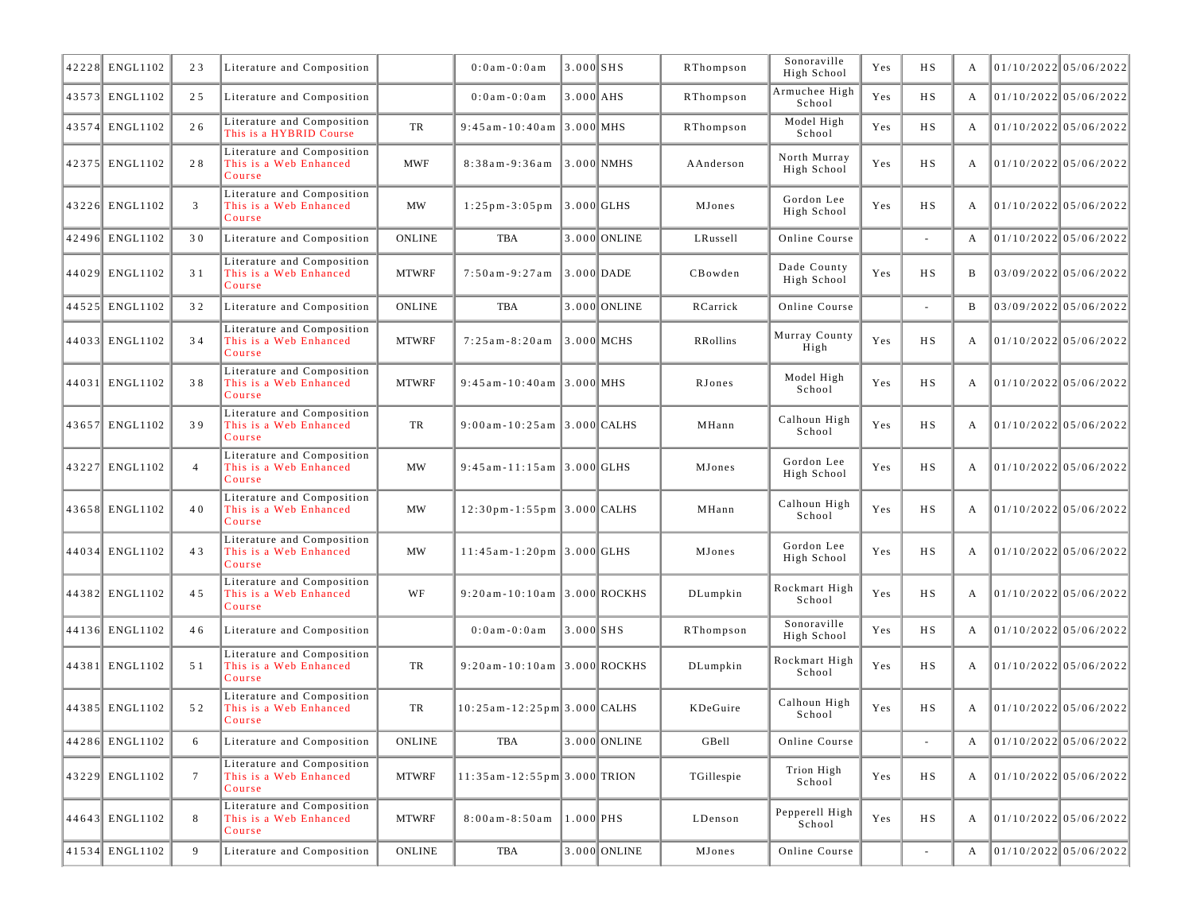| 42228 ENGL1102 | 23              | Literature and Composition                                     |               | $0:0$ a m - $0:0$ a m                          | $3.000$ $SHS$ |              | RThompson  | Sonoraville<br>High School  | Yes | H S                      | А |                         | $01/10/2022$ 05/06/2022 |
|----------------|-----------------|----------------------------------------------------------------|---------------|------------------------------------------------|---------------|--------------|------------|-----------------------------|-----|--------------------------|---|-------------------------|-------------------------|
| 43573 ENGL1102 | 25              | Literature and Composition                                     |               | $0:0$ am $-0:0$ am                             | $3.000$ AHS   |              | RThompson  | Armuchee High<br>School     | Yes | H S                      | A | 01/10/2022 05/06/2022   |                         |
| 43574 ENGL1102 | 26              | Literature and Composition<br>This is a HYBRID Course          | TR            | $9:45$ am - 10:40 am 3.000 MHS                 |               |              | RThompson  | Model High<br>School        | Yes | H S                      | A |                         | 01/10/2022 05/06/2022   |
| 42375 ENGL1102 | 28              | Literature and Composition<br>This is a Web Enhanced<br>Course | <b>MWF</b>    | 8:38am-9:36am                                  |               | 3.000 NMHS   | AAnderson  | North Murray<br>High School | Yes | H S                      | А |                         | 01/10/2022 05/06/2022   |
| 43226 ENGL1102 | 3               | Literature and Composition<br>This is a Web Enhanced<br>Course | MW            | $1:25 \text{ pm} - 3:05 \text{ pm}$ 3.000 GLHS |               |              | MJones     | Gordon Lee<br>High School   | Yes | <b>HS</b>                | А | 01/10/2022 05/06/2022   |                         |
| 42496 ENGL1102 | 30              | Literature and Composition                                     | <b>ONLINE</b> | <b>TBA</b>                                     |               | 3.000 ONLINE | LRussell   | Online Course               |     | ä,                       | A |                         | $01/10/2022$ 05/06/2022 |
| 44029 ENGL1102 | 31              | Literature and Composition<br>This is a Web Enhanced<br>Course | <b>MTWRF</b>  | $7:50am - 9:27am$                              |               | $3.000$ DADE | CBowden    | Dade County<br>High School  | Yes | <b>HS</b>                | B |                         | $03/09/2022$ 05/06/2022 |
| 44525 ENGL1102 | 32              | Literature and Composition                                     | <b>ONLINE</b> | TBA                                            |               | 3.000 ONLINE | RCarrick   | Online Course               |     |                          | B | $03/09/2022$ 05/06/2022 |                         |
| 44033 ENGL1102 | 34              | Literature and Composition<br>This is a Web Enhanced<br>Course | <b>MTWRF</b>  | $7:25am-8:20am$                                |               | $3.000$ MCHS | RRollins   | Murray County<br>High       | Yes | <b>HS</b>                | А | 01/10/2022 05/06/2022   |                         |
| 44031 ENGL1102 | 38              | Literature and Composition<br>This is a Web Enhanced<br>Course | <b>MTWRF</b>  | $9:45$ am - 10:40 am $ 3.000 $ MHS             |               |              | RJones     | Model High<br>School        | Yes | H S                      | А |                         | $01/10/2022$ 05/06/2022 |
| 43657 ENGL1102 | 39              | Literature and Composition<br>This is a Web Enhanced<br>Course | TR            | $9:00$ am - 10:25am 3.000 CALHS                |               |              | MHann      | Calhoun High<br>School      | Yes | H S                      | А |                         | 01/10/2022 05/06/2022   |
| 43227 ENGL1102 | $\overline{4}$  | Literature and Composition<br>This is a Web Enhanced<br>Course | MW            | $9:45$ am - 11:15 am $3.000$ GLHS              |               |              | MJones     | Gordon Lee<br>High School   | Yes | <b>HS</b>                | А | 01/10/2022 05/06/2022   |                         |
| 43658 ENGL1102 | 40              | Literature and Composition<br>This is a Web Enhanced<br>Course | MW            | $12:30$ pm-1:55pm 3.000 CALHS                  |               |              | MHann      | Calhoun High<br>School      | Yes | H S                      | А |                         | $01/10/2022$ 05/06/2022 |
| 44034 ENGL1102 | 43              | Literature and Composition<br>This is a Web Enhanced<br>Course | <b>MW</b>     | $11:45$ am - 1:20pm 3.000 GLHS                 |               |              | MJones     | Gordon Lee<br>High School   | Yes | H S                      | А |                         | 01/10/2022 05/06/2022   |
| 44382 ENGL1102 | 45              | Literature and Composition<br>This is a Web Enhanced<br>Course | WF            | 9:20am-10:10am 3.000 ROCKHS                    |               |              | DLumpkin   | Rockmart High<br>School     | Yes | <b>HS</b>                | А | 01/10/2022 05/06/2022   |                         |
| 44136 ENGL1102 | 46              | Literature and Composition                                     |               | $0:0$ am $-0:0$ am                             | $3.000$ SHS   |              | RThompson  | Sonoraville<br>High School  | Yes | H S                      | А | 01/10/2022 05/06/2022   |                         |
| 44381 ENGL1102 | 5 1             | Literature and Composition<br>This is a Web Enhanced<br>Course | TR            | $9:20$ am-10:10am 3.000 ROCKHS                 |               |              | DLumpkin   | Rockmart High<br>School     | Yes | <b>HS</b>                | А | 01/10/2022 05/06/2022   |                         |
| 44385 ENGL1102 | 52              | Literature and Composition<br>This is a Web Enhanced<br>Course | TR            | 10:25am-12:25pm 3.000 CALHS                    |               |              | KDeGuire   | Calhoun High<br>School      | Yes | H S                      | А |                         | 01/10/2022 05/06/2022   |
| 44286 ENGL1102 | 6               | Literature and Composition                                     | ONLINE        | TBA                                            |               | 3.000 ONLINE | GBell      | Online Course               |     | $\overline{\phantom{a}}$ | A | 01/10/2022 05/06/2022   |                         |
| 43229 ENGL1102 | $7\phantom{.0}$ | Literature and Composition<br>This is a Web Enhanced<br>Course | <b>MTWRF</b>  | $11:35$ am - $12:55$ pm 3.000 TRION            |               |              | TGillespie | Trion High<br>School        | Yes | HS                       | A |                         | 01/10/2022 05/06/2022   |
| 44643 ENGL1102 | 8               | Literature and Composition<br>This is a Web Enhanced<br>Course | <b>MTWRF</b>  | $8:00am - 8:50am$                              | $1.000$ PHS   |              | LDenson    | Pepperell High<br>School    | Yes | HS                       | A |                         | 01/10/2022 05/06/2022   |
| 41534 ENGL1102 | 9               | Literature and Composition                                     | ONLINE        | TBA                                            |               | 3.000 ONLINE | MJones     | Online Course               |     | ÷,                       | A |                         | 01/10/2022 05/06/2022   |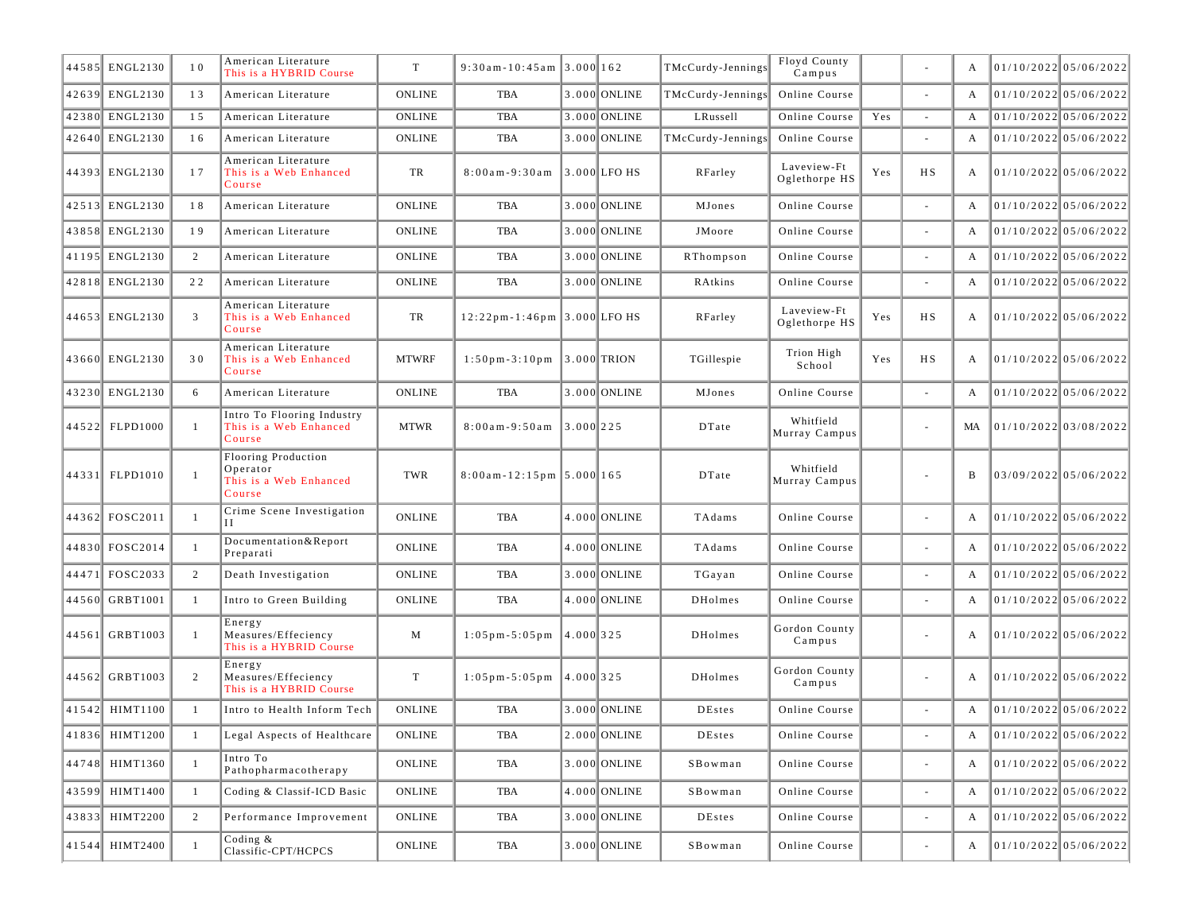| 44585 ENGL2130     | 10             | American Literature<br>This is a HYBRID Course                      | T             | $9:30$ am-10:45am 3.000 162                     |           |                  | TMcCurdy-Jennings | Floyd County<br>Campus       |     |                          | A            | $01/10/2022$ 05/06/2022 |
|--------------------|----------------|---------------------------------------------------------------------|---------------|-------------------------------------------------|-----------|------------------|-------------------|------------------------------|-----|--------------------------|--------------|-------------------------|
| 42639 ENGL2130     | 13             | American Literature                                                 | <b>ONLINE</b> | TBA                                             |           | 3.000 ONLINE     | TMcCurdy-Jennings | Online Course                |     | $\sim$                   | A            | $01/10/2022$ 05/06/2022 |
| 42380 ENGL2130     | 15             | American Literature                                                 | <b>ONLINE</b> | TBA                                             |           | 3.000 ONLINE     | LRussell          | Online Course                | Yes | $\sim$                   | A            | $01/10/2022$ 05/06/2022 |
| 42640 ENGL2130     | 16             | American Literature                                                 | <b>ONLINE</b> | TBA                                             |           | 3.000 ONLINE     | TMcCurdy-Jennings | Online Course                |     | $\sim$                   | A            | $01/10/2022$ 05/06/2022 |
| 44393 ENGL2130     | 17             | American Literature<br>This is a Web Enhanced<br>Course             | TR            | $8:00am - 9:30am$                               |           | $ 3.000 $ LFO HS | RFarley           | Laveview-Ft<br>Oglethorpe HS | Yes | H S                      | A            | 01/10/2022 05/06/2022   |
| 42513 ENGL2130     | 18             | American Literature                                                 | <b>ONLINE</b> | TBA                                             |           | 3.000 ONLINE     | MJones            | Online Course                |     |                          | $\mathbf{A}$ | 01/10/2022 05/06/2022   |
| 43858 ENGL2130     | 19             | American Literature                                                 | <b>ONLINE</b> | TBA                                             |           | 3.000 ONLINE     | JMoore            | Online Course                |     | $\sim$                   | $\mathbf{A}$ | $01/10/2022$ 05/06/2022 |
| 41195 ENGL2130     | 2              | American Literature                                                 | <b>ONLINE</b> | TBA                                             |           | 3.000 ONLINE     | RThompson         | Online Course                |     | $\sim$                   | A            | 01/10/2022 05/06/2022   |
| 42818 ENGL2130     | 22             | American Literature                                                 | <b>ONLINE</b> | TBA                                             |           | 3.000 ONLINE     | RAtkins           | Online Course                |     | $\sim$                   | A            | $01/10/2022$ 05/06/2022 |
| 44653 ENGL2130     | $\overline{3}$ | American Literature<br>This is a Web Enhanced<br>Course             | TR            | $12:22$ pm-1:46pm 3.000 LFO HS                  |           |                  | RFarley           | Laveview-Ft<br>Oglethorpe HS | Yes | H S                      | A            | 01/10/2022 05/06/2022   |
| 43660 ENGL2130     | 30             | American Literature<br>This is a Web Enhanced<br>Course             | <b>MTWRF</b>  | $1:50 \text{ pm} - 3:10 \text{ pm}$ 3.000 TRION |           |                  | TGillespie        | Trion High<br>School         | Yes | H S                      | $\mathbf{A}$ | 01/10/2022 05/06/2022   |
| 43230 ENGL2130     | 6              | American Literature                                                 | <b>ONLINE</b> | TBA                                             |           | 3.000 ONLINE     | MJones            | Online Course                |     | $\sim$                   | A            | $01/10/2022$ 05/06/2022 |
| 44522 FLPD1000     | $\mathbf{1}$   | Intro To Flooring Industry<br>This is a Web Enhanced<br>Course      | <b>MTWR</b>   | $8:00am - 9:50am$ 3.000 225                     |           |                  | DTate             | Whitfield<br>Murray Campus   |     | $\sim$                   | MA           | 01/10/2022 03/08/2022   |
| 44331 FLPD1010     | $\mathbf{1}$   | Flooring Production<br>Operator<br>This is a Web Enhanced<br>Course | TWR           | $8:00$ am - 12:15pm   5.000   165               |           |                  | DTate             | Whitfield<br>Murray Campus   |     | $\overline{\phantom{a}}$ | B            | 03/09/2022 05/06/2022   |
| 44362 FOSC2011     | -1             | Crime Scene Investigation<br>Н                                      | <b>ONLINE</b> | TBA                                             |           | 4.000 ONLINE     | TAdams            | Online Course                |     | $\sim$                   | А            | 01/10/2022 05/06/2022   |
| 44830 FOSC2014     | -1             | Documentation & Report<br>Preparati                                 | <b>ONLINE</b> | TBA                                             |           | 4.000 ONLINE     | TAdams            | Online Course                |     | $\sim$                   | A            | 01/10/2022 05/06/2022   |
| 44471 FOSC2033     | 2              | Death Investigation                                                 | <b>ONLINE</b> | TBA                                             |           | 3.000 ONLINE     | TGayan            | Online Course                |     | $\sim$                   | $\mathbf{A}$ | $01/10/2022$ 05/06/2022 |
| 44560 GRBT1001     | -1             | Intro to Green Building                                             | <b>ONLINE</b> | TBA                                             |           | 4.000 ONLINE     | DHolmes           | Online Course                |     | $\sim$                   | A            | 01/10/2022 05/06/2022   |
| 44561 GRBT1003     | $\mathbf{1}$   | Energy<br>Measures/Effeciency<br>This is a HYBRID Course            | M             | $1:05 \text{ pm} - 5:05 \text{ pm}$             | 4.000 325 |                  | <b>DHolmes</b>    | Gordon County<br>Campus      |     | $\sim$                   | A            | $01/10/2022$ 05/06/2022 |
| 44562 GRBT1003     | 2              | Energy<br>Measures/Effeciency<br>This is a HYBRID Course            | $\mathbf T$   | $1:05 \text{ pm} - 5:05 \text{ pm}$  4.000 325  |           |                  | <b>DHolmes</b>    | Gordon County<br>Campus      |     | $\sim$                   | A            | 01/10/2022 05/06/2022   |
| 41542 HIMT1100     | -1             | Intro to Health Inform Tech                                         | <b>ONLINE</b> | TBA                                             |           | 3.000 ONLINE     | <b>DEstes</b>     | Online Course                |     | $\sim$                   | A            | 01/10/2022 05/06/2022   |
| $ 41836 $ HIMT1200 | -1             | Legal Aspects of Healthcare                                         | ONLINE        | $_{\rm TBA}$                                    |           | $2.000$ ONLINE   | DEstes            | Online Course                |     |                          | A            | 01/10/2022 05/06/2022   |
| 44748 HIMT1360     | $\mathbf{1}$   | Intro To<br>Pathopharmacotherapy                                    | <b>ONLINE</b> | TBA                                             |           | $3.000$ ONLINE   | SBowman           | Online Course                |     | $\overline{\phantom{a}}$ | A            | 01/10/2022 05/06/2022   |
| 43599 HIMT1400     | $\mathbf{1}$   | Coding & Classif-ICD Basic                                          | ONLINE        | TBA                                             |           | 4.000 ONLINE     | SBowman           | Online Course                |     | $\omega$                 | $\mathbf{A}$ | 01/10/2022 05/06/2022   |
| 43833 HIMT2200     | 2              | Performance Improvement                                             | ONLINE        | TBA                                             |           | 3.000 ONLINE     | DEstes            | Online Course                |     | $\sim$                   | $\mathbf{A}$ | 01/10/2022 05/06/2022   |
| 41544 HIMT2400     | -1             | Coding $\&$<br>Classific-CPT/HCPCS                                  | ONLINE        | TBA                                             |           | 3.000 ONLINE     | SBowman           | Online Course                |     | $\overline{\phantom{a}}$ | A            | 01/10/2022 05/06/2022   |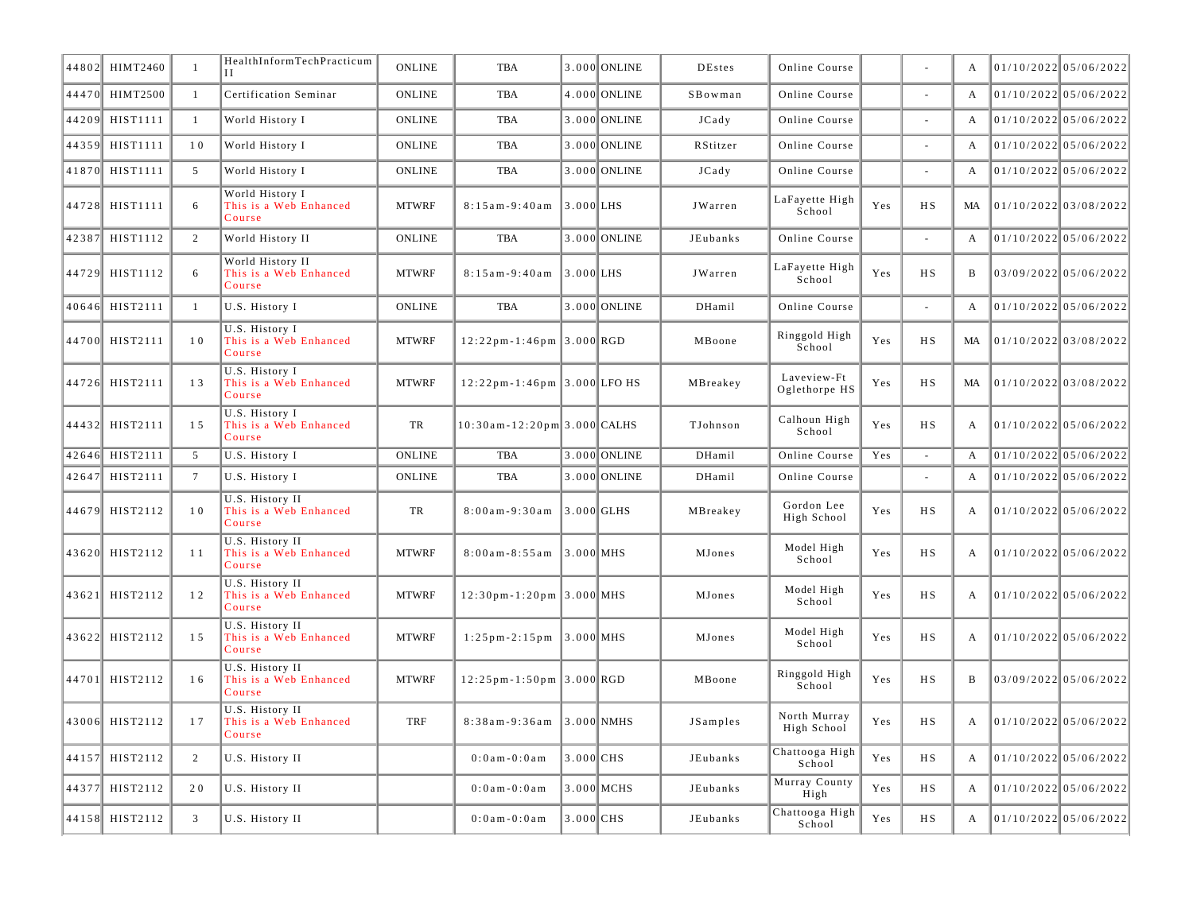|       | 44802 HIMT2460  | -1              | HealthInformTechPracticum                            | <b>ONLINE</b> | <b>TBA</b>                                    |                                   | 3.000 ONLINE | <b>DEstes</b>   | Online Course                |     |           | A              | $01/10/2022$ 05/06/2022 |                         |
|-------|-----------------|-----------------|------------------------------------------------------|---------------|-----------------------------------------------|-----------------------------------|--------------|-----------------|------------------------------|-----|-----------|----------------|-------------------------|-------------------------|
| 44470 | <b>HIMT2500</b> | $\mathbf{1}$    | Certification Seminar                                | <b>ONLINE</b> | <b>TBA</b>                                    |                                   | 4.000 ONLINE | SBowman         | Online Course                |     |           | A              | 01/10/2022 05/06/2022   |                         |
| 44209 | HIST1111        | $\mathbf{1}$    | World History I                                      | <b>ONLINE</b> | <b>TBA</b>                                    |                                   | 3.000 ONLINE | JCady           | Online Course                |     | $\sim$    | $\overline{A}$ | 01/10/2022 05/06/2022   |                         |
| 44359 | HIST1111        | 10              | World History I                                      | <b>ONLINE</b> | <b>TBA</b>                                    |                                   | 3.000 ONLINE | RStitzer        | Online Course                |     | $\sim$    | $\overline{A}$ |                         | $01/10/2022$ 05/06/2022 |
| 41870 | HIST1111        | 5               | World History I                                      | <b>ONLINE</b> | <b>TBA</b>                                    |                                   | 3.000 ONLINE | JCady           | Online Course                |     | $\sim$    | A              |                         | $01/10/2022$ 05/06/2022 |
| 44728 | HIST1111        | 6               | World History I<br>This is a Web Enhanced<br>Course  | <b>MTWRF</b>  | $8:15$ am - 9:40 am                           | $3.000$ LHS                       |              | JWarren         | LaFayette High<br>School     | Yes | H S       | MA             | 01/10/2022 03/08/2022   |                         |
| 42387 | HIST1112        | 2               | World History II                                     | <b>ONLINE</b> | <b>TBA</b>                                    |                                   | 3.000 ONLINE | JEubanks        | Online Course                |     | $\sim$    | $\mathbf{A}$   |                         | $01/10/2022$ 05/06/2022 |
|       | 44729 HIST1112  | 6               | World History II<br>This is a Web Enhanced<br>Course | <b>MTWRF</b>  | $8:15am - 9:40am$                             | $\parallel$ 3.000 $\parallel$ LHS |              | JWarren         | LaFayette High<br>School     | Yes | H S       | B              | 03/09/2022 05/06/2022   |                         |
|       | 40646 HIST2111  | $\overline{1}$  | U.S. History I                                       | <b>ONLINE</b> | TBA                                           |                                   | 3.000 ONLINE | DHamil          | Online Course                |     | $\sim$    | A              | 01/10/2022 05/06/2022   |                         |
|       | 44700 HIST2111  | 10              | U.S. History I<br>This is a Web Enhanced<br>Course   | <b>MTWRF</b>  | $12:22$ pm-1:46pm 3.000 RGD                   |                                   |              | MBoone          | Ringgold High<br>School      | Yes | H S       | MA             | 01/10/2022 03/08/2022   |                         |
|       | 44726 HIST2111  | 13              | U.S. History I<br>This is a Web Enhanced<br>Course   | <b>MTWRF</b>  | $12:22$ pm - 1:46pm 3.000 LFO HS              |                                   |              | MBreakey        | Laveview-Ft<br>Oglethorpe HS | Yes | НS        | MA             | 01/10/2022 03/08/2022   |                         |
|       | 44432 HIST2111  | 15              | U.S. History I<br>This is a Web Enhanced<br>Course   | TR            | $10:30$ am - $12:20$ pm 3.000 CALHS           |                                   |              | TJohnson        | Calhoun High<br>School       | Yes | H S       | A              | 01/10/2022 05/06/2022   |                         |
|       | 42646 HIST2111  | 5               | U.S. History I                                       | <b>ONLINE</b> | <b>TBA</b>                                    |                                   | 3.000 ONLINE | DHamil          | Online Course                | Yes | $\bar{a}$ | A              | $01/10/2022$ 05/06/2022 |                         |
|       |                 |                 |                                                      |               |                                               |                                   |              |                 |                              |     |           |                |                         |                         |
| 42647 | HIST2111        | $7\phantom{.0}$ | U.S. History I                                       | <b>ONLINE</b> | <b>TBA</b>                                    |                                   | 3.000 ONLINE | DHamil          | Online Course                |     | ÷,        | $\overline{A}$ |                         | $01/10/2022$ 05/06/2022 |
|       | 44679 HIST2112  | 10              | U.S. History II<br>This is a Web Enhanced<br>Course  | TR            | $8:00am - 9:30am$                             | $3.000$ GLHS                      |              | MBreakey        | Gordon Lee<br>High School    | Yes | H S       | A              | 01/10/2022 05/06/2022   |                         |
|       | 43620 HIST2112  | 11              | U.S. History II<br>This is a Web Enhanced<br>Course  | <b>MTWRF</b>  | $8:00am - 8:55am$                             | $3.000$ MHS                       |              | MJones          | Model High<br>School         | Yes | H S       | A              | 01/10/2022 05/06/2022   |                         |
|       | 43621 HIST2112  | 12              | U.S. History II<br>This is a Web Enhanced<br>Course  | <b>MTWRF</b>  | $12:30$ pm-1:20pm 3.000 MHS                   |                                   |              | MJones          | Model High<br>School         | Yes | H S       | A              | 01/10/2022 05/06/2022   |                         |
|       | 43622 HIST2112  | 15              | U.S. History II<br>This is a Web Enhanced<br>Course  | <b>MTWRF</b>  | $1:25 \text{ pm} - 2:15 \text{ pm}$ 3.000 MHS |                                   |              | <b>MJones</b>   | Model High<br>School         | Yes | H S       | A              | 01/10/2022 05/06/2022   |                         |
|       | 44701 HIST2112  | 16              | U.S. History II<br>This is a Web Enhanced<br>Course  | <b>MTWRF</b>  | $12:25$ pm - 1:50 pm 3.000 RGD                |                                   |              | MBoone          | Ringgold High<br>School      | Yes | H S       | B              | 03/09/2022 05/06/2022   |                         |
|       | 43006 HIST2112  | 17              | U.S. History II<br>This is a Web Enhanced<br>Course  | <b>TRF</b>    | $8:38am - 9:36am$                             |                                   | 3.000 NMHS   | <b>JSamples</b> | North Murray<br>High School  | Yes | H S       | A              | 01/10/2022 05/06/2022   |                         |
|       | 44157 HIST2112  | 2               | U.S. History II                                      |               | $0:0$ am - $0:0$ am                           | $3.000$ CHS                       |              | JEubanks        | Chattooga High<br>School     | Yes | H S       | A              | $01/10/2022$ 05/06/2022 |                         |
| 44377 | HIST2112        | 20              | U.S. History II                                      |               | $0:0$ am - $0:0$ am                           |                                   | 3.000 MCHS   | JEubanks        | Murray County<br>High        | Yes | H S       | A              | $01/10/2022$ 05/06/2022 |                         |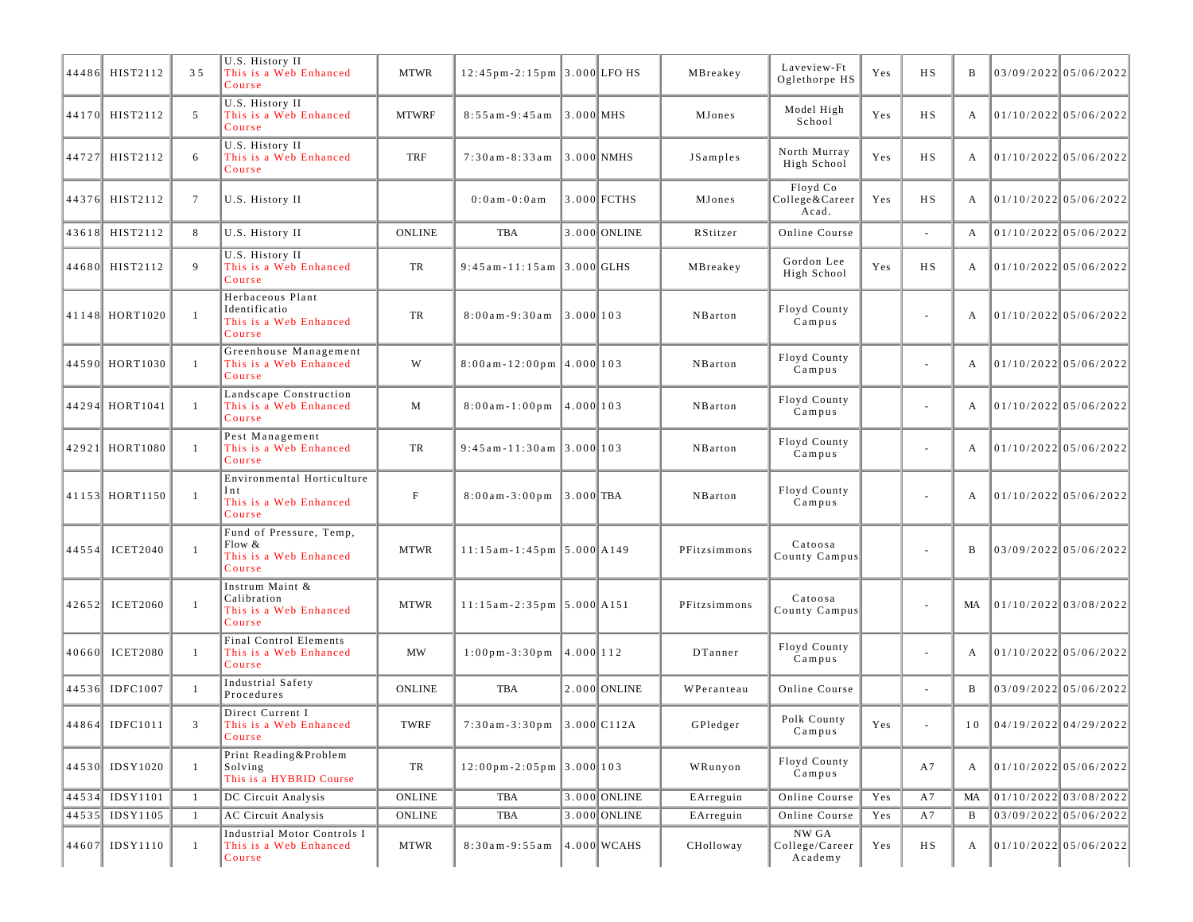|       | 44486 HIST2112  | 35              | U.S. History II<br>This is a Web Enhanced<br>Course                   | <b>MTWR</b>               | $12:45$ pm-2:15pm 3.000 LFO HS                    |                          |                | MBreakey              | Laveview-Ft<br>Oglethorpe HS        | Yes | H S                      | B  | $03/09/2022$ 05/06/2022        |  |
|-------|-----------------|-----------------|-----------------------------------------------------------------------|---------------------------|---------------------------------------------------|--------------------------|----------------|-----------------------|-------------------------------------|-----|--------------------------|----|--------------------------------|--|
|       | 44170 HIST2112  | 5               | U.S. History II<br>This is a Web Enhanced<br>Course                   | <b>MTWRF</b>              | $8:55am - 9:45am$                                 | $\left 3.000\right $ MHS |                | MJones                | Model High<br>School                | Yes | <b>HS</b>                | А  | 01/10/2022 05/06/2022          |  |
|       | 44727 HIST2112  | 6               | U.S. History II<br>This is a Web Enhanced<br>Course                   | TRF                       | $7:30am - 8:33am$                                 |                          | $ 3.000 $ NMHS | JSamples              | North Murray<br>High School         | Yes | <b>HS</b>                | А  | 01/10/2022 05/06/2022          |  |
|       | 44376 HIST2112  | $7\phantom{.0}$ | U.S. History II                                                       |                           | $0:0$ a m $-0:0$ a m                              |                          | 3.000 FCTHS    | MJones                | Floyd Co<br>College&Career<br>Acad. | Yes | HS                       | А  | 01/10/2022 05/06/2022          |  |
|       | 43618 HIST2112  | 8               | U.S. History II                                                       | <b>ONLINE</b>             | <b>TBA</b>                                        |                          | 3.000 ONLINE   | RStitzer              | Online Course                       |     |                          | A  | 01/10/202205/06/2022           |  |
|       | 44680 HIST2112  | 9               | U.S. History II<br>This is a Web Enhanced<br>Course                   | TR                        | 9:45 am-11:15 am 3.000 GLHS                       |                          |                | MBreakey              | Gordon Lee<br>High School           | Yes | <b>HS</b>                | A  | 01/10/2022 05/06/2022          |  |
|       | 41148 HORT1020  | $\mathbf{1}$    | Herbaceous Plant<br>Identificatio<br>This is a Web Enhanced<br>Course | TR                        | $8:00$ am - 9:30 am                               | 3.000 103                |                | NBarton               | Floyd County<br>Campus              |     | $\overline{\phantom{a}}$ | А  | 01/10/2022 05/06/2022          |  |
|       | 44590 HORT1030  | -1              | Greenhouse Management<br>This is a Web Enhanced<br>Course             | W                         | $8:00$ am - 12:00pm 4.000 103                     |                          |                | NBarton               | Floyd County<br>Campus              |     | ä,                       | А  | $01/10/2022$ 05/06/2022        |  |
|       | 44294 HORT1041  | -1              | Landscape Construction<br>This is a Web Enhanced<br>Course            | M                         | $8:00$ am-1:00pm 4.000 103                        |                          |                | NBarton               | Floyd County<br>Campus              |     | $\overline{\phantom{a}}$ | A  | 01/10/2022 05/06/2022          |  |
|       | 42921 HORT1080  | -1              | Pest Management<br>This is a Web Enhanced<br>Course                   | TR                        | $9:45$ am-11:30am 3.000 103                       |                          |                | NBarton               | Floyd County<br>Campus              |     | $\sim$                   | A  | 01/10/2022 05/06/2022          |  |
|       | 41153 HORT1150  | $\mathbf{1}$    | Environmental Horticulture<br>Int<br>This is a Web Enhanced<br>Course | $\boldsymbol{\mathrm{F}}$ | $8:00$ am - 3:00 pm                               | $3.000$ TBA              |                | NBarton               | Floyd County<br>Campus              |     | $\overline{\phantom{a}}$ | А  | 01/10/2022 05/06/2022          |  |
|       | 44554 ICET2040  | $\mathbf{1}$    | Fund of Pressure, Temp,<br>Flow &<br>This is a Web Enhanced<br>Course | <b>MTWR</b>               | $11:15$ am-1:45pm 5.000 A149                      |                          |                | PFitzsimmons          | Catoosa<br>County Campus            |     | $\sim$                   | B  | 03/09/2022 05/06/2022          |  |
|       | 42652 ICET2060  | $\mathbf{1}$    | Instrum Maint &<br>Calibration<br>This is a Web Enhanced<br>Course    | <b>MTWR</b>               | $11:15$ am - 2:35 pm $5.000$ A151                 |                          |                | PFitzsimmons          | Catoosa<br>County Campus            |     | $\overline{\phantom{a}}$ | MA | 01/10/2022 03/08/2022          |  |
| 40660 | <b>ICET2080</b> | -1              | Final Control Elements<br>This is a Web Enhanced<br>Course            | <b>MW</b>                 | $1:00 \text{ pm} - 3:30 \text{ pm}$   4.000   112 |                          |                | DTanner               | Floyd County<br>Campus              |     | ä,                       | А  | $01/10/2022$ 05/06/2022        |  |
|       | 44536 IDFC1007  | -1              | Industrial Safety<br>Procedures                                       | <b>ONLINE</b>             | <b>TBA</b>                                        |                          | 2.000 ONLINE   | WPeranteau            | Online Course                       |     | $\blacksquare$           | B  | $03/09/2022$ 05/06/2022        |  |
|       | 44864 IDFC1011  | 3               | Direct Current I<br>This is a Web Enhanced<br>Course                  | TWRF                      | 7:30am-3:30pm 3.000 C112A                         |                          |                | ${\bf G}\rm{Pledger}$ | Polk County<br>Campus               | Yes |                          |    | $10$   04/19/2022   04/29/2022 |  |
|       | 44530 IDSY1020  | $\mathbf{1}$    | Print Reading&Problem<br>Solving<br>This is a HYBRID Course           | TR                        | $12:00 \text{ pm} - 2:05 \text{ pm}$ 3.000 103    |                          |                | WRunyon               | Floyd County<br>Campus              |     | A7                       | A  | 01/10/2022 05/06/2022          |  |
|       | 44534 IDSY1101  | -1              | DC Circuit Analysis                                                   | <b>ONLINE</b>             | <b>TBA</b>                                        |                          | 3.000 ONLINE   | EArreguin             | Online Course                       | Yes | A7                       | MA | $01/10/2022$ 03/08/2022        |  |
|       | 44535 IDSY1105  | -1              | <b>AC Circuit Analysis</b>                                            | <b>ONLINE</b>             | TBA                                               |                          | 3.000 ONLINE   | EArreguin             | Online Course                       | Yes | A7                       | B  | 03/09/2022 05/06/2022          |  |
|       | 44607 IDSY1110  | 1               | Industrial Motor Controls I<br>This is a Web Enhanced<br>Course       | MTWR                      | $8:30am - 9:55am$                                 |                          | $4.000$ WCAHS  | CHolloway             | NW GA<br>College/Career<br>Academy  | Yes | HS                       | A  | 01/10/2022 05/06/2022          |  |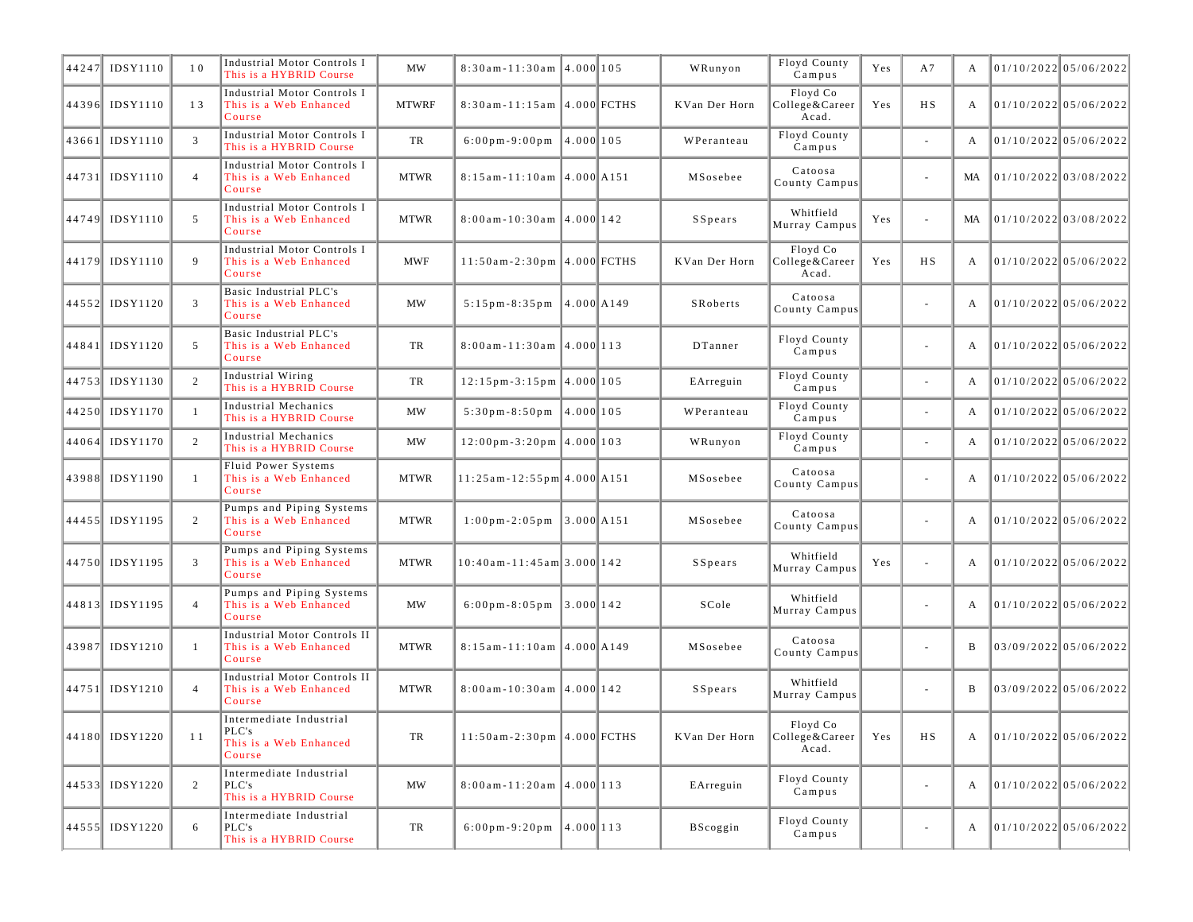| 44247 | IDSY1110       | 10             | Industrial Motor Controls I<br>This is a HYBRID Course               | <b>MW</b>    | $8:30$ am - 11:30am 4.000 105                  |           | WRunyon       | Floyd County<br>Campus              | Yes | A7                       | А  | $01/10/2022$ 05/06/2022 |  |
|-------|----------------|----------------|----------------------------------------------------------------------|--------------|------------------------------------------------|-----------|---------------|-------------------------------------|-----|--------------------------|----|-------------------------|--|
|       | 44396 IDSY1110 | 13             | Industrial Motor Controls I<br>This is a Web Enhanced<br>Course      | <b>MTWRF</b> | 8:30am-11:15am 4.000 FCTHS                     |           | KVan Der Horn | Floyd Co<br>College&Career<br>Acad. | Yes | <b>HS</b>                | А  | 01/10/2022 05/06/2022   |  |
|       | 43661 IDSY1110 | 3              | Industrial Motor Controls I<br>This is a HYBRID Course               | TR           | $6:00 \text{ pm} - 9:00 \text{ pm}$ 4.000 105  |           | WPeranteau    | Floyd County<br>Campus              |     | ä,                       | A  | $01/10/2022$ 05/06/2022 |  |
|       | 44731 IDSY1110 | $\overline{4}$ | Industrial Motor Controls I<br>This is a Web Enhanced<br>Course      | <b>MTWR</b>  | $8:15$ am - 11:10 am $ 4.000 $ A151            |           | MSosebee      | Catoosa<br>County Campus            |     | $\overline{\phantom{a}}$ | MA | 01/10/2022 03/08/2022   |  |
|       | 44749 IDSY1110 | 5              | Industrial Motor Controls I<br>This is a Web Enhanced<br>Course      | <b>MTWR</b>  | $8:00$ am - 10:30am $ 4.000 142$               |           | SSpears       | Whitfield<br>Murray Campus          | Yes | ä,                       | MA | 01/10/2022 03/08/2022   |  |
|       | 44179 IDSY1110 | 9              | Industrial Motor Controls I<br>This is a Web Enhanced<br>Course      | <b>MWF</b>   | $11:50$ am-2:30pm 4.000 FCTHS                  |           | KVan Der Horn | Floyd Co<br>College&Career<br>Acad. | Yes | <b>HS</b>                | А  | 01/10/2022 05/06/2022   |  |
|       | 44552 IDSY1120 | 3              | Basic Industrial PLC's<br>This is a Web Enhanced<br>Course           | <b>MW</b>    | $5:15 \text{ pm} - 8:35 \text{ pm}$ 4.000 A149 |           | SRoberts      | Catoosa<br>County Campus            |     | $\overline{\phantom{a}}$ | А  | $01/10/2022$ 05/06/2022 |  |
|       | 44841 IDSY1120 | 5              | Basic Industrial PLC's<br>This is a Web Enhanced<br>Course           | TR           | $8:00$ am-11:30am 4.000 113                    |           | DTanner       | Floyd County<br>Campus              |     | ä,                       | А  | $01/10/2022$ 05/06/2022 |  |
|       | 44753 IDSY1130 | 2              | Industrial Wiring<br>This is a HYBRID Course                         | TR           | $12:15 \text{ pm} - 3:15 \text{ pm}$ 4.000 105 |           | EArreguin     | Floyd County<br>Campus              |     | ä,                       | A  | $01/10/2022$ 05/06/2022 |  |
|       | 44250 IDSY1170 | -1             | Industrial Mechanics<br>This is a HYBRID Course                      | <b>MW</b>    | $5:30 \text{ pm} - 8:50 \text{ pm}$            | 4.000 105 | WPeranteau    | Floyd County<br>Campus              |     | $\sim$                   | А  | $01/10/2022$ 05/06/2022 |  |
|       | 44064 IDSY1170 | 2              | Industrial Mechanics<br>This is a HYBRID Course                      | <b>MW</b>    | $12:00 \text{ pm} - 3:20 \text{ pm}$ 4.000 103 |           | WRunyon       | Floyd County<br>Campus              |     | $\overline{\phantom{a}}$ | A  | 01/10/2022 05/06/2022   |  |
|       | 43988 IDSY1190 | $\mathbf{1}$   | Fluid Power Systems<br>This is a Web Enhanced<br>Course              | <b>MTWR</b>  | 11:25am-12:55pm 4.000 A151                     |           | MSosebee      | Catoosa<br>County Campus            |     | $\overline{\phantom{a}}$ | А  | 01/10/2022 05/06/2022   |  |
|       | 44455 IDSY1195 | 2              | Pumps and Piping Systems<br>This is a Web Enhanced<br>Course         | <b>MTWR</b>  | $1:00 \text{ pm} - 2:05 \text{ pm}$ 3.000 A151 |           | MSosebee      | Catoosa<br>County Campus            |     | $\overline{\phantom{a}}$ | А  | $01/10/2022$ 05/06/2022 |  |
|       | 44750 IDSY1195 | 3              | Pumps and Piping Systems<br>This is a Web Enhanced<br>Course         | <b>MTWR</b>  | 10:40am - 11:45am 3.000 142                    |           | SSpears       | Whitfield<br>Murray Campus          | Yes | ä,                       | A  | $01/10/2022$ 05/06/2022 |  |
|       | 44813 IDSY1195 | $\overline{4}$ | Pumps and Piping Systems<br>This is a Web Enhanced<br>Course         | <b>MW</b>    | 6:00pm-8:05pm $3.000$ 142                      |           | SCole         | Whitfield<br>Murray Campus          |     | $\overline{\phantom{a}}$ | A  | 01/10/2022 05/06/2022   |  |
|       | 43987 IDSY1210 | $\mathbf{1}$   | Industrial Motor Controls II<br>This is a Web Enhanced<br>Course     | <b>MTWR</b>  | $8:15$ am-11:10am 4.000 A149                   |           | MSosebee      | Catoosa<br>County Campus            |     | $\sim$                   | B  | $03/09/2022$ 05/06/2022 |  |
|       | 44751 IDSY1210 | $\overline{4}$ | Industrial Motor Controls II<br>This is a Web Enhanced<br>Course     | <b>MTWR</b>  | $8:00$ am - 10:30am $ 4.000 142$               |           | SSpears       | Whitfield<br>Murray Campus          |     | ä,                       | B  | $03/09/2022$ 05/06/2022 |  |
|       | 44180 IDSY1220 | 11             | Intermediate Industrial<br>PLC's<br>This is a Web Enhanced<br>Course | TR           | $11:50$ am-2:30pm 4.000 FCTHS                  |           | KVan Der Horn | Floyd Co<br>College&Career<br>Acad. | Yes | HS                       | A  | 01/10/2022 05/06/2022   |  |
|       | 44533 IDSY1220 | 2              | Intermediate Industrial<br>PLC's<br>This is a HYBRID Course          | MW           | $8:00$ am-11:20am 4.000 113                    |           | EArreguin     | Floyd County<br>Campus              |     | $\sim$                   | A  | 01/10/2022 05/06/2022   |  |
|       | 44555 IDSY1220 | 6              | Intermediate Industrial<br>PLC's<br>This is a HYBRID Course          | TR           | $6:00 \text{ pm} - 9:20 \text{ pm}$ 4.000 113  |           | BScoggin      | Floyd County<br>Campus              |     | $\overline{\phantom{a}}$ | A  | 01/10/2022 05/06/2022   |  |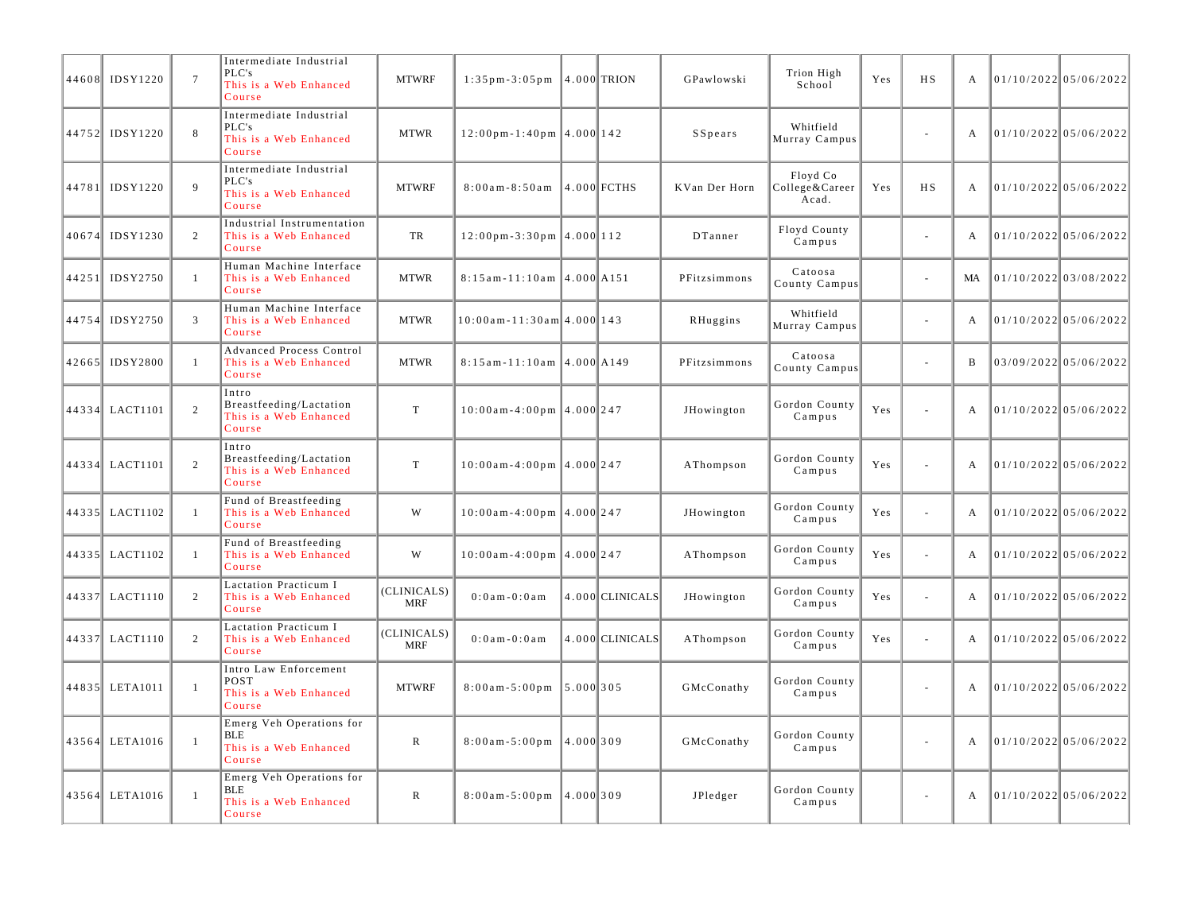|       | 44608 IDSY1220 | $\overline{7}$ | Intermediate Industrial<br>PLC's<br>This is a Web Enhanced<br>Course       | <b>MTWRF</b>              | $1:35$ pm - 3:05 pm                                |            | $ 4.000 $ TRION | GPawlowski    | Trion High<br>School                | Yes | <b>HS</b>                   | $\mathbf{A}$ | $01/10/2022$ 05/06/2022 |  |
|-------|----------------|----------------|----------------------------------------------------------------------------|---------------------------|----------------------------------------------------|------------|-----------------|---------------|-------------------------------------|-----|-----------------------------|--------------|-------------------------|--|
|       | 44752 IDSY1220 | $8\phantom{1}$ | Intermediate Industrial<br>PLC's<br>This is a Web Enhanced<br>Course       | <b>MTWR</b>               | $12:00 \text{ pm} - 1:40 \text{ pm}$ 4.000 142     |            |                 | SSpears       | Whitfield<br>Murray Campus          |     | $\sim$                      | $\mathbf{A}$ | $01/10/2022$ 05/06/2022 |  |
|       | 44781 IDSY1220 | 9              | Intermediate Industrial<br>PLC's<br>This is a Web Enhanced<br>Course       | <b>MTWRF</b>              | $8:00am - 8:50am$                                  |            | $4.000$ FCTHS   | KVan Der Horn | Floyd Co<br>College&Career<br>Acad. | Yes | H <sub>S</sub>              | $\mathbf{A}$ | 01/10/2022 05/06/2022   |  |
|       | 40674 IDSY1230 | 2              | Industrial Instrumentation<br>This is a Web Enhanced<br>Course             | TR                        | $12:00 \text{ pm} - 3:30 \text{ pm}$   4.000   112 |            |                 | DTanner       | Floyd County<br>Campus              |     | $\sim$                      | $\mathbf{A}$ | $01/10/2022$ 05/06/2022 |  |
|       | 44251 IDSY2750 | $\mathbf{1}$   | Human Machine Interface<br>This is a Web Enhanced<br>Course                | <b>MTWR</b>               | $8:15$ am-11:10am 4.000 A151                       |            |                 | PFitzsimmons  | Catoosa<br>County Campus            |     | $\sim$                      | MA           | $01/10/2022$ 03/08/2022 |  |
|       | 44754 IDSY2750 | 3              | Human Machine Interface<br>This is a Web Enhanced<br>Course                | <b>MTWR</b>               | $10:00$ am - 11:30am 4.000 143                     |            |                 | RHuggins      | Whitfield<br>Murray Campus          |     | $\sim$                      | $\mathbf{A}$ | $01/10/2022$ 05/06/2022 |  |
|       | 42665 IDSY2800 | $\mathbf{1}$   | Advanced Process Control<br>This is a Web Enhanced<br>Course               | <b>MTWR</b>               | $8:15$ am-11:10am 4.000 A149                       |            |                 | PFitzsimmons  | Catoosa<br>County Campus            |     | $\sim$                      | B            | 03/09/2022 05/06/2022   |  |
|       | 44334 LACT1101 | $\overline{2}$ | Intro<br>Breastfeeding/Lactation<br>This is a Web Enhanced<br>Course       | $\mathbf T$               | $10:00$ am-4:00pm 4.000 247                        |            |                 | JHowington    | Gordon County<br>Campus             | Yes | $\sim$                      | $\mathbf{A}$ | $01/10/2022$ 05/06/2022 |  |
|       | 44334 LACT1101 | $\overline{c}$ | Intro<br>Breastfeeding/Lactation<br>This is a Web Enhanced<br>Course       | $\mathbf T$               | $10:00$ am-4:00pm 4.000 247                        |            |                 | AThompson     | Gordon County<br>Campus             | Yes | $\sim$                      | $\mathbf{A}$ | $01/10/2022$ 05/06/2022 |  |
|       | 44335 LACT1102 | $\mathbf{1}$   | Fund of Breastfeeding<br>This is a Web Enhanced<br>Course                  | W                         | $10:00$ am-4:00pm 4.000 247                        |            |                 | JHowington    | Gordon County<br>Campus             | Yes | $\sim$                      | $\mathbf{A}$ | $01/10/2022$ 05/06/2022 |  |
|       | 44335 LACT1102 | -1             | Fund of Breastfeeding<br>This is a Web Enhanced<br>Course                  | W                         | $10:00$ am-4:00pm 4.000 247                        |            |                 | AThompson     | Gordon County<br>Campus             | Yes | $\sim$                      | $\mathbf{A}$ | $01/10/2022$ 05/06/2022 |  |
|       | 44337 LACT1110 | 2              | Lactation Practicum I<br>This is a Web Enhanced<br>Course                  | (CLINICALS)<br><b>MRF</b> | $0:0$ am - $0:0$ am                                |            | 4.000 CLINICALS | JHowington    | Gordon County<br>Campus             | Yes | $\sim$                      | $\mathbf{A}$ | $01/10/2022$ 05/06/2022 |  |
|       | 44337 LACT1110 | 2              | Lactation Practicum I<br>This is a Web Enhanced<br>Course                  | (CLINICALS)<br><b>MRF</b> | $0:0$ a m - $0:0$ a m                              |            | 4.000 CLINICALS | AThompson     | Gordon County<br>Campus             | Yes | $\mathcal{L}_{\mathcal{A}}$ | $\mathbf{A}$ | $01/10/2022$ 05/06/2022 |  |
|       | 44835 LETA1011 | $\overline{1}$ | Intro Law Enforcement<br>POST<br>This is a Web Enhanced<br>Course          | <b>MTWRF</b>              | $8:00$ am - 5:00 pm                                | 15.0001305 |                 | GMcConathy    | Gordon County<br>Campus             |     | $\sim$                      | $\mathbf{A}$ | 01/10/2022 05/06/2022   |  |
| 43564 | LETA1016       | $\overline{1}$ | Emerg Veh Operations for<br><b>BLE</b><br>This is a Web Enhanced<br>Course | ${\bf R}$                 | $8:00$ am - $5:00$ pm                              | 4.000 309  |                 | GMcConathy    | Gordon County<br>Campus             |     | $\sim$                      | A            | $01/10/2022$ 05/06/2022 |  |
|       | 43564 LETA1016 | $\mathbf{1}$   | Emerg Veh Operations for<br>BLE<br>This is a Web Enhanced<br>Course        | $\mathbb{R}$              | $8:00am - 5:00pm$                                  | 14.0001309 |                 | JPledger      | Gordon County<br>Campus             |     | $\sim$                      | $\mathbf{A}$ | $01/10/2022$ 05/06/2022 |  |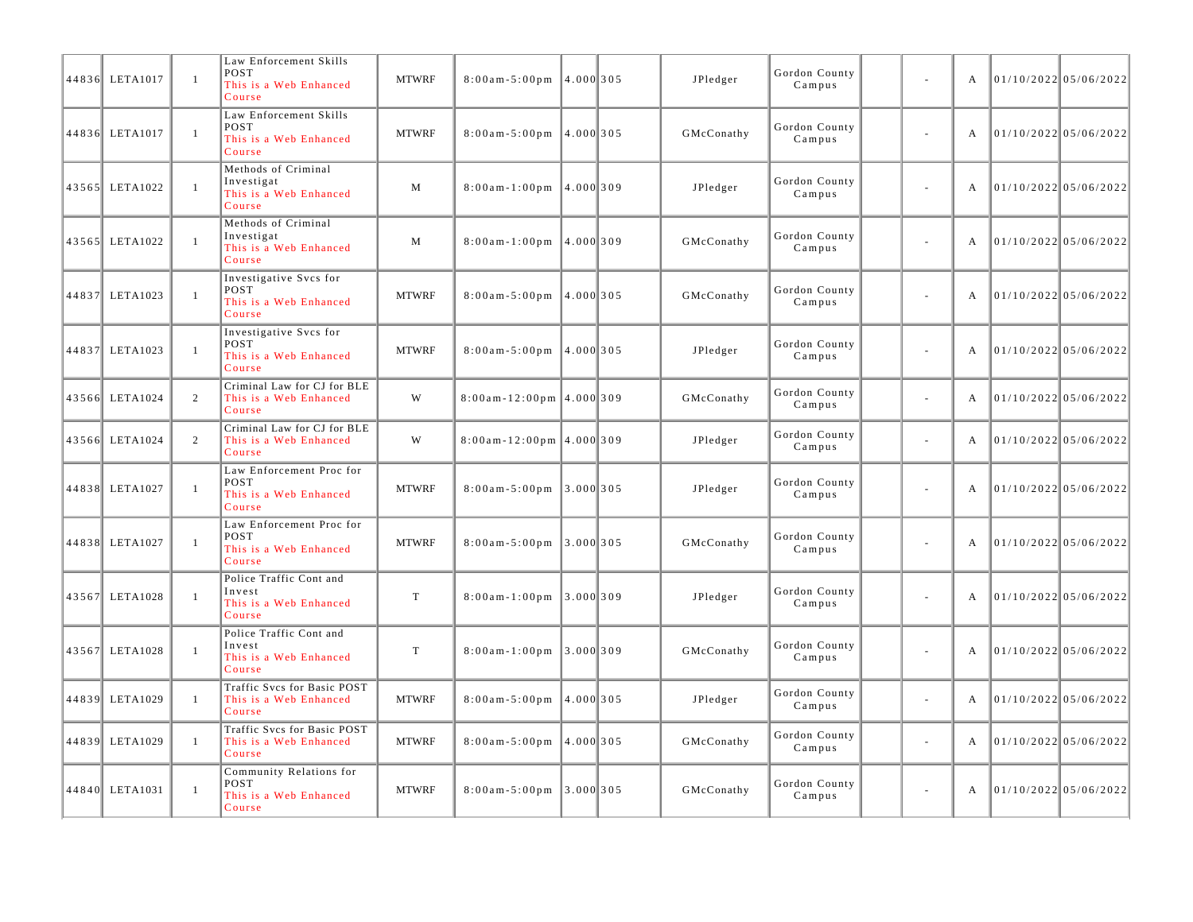| 44836 LETA1017 | $\mathbf{1}$   | Law Enforcement Skills<br><b>POST</b><br>This is a Web Enhanced<br>Course | <b>MTWRF</b> | $8:00a m - 5:00p m$           | 4.000 305   | JPledger   | Gordon County<br>Campus | ÷.                       | A | $01/10/2022$ 05/06/2022 |
|----------------|----------------|---------------------------------------------------------------------------|--------------|-------------------------------|-------------|------------|-------------------------|--------------------------|---|-------------------------|
| 44836 LETA1017 | $\mathbf{1}$   | Law Enforcement Skills<br>POST<br>This is a Web Enhanced<br>Course        | <b>MTWRF</b> | $8:00am - 5:00pm$ 4.000 305   |             | GMcConathy | Gordon County<br>Campus | ÷,                       | A | 01/10/202205/06/2022    |
| 43565 LETA1022 | $\overline{1}$ | Methods of Criminal<br>Investigat<br>This is a Web Enhanced<br>Course     | M            | $8:00$ am - $1:00$ pm         | 4.000 309   | JPledger   | Gordon County<br>Campus | L,                       | А | $01/10/2022$ 05/06/2022 |
| 43565 LETA1022 | $\mathbf{1}$   | Methods of Criminal<br>Investigat<br>This is a Web Enhanced<br>Course     | M            | $8:00$ am - 1:00 pm           | 4.000 309   | GMcConathy | Gordon County<br>Campus | ÷,                       | A | $01/10/2022$ 05/06/2022 |
| 44837 LETA1023 | $\mathbf{1}$   | Investigative Svcs for<br>POST<br>This is a Web Enhanced<br>Course        | <b>MTWRF</b> | $8:00$ am - $5:00$ pm         | 4.000 305   | GMcConathy | Gordon County<br>Campus | $\overline{\phantom{a}}$ | A | $01/10/2022$ 05/06/2022 |
| 44837 LETA1023 | $\mathbf{1}$   | Investigative Svcs for<br>POST<br>This is a Web Enhanced<br>Course        | <b>MTWRF</b> | $8:00$ am - $5:00$ pm         | 4.000 305   | JPledger   | Gordon County<br>Campus | $\sim$                   | A | 01/10/2022 05/06/2022   |
| 43566 LETA1024 | 2              | Criminal Law for CJ for BLE<br>This is a Web Enhanced<br>Course           | W            | $8:00$ am - 12:00pm 4.000 309 |             | GMcConathy | Gordon County<br>Campus | $\sim$                   | A | 01/10/2022 05/06/2022   |
| 43566 LETA1024 | 2              | Criminal Law for CJ for BLE<br>This is a Web Enhanced<br>Course           | W            | $8:00$ am - 12:00pm 4.000 309 |             | JPledger   | Gordon County<br>Campus | $\bar{a}$                | A | 01/10/2022 05/06/2022   |
| 44838 LETA1027 | $\overline{1}$ | Law Enforcement Proc for<br>POST<br>This is a Web Enhanced<br>Course      | <b>MTWRF</b> | $8:00am - 5:00pm$             | 3.0001305   | JPledger   | Gordon County<br>Campus | $\overline{\phantom{a}}$ | А | $01/10/2022$ 05/06/2022 |
| 44838 LETA1027 | $\overline{1}$ | Law Enforcement Proc for<br>POST<br>This is a Web Enhanced<br>Course      | <b>MTWRF</b> | $8:00a m - 5:00p m$           | $3.000$ 305 | GMcConathy | Gordon County<br>Campus | $\bar{a}$                | А | 01/10/202205/06/2022    |
| 43567 LETA1028 | $\mathbf{1}$   | Police Traffic Cont and<br>Invest<br>This is a Web Enhanced<br>Course     | $\mathbf T$  | $8:00$ am-1:00pm 3.000 309    |             | JPledger   | Gordon County<br>Campus | $\bar{a}$                | А | $01/10/2022$ 05/06/2022 |
| 43567 LETA1028 | $\mathbf{1}$   | Police Traffic Cont and<br>Invest<br>This is a Web Enhanced<br>Course     | $\mathbf T$  | $8:00$ am - 1:00 pm           | 3.0001309   | GMcConathy | Gordon County<br>Campus | $\sim$                   | А | $01/10/2022$ 05/06/2022 |
| 44839 LETA1029 | $\mathbf{1}$   | Traffic Svcs for Basic POST<br>This is a Web Enhanced<br>Course           | <b>MTWRF</b> | $8:00am - 5:00pm$ 4.000 305   |             | JPledger   | Gordon County<br>Campus | ä,                       | A | $01/10/2022$ 05/06/2022 |
| 44839 LETA1029 | $\mathbf{1}$   | Traffic Sves for Basic POST<br>This is a Web Enhanced<br>Course           | <b>MTWRF</b> | $8:00am - 5:00pm$ 4.000 305   |             | GMcConathy | Gordon County<br>Campus | ÷,                       | А | $01/10/2022$ 05/06/2022 |
| 44840 LETA1031 | $\mathbf{1}$   | Community Relations for<br>POST<br>This is a Web Enhanced<br>Course       | <b>MTWRF</b> | $8:00am - 5:00pm$             | 3.000 305   | GMcConathy | Gordon County<br>Campus | $\bar{a}$                | A | $01/10/2022$ 05/06/2022 |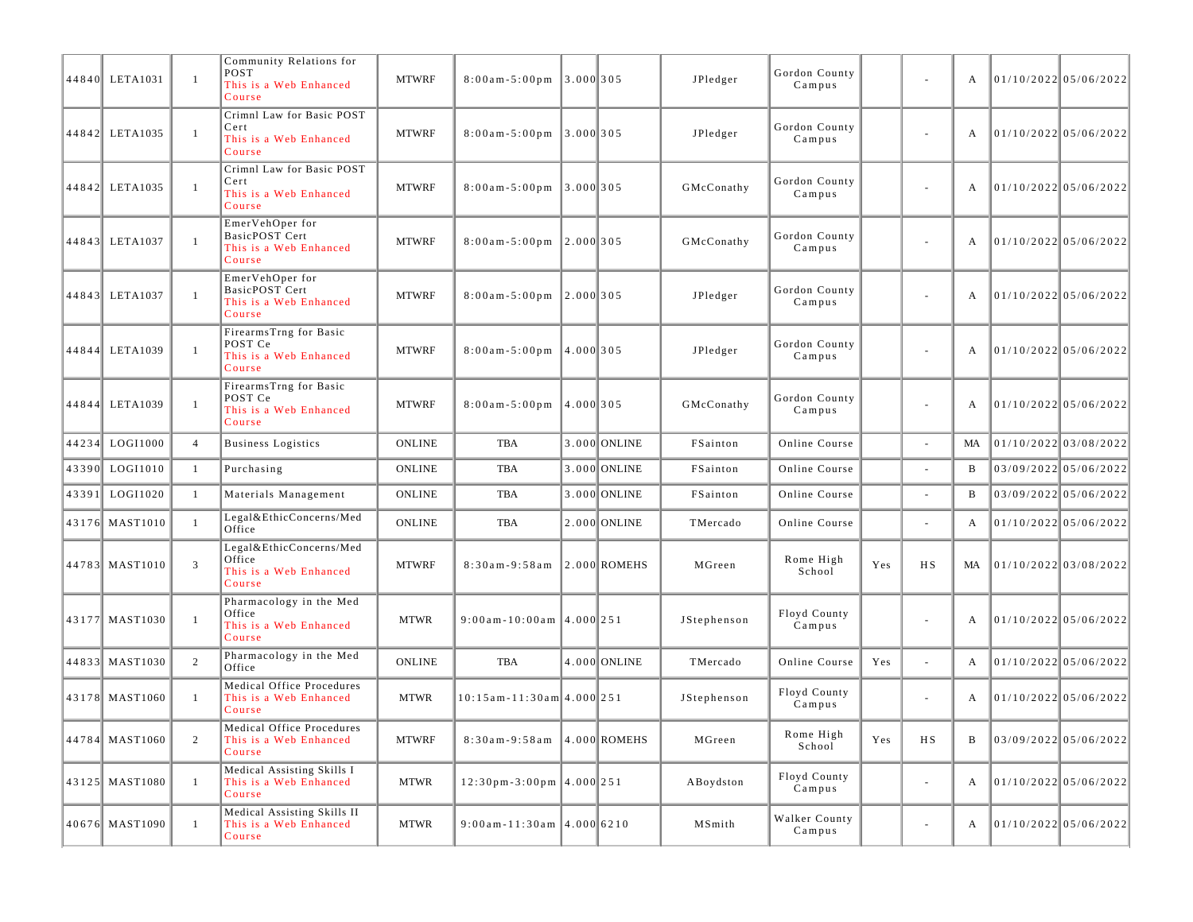| 44840 LETA1031 | $\overline{1}$ | Community Relations for<br>POST<br>This is a Web Enhanced<br>Course          | <b>MTWRF</b>  | $8:00a m - 5:00 p m$             | $\ 3.000\ 305$ |                  | JPledger    | Gordon County<br>Campus |     | $\overline{\phantom{a}}$ | A            | $01/10/2022$ 05/06/2022 |
|----------------|----------------|------------------------------------------------------------------------------|---------------|----------------------------------|----------------|------------------|-------------|-------------------------|-----|--------------------------|--------------|-------------------------|
| 44842 LETA1035 | $\overline{1}$ | Crimnl Law for Basic POST<br>Cert<br>This is a Web Enhanced<br>Course        | <b>MTWRF</b>  | $8:00$ am - $5:00$ pm            | 3.0001305      |                  | JPledger    | Gordon County<br>Campus |     | $\overline{\phantom{a}}$ | A            | $01/10/2022$ 05/06/2022 |
| 44842 LETA1035 | $\overline{1}$ | Crimnl Law for Basic POST<br>Cert<br>This is a Web Enhanced<br>Course        | <b>MTWRF</b>  | $8:00am - 5:00pm$                | $\ 3.000\ 305$ |                  | GMcConathy  | Gordon County<br>Campus |     | $\overline{\phantom{a}}$ | А            | $01/10/2022$ 05/06/2022 |
| 44843 LETA1037 | $\overline{1}$ | EmerVehOper for<br><b>BasicPOST Cert</b><br>This is a Web Enhanced<br>Course | <b>MTWRF</b>  | $8:00$ am - $5:00$ pm            | 12.0001305     |                  | GMcConathy  | Gordon County<br>Campus |     | $\overline{\phantom{a}}$ | A            | $01/10/2022$ 05/06/2022 |
| 44843 LETA1037 | $\overline{1}$ | EmerVehOper for<br><b>BasicPOST Cert</b><br>This is a Web Enhanced<br>Course | <b>MTWRF</b>  | $8:00$ am - $5:00$ pm            | $\ 2.000\ 305$ |                  | JPledger    | Gordon County<br>Campus |     | $\overline{\phantom{a}}$ | А            | $01/10/2022$ 05/06/2022 |
| 44844 LETA1039 | $\mathbf{1}$   | FirearmsTrng for Basic<br>POST Ce<br>This is a Web Enhanced<br>Course        | <b>MTWRF</b>  | $8:00$ am - $5:00$ pm            | 4.000  305     |                  | JPledger    | Gordon County<br>Campus |     | $\overline{\phantom{a}}$ | A            | $01/10/2022$ 05/06/2022 |
| 44844 LETA1039 | $\overline{1}$ | FirearmsTrng for Basic<br>POST Ce<br>This is a Web Enhanced<br>Course        | <b>MTWRF</b>  | $8:00$ am - $5:00$ pm            | 4.000 305      |                  | GMcConathy  | Gordon County<br>Campus |     | $\overline{\phantom{a}}$ | A            | $01/10/2022$ 05/06/2022 |
| 44234 LOGI1000 | $\overline{4}$ | <b>Business Logistics</b>                                                    | <b>ONLINE</b> | <b>TBA</b>                       |                | 3.000 ONLINE     | FSainton    | Online Course           |     | $\sim$                   | MA           | 01/10/2022 03/08/2022   |
| 43390 LOGI1010 | -1             | Purchasing                                                                   | <b>ONLINE</b> | TBA                              |                | 3.000 ONLINE     | FSainton    | Online Course           |     |                          | B            | 03/09/2022 05/06/2022   |
| 43391 LOGI1020 | 1              | Materials Management                                                         | <b>ONLINE</b> | TBA                              |                | 3.000 ONLINE     | FSainton    | Online Course           |     |                          | B            | 03/09/2022 05/06/2022   |
| 43176 MAST1010 | $\mathbf{1}$   | Legal&EthicConcerns/Med<br>Office                                            | ONLINE        | <b>TBA</b>                       |                | 2.000 ONLINE     | TMercado    | Online Course           |     | $\sim$                   | A            | $01/10/2022$ 05/06/2022 |
| 44783 MAST1010 | 3              | Legal&EthicConcerns/Med<br>Office<br>This is a Web Enhanced<br>Course        | <b>MTWRF</b>  | $8:30am - 9:58am$                |                | $ 2.000 $ ROMEHS | MGreen      | Rome High<br>School     | Yes | <b>HS</b>                | MA           | $01/10/2022$ 03/08/2022 |
| 43177 MAST1030 | -1             | Pharmacology in the Med<br>Office<br>This is a Web Enhanced<br>Course        | <b>MTWR</b>   | $9:00$ am-10:00am 4.000 251      |                |                  | JStephenson | Floyd County<br>Campus  |     | $\sim$                   | A            | $01/10/2022$ 05/06/2022 |
| 44833 MAST1030 | 2              | Pharmacology in the Med<br>Office                                            | <b>ONLINE</b> | <b>TBA</b>                       |                | 4.000 ONLINE     | TMercado    | Online Course           | Yes | $\blacksquare$           | A            | $01/10/2022$ 05/06/2022 |
| 43178 MAST1060 | $\mathbf{1}$   | Medical Office Procedures<br>This is a Web Enhanced<br>Course                | <b>MTWR</b>   | 10:15 am - 11:30 am 4.000 251    |                |                  | JStephenson | Floyd County<br>Campus  |     | $\overline{\phantom{a}}$ | A            | $01/10/2022$ 05/06/2022 |
| 44784 MAST1060 | $\overline{2}$ | Medical Office Procedures<br>This is a Web Enhanced<br>Course                | <b>MTWRF</b>  | 8:30am-9:58am 4.000 ROMEHS       |                |                  | MGreen      | Rome High<br>School     | Yes | $_{\rm HS}$              | $\, {\bf B}$ | 03/09/2022 05/06/2022   |
| 43125 MAST1080 | $\mathbf{1}$   | Medical Assisting Skills I<br>This is a Web Enhanced<br>Course               | <b>MTWR</b>   | $12:30$ pm - 3:00pm $ 4.000 251$ |                |                  | ABoydston   | Floyd County<br>Campus  |     | $\sim$                   | A            | $01/10/2022$ 05/06/2022 |
| 40676 MAST1090 | $\mathbf{1}$   | Medical Assisting Skills II<br>This is a Web Enhanced<br>Course              | <b>MTWR</b>   | $9:00$ am-11:30am 4.000 6210     |                |                  | MSmith      | Walker County<br>Campus |     | $\overline{\phantom{a}}$ | A            | $01/10/2022$ 05/06/2022 |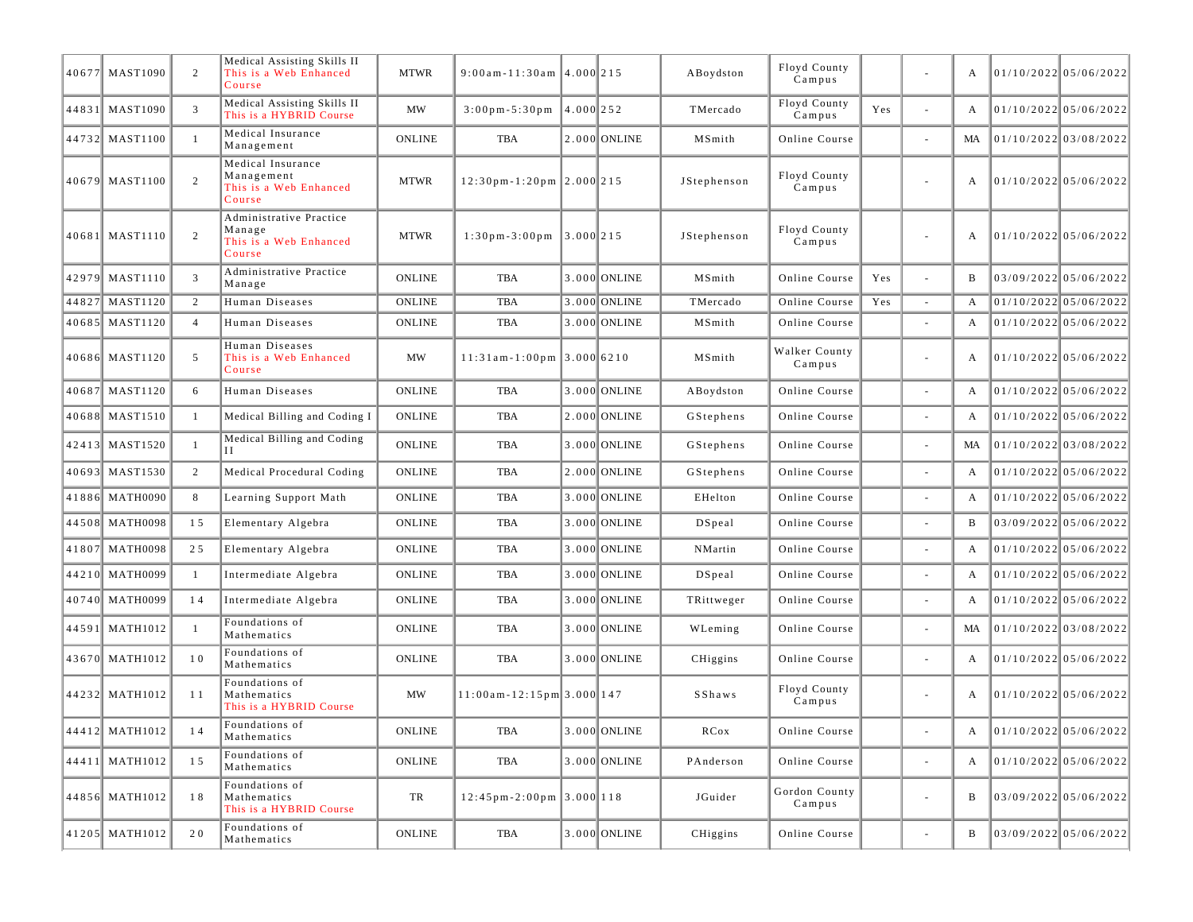| 40677 MAST1090 | 2              | Medical Assisting Skills II<br>This is a Web Enhanced<br>Course       | <b>MTWR</b>           | $9:00$ am-11:30am 4.000 215                            |              |              | ABoydston     | Floyd County<br>Campus  |     |                          | A   | 01/10/2022 05/06/2022   |  |
|----------------|----------------|-----------------------------------------------------------------------|-----------------------|--------------------------------------------------------|--------------|--------------|---------------|-------------------------|-----|--------------------------|-----|-------------------------|--|
| 44831 MAST1090 | 3              | Medical Assisting Skills II<br>This is a HYBRID Course                | <b>MW</b>             | $3:00 \text{ pm} - 5:30 \text{ pm}$                    | $14.000$ 252 |              | TMercado      | Floyd County<br>Campus  | Yes | $\sim$                   | A   | 01/10/202205/06/2022    |  |
| 44732 MAST1100 | $\mathbf{1}$   | Medical Insurance<br>Management                                       | <b>ONLINE</b>         | TBA                                                    |              | 2.000 ONLINE | MSmith        | Online Course           |     | ÷,                       | MA. | 01/10/2022 03/08/2022   |  |
| 40679 MAST1100 | 2              | Medical Insurance<br>Management<br>This is a Web Enhanced<br>Course   | <b>MTWR</b>           | $12:30$ pm-1:20pm 2.000 215                            |              |              | JStephenson   | Floyd County<br>Campus  |     | $\sim$                   | A   | 01/10/2022 05/06/2022   |  |
| 40681 MAST1110 | 2              | Administrative Practice<br>Manage<br>This is a Web Enhanced<br>Course | <b>MTWR</b>           | $1:30 \text{ pm} - 3:00 \text{ pm}$                    | $3.000$ 215  |              | JStephenson   | Floyd County<br>Campus  |     |                          | A   | $01/10/2022$ 05/06/2022 |  |
| 42979 MAST1110 | 3              | Administrative Practice<br>Manage                                     | <b>ONLINE</b>         | TBA                                                    |              | 3.000 ONLINE | MSmith        | Online Course           | Yes | $\sim$                   | B   | 03/09/2022 05/06/2022   |  |
| 44827 MAST1120 | 2              | Human Diseases                                                        | <b>ONLINE</b>         | <b>TBA</b>                                             |              | 3.000 ONLINE | TMercado      | Online Course           | Yes | $\overline{\phantom{a}}$ | A   | $01/10/2022$ 05/06/2022 |  |
| 40685 MAST1120 | $\overline{4}$ | Human Diseases                                                        | <b>ONLINE</b>         | TBA                                                    |              | 3.000 ONLINE | MSmith        | Online Course           |     | $\bar{a}$                | A   | 01/10/2022 05/06/2022   |  |
| 40686 MAST1120 | 5              | Human Diseases<br>This is a Web Enhanced<br>Course                    | <b>MW</b>             | $11:31$ am - 1:00pm 3.000 6210                         |              |              | MSmith        | Walker County<br>Campus |     | $\overline{\phantom{a}}$ | A   | 01/10/2022 05/06/2022   |  |
| 40687 MAST1120 | 6              | Human Diseases                                                        | <b>ONLINE</b>         | TBA                                                    |              | 3.000 ONLINE | ABoydston     | Online Course           |     | $\sim$                   | A   | 01/10/2022 05/06/2022   |  |
| 40688 MAST1510 | -1             | Medical Billing and Coding I                                          | <b>ONLINE</b>         | TBA                                                    |              | 2.000 ONLINE | GStephens     | Online Course           |     | $\sim$                   | A   | $01/10/2022$ 05/06/2022 |  |
| 42413 MAST1520 | -1             | Medical Billing and Coding<br>$_{\rm II}$                             | ONLINE                | TBA                                                    |              | 3.000 ONLINE | GStephens     | Online Course           |     | $\overline{\phantom{a}}$ | MA  | 01/10/2022 03/08/2022   |  |
| 40693 MAST1530 | 2              | Medical Procedural Coding                                             | <b>ONLINE</b>         | TBA                                                    |              | 2.000 ONLINE | GStephens     | Online Course           |     | $\sim$                   | A   | $01/10/2022$ 05/06/2022 |  |
| 41886 MATH0090 | 8              | Learning Support Math                                                 | <b>ONLINE</b>         | <b>TBA</b>                                             |              | 3.000 ONLINE | EHelton       | Online Course           |     | $\sim$                   | A   | $01/10/2022$ 05/06/2022 |  |
| 44508 MATH0098 | 15             | Elementary Algebra                                                    | <b>ONLINE</b>         | TBA                                                    |              | 3.000 ONLINE | DSpeal        | Online Course           |     |                          | B   | 03/09/2022 05/06/2022   |  |
| 41807 MATH0098 | 25             | Elementary Algebra                                                    | <b>ONLINE</b>         | TBA                                                    |              | 3.000 ONLINE | NMartin       | Online Course           |     | $\overline{\phantom{a}}$ | A   | 01/10/2022 05/06/2022   |  |
| 44210 MATH0099 | -1             | Intermediate Algebra                                                  | <b>ONLINE</b>         | TBA                                                    |              | 3.000 ONLINE | DSpeal        | Online Course           |     | ÷,                       | A   | $01/10/2022$ 05/06/2022 |  |
| 40740 MATH0099 | 14             | Intermediate Algebra                                                  | <b>ONLINE</b>         | <b>TBA</b>                                             |              | 3.000 ONLINE | TRittweger    | Online Course           |     |                          | A   | $01/10/2022$ 05/06/2022 |  |
| 44591 MATH1012 | -1             | Foundations of<br>Mathematics                                         | <b>ONLINE</b>         | TBA                                                    |              | 3.000 ONLINE | WLeming       | Online Course           |     | ÷,                       | MA  | 01/10/2022 03/08/2022   |  |
| 43670 MATH1012 | 10             | Foundations of<br>Mathematics                                         | <b>ONLINE</b>         | TBA                                                    |              | 3.000 ONLINE | CHiggins      | Online Course           |     | $\sim$                   | A   | 01/10/2022 05/06/2022   |  |
| 44232 MATH1012 | 11             | Foundations of<br>Mathematics<br>This is a HYBRID Course              | <b>MW</b>             | $11:00$ am - $12:15$ pm 3.000 147                      |              |              | <b>SShaws</b> | Floyd County<br>Campus  |     | $\overline{\phantom{a}}$ | A   | 01/10/2022 05/06/2022   |  |
| 44412 MATH1012 |                | Foundations of<br>Mathematics                                         | $\mathop{\bf ONLINE}$ | TBA                                                    |              | 3.000 ONLINE | RCox          | Online Course           |     |                          |     | 01/10/2022 05/06/2022   |  |
| 44411 MATH1012 | 15             | Foundations of<br>Mathematics                                         | ONLINE                | TBA                                                    |              | 3.000 ONLINE | PAnderson     | Online Course           |     | $\omega$                 | A   | 01/10/2022 05/06/2022   |  |
| 44856 MATH1012 | 18             | Foundations of<br>Mathematics<br>This is a HYBRID Course              | TR                    | $12:45 \text{ pm} - 2:00 \text{ pm }3.000 \text{ 118}$ |              |              | JGuider       | Gordon County<br>Campus |     | $\overline{\phantom{a}}$ | B   | 03/09/2022 05/06/2022   |  |
| 41205 MATH1012 | 20             | Foundations of<br>Mathematics                                         | ONLINE                | TBA                                                    |              | 3.000 ONLINE | CHiggins      | Online Course           |     | $\overline{\phantom{a}}$ | B   | 03/09/2022 05/06/2022   |  |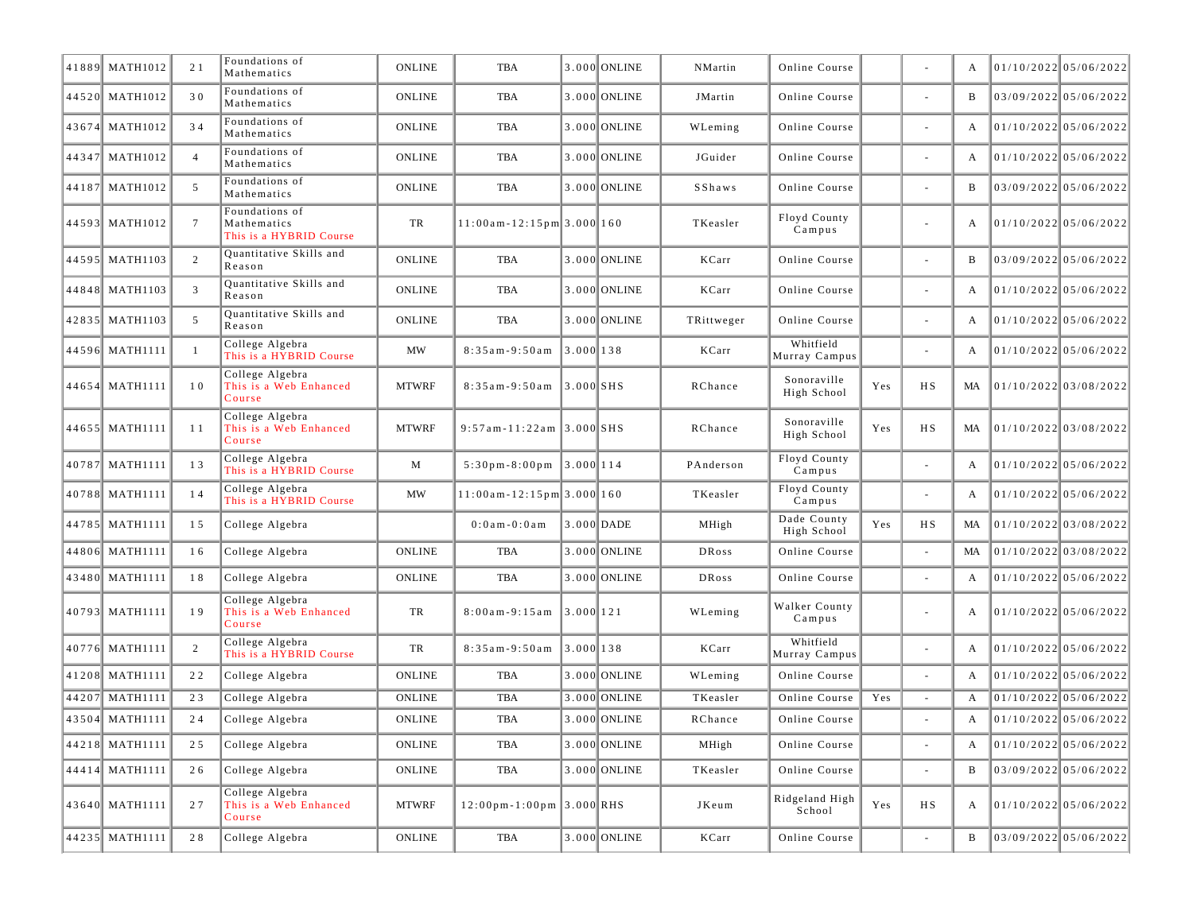| 41889 MATH1012 | 21             | Foundations of<br>Mathematics                            | <b>ONLINE</b>         | TBA                                           |             | 3.000 ONLINE   | NMartin      | Online Course              |     |                          | A  | $01/10/2022$ 05/06/2022 |
|----------------|----------------|----------------------------------------------------------|-----------------------|-----------------------------------------------|-------------|----------------|--------------|----------------------------|-----|--------------------------|----|-------------------------|
| 44520 MATH1012 | 30             | Foundations of<br>Mathematics                            | <b>ONLINE</b>         | <b>TBA</b>                                    |             | 3.000 ONLINE   | JMartin      | Online Course              |     | ÷                        | B  | 03/09/2022 05/06/2022   |
| 43674 MATH1012 | 34             | Foundations of<br>Mathematics                            | <b>ONLINE</b>         | <b>TBA</b>                                    |             | 3.000 ONLINE   | WLeming      | Online Course              |     |                          | A  | $01/10/2022$ 05/06/2022 |
| 44347 MATH1012 | $\overline{4}$ | Foundations of<br>Mathematics                            | <b>ONLINE</b>         | TBA                                           |             | 3.000 ONLINE   | JGuider      | Online Course              |     | ä,                       | A  | $01/10/2022$ 05/06/2022 |
| 44187 MATH1012 | 5              | Foundations of<br>Mathematics                            | <b>ONLINE</b>         | TBA                                           |             | 3.000 ONLINE   | SShaws       | Online Course              |     | ÷                        | B  | 03/09/2022 05/06/2022   |
| 44593 MATH1012 | $\overline{7}$ | Foundations of<br>Mathematics<br>This is a HYBRID Course | TR                    | $11:00$ am - $12:15$ pm 3.000 160             |             |                | TKeasler     | Floyd County<br>Campus     |     | ÷                        | A  | 01/10/2022 05/06/2022   |
| 44595 MATH1103 | 2              | Quantitative Skills and<br>Reason                        | <b>ONLINE</b>         | TBA                                           |             | 3.000 ONLINE   | KCarr        | Online Course              |     | $\blacksquare$           | B  | 03/09/2022 05/06/2022   |
| 44848 MATH1103 | 3              | Quantitative Skills and<br>Reason                        | <b>ONLINE</b>         | <b>TBA</b>                                    |             | 3.000 ONLINE   | KCarr        | Online Course              |     | ä,                       | A  | $01/10/2022$ 05/06/2022 |
| 42835 MATH1103 | 5              | Quantitative Skills and<br>Reason                        | <b>ONLINE</b>         | TBA                                           |             | 3.000 ONLINE   | TRittweger   | Online Course              |     | ä,                       | A  | $01/10/2022$ 05/06/2022 |
| 44596 MATH1111 | $\mathbf{1}$   | College Algebra<br>This is a HYBRID Course               | <b>MW</b>             | $8:35am-9:50am$                               | 3.000138    |                | KCarr        | Whitfield<br>Murray Campus |     | $\overline{\phantom{a}}$ | A  | 01/10/2022 05/06/2022   |
| 44654 MATH1111 | 10             | College Algebra<br>This is a Web Enhanced<br>Course      | <b>MTWRF</b>          | $8:35am-9:50am$                               | $3.000$ SHS |                | RChance      | Sonoraville<br>High School | Yes | HS                       | MA | 01/10/2022 03/08/2022   |
| 44655 MATH1111 | 11             | College Algebra<br>This is a Web Enhanced<br>Course      | <b>MTWRF</b>          | $9:57$ am-11:22am 3.000 SHS                   |             |                | RChance      | Sonoraville<br>High School | Yes | <b>HS</b>                | MA | 01/10/2022 03/08/2022   |
| 40787 MATH1111 | 13             | College Algebra<br>This is a HYBRID Course               | M                     | $5:30 \text{ pm} - 8:00 \text{ pm}$ 3.000 114 |             |                | PAnderson    | Floyd County<br>Campus     |     |                          | A  | $01/10/2022$ 05/06/2022 |
| 40788 MATH1111 | 14             | College Algebra<br>This is a HYBRID Course               | MW                    | $11:00$ am - $12:15$ pm $3.000$ 160           |             |                | TKeasler     | Floyd County<br>Campus     |     | ÷,                       | A  | 01/10/2022 05/06/2022   |
| 44785 MATH1111 | 15             | College Algebra                                          |                       | $0:0$ am $-0:0$ am                            |             | $3.000$ DADE   | MHigh        | Dade County<br>High School | Yes | <b>HS</b>                | MA | $01/10/2022$ 03/08/2022 |
| 44806 MATH1111 | 16             | College Algebra                                          | <b>ONLINE</b>         | <b>TBA</b>                                    |             | 3.000 ONLINE   | DRoss        | Online Course              |     |                          | MA | $01/10/2022$ 03/08/2022 |
| 43480 MATH1111 | 18             | College Algebra                                          | <b>ONLINE</b>         | TBA                                           |             | 3.000 ONLINE   | <b>DRoss</b> | Online Course              |     |                          | A  | $01/10/2022$ 05/06/2022 |
| 40793 MATH1111 | 19             | College Algebra<br>This is a Web Enhanced<br>Course      | TR                    | $8:00am - 9:15am$                             | 3.0001121   |                | WLeming      | Walker County<br>Campus    |     | $\blacksquare$           | A  | 01/10/2022 05/06/2022   |
| 40776 MATH1111 | 2              | College Algebra<br>This is a HYBRID Course               | TR                    | $8:35am-9:50am$                               | 3.000138    |                | KCarr        | Whitfield<br>Murray Campus |     | ÷,                       | A  | 01/10/2022 05/06/2022   |
| 41208 MATH1111 | 22             | College Algebra                                          | <b>ONLINE</b>         | TBA                                           |             | 3.000 ONLINE   | WLeming      | Online Course              |     | ÷                        | A  | 01/10/2022 05/06/2022   |
| 44207 MATH1111 | 23             | College Algebra                                          | <b>ONLINE</b>         | TBA                                           |             | 3.000 ONLINE   | TKeasler     | Online Course              | Yes | ÷,                       | A  | $01/10/2022$ 05/06/2022 |
| 43504 MATH1111 | 24             | College Algebra                                          | <b>ONLINE</b>         | TBA                                           |             | 3.000 ONLINE   | RChance      | Online Course              |     |                          | A  | $01/10/2022$ 05/06/2022 |
| 44218 MATH1111 | 25             | College Algebra                                          | $\mathop{\bf ONLINE}$ | TBA                                           |             | 3.000 ONLINE   | MHigh        | Online Course              |     | ÷,                       | A  | 01/10/2022 05/06/2022   |
| 44414 MATH1111 | 26             | College Algebra                                          | <b>ONLINE</b>         | TBA                                           |             | 3.000 ONLINE   | TKeasler     | Online Course              |     | ÷.                       | B  | 03/09/2022 05/06/2022   |
| 43640 MATH1111 | 27             | College Algebra<br>This is a Web Enhanced<br>Course      | <b>MTWRF</b>          | $12:00 \text{pm} - 1:00 \text{pm}$ 3.000 RHS  |             |                | JKeum        | Ridgeland High<br>School   | Yes | HS                       | A  | 01/10/2022 05/06/2022   |
| 44235 MATH1111 | 28             | College Algebra                                          | <b>ONLINE</b>         | TBA                                           |             | $3.000$ ONLINE | KCarr        | Online Course              |     | $\blacksquare$           | B  | 03/09/2022 05/06/2022   |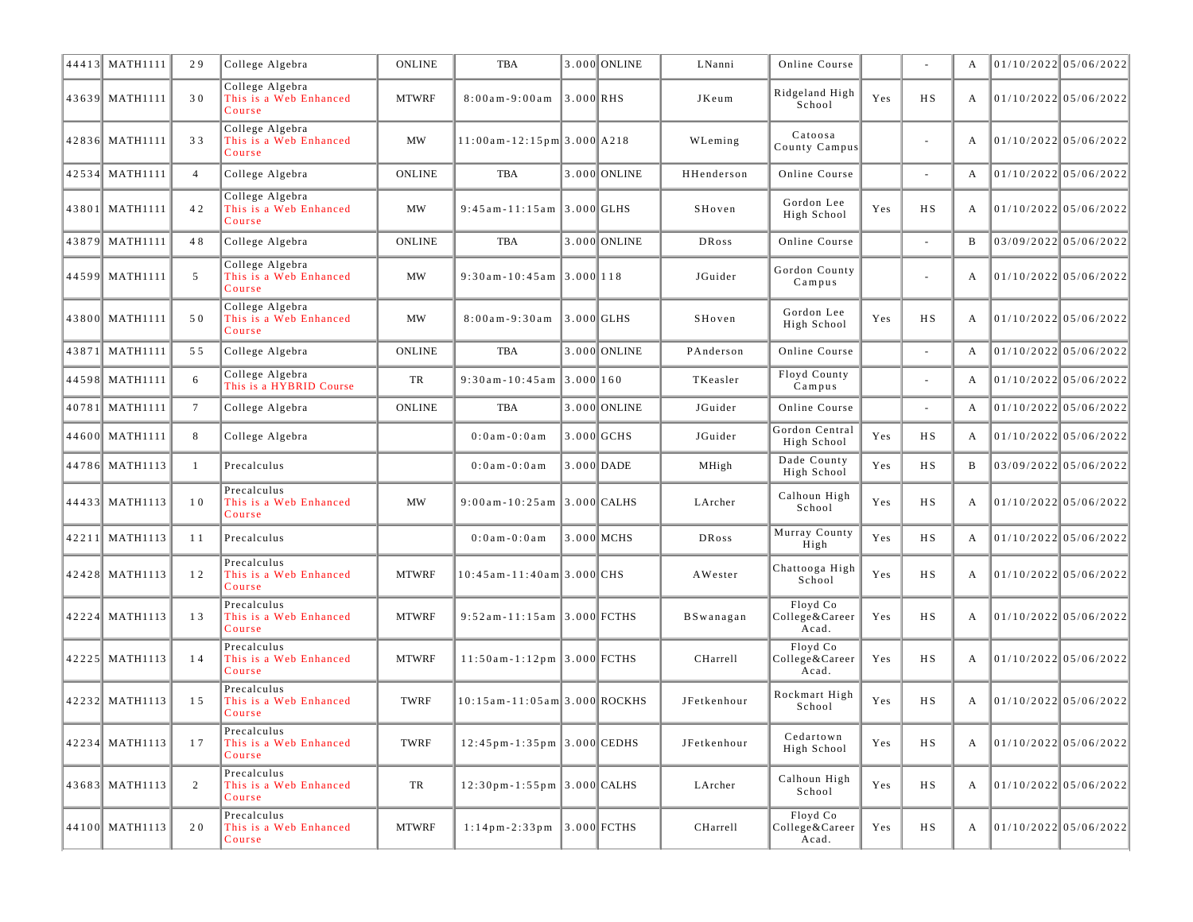| 44413 MATH1111 | 29              | College Algebra                                     | <b>ONLINE</b> | <b>TBA</b>                                                      |              | 3.000 ONLINE | LNanni      | Online Course                       |     |                          | A | 01/10/202205/06/2022    |                         |
|----------------|-----------------|-----------------------------------------------------|---------------|-----------------------------------------------------------------|--------------|--------------|-------------|-------------------------------------|-----|--------------------------|---|-------------------------|-------------------------|
| 43639 MATH1111 | 30              | College Algebra<br>This is a Web Enhanced<br>Course | <b>MTWRF</b>  | $8:00am - 9:00am$                                               | $3.000$ RHS  |              | JKeum       | Ridgeland High<br>School            | Yes | H S                      | A |                         | 01/10/2022 05/06/2022   |
| 42836 MATH1111 | 33              | College Algebra<br>This is a Web Enhanced<br>Course | MW            | 11:00am-12:15pm 3.000 A218                                      |              |              | WLeming     | Catoosa<br>County Campus            |     | $\overline{\phantom{a}}$ | A | 01/10/2022 05/06/2022   |                         |
| 42534 MATH1111 | $\overline{4}$  | College Algebra                                     | <b>ONLINE</b> | <b>TBA</b>                                                      |              | 3.000 ONLINE | HHenderson  | Online Course                       |     | ä,                       | A | $01/10/2022$ 05/06/2022 |                         |
| 43801 MATH1111 | 42              | College Algebra<br>This is a Web Enhanced<br>Course | <b>MW</b>     | $9:45$ am - 11:15 am 3.000 GLHS                                 |              |              | SHoven      | Gordon Lee<br>High School           | Yes | НS                       | А |                         | 01/10/2022 05/06/2022   |
| 43879 MATH1111 | 48              | College Algebra                                     | <b>ONLINE</b> | <b>TBA</b>                                                      |              | 3.000 ONLINE | DRoss       | Online Course                       |     |                          | B | 03/09/2022 05/06/2022   |                         |
| 44599 MATH1111 | 5               | College Algebra<br>This is a Web Enhanced<br>Course | MW            | $9:30$ am-10:45am 3.000 118                                     |              |              | JGuider     | Gordon County<br>Campus             |     | $\overline{\phantom{a}}$ | А |                         | 01/10/2022 05/06/2022   |
| 43800 MATH1111 | 50              | College Algebra<br>This is a Web Enhanced<br>Course | MW            | $8:00am - 9:30am$                                               | $3.000$ GLHS |              | SHoven      | Gordon Lee<br>High School           | Yes | H S                      | А |                         | 01/10/2022 05/06/2022   |
| 43871 MATH1111 | 55              | College Algebra                                     | <b>ONLINE</b> | <b>TBA</b>                                                      |              | 3.000 ONLINE | PAnderson   | Online Course                       |     |                          | А | 01/10/2022 05/06/2022   |                         |
| 44598 MATH1111 | 6               | College Algebra<br>This is a HYBRID Course          | TR            | $9:30$ am-10:45am 3.000 160                                     |              |              | TKeasler    | Floyd County<br>Campus              |     | ä,                       | A |                         | $01/10/2022$ 05/06/2022 |
| 40781 MATH1111 | $7\phantom{.0}$ | College Algebra                                     | <b>ONLINE</b> | <b>TBA</b>                                                      |              | 3.000 ONLINE | JGuider     | Online Course                       |     | ä,                       | А | $01/10/2022$ 05/06/2022 |                         |
| 44600 MATH1111 | 8               | College Algebra                                     |               | $0:0$ am $-0:0$ am                                              |              | $3.000$ GCHS | JGuider     | Gordon Central<br>High School       | Yes | H S                      | А |                         | $01/10/2022$ 05/06/2022 |
| 44786 MATH1113 | $\overline{1}$  | Precalculus                                         |               | $0:0$ a m - $0:0$ a m                                           |              | 3.000 DADE   | MHigh       | Dade County<br>High School          | Yes | H S                      | B |                         | 03/09/2022 05/06/2022   |
| 44433 MATH1113 | 10              | Precalculus<br>This is a Web Enhanced<br>Course     | MW            | $9:00$ am-10:25am 3.000 CALHS                                   |              |              | LArcher     | Calhoun High<br>School              | Yes | <b>HS</b>                | A | 01/10/2022 05/06/2022   |                         |
| 42211 MATH1113 | 11              | Precalculus                                         |               | $0:0$ am $-0:0$ am                                              |              | 3.000 MCHS   | DRoss       | Murray County<br>High               | Yes | H S                      | A | 01/10/2022 05/06/2022   |                         |
| 42428 MATH1113 | 12              | Precalculus<br>This is a Web Enhanced<br>Course     | <b>MTWRF</b>  | 10:45am-11:40am 3.000 CHS                                       |              |              | AWester     | Chattooga High<br>School            | Yes | HS                       | A | 01/10/2022 05/06/2022   |                         |
| 42224 MATH1113 | 13              | Precalculus<br>This is a Web Enhanced<br>Course     | <b>MTWRF</b>  | $9:52$ am - 11:15 am 3.000 FCTHS                                |              |              | BSwanagan   | Floyd Co<br>College&Career<br>Acad. | Yes | H S                      | А |                         | $01/10/2022$ 05/06/2022 |
| 42225 MATH1113 | 14              | Precalculus<br>This is a Web Enhanced<br>Course     | <b>MTWRF</b>  | $11:50$ am-1:12pm 3.000 FCTHS                                   |              |              | CHarrell    | Floyd Co<br>College&Career<br>Acad. | Yes | H S                      | А |                         | 01/10/2022 05/06/2022   |
| 42232 MATH1113 | 15              | Precalculus<br>This is a Web Enhanced<br>Course     | TWRF          | 10:15am-11:05am 3.000 ROCKHS                                    |              |              | JFetkenhour | Rockmart High<br>School             | Yes | HS                       | А | 01/10/2022 05/06/2022   |                         |
| 42234 MATH1113 | 17              | Precalculus<br>This is a Web Enhanced<br>Course     | <b>TWRF</b>   | $12:45$ pm - 1:35 pm 3.000 CEDHS                                |              |              | JFetkenhour | Cedartown<br>High School            | Yes | <b>HS</b>                |   |                         | 01/10/2022 05/06/2022   |
| 43683 MATH1113 | 2               | Precalculus<br>This is a Web Enhanced<br>Course     | TR            | $12:30$ pm - 1:55 pm 3.000 CALHS                                |              |              | LArcher     | Calhoun High<br>School              | Yes | HS                       | A |                         | 01/10/2022 05/06/2022   |
| 44100 MATH1113 | 20              | Precalculus<br>This is a Web Enhanced<br>Course     | <b>MTWRF</b>  | $1:14\,\text{p}\,\text{m-2}:33\,\text{p}\,\text{m}$ 3.000 FCTHS |              |              | CHarrell    | Floyd Co<br>College&Career<br>Acad. | Yes | НS                       | A |                         | 01/10/2022 05/06/2022   |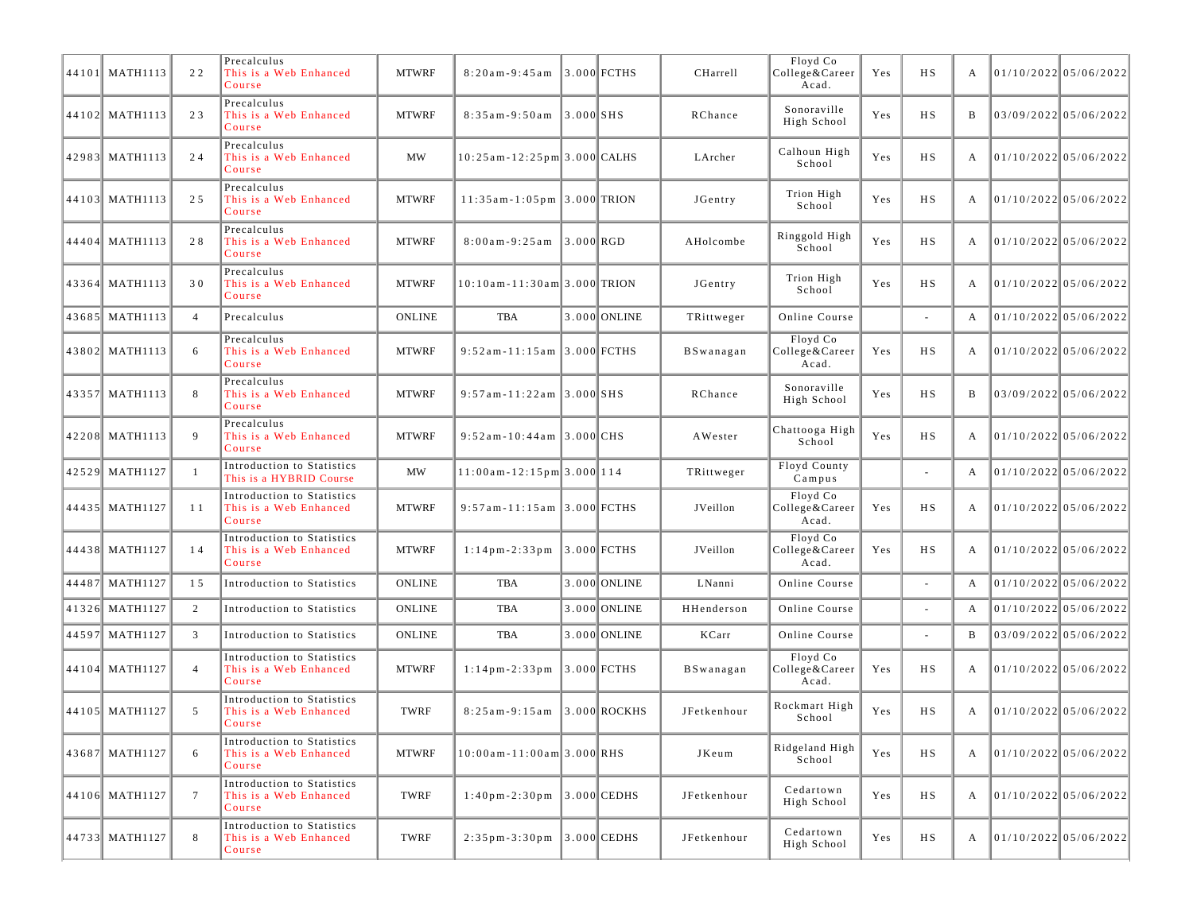| 44101 MATH1113   | 22              | Precalculus<br>This is a Web Enhanced<br>Course                | <b>MTWRF</b>  | $8:20am - 9:45am$                                                       |             | 3.000 FCTHS      | <b>CHarrell</b> | Floyd Co<br>College&Career<br>Acad. | Yes | H S    | A |                             | 01/10/2022 05/06/2022   |
|------------------|-----------------|----------------------------------------------------------------|---------------|-------------------------------------------------------------------------|-------------|------------------|-----------------|-------------------------------------|-----|--------|---|-----------------------------|-------------------------|
| 44102 MATH1113   | 23              | Precalculus<br>This is a Web Enhanced<br>Course                | <b>MTWRF</b>  | $8:35am - 9:50am$                                                       | $3.000$ SHS |                  | RChance         | Sonoraville<br>High School          | Yes | H S    | B |                             | 03/09/2022 05/06/2022   |
| 42983 MATH1113   | 24              | Precalculus<br>This is a Web Enhanced<br>Course                | <b>MW</b>     | 10:25am-12:25pm 3.000 CALHS                                             |             |                  | LArcher         | Calhoun High<br>School              | Yes | НS     | A | 01/10/2022 05/06/2022       |                         |
| 44103 MATH1113   | 25              | Precalculus<br>This is a Web Enhanced<br>Course                | <b>MTWRF</b>  | $11:35$ am - 1:05pm 3.000 TRION                                         |             |                  | JGentry         | Trion High<br>School                | Yes | H S    | A |                             | 01/10/2022 05/06/2022   |
| 44404 MATH1113   | 28              | Precalculus<br>This is a Web Enhanced<br>Course                | <b>MTWRF</b>  | $8:00am - 9:25am$                                                       | $3.000$ RGD |                  | AHolcombe       | Ringgold High<br>School             | Yes | H S    | A | 01/10/2022 05/06/2022       |                         |
| 43364 MATH1113   | 30              | Precalculus<br>This is a Web Enhanced<br>Course                | <b>MTWRF</b>  | 10:10am-11:30am 3.000 TRION                                             |             |                  | JGentry         | Trion High<br>School                | Yes | НS     | A | 01/10/2022 05/06/2022       |                         |
| 43685 MATH1113   | $\overline{4}$  | Precalculus                                                    | <b>ONLINE</b> | TBA                                                                     |             | 3.000 ONLINE     | TRittweger      | Online Course                       |     |        | A |                             | 01/10/2022 05/06/2022   |
| 43802 MATH1113   | 6               | Precalculus<br>This is a Web Enhanced<br>Course                | <b>MTWRF</b>  | $9:52$ am-11:15am 3.000 FCTHS                                           |             |                  | BSwanagan       | Floyd Co<br>College&Career<br>Acad. | Yes | H S    | A | 01/10/2022 05/06/2022       |                         |
| 43357 MATH1113   | 8               | Precalculus<br>This is a Web Enhanced<br>Course                | <b>MTWRF</b>  | $9:57$ am-11:22am 3.000 SHS                                             |             |                  | RChance         | Sonoraville<br>High School          | Yes | H S    | B |                             | 03/09/2022 05/06/2022   |
| 42208 MATH1113   | 9               | Precalculus<br>This is a Web Enhanced<br>Course                | <b>MTWRF</b>  | $9:52$ am - 10:44 am 3.000 CHS                                          |             |                  | AWester         | Chattooga High<br>School            | Yes | H S    | A |                             | $01/10/2022$ 05/06/2022 |
| 42529 MATH1127   |                 | Introduction to Statistics<br>This is a HYBRID Course          | MW            | 11:00am - 12:15pm 3.000 114                                             |             |                  | TRittweger      | Floyd County<br>Campus              |     |        | A |                             | $01/10/2022$ 05/06/2022 |
| 44435   MATH1127 | 11              | Introduction to Statistics<br>This is a Web Enhanced<br>Course | <b>MTWRF</b>  | $9:57$ am - 11:15 am $ 3.000 $ FCTHS                                    |             |                  | JVeillon        | Floyd Co<br>College&Career<br>Acad. | Yes | H S    | A | 01/10/2022 05/06/2022       |                         |
| 44438 MATH1127   | 14              | Introduction to Statistics<br>This is a Web Enhanced<br>Course | <b>MTWRF</b>  | $1:14\,\mathrm{p}\,\mathrm{m-2}:33\,\mathrm{p}\,\mathrm{m}$ 3.000 FCTHS |             |                  | JVeillon        | Floyd Co<br>College&Career<br>Acad. | Yes | H S    | A | 01/10/2022 05/06/2022       |                         |
| 44487 MATH1127   | 15              | Introduction to Statistics                                     | <b>ONLINE</b> | TBA                                                                     |             | 3.000 ONLINE     | LNanni          | Online Course                       |     |        | A |                             | 01/10/2022 05/06/2022   |
| 41326 MATH1127   | $\overline{2}$  | Introduction to Statistics                                     | <b>ONLINE</b> | TBA                                                                     |             | 3.000 ONLINE     | HHenderson      | Online Course                       |     |        | A |                             | $01/10/2022$ 05/06/2022 |
| 44597 MATH1127   | 3               | Introduction to Statistics                                     | <b>ONLINE</b> | <b>TBA</b>                                                              |             | 3.000 ONLINE     | KCarr           | Online Course                       |     | $\sim$ | B |                             | 03/09/2022 05/06/2022   |
| 44104 MATH1127   | $\overline{4}$  | Introduction to Statistics<br>This is a Web Enhanced<br>Course | <b>MTWRF</b>  | $1:14$ pm $-2:33$ pm                                                    |             | $ 3.000 $ FCTHS  | BSwanagan       | Floyd Co<br>College&Career<br>Acad. | Yes | НS     | A |                             | $01/10/2022$ 05/06/2022 |
| 44105 MATH1127   | 5               | Introduction to Statistics<br>This is a Web Enhanced<br>Course | TWRF          | $8:25$ am $-9:15$ am                                                    |             | $ 3.000 $ ROCKHS | JFetkenhour     | Rockmart High<br>School             | Yes | H S    | A | 01/10/2022 05/06/2022       |                         |
| 43687 MATH1127   | 6               | Introduction to Statistics<br>This is a Web Enhanced<br>Course | <b>MTWRF</b>  | $10:00$ am - $11:00$ am $3.000$ RHS                                     |             |                  | JKeum           | Ridgeland High<br>School            | Yes | H S    | A | 01/10/2022 05/06/2022       |                         |
| 44106 MATH1127   | $7\phantom{.0}$ | Introduction to Statistics<br>This is a Web Enhanced<br>Course | TWRF          | $1:40$ pm - $2:30$ pm                                                   |             | $ 3.000 $ CEDHS  | JFetkenhour     | Cedartown<br>High School            | Yes | H S    | A |                             | 01/10/2022 05/06/2022   |
| 44733 MATH1127   | 8               | Introduction to Statistics<br>This is a Web Enhanced<br>Course | TWRF          | $2:35\,\mathrm{p}\,\mathrm{m-}3:30\,\mathrm{p}\,\mathrm{m}$ 3.000 CEDHS |             |                  | JFetkenhour     | Cedartown<br>High School            | Yes | НS     |   | A $ 01/10/2022 05/06/2022 $ |                         |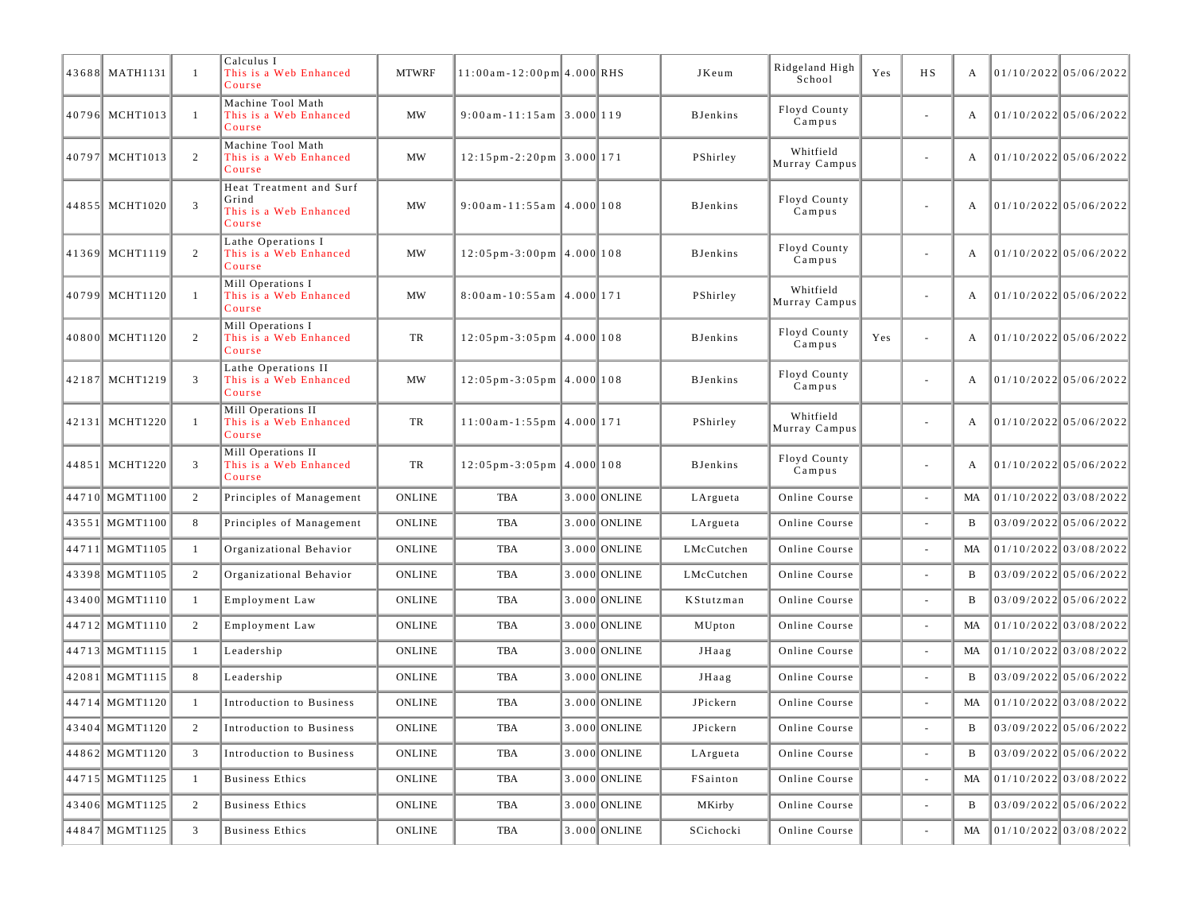| 43688 MATH1131 | -1             | Calculus I<br>This is a Web Enhanced<br>Course                       | <b>MTWRF</b>  | $11:00$ am - $12:00$ pm 4.000 RHS                        |                | JKeum           | Ridgeland High<br>School   | Yes | <b>HS</b>                | A  | 01/10/2022 05/06/2022   |                         |
|----------------|----------------|----------------------------------------------------------------------|---------------|----------------------------------------------------------|----------------|-----------------|----------------------------|-----|--------------------------|----|-------------------------|-------------------------|
| 40796 MCHT1013 | $\overline{1}$ | Machine Tool Math<br>This is a Web Enhanced<br>Course                | MW            | $9:00$ am-11:15am 3.000 119                              |                | <b>BJenkins</b> | Floyd County<br>Campus     |     | $\blacksquare$           | А  |                         | 01/10/2022 05/06/2022   |
| 40797 MCHT1013 | 2              | Machine Tool Math<br>This is a Web Enhanced<br>Course                | MW            | $12:15 \text{ pm} - 2:20 \text{ pm }3.000 \text{ m }171$ |                | PShirley        | Whitfield<br>Murray Campus |     | $\overline{\phantom{a}}$ | А  | 01/10/2022 05/06/2022   |                         |
| 44855 MCHT1020 | 3              | Heat Treatment and Surf<br>Grind<br>This is a Web Enhanced<br>Course | MW            | $9:00$ am - 11:55am 4.000 108                            |                | <b>BJenkins</b> | Floyd County<br>Campus     |     | $\overline{\phantom{a}}$ | A  | 01/10/2022 05/06/2022   |                         |
| 41369 MCHT1119 | 2              | Lathe Operations I<br>This is a Web Enhanced<br>Course               | MW            | $12:05 \text{ pm} - 3:00 \text{ pm}$ 4.000 108           |                | <b>BJenkins</b> | Floyd County<br>Campus     |     |                          | А  | $01/10/2022$ 05/06/2022 |                         |
| 40799 MCHT1120 | $\overline{1}$ | Mill Operations I<br>This is a Web Enhanced<br>Course                | MW            | $8:00$ am-10:55am 4.000 171                              |                | PShirley        | Whitfield<br>Murray Campus |     | $\overline{\phantom{a}}$ | А  | 01/10/2022 05/06/2022   |                         |
| 40800 MCHT1120 | 2              | Mill Operations I<br>This is a Web Enhanced<br>Course                | TR            | $12:05 \text{ pm} - 3:05 \text{ pm}$   4.000   108       |                | <b>BJenkins</b> | Floyd County<br>Campus     | Yes | ä,                       | А  | 01/10/2022 05/06/2022   |                         |
| 42187 MCHT1219 | 3              | Lathe Operations II<br>This is a Web Enhanced<br>Course              | MW            | $12:05 \text{ pm} - 3:05 \text{ pm}$   4.000   108       |                | <b>BJenkins</b> | Floyd County<br>Campus     |     |                          | А  | $01/10/2022$ 05/06/2022 |                         |
| 42131 MCHT1220 | $\overline{1}$ | Mill Operations II<br>This is a Web Enhanced<br>Course               | TR            | $11:00$ am-1:55pm $ 4.000 171$                           |                | PShirley        | Whitfield<br>Murray Campus |     | $\overline{\phantom{a}}$ | A  |                         | 01/10/2022 05/06/2022   |
| 44851 MCHT1220 | 3              | Mill Operations II<br>This is a Web Enhanced<br>Course               | TR            | $12:05 \text{ pm} - 3:05 \text{ pm}$   4.000   108       |                | <b>BJenkins</b> | Floyd County<br>Campus     |     | $\overline{\phantom{a}}$ | А  | $01/10/2022$ 05/06/2022 |                         |
| 44710 MGMT1100 | 2              | Principles of Management                                             | <b>ONLINE</b> | <b>TBA</b>                                               | 3.000 ONLINE   | LArgueta        | Online Course              |     |                          | MA | 01/10/2022 03/08/2022   |                         |
| 43551 MGMT1100 | 8              | Principles of Management                                             | ONLINE        | TBA                                                      | 3.000 ONLINE   | LArgueta        | Online Course              |     |                          | B  | $03/09/2022$ 05/06/2022 |                         |
| 44711 MGMT1105 | -1             | Organizational Behavior                                              | <b>ONLINE</b> | <b>TBA</b>                                               | 3.000 ONLINE   | LMcCutchen      | Online Course              |     | $\overline{\phantom{a}}$ | MA | 01/10/2022 03/08/2022   |                         |
| 43398 MGMT1105 | 2              | Organizational Behavior                                              | <b>ONLINE</b> | <b>TBA</b>                                               | 3.000 ONLINE   | LMcCutchen      | Online Course              |     |                          | B  |                         | 03/09/2022 05/06/2022   |
| 43400 MGMT1110 | -1             | Employment Law                                                       | <b>ONLINE</b> | <b>TBA</b>                                               | 3.000 ONLINE   | KStutzman       | Online Course              |     |                          | B  |                         | 03/09/2022 05/06/2022   |
| 44712 MGMT1110 | 2              | Employment Law                                                       | <b>ONLINE</b> | <b>TBA</b>                                               | 3.000 ONLINE   | MUpton          | Online Course              |     | ä,                       | MA | $01/10/2022$ 03/08/2022 |                         |
| 44713 MGMT1115 | -1             | Leadership                                                           | <b>ONLINE</b> | <b>TBA</b>                                               | 3.000 ONLINE   | JHaag           | Online Course              |     |                          | MA | $01/10/2022$ 03/08/2022 |                         |
| 42081 MGMT1115 | 8              | Leadership                                                           | <b>ONLINE</b> | TBA                                                      | 3.000 ONLINE   | JHaag           | Online Course              |     |                          | B  | 03/09/2022 05/06/2022   |                         |
| 44714 MGMT1120 | -1             | Introduction to Business                                             | <b>ONLINE</b> | TBA                                                      | 3.000 ONLINE   | JPickern        | Online Course              |     | ä,                       | MA | 01/10/2022 03/08/2022   |                         |
| 43404 MGMT1120 | 2              | Introduction to Business                                             | <b>ONLINE</b> | TBA                                                      | 3.000 ONLINE   | JPickern        | Online Course              |     |                          | B. | 03/09/2022 05/06/2022   |                         |
| 44862 MGMT1120 | 3              | Introduction to Business                                             | <b>ONLINE</b> | TBA                                                      | 3.000 ONLINE   | LArgueta        | Online Course              |     | ä,                       |    |                         | $03/09/2022$ 05/06/2022 |
| 44715 MGMT1125 | -1             | <b>Business Ethics</b>                                               | <b>ONLINE</b> | TBA                                                      | 3.000 ONLINE   | FSainton        | Online Course              |     | $\bar{a}$                | MA | 01/10/2022 03/08/2022   |                         |
| 43406 MGMT1125 | 2              | <b>Business Ethics</b>                                               | <b>ONLINE</b> | TBA                                                      | 3.000 ONLINE   | MKirby          | Online Course              |     | $\bar{a}$                |    | 03/09/2022 05/06/2022   |                         |
| 44847 MGMT1125 | 3              | <b>Business Ethics</b>                                               | ONLINE        | TBA                                                      | $3.000$ ONLINE | SCichocki       | Online Course              |     |                          | MA |                         | 01/10/2022 03/08/2022   |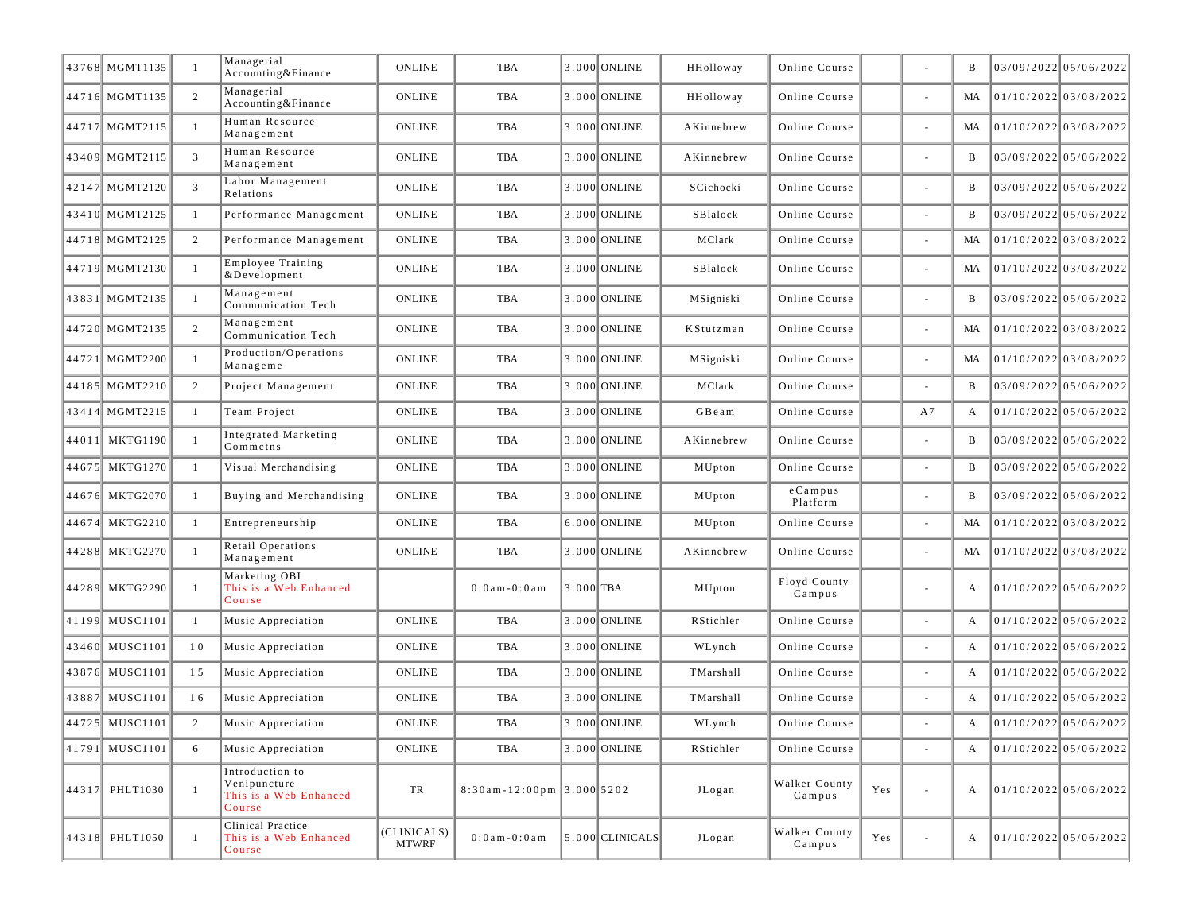| 43768 MGMT1135 | $\overline{1}$ | Managerial<br>Accounting&Finance                                    | <b>ONLINE</b>               | TBA                            |             | 3.000 ONLINE        | HHolloway      | Online Course           |     |                          | B  | 03/09/2022 05/06/2022   |
|----------------|----------------|---------------------------------------------------------------------|-----------------------------|--------------------------------|-------------|---------------------|----------------|-------------------------|-----|--------------------------|----|-------------------------|
| 44716 MGMT1135 | 2              | Managerial<br>Accounting&Finance                                    | <b>ONLINE</b>               | <b>TBA</b>                     |             | 3.000 ONLINE        | HHolloway      | Online Course           |     | ÷,                       | MA | 01/10/2022 03/08/2022   |
| 44717 MGMT2115 | $\overline{1}$ | Human Resource<br>Management                                        | <b>ONLINE</b>               | <b>TBA</b>                     |             | 3.000 ONLINE        | AKinnebrew     | Online Course           |     | $\overline{\phantom{a}}$ | MA | 01/10/2022 03/08/2022   |
| 43409 MGMT2115 | 3              | Human Resource<br>Management                                        | <b>ONLINE</b>               | TBA                            |             | 3.000 ONLINE        | AKinnebrew     | Online Course           |     |                          | B  | 03/09/2022 05/06/2022   |
| 42147 MGMT2120 | 3              | Labor Management<br>Relations                                       | <b>ONLINE</b>               | TBA                            |             | 3.000 ONLINE        | SCichocki      | Online Course           |     | $\overline{\phantom{a}}$ | B  | 03/09/2022 05/06/2022   |
| 43410 MGMT2125 | -1             | Performance Management                                              | <b>ONLINE</b>               | TBA                            |             | 3.000 ONLINE        | SBlalock       | Online Course           |     | ÷,                       | B  | 03/09/2022 05/06/2022   |
| 44718 MGMT2125 | 2              | Performance Management                                              | <b>ONLINE</b>               | TBA                            |             | 3.000 ONLINE        | MClark         | Online Course           |     | ÷,                       | MA | 01/10/2022 03/08/2022   |
| 44719 MGMT2130 | $\overline{1}$ | Employee Training<br>&Development                                   | <b>ONLINE</b>               | <b>TBA</b>                     |             | 3.000 ONLINE        | SBlalock       | Online Course           |     | ÷,                       | MA | 01/10/2022 03/08/2022   |
| 43831 MGMT2135 | $\overline{1}$ | Management<br>Communication Tech                                    | <b>ONLINE</b>               | TBA                            |             | 3.000 ONLINE        | MSigniski      | Online Course           |     |                          | B  | 03/09/2022 05/06/2022   |
| 44720 MGMT2135 | 2              | Management<br>Communication Tech                                    | <b>ONLINE</b>               | <b>TBA</b>                     |             | 3.000 ONLINE        | KStutzman      | Online Course           |     |                          | MA | $01/10/2022$ 03/08/2022 |
| 44721 MGMT2200 | $\overline{1}$ | Production/Operations<br>Manageme                                   | <b>ONLINE</b>               | <b>TBA</b>                     |             | 3.000 ONLINE        | MSigniski      | Online Course           |     | ÷,                       | MA | 01/10/2022 03/08/2022   |
| 44185 MGMT2210 | 2              | Project Management                                                  | <b>ONLINE</b>               | TBA                            |             | 3.000 ONLINE        | MClark         | Online Course           |     |                          | B  | 03/09/2022 05/06/2022   |
| 43414 MGMT2215 | -1             | Team Project                                                        | <b>ONLINE</b>               | TBA                            |             | 3.000 ONLINE        | GBeam          | Online Course           |     | A7                       | A  | $01/10/2022$ 05/06/2022 |
| 44011 MKTG1190 | $\overline{1}$ | Integrated Marketing<br>Commeths                                    | <b>ONLINE</b>               | TBA                            |             | 3.000 ONLINE        | AKinnebrew     | Online Course           |     | $\overline{\phantom{a}}$ | B  | 03/09/2022 05/06/2022   |
| 44675 MKTG1270 | -1             | Visual Merchandising                                                | <b>ONLINE</b>               | <b>TBA</b>                     |             | 3.000 ONLINE        | MUpton         | Online Course           |     | ÷,                       | B  | 03/09/2022 05/06/2022   |
| 44676 MKTG2070 | $\overline{1}$ | Buying and Merchandising                                            | <b>ONLINE</b>               | <b>TBA</b>                     |             | 3.000 ONLINE        | ${\tt MUpton}$ | $e$ Campus<br>Platform  |     |                          | B  | 03/09/2022 05/06/2022   |
| 44674 MKTG2210 | -1             | Entrepreneurship                                                    | <b>ONLINE</b>               | <b>TBA</b>                     |             | 6.000 ONLINE        | MUpton         | Online Course           |     |                          | MA | $01/10/2022$ 03/08/2022 |
| 44288 MKTG2270 | -1             | Retail Operations<br>Management                                     | <b>ONLINE</b>               | TBA                            |             | 3.000 ONLINE        | AKinnebrew     | Online Course           |     | $\sim$                   | MA | 01/10/2022 03/08/2022   |
| 44289 MKTG2290 | $\overline{1}$ | Marketing OBI<br>This is a Web Enhanced<br>Course                   |                             | $0:0$ am $-0:0$ am             | $3.000$ TBA |                     | MUpton         | Floyd County<br>Campus  |     | $\sim$                   | A  | 01/10/2022 05/06/2022   |
| 41199 MUSC1101 | -1             | Music Appreciation                                                  | <b>ONLINE</b>               | TBA                            |             | 3.000 ONLINE        | RStichler      | Online Course           |     | ÷,                       | A  | $01/10/2022$ 05/06/2022 |
| 43460 MUSC1101 | 10             | Music Appreciation                                                  | <b>ONLINE</b>               | TBA                            |             | 3.000 ONLINE        | WLynch         | Online Course           |     |                          | A  | $01/10/2022$ 05/06/2022 |
| 43876 MUSC1101 | 15             | Music Appreciation                                                  | <b>ONLINE</b>               | <b>TBA</b>                     |             | 3.000 ONLINE        | TMarshall      | Online Course           |     |                          | А  | $01/10/2022$ 05/06/2022 |
| 43887 MUSC1101 | 16             | Music Appreciation                                                  | <b>ONLINE</b>               | TBA                            |             | 3.000 ONLINE        | TMarshall      | Online Course           |     |                          | А  | $01/10/2022$ 05/06/2022 |
| 44725 MUSC1101 | 2              | Music Appreciation                                                  | <b>ONLINE</b>               | <b>TBA</b>                     |             | 3.000 ONLINE        | WLynch         | Online Course           |     |                          | A  | 01/10/2022 05/06/2022   |
| 41791 MUSC1101 | 6              | Music Appreciation                                                  | <b>ONLINE</b>               | TBA                            |             | 3.000 ONLINE        | RStichler      | Online Course           |     |                          | A  | 01/10/2022 05/06/2022   |
| 44317 PHLT1030 | $\overline{1}$ | Introduction to<br>Venipuncture<br>This is a Web Enhanced<br>Course | TR                          | $8:30$ am - 12:00pm 3.000 5202 |             |                     | JLogan         | Walker County<br>Campus | Yes | ÷,                       | A  | 01/10/2022 05/06/2022   |
| 44318 PHLT1050 | -1             | Clinical Practice<br>This is a Web Enhanced<br>Course               | (CLINICALS)<br><b>MTWRF</b> | $0:0$ am $-0:0$ am             |             | $ 5.000 $ CLINICALS | JLogan         | Walker County<br>Campus | Yes | ÷,                       | A  | 01/10/2022 05/06/2022   |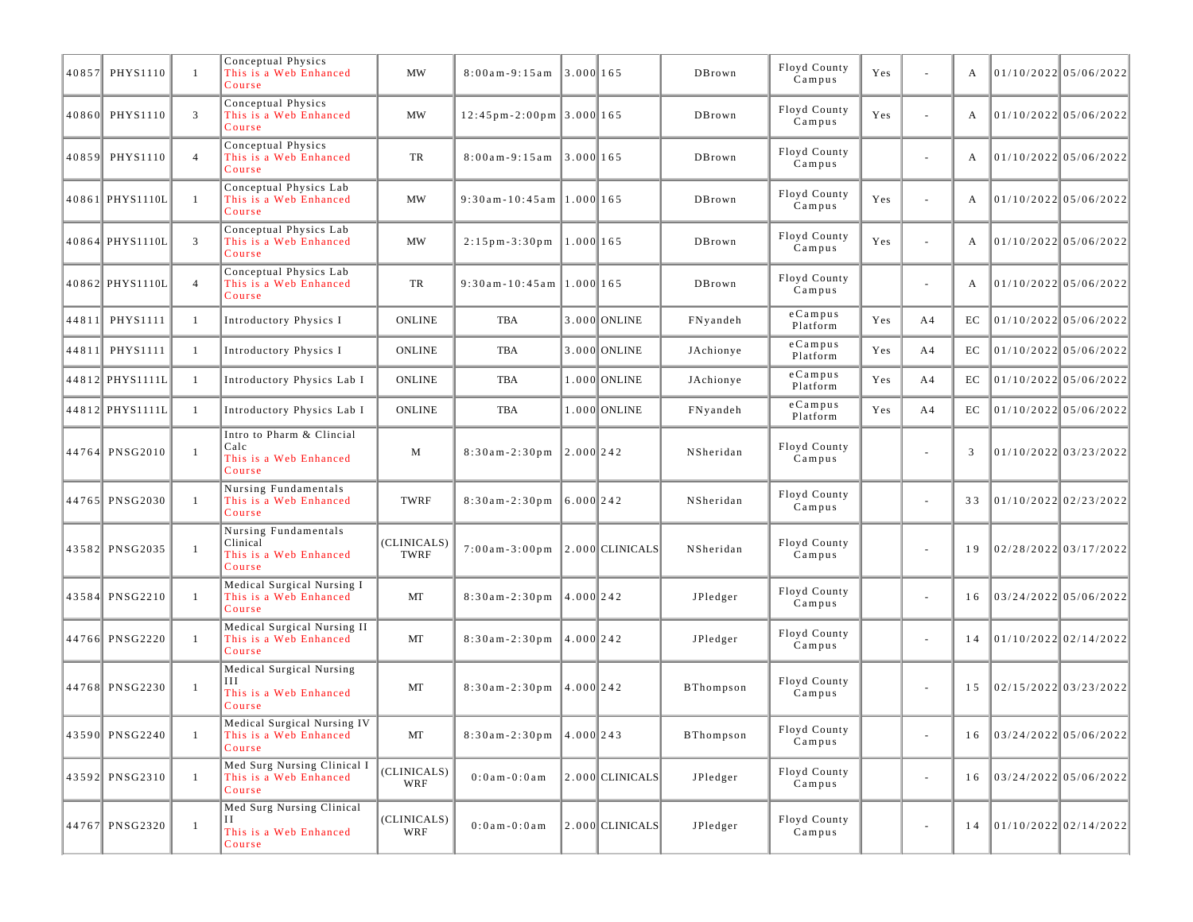| 40857 PHYS1110  | $\mathbf{1}$   | Conceptual Physics<br>This is a Web Enhanced<br>Course                | <b>MW</b>           | $8:00am - 9:15am$ 3.000 165                            |              |                     | DBrown           | Floyd County<br>Campus | Yes | ÷                        | А  | 01/10/2022 05/06/2022   |                       |
|-----------------|----------------|-----------------------------------------------------------------------|---------------------|--------------------------------------------------------|--------------|---------------------|------------------|------------------------|-----|--------------------------|----|-------------------------|-----------------------|
| 40860 PHYS1110  | 3              | Conceptual Physics<br>This is a Web Enhanced<br>Course                | <b>MW</b>           | $12:45 \text{ pm} - 2:00 \text{ pm }3.000 \text{ 165}$ |              |                     | DBrown           | Floyd County<br>Campus | Yes | ä,                       | А  | 01/10/2022 05/06/2022   |                       |
| 40859 PHYS1110  | $\overline{4}$ | Conceptual Physics<br>This is a Web Enhanced<br>Course                | TR                  | $8:00am-9:15am$ 3.000 165                              |              |                     | DBrown           | Floyd County<br>Campus |     | ä,                       | A  |                         | 01/10/2022 05/06/2022 |
| 40861 PHYS1110L | $\mathbf{1}$   | Conceptual Physics Lab<br>This is a Web Enhanced<br>Course            | <b>MW</b>           | $9:30$ am-10:45am 1.000 165                            |              |                     | DBrown           | Floyd County<br>Campus | Yes | ä,                       | A  | 01/10/2022 05/06/2022   |                       |
| 40864 PHYS1110L | 3              | Conceptual Physics Lab<br>This is a Web Enhanced<br>Course            | <b>MW</b>           | $2:15$ pm - 3:30 pm                                    | 1.0001165    |                     | DBrown           | Floyd County<br>Campus | Yes | ÷,                       | А  | 01/10/2022 05/06/2022   |                       |
| 40862 PHYS1110L | $\overline{4}$ | Conceptual Physics Lab<br>This is a Web Enhanced<br>Course            | TR                  | $9:30$ am-10:45am 1.000 165                            |              |                     | DBrown           | Floyd County<br>Campus |     |                          | A  |                         | 01/10/2022 05/06/2022 |
| 44811 PHYS1111  | $\mathbf{1}$   | Introductory Physics I                                                | <b>ONLINE</b>       | TBA                                                    |              | 3.000 ONLINE        | FNyandeh         | $e$ Campus<br>Platform | Yes | A4                       | EC | 01/10/2022 05/06/2022   |                       |
| 44811 PHYS1111  | -1             | Introductory Physics I                                                | <b>ONLINE</b>       | TBA                                                    |              | 3.000 ONLINE        | JAchionye        | $e$ Campus<br>Platform | Yes | A4                       | EC | 01/10/2022 05/06/2022   |                       |
| 44812 PHYS1111L | 1              | Introductory Physics Lab I                                            | <b>ONLINE</b>       | TBA                                                    |              | 1.000 ONLINE        | JAchionye        | $e$ Campus<br>Platform | Yes | A <sub>4</sub>           | EC | 01/10/2022 05/06/2022   |                       |
| 44812 PHYS1111L | $\mathbf{1}$   | Introductory Physics Lab I                                            | <b>ONLINE</b>       | <b>TBA</b>                                             |              | 1.000 ONLINE        | FNyandeh         | $e$ Campus<br>Platform | Yes | A4                       | EC | 01/10/2022 05/06/2022   |                       |
| 44764 PNSG2010  | $\mathbf{1}$   | Intro to Pharm & Clincial<br>Calc<br>This is a Web Enhanced<br>Course | M                   | $8:30am - 2:30pm$                                      | 12.0001242   |                     | NSheridan        | Floyd County<br>Campus |     | ä,                       | 3  | $01/10/2022$ 03/23/2022 |                       |
| 44765 PNSG2030  | $\mathbf{1}$   | Nursing Fundamentals<br>This is a Web Enhanced<br>Course              | TWRF                | $8:30am - 2:30pm$                                      | 6.000 242    |                     | NSheridan        | Floyd County<br>Campus |     | ä,                       | 33 | 01/10/2022 02/23/2022   |                       |
| 43582 PNSG2035  | $\mathbf{1}$   | Nursing Fundamentals<br>Clinical<br>This is a Web Enhanced<br>Course  | (CLINICALS)<br>TWRF | $7:00$ am - 3:00 pm                                    |              | $ 2.000 $ CLINICALS | NSheridan        | Floyd County<br>Campus |     | $\overline{\phantom{a}}$ | 19 | 02/28/2022 03/17/2022   |                       |
| 43584 PNSG2210  | $\mathbf{1}$   | Medical Surgical Nursing I<br>This is a Web Enhanced<br>Course        | MT                  | $8:30am - 2:30pm$                                      | $4.000$ 242  |                     | JPledger         | Floyd County<br>Campus |     | $\overline{\phantom{a}}$ | 16 | 03/24/2022 05/06/2022   |                       |
| 44766 PNSG2220  | $\mathbf{1}$   | Medical Surgical Nursing II<br>This is a Web Enhanced<br>Course       | MT                  | $8:30$ am - $2:30$ pm                                  | $14.000$ 242 |                     | JPledger         | Floyd County<br>Campus |     | $\blacksquare$           | 14 | 01/10/2022 02/14/2022   |                       |
| 44768 PNSG2230  | $\mathbf{1}$   | Medical Surgical Nursing<br>Ш<br>This is a Web Enhanced<br>Course     | MT                  | $8:30am - 2:30pm$                                      | 4.000 242    |                     | <b>BThompson</b> | Floyd County<br>Campus |     | $\overline{\phantom{a}}$ | 15 | $02/15/2022$ 03/23/2022 |                       |
| 43590 PNSG2240  | -1             | Medical Surgical Nursing IV<br>This is a Web Enhanced<br>Course       | MT                  | $8:30am-2:30pm$ 4.000 243                              |              |                     | <b>BThompson</b> | Floyd County<br>Campus |     | $\overline{\phantom{a}}$ | 16 | 03/24/2022 05/06/2022   |                       |
| 43592 PNSG2310  | $\mathbf{1}$   | Med Surg Nursing Clinical I<br>This is a Web Enhanced<br>Course       | (CLINICALS)<br>WRF  | $0:0$ a m - $0:0$ a m                                  |              | 2.000 CLINICALS     | JPledger         | Floyd County<br>Campus |     | $\overline{\phantom{a}}$ | 16 | 03/24/2022 05/06/2022   |                       |
| 44767 PNSG2320  | $\mathbf{1}$   | Med Surg Nursing Clinical<br>This is a Web Enhanced<br>Course         | (CLINICALS)<br>WRF  | $0:0$ am - $0:0$ am                                    |              | $2.000$ CLINICALS   | JPledger         | Floyd County<br>Campus |     | $\overline{\phantom{a}}$ | 14 | 01/10/2022 02/14/2022   |                       |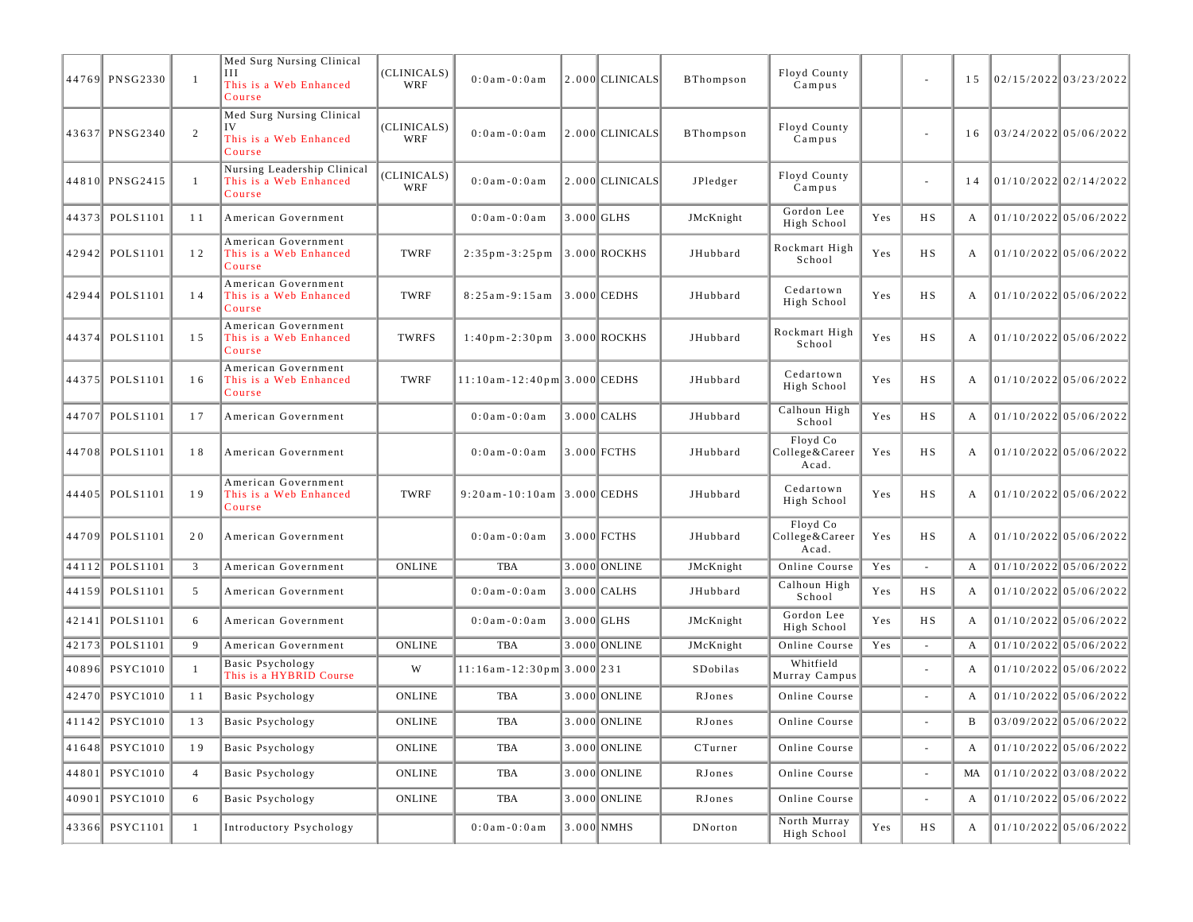|       | 44769 PNSG2330  | -1             | Med Surg Nursing Clinical<br>Ш<br>This is a Web Enhanced<br>Course  | (CLINICALS)<br>WRF | $0:0$ am $-0:0$ am                  | $2.000$ CLINICALS | <b>BThompson</b> | Floyd County<br>Campus              |     | $\overline{\phantom{a}}$ | 15 | 02/15/2022 03/23/2022   |                         |
|-------|-----------------|----------------|---------------------------------------------------------------------|--------------------|-------------------------------------|-------------------|------------------|-------------------------------------|-----|--------------------------|----|-------------------------|-------------------------|
|       | 43637 PNSG2340  | 2              | Med Surg Nursing Clinical<br>IV<br>This is a Web Enhanced<br>Course | (CLINICALS)<br>WRF | $0:0$ am - $0:0$ am                 | $2.000$ CLINICALS | <b>BThompson</b> | Floyd County<br>Campus              |     | $\overline{\phantom{a}}$ | 16 | 03/24/2022 05/06/2022   |                         |
|       | 44810 PNSG2415  | $\mathbf{1}$   | Nursing Leadership Clinical<br>This is a Web Enhanced<br>Course     | (CLINICALS)<br>WRF | $0:0$ a m $-0:0$ a m                | 2.000 CLINICALS   | JPledger         | Floyd County<br>Campus              |     | $\sim$                   | 14 | 01/10/2022 02/14/2022   |                         |
|       | 44373 POLS1101  | 11             | American Government                                                 |                    | $0:0$ am - $0:0$ am                 | $3.000$ GLHS      | JMcKnight        | Gordon Lee<br>High School           | Yes | H S                      | A  | $01/10/2022$ 05/06/2022 |                         |
|       | 42942 POLS1101  | 12             | American Government<br>This is a Web Enhanced<br>Course             | TWRF               | $2:35$ pm - 3:25 pm                 | 3.000 ROCKHS      | JHubbard         | Rockmart High<br>School             | Yes | <b>HS</b>                | A  |                         | 01/10/2022 05/06/2022   |
|       | 42944 POLS1101  | 14             | American Government<br>This is a Web Enhanced<br>Course             | TWRF               | $8:25am-9:15am$                     | $3.000$ CEDHS     | JHubbard         | Cedartown<br>High School            | Yes | H S                      | A  | 01/10/2022 05/06/2022   |                         |
|       | 44374 POLS1101  | 15             | American Government<br>This is a Web Enhanced<br>Course             | TWRFS              | $1:40p m - 2:30p m$ 3.000 ROCKHS    |                   | JHubbard         | Rockmart High<br>School             | Yes | H S                      | A  |                         | $01/10/2022$ 05/06/2022 |
|       | 44375 POLS1101  | 16             | American Government<br>This is a Web Enhanced<br>Course             | TWRF               | $11:10$ am - $12:40$ pm 3.000 CEDHS |                   | JHubbard         | Cedartown<br>High School            | Yes | H S                      | A  | $01/10/2022$ 05/06/2022 |                         |
| 44707 | POLS1101        | 17             | American Government                                                 |                    | $0:0$ am $-0:0$ am                  | 3.000 CALHS       | JHubbard         | Calhoun High<br>School              | Yes | H S                      | A  | $01/10/2022$ 05/06/2022 |                         |
|       | 44708 POLS1101  | 18             | American Government                                                 |                    | $0:0$ a m $-0:0$ a m                | 3.000 FCTHS       | JHubbard         | Floyd Co<br>College&Career<br>Acad. | Yes | <b>HS</b>                | A  |                         | $01/10/2022$ 05/06/2022 |
|       | 44405 POLS1101  | 19             | American Government<br>This is a Web Enhanced<br>Course             | TWRF               | $9:20$ am-10:10am 3.000 CEDHS       |                   | JHubbard         | Cedartown<br>High School            | Yes | H S                      | A  | 01/10/2022 05/06/2022   |                         |
|       | 44709 POLS1101  | 20             | American Government                                                 |                    | $0:0$ a m $-0:0$ a m                | $3.000$ FCTHS     | JHubbard         | Floyd Co<br>College&Career<br>Acad. | Yes | H S                      | A  |                         | $01/10/2022$ 05/06/2022 |
|       | 44112 POLS1101  | 3              | American Government                                                 | <b>ONLINE</b>      | <b>TBA</b>                          | 3.000 ONLINE      | JMcKnight        | Online Course                       | Yes | $\sim$                   | А  |                         | $01/10/2022$ 05/06/2022 |
| 44159 | POLS1101        | 5              | American Government                                                 |                    | $0:0$ a m $-0:0$ a m                | 3.000 CALHS       | JHubbard         | Calhoun High<br>School              | Yes | H S                      | A  |                         | $01/10/2022$ 05/06/2022 |
| 42141 | POLS1101        | 6              | American Government                                                 |                    | $0:0$ am - $0:0$ am                 | 3.000 GLHS        | JMcKnight        | Gordon Lee<br>High School           | Yes | H S                      | A  | 01/10/2022 05/06/2022   |                         |
| 42173 | POLS1101        | 9              | American Government                                                 | <b>ONLINE</b>      | <b>TBA</b>                          | 3.000 ONLINE      | JMcKnight        | Online Course                       | Yes | ÷.                       | А  |                         | 01/10/2022 05/06/2022   |
|       | 40896 PSYC1010  | -1             | <b>Basic Psychology</b><br>This is a HYBRID Course                  | W                  | $11:16am-12:30pm$ 3.000 231         |                   | SDobilas         | Whitfield<br>Murray Campus          |     | $\overline{\phantom{a}}$ | A  |                         | $01/10/2022$ 05/06/2022 |
| 42470 | <b>PSYC1010</b> | 11             | Basic Psychology                                                    | <b>ONLINE</b>      | TBA                                 | 3.000 ONLINE      | RJones           | Online Course                       |     | $\sim$                   | A  |                         | $01/10/2022$ 05/06/2022 |
|       | 41142 PSYC1010  | 13             | Basic Psychology                                                    | <b>ONLINE</b>      | TBA                                 | 3.000 ONLINE      | RJones           | Online Course                       |     |                          | B  |                         | 03/09/2022 05/06/2022   |
|       | 41648 PSYC1010  | 19             | Basic Psychology                                                    | ONLINE             | TBA                                 | $3.000$ ONLINE    | CTurner          | Online Course                       |     | $\omega$                 | A  | 01/10/2022 05/06/2022   |                         |
| 44801 | <b>PSYC1010</b> | $\overline{4}$ | Basic Psychology                                                    | ONLINE             | TBA                                 | 3.000 ONLINE      | RJones           | Online Course                       |     | ÷,                       | MA |                         | $01/10/2022$ 03/08/2022 |
|       | 40901 PSYC1010  | 6              | <b>Basic Psychology</b>                                             | ONLINE             | TBA                                 | 3.000 ONLINE      | RJones           | Online Course                       |     |                          | A  |                         | $01/10/2022$ 05/06/2022 |
|       | 43366 PSYC1101  | $\mathbf{1}$   | Introductory Psychology                                             |                    | $0:0$ am - $0:0$ am                 | 3.000 NMHS        | DNorton          | North Murray<br>High School         | Yes | HS                       | A  | 01/10/2022 05/06/2022   |                         |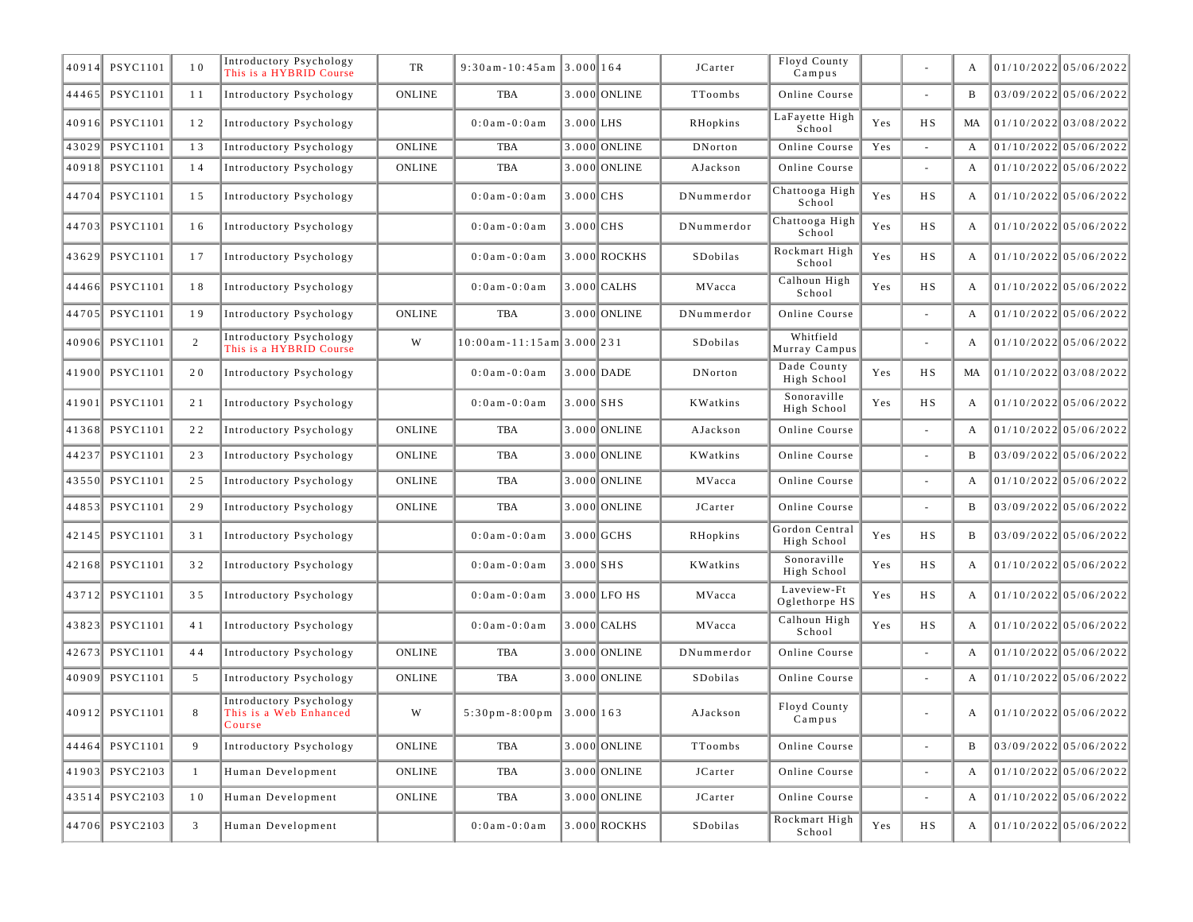| 40914 | <b>PSYC1101</b> | 10           | Introductory Psychology<br>This is a HYBRID Course          | TR            | $9:30$ am-10:45am 3.000 164         |               |               | JCarter        | Floyd County<br>Campus        |     |        | A  | $01/10/2022$ 05/06/2022 |
|-------|-----------------|--------------|-------------------------------------------------------------|---------------|-------------------------------------|---------------|---------------|----------------|-------------------------------|-----|--------|----|-------------------------|
| 44465 | <b>PSYC1101</b> | 11           | Introductory Psychology                                     | <b>ONLINE</b> | TBA                                 |               | 3.000 ONLINE  | TToombs        | Online Course                 |     |        | B  | 03/09/2022 05/06/2022   |
| 40916 | <b>PSYC1101</b> | 12           | Introductory Psychology                                     |               | $0:0$ a m - $0:0$ a m               | $3.000$ LHS   |               | RHopkins       | LaFayette High<br>School      | Yes | H S    | MA | 01/10/2022 03/08/2022   |
| 43029 | <b>PSYC1101</b> | 13           | Introductory Psychology                                     | <b>ONLINE</b> | <b>TBA</b>                          |               | 3.000 ONLINE  | DNorton        | Online Course                 | Yes | $\sim$ | A  | $01/10/2022$ 05/06/2022 |
| 40918 | <b>PSYC1101</b> | 14           | Introductory Psychology                                     | <b>ONLINE</b> | <b>TBA</b>                          |               | 3.000 ONLINE  | AJackson       | Online Course                 |     |        | A  | $01/10/2022$ 05/06/2022 |
| 44704 | PSYC1101        | 15           | Introductory Psychology                                     |               | $0:0$ a m - $0:0$ a m               | 3.000 CHS     |               | DNummerdor     | Chattooga High<br>School      | Yes | H S    | A  | $01/10/2022$ 05/06/2022 |
| 44703 | <b>PSYC1101</b> | 16           | Introductory Psychology                                     |               | $0:0$ am - $0:0$ am                 | $3.000$ CHS   |               | DNummerdor     | Chattooga High<br>School      | Yes | H S    | A  | 01/10/2022 05/06/2022   |
| 43629 | <b>PSYC1101</b> | 17           | Introductory Psychology                                     |               | $0:0$ am $-0:0$ am                  |               | 3.000 ROCKHS  | SDobilas       | Rockmart High<br>School       | Yes | H S    | A  | 01/10/2022 05/06/2022   |
| 44466 | <b>PSYC1101</b> | 18           | Introductory Psychology                                     |               | $0:0$ am $-0:0$ am                  |               | 3.000 CALHS   | MVacca         | Calhoun High<br>School        | Yes | H S    | А  | 01/10/2022 05/06/2022   |
| 44705 | <b>PSYC1101</b> | 19           | Introductory Psychology                                     | <b>ONLINE</b> | <b>TBA</b>                          |               | 3.000 ONLINE  | DNummerdor     | Online Course                 |     |        | A  | 01/10/2022 05/06/2022   |
| 40906 | <b>PSYC1101</b> | 2            | Introductory Psychology<br>This is a HYBRID Course          | W             | $10:00$ am - 11:15am 3.000 231      |               |               | SDobilas       | Whitfield<br>Murray Campus    |     |        | A  | 01/10/2022 05/06/2022   |
| 41900 | <b>PSYC1101</b> | 20           | Introductory Psychology                                     |               | $0:0$ am - $0:0$ am                 |               | 3.000 DADE    | <b>DNorton</b> | Dade County<br>High School    | Yes | H S    | MA | 01/10/2022 03/08/2022   |
| 41901 | <b>PSYC1101</b> | 21           | Introductory Psychology                                     |               | $0:0$ a m - $0:0$ a m               | $3.000$ $SHS$ |               | KWatkins       | Sonoraville<br>High School    | Yes | H S    | А  | $01/10/2022$ 05/06/2022 |
| 41368 | <b>PSYC1101</b> | 22           | Introductory Psychology                                     | <b>ONLINE</b> | <b>TBA</b>                          |               | 3.000 ONLINE  | AJackson       | Online Course                 |     |        | A  | 01/10/2022 05/06/2022   |
| 44237 | <b>PSYC1101</b> | 23           | Introductory Psychology                                     | <b>ONLINE</b> | <b>TBA</b>                          |               | 3.000 ONLINE  | KWatkins       | Online Course                 |     | $\sim$ | B  | 03/09/2022 05/06/2022   |
| 43550 | <b>PSYC1101</b> | 25           | Introductory Psychology                                     | <b>ONLINE</b> | TBA                                 |               | 3.000 ONLINE  | MVacca         | Online Course                 |     |        | A  | 01/10/2022 05/06/2022   |
| 44853 | <b>PSYC1101</b> | 29           | Introductory Psychology                                     | <b>ONLINE</b> | <b>TBA</b>                          |               | 3.000 ONLINE  | JCarter        | Online Course                 |     |        | B  | 03/09/2022 05/06/2022   |
| 42145 | <b>PSYC1101</b> | 31           | Introductory Psychology                                     |               | $0:0$ a m - $0:0$ a m               |               | 3.000 GCHS    | RHopkins       | Gordon Central<br>High School | Yes | H S    | B  | 03/09/2022 05/06/2022   |
| 42168 | <b>PSYC1101</b> | 32           | Introductory Psychology                                     |               | $0:0$ a m - $0:0$ a m               | $3.000$ $SHS$ |               | KWatkins       | Sonoraville<br>High School    | Yes | H S    | A  | 01/10/2022 05/06/2022   |
|       | 43712 PSYC1101  | 35           | Introductory Psychology                                     |               | $0:0$ am $-0:0$ am                  |               | 3.000 LFO HS  | MVacca         | Laveview-Ft<br>Oglethorpe HS  | Yes | H S    |    | 01/10/2022 05/06/2022   |
| 43823 | <b>PSYC1101</b> | 4 1          | Introductory Psychology                                     |               | $0:0$ am - $0:0$ am                 |               | $3.000$ CALHS | MVacca         | Calhoun High<br>School        | Yes | H S    | A  | 01/10/2022 05/06/2022   |
| 42673 | <b>PSYC1101</b> | 44           | Introductory Psychology                                     | <b>ONLINE</b> | <b>TBA</b>                          |               | 3.000 ONLINE  | DNummerdor     | Online Course                 |     |        | A  | $01/10/2022$ 05/06/2022 |
| 40909 | <b>PSYC1101</b> | 5            | Introductory Psychology                                     | <b>ONLINE</b> | TBA                                 |               | 3.000 ONLINE  | SDobilas       | Online Course                 |     | $\sim$ | A  | 01/10/2022 05/06/2022   |
|       | 40912 PSYC1101  | 8            | Introductory Psychology<br>This is a Web Enhanced<br>Course | W             | $5:30 \text{ pm} - 8:00 \text{ pm}$ | 3.000  163    |               | AJackson       | Floyd County<br>Campus        |     |        | A  | 01/10/2022 05/06/2022   |
| 44464 | <b>PSYC1101</b> | 9            | Introductory Psychology                                     | <b>ONLINE</b> | <b>TBA</b>                          |               | 3.000 ONLINE  | TToombs        | Online Course                 |     |        | B  | 03/09/2022 05/06/2022   |
| 41903 | <b>PSYC2103</b> | $\mathbf{1}$ | Human Development                                           | <b>ONLINE</b> | <b>TBA</b>                          |               | 3.000 ONLINE  | JCarter        | Online Course                 |     | $\sim$ | A  | $01/10/2022$ 05/06/2022 |
| 43514 | <b>PSYC2103</b> | 10           | Human Development                                           | <b>ONLINE</b> | <b>TBA</b>                          |               | 3.000 ONLINE  | JCarter        | Online Course                 |     |        | A  | 01/10/2022 05/06/2022   |
|       | 44706 PSYC2103  | 3            | Human Development                                           |               | $0:0$ am $-0:0$ am                  |               | 3.000 ROCKHS  | SDobilas       | Rockmart High<br>School       | Yes | H S    | А  | $01/10/2022$ 05/06/2022 |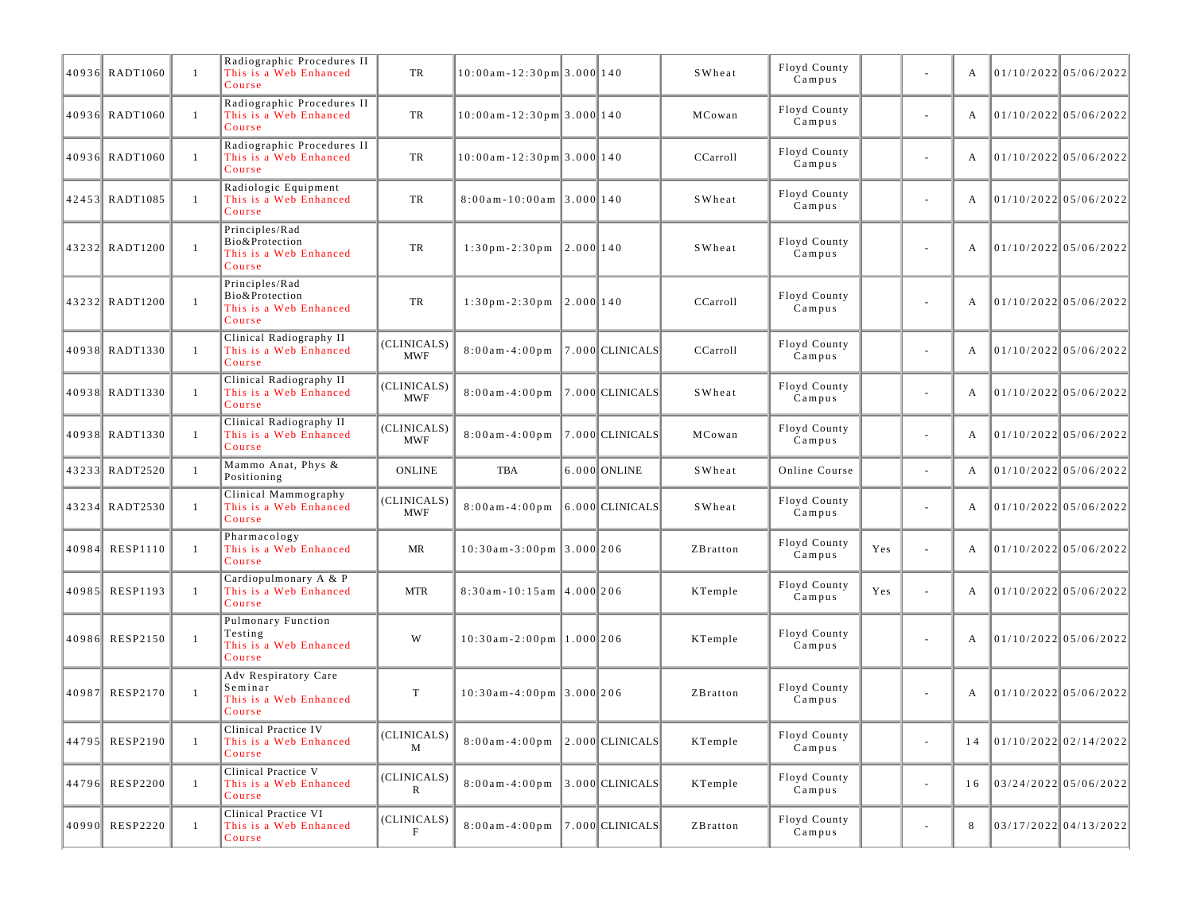|       | 40936 RADT1060  | $\mathbf{1}$   | Radiographic Procedures II<br>This is a Web Enhanced<br>Course           | TR                          | $10:00$ am - 12:30pm 3.000 140   |           |                     | SWheat   | Floyd County<br>Campus |     |                          | А  |                                | 01/10/2022 05/06/2022   |
|-------|-----------------|----------------|--------------------------------------------------------------------------|-----------------------------|----------------------------------|-----------|---------------------|----------|------------------------|-----|--------------------------|----|--------------------------------|-------------------------|
|       | 40936 RADT1060  | $\mathbf{1}$   | Radiographic Procedures II<br>This is a Web Enhanced<br>Course           | TR                          | $10:00$ am - 12:30pm 3.000 140   |           |                     | MCowan   | Floyd County<br>Campus |     | $\blacksquare$           | А  | 01/10/2022 05/06/2022          |                         |
|       | 40936 RADT1060  | -1             | Radiographic Procedures II<br>This is a Web Enhanced<br>Course           | TR                          | $10:00$ am - 12:30pm 3.000 140   |           |                     | CCarroll | Floyd County<br>Campus |     | ä,                       | А  |                                | $01/10/2022$ 05/06/2022 |
|       | 42453 RADT1085  | $\mathbf{1}$   | Radiologic Equipment<br>This is a Web Enhanced<br>Course                 | TR                          | $8:00$ am - 10:00am 3.000 140    |           |                     | SWheat   | Floyd County<br>Campus |     | ä,                       | А  | 01/10/2022 05/06/2022          |                         |
|       | 43232 RADT1200  | $\mathbf{1}$   | Principles/Rad<br>Bio&Protection<br>This is a Web Enhanced<br>Course     | TR                          | $1:30$ pm - $2:30$ pm            | 2.000 140 |                     | SWheat   | Floyd County<br>Campus |     | ä,                       | А  |                                | 01/10/2022 05/06/2022   |
|       | 43232 RADT1200  | $\overline{1}$ | Principles/Rad<br>Bio&Protection<br>This is a Web Enhanced<br>Course     | TR                          | $1:30p m-2:30p m$ 2.000 140      |           |                     | CCarroll | Floyd County<br>Campus |     | ä,                       | A  | 01/10/2022 05/06/2022          |                         |
|       | 40938 RADT1330  | $\mathbf{1}$   | Clinical Radiography II<br>This is a Web Enhanced<br>Course              | (CLINICALS)<br><b>MWF</b>   | $8:00$ am - 4:00pm               |           | $ 7.000 $ CLINICALS | CCarroll | Floyd County<br>Campus |     | $\overline{\phantom{a}}$ | A  | 01/10/2022 05/06/2022          |                         |
|       | 40938 RADT1330  | $\mathbf{1}$   | Clinical Radiography II<br>This is a Web Enhanced<br>Course              | (CLINICALS)<br><b>MWF</b>   | $8:00$ am - 4:00 pm              |           | $ 7.000 $ CLINICALS | SWheat   | Floyd County<br>Campus |     | ä,                       | А  |                                | $01/10/2022$ 05/06/2022 |
|       | 40938 RADT1330  | $\mathbf{1}$   | Clinical Radiography II<br>This is a Web Enhanced<br>Course              | (CLINICALS)<br><b>MWF</b>   | $8:00$ am - 4:00 pm              |           | 7.000 CLINICALS     | MCowan   | Floyd County<br>Campus |     | ä,                       | А  |                                | 01/10/2022 05/06/2022   |
|       | 43233 RADT2520  | -1             | Mammo Anat, Phys &<br>Positioning                                        | <b>ONLINE</b>               | TBA                              |           | 6.000 ONLINE        | SWheat   | Online Course          |     | $\blacksquare$           | А  | $01/10/2022$ 05/06/2022        |                         |
|       | 43234 RADT2530  | $\mathbf{1}$   | Clinical Mammography<br>This is a Web Enhanced<br>Course                 | (CLINICALS)<br><b>MWF</b>   | $8:00$ am - 4:00 pm              |           | $6.000$ CLINICALS   | SWheat   | Floyd County<br>Campus |     | ä,                       | А  |                                | 01/10/2022 05/06/2022   |
|       | 40984 RESP1110  | -1             | Pharmacology<br>This is a Web Enhanced<br>Course                         | MR                          | $10:30$ am - 3:00pm 3.000 206    |           |                     | ZBratton | Floyd County<br>Campus | Yes | ÷,                       | A  | 01/10/2022 05/06/2022          |                         |
|       | 40985 RESP1193  | $\mathbf{1}$   | Cardiopulmonary A & P<br>This is a Web Enhanced<br>Course                | <b>MTR</b>                  | $8:30$ am - 10:15am $ 4.000 206$ |           |                     | KTemple  | Floyd County<br>Campus | Yes | ä,                       | A  |                                | $01/10/2022$ 05/06/2022 |
|       | 40986 RESP2150  | $\mathbf{1}$   | <b>Pulmonary Function</b><br>Testing<br>This is a Web Enhanced<br>Course | W                           | $10:30$ am-2:00pm   1.000   206  |           |                     | KTemple  | Floyd County<br>Campus |     | $\overline{\phantom{a}}$ | А  | 01/10/2022 05/06/2022          |                         |
| 40987 | <b>RESP2170</b> | $\mathbf{1}$   | Adv Respiratory Care<br>Seminar<br>This is a Web Enhanced<br>Course      | T                           | $10:30$ am-4:00pm 3.000 206      |           |                     | ZBratton | Floyd County<br>Campus |     | $\blacksquare$           | А  |                                | 01/10/2022 05/06/2022   |
|       | 44795 RESP2190  | -1             | Clinical Practice IV<br>This is a Web Enhanced<br>Course                 | (CLINICALS)<br>M            | $8:00$ am-4:00pm 2.000 CLINICALS |           |                     | KTemple  | Floyd County<br>Campus |     |                          |    | $14$   01/10/2022   02/14/2022 |                         |
|       | 44796 RESP2200  | $\mathbf{1}$   | Clinical Practice V<br>This is a Web Enhanced<br>Course                  | (CLINICALS)<br>$\mathbb{R}$ | $8:00am-4:00pm$ 3.000 CLINICALS  |           |                     | KTemple  | Floyd County<br>Campus |     | $\blacksquare$           | 16 | 03/24/2022 05/06/2022          |                         |
|       | 40990 RESP2220  | -1             | Clinical Practice VI<br>This is a Web Enhanced<br>Course                 | (CLINICALS)<br>F            | $8:00a m - 4:00p m$              |           | $ 7.000 $ CLINICALS | ZBratton | Floyd County<br>Campus |     | $\overline{\phantom{a}}$ | 8  |                                | 03/17/2022 04/13/2022   |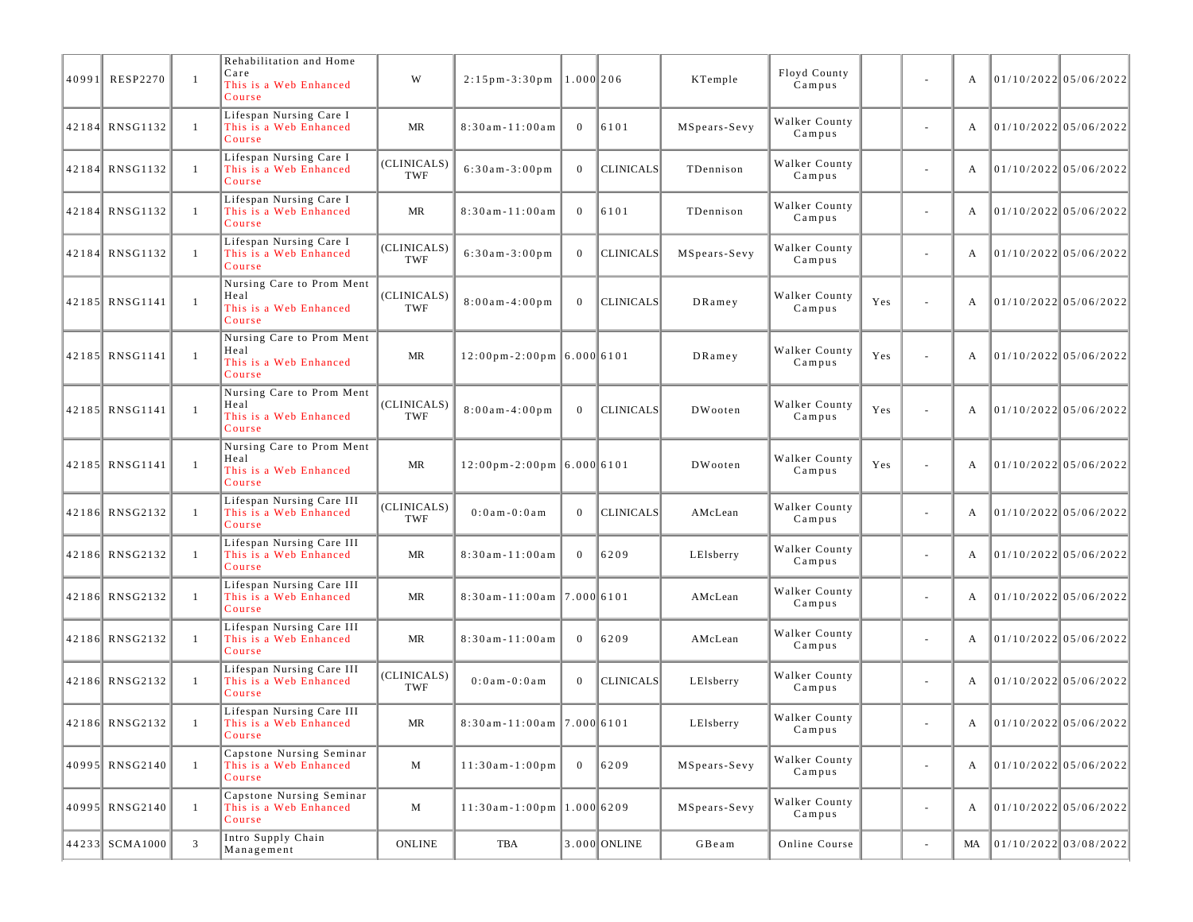| 40991 | <b>RESP2270</b> | $\mathbf{1}$   | Rehabilitation and Home<br>Care<br>This is a Web Enhanced<br>Course   | W                  | $2:15$ pm - $3:30$ pm                         | $1.000$  206   |                  | KTemple      | Floyd County<br>Campus  |     | $\overline{\phantom{a}}$ | A  | 01/10/2022 05/06/2022   |
|-------|-----------------|----------------|-----------------------------------------------------------------------|--------------------|-----------------------------------------------|----------------|------------------|--------------|-------------------------|-----|--------------------------|----|-------------------------|
|       | 42184 RNSG1132  | $\mathbf{1}$   | Lifespan Nursing Care I<br>This is a Web Enhanced<br>Course           | MR                 | $8:30$ am - $11:00$ am                        | $\mathbf{0}$   | 6101             | MSpears-Sevy | Walker County<br>Campus |     | $\sim$                   | А  | 01/10/2022 05/06/2022   |
|       | 42184 RNSG1132  | $\mathbf{1}$   | Lifespan Nursing Care I<br>This is a Web Enhanced<br>Course           | (CLINICALS)<br>TWF | $6:30am-3:00pm$                               | $\mathbf{0}$   | <b>CLINICALS</b> | TDennison    | Walker County<br>Campus |     | $\overline{\phantom{a}}$ | А  | $01/10/2022$ 05/06/2022 |
|       | 42184 RNSG1132  | -1             | Lifespan Nursing Care I<br>This is a Web Enhanced<br>Course           | MR                 | $8:30$ am - $11:00$ am                        | $\mathbf{0}$   | 6101             | TDennison    | Walker County<br>Campus |     | $\sim$                   | А  | 01/10/2022 05/06/2022   |
|       | 42184 RNSG1132  | $\overline{1}$ | Lifespan Nursing Care I<br>This is a Web Enhanced<br>Course           | (CLINICALS)<br>TWF | $6:30am-3:00pm$                               | $\mathbf{0}$   | <b>CLINICALS</b> | MSpears-Sevy | Walker County<br>Campus |     | $\sim$                   | А  | 01/10/2022 05/06/2022   |
|       | 42185 RNSG1141  | $\mathbf{1}$   | Nursing Care to Prom Ment<br>Heal<br>This is a Web Enhanced<br>Course | (CLINICALS)<br>TWF | $8:00$ am - 4:00pm                            | $\overline{0}$ | <b>CLINICALS</b> | $DR$ amey    | Walker County<br>Campus | Yes | L,                       | А  | 01/10/2022 05/06/2022   |
|       | 42185 RNSG1141  | $\overline{1}$ | Nursing Care to Prom Ment<br>Heal<br>This is a Web Enhanced<br>Course | MR                 | $12:00 \text{pm} - 2:00 \text{pm}$ 6.000 6101 |                |                  | $DR$ amey    | Walker County<br>Campus | Yes | ÷,                       | А  | $01/10/2022$ 05/06/2022 |
|       | 42185 RNSG1141  | $\mathbf{1}$   | Nursing Care to Prom Ment<br>Heal<br>This is a Web Enhanced<br>Course | (CLINICALS)<br>TWF | $8:00$ am - 4:00pm                            | $\overline{0}$ | <b>CLINICALS</b> | DWooten      | Walker County<br>Campus | Yes | L,                       | А  | $01/10/2022$ 05/06/2022 |
|       | 42185 RNSG1141  | $\mathbf{1}$   | Nursing Care to Prom Ment<br>Heal<br>This is a Web Enhanced<br>Course | MR                 | $12:00 \text{pm} - 2:00 \text{pm}$ 6.000 6101 |                |                  | DWooten      | Walker County<br>Campus | Yes | ÷,                       | А  | $01/10/2022$ 05/06/2022 |
|       | 42186 RNSG2132  | $\mathbf{1}$   | Lifespan Nursing Care III<br>This is a Web Enhanced<br>Course         | (CLINICALS)<br>TWF | $0:0$ am $-0:0$ am                            | $\mathbf{0}$   | <b>CLINICALS</b> | AMcLean      | Walker County<br>Campus |     | $\overline{\phantom{a}}$ | A  | 01/10/2022 05/06/2022   |
|       | 42186 RNSG2132  | -1             | Lifespan Nursing Care III<br>This is a Web Enhanced<br>Course         | MR                 | $8:30$ am - $11:00$ am                        | $\overline{0}$ | 6209             | LElsberry    | Walker County<br>Campus |     | $\overline{\phantom{a}}$ | А  | $01/10/2022$ 05/06/2022 |
|       | 42186 RNSG2132  | $\mathbf{1}$   | Lifespan Nursing Care III<br>This is a Web Enhanced<br>Course         | MR                 | $8:30$ am-11:00am 7.000 6101                  |                |                  | AMcLean      | Walker County<br>Campus |     | $\sim$                   | А  | $01/10/2022$ 05/06/2022 |
|       | 42186 RNSG2132  | $\mathbf{1}$   | Lifespan Nursing Care III<br>This is a Web Enhanced<br>Course         | MR                 | $8:30$ am - $11:00$ am                        | $\mathbf{0}$   | 6209             | AMcLean      | Walker County<br>Campus |     | $\overline{\phantom{a}}$ | A  | 01/10/2022 05/06/2022   |
|       | 42186 RNSG2132  | -1             | Lifespan Nursing Care III<br>This is a Web Enhanced<br>Course         | (CLINICALS)<br>TWF | $0:0$ am $-0:0$ am                            | $\overline{0}$ | <b>CLINICALS</b> | LElsberry    | Walker County<br>Campus |     | $\sim$                   | А  | $01/10/2022$ 05/06/2022 |
|       | 42186 RNSG2132  | -1             | Lifespan Nursing Care III<br>This is a Web Enhanced<br>Course         | <b>MR</b>          | $8:30$ am-11:00am 7.000 6101                  |                |                  | LElsberry    | Walker County<br>Campus |     |                          | A  | 01/10/2022 05/06/2022   |
|       | 40995 RNSG2140  | $\mathbf{1}$   | Capstone Nursing Seminar<br>This is a Web Enhanced<br>Course          | M                  | $11:30am-1:00pm$                              | $\mathbf{0}$   | 6209             | MSpears-Sevy | Walker County<br>Campus |     | $\overline{\phantom{a}}$ | A  | 01/10/2022 05/06/2022   |
|       | 40995 RNSG2140  | $\mathbf{1}$   | Capstone Nursing Seminar<br>This is a Web Enhanced<br>Course          | M                  | $11:30$ am-1:00pm   1.000   6209              |                |                  | MSpears-Sevy | Walker County<br>Campus |     | $\overline{\phantom{a}}$ | А  | 01/10/202205/06/2022    |
|       | 44233 SCMA1000  | 3              | Intro Supply Chain<br>Management                                      | ONLINE             | TBA                                           |                | 3.000 ONLINE     | GBeam        | Online Course           |     | $\overline{\phantom{a}}$ | MA | 01/10/2022 03/08/2022   |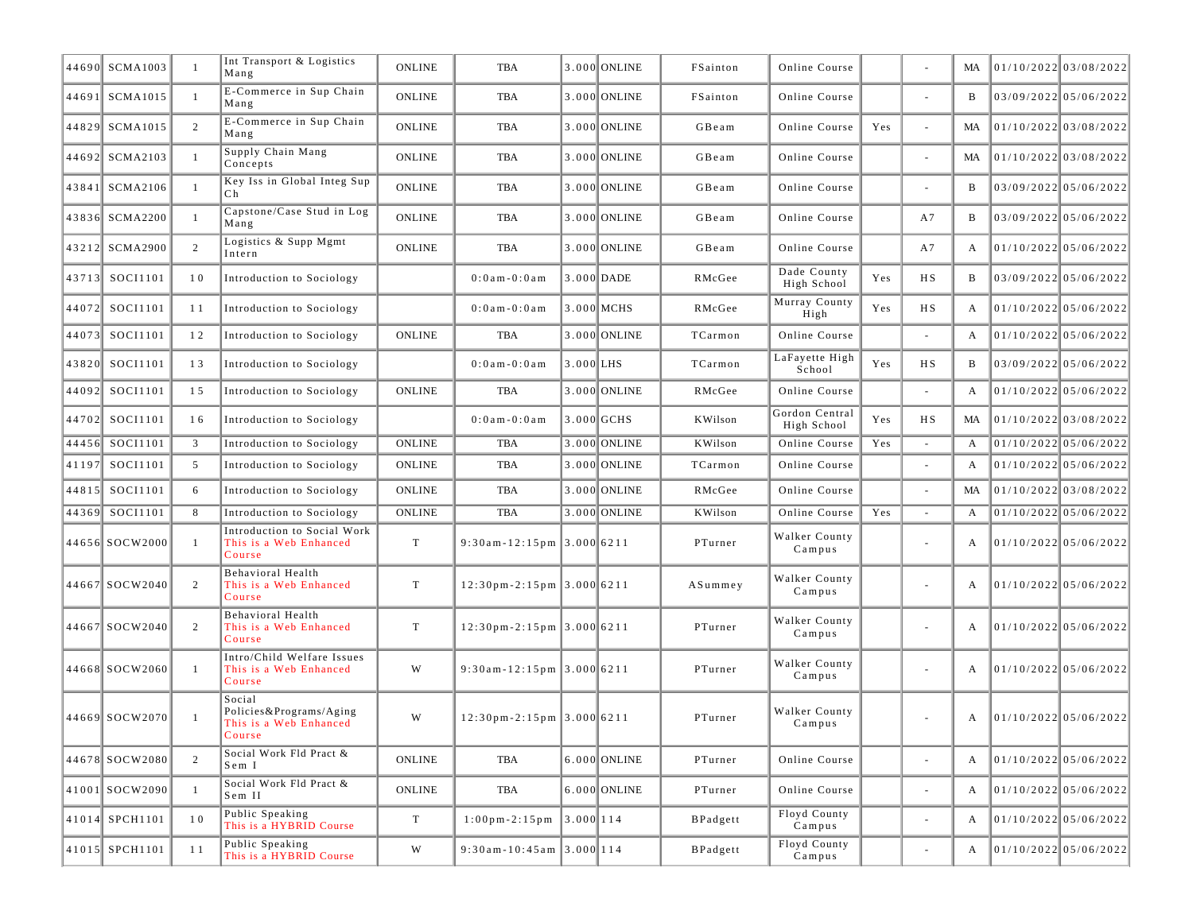|       | 44690 SCMA1003 | $\mathbf{1}$   | Int Transport & Logistics<br>Mang                                     | <b>ONLINE</b> | TBA                                           |             | 3.000 ONLINE   | FSainton | Online Course                 |     |                          | MA | 01/10/2022 03/08/2022   |                         |
|-------|----------------|----------------|-----------------------------------------------------------------------|---------------|-----------------------------------------------|-------------|----------------|----------|-------------------------------|-----|--------------------------|----|-------------------------|-------------------------|
|       | 44691 SCMA1015 | -1             | E-Commerce in Sup Chain<br>Mang                                       | <b>ONLINE</b> | <b>TBA</b>                                    |             | 3.000 ONLINE   | FSainton | Online Course                 |     | $\overline{\phantom{a}}$ | B  | 03/09/2022 05/06/2022   |                         |
|       | 44829 SCMA1015 | 2              | E-Commerce in Sup Chain<br>Mang                                       | <b>ONLINE</b> | TBA                                           |             | 3.000 ONLINE   | GBeam    | Online Course                 | Yes | ÷,                       | MA | 01/10/2022 03/08/2022   |                         |
|       | 44692 SCMA2103 | $\overline{1}$ | Supply Chain Mang<br>Concepts                                         | <b>ONLINE</b> | TBA                                           |             | 3.000 ONLINE   | GBeam    | Online Course                 |     | ÷,                       | MA | 01/10/2022 03/08/2022   |                         |
|       | 43841 SCMA2106 | -1             | Key Iss in Global Integ Sup<br>Ch                                     | <b>ONLINE</b> | <b>TBA</b>                                    |             | 3.000 ONLINE   | GBeam    | Online Course                 |     | $\overline{\phantom{a}}$ | B  | 03/09/2022 05/06/2022   |                         |
|       | 43836 SCMA2200 | -1             | Capstone/Case Stud in Log<br>Mang                                     | <b>ONLINE</b> | TBA                                           |             | 3.000 ONLINE   | GBeam    | Online Course                 |     | A7                       | B  | 03/09/2022 05/06/2022   |                         |
|       | 43212 SCMA2900 | 2              | Logistics & Supp Mgmt<br>Intern                                       | <b>ONLINE</b> | TBA                                           |             | 3.000 ONLINE   | GBeam    | Online Course                 |     | A7                       | A  | $01/10/2022$ 05/06/2022 |                         |
|       | 43713 SOCI1101 | 10             | Introduction to Sociology                                             |               | $0:0$ a m $-0:0$ a m                          |             | 3.000 DADE     | RMcGee   | Dade County<br>High School    | Yes | H S                      | B  | $03/09/2022$ 05/06/2022 |                         |
|       | 44072 SOCI1101 | 11             | Introduction to Sociology                                             |               | $0:0$ a m $-0:0$ a m                          |             | 3.000 MCHS     | RMcGee   | Murray County<br>High         | Yes | H S                      | A  | $01/10/2022$ 05/06/2022 |                         |
|       | 44073 SOCI1101 | 12             | Introduction to Sociology                                             | <b>ONLINE</b> | TBA                                           |             | 3.000 ONLINE   | TCarmon  | Online Course                 |     |                          | A  | $01/10/2022$ 05/06/2022 |                         |
|       | 43820 SOCI1101 | 13             | Introduction to Sociology                                             |               | $0:0$ am $-0:0$ am                            | $3.000$ LHS |                | TCarmon  | LaFayette High<br>School      | Yes | НS                       | B  |                         | 03/09/2022 05/06/2022   |
|       | 44092 SOCI1101 | 15             | Introduction to Sociology                                             | <b>ONLINE</b> | TBA                                           |             | 3.000 ONLINE   | RMcGee   | Online Course                 |     | $\sim$                   | A  |                         | $01/10/2022$ 05/06/2022 |
| 44702 | SOCI1101       | 16             | Introduction to Sociology                                             |               | $0:0$ a m $-0:0$ a m                          |             | 3.000 GCHS     | KWilson  | Gordon Central<br>High School | Yes | H S                      | MA | $01/10/2022$ 03/08/2022 |                         |
|       | 44456 SOCI1101 | 3              | Introduction to Sociology                                             | <b>ONLINE</b> | <b>TBA</b>                                    |             | 3.000 ONLINE   | KWilson  | Online Course                 | Yes |                          | A  | $01/10/2022$ 05/06/2022 |                         |
| 41197 | SOCI1101       | 5              | Introduction to Sociology                                             | <b>ONLINE</b> | TBA                                           |             | 3.000 ONLINE   | TCarmon  | Online Course                 |     | ÷,                       | A  | 01/10/2022 05/06/2022   |                         |
|       | 44815 SOCI1101 | 6              | Introduction to Sociology                                             | <b>ONLINE</b> | TBA                                           |             | 3.000 ONLINE   | RMcGee   | Online Course                 |     | $\sim$                   | MA | 01/10/2022 03/08/2022   |                         |
| 44369 | SOCI1101       | 8              | Introduction to Sociology                                             | <b>ONLINE</b> | <b>TBA</b>                                    |             | 3.000 ONLINE   | KWilson  | Online Course                 | Yes |                          | A  | $01/10/2022$ 05/06/2022 |                         |
|       | 44656 SOCW2000 | -1             | Introduction to Social Work<br>This is a Web Enhanced<br>Course       | $\mathbf T$   | $9:30$ am-12:15pm 3.000 6211                  |             |                | PTurner  | Walker County<br>Campus       |     |                          | А  | $01/10/2022$ 05/06/2022 |                         |
|       | 44667 SOCW2040 | 2              | Behavioral Health<br>This is a Web Enhanced<br>Course                 | T             | $12:30$ pm-2:15pm 3.000 6211                  |             |                | A Summey | Walker County<br>Campus       |     | $\overline{\phantom{a}}$ | A  | 01/10/2022 05/06/2022   |                         |
|       | 44667 SOCW2040 | $\overline{2}$ | Behavioral Health<br>This is a Web Enhanced<br>Course                 | $\mathbf T$   | $12:30$ pm-2:15pm 3.000 6211                  |             |                | PTurner  | Walker County<br>Campus       |     | ÷,                       | A  | 01/10/2022 05/06/2022   |                         |
|       | 44668 SOCW2060 | $\mathbf{1}$   | Intro/Child Welfare Issues<br>This is a Web Enhanced<br>Course        | W             | $9:30$ am-12:15pm 3.000 6211                  |             |                | PTurner  | Walker County<br>Campus       |     |                          | А  | $01/10/2022$ 05/06/2022 |                         |
|       | 44669 SOCW2070 | $\mathbf{1}$   | Social<br>Policies&Programs/Aging<br>This is a Web Enhanced<br>Course | W             | $12:30$ pm-2:15pm 3.000 6211                  |             |                | PTurner  | Walker County<br>Campus       |     |                          | A  | 01/10/2022 05/06/2022   |                         |
|       | 44678 SOCW2080 | 2              | Social Work Fld Pract &<br>Sem I                                      | ONLINE        | TBA                                           |             | $6.000$ ONLINE | PTurner  | Online Course                 |     | $\overline{\phantom{a}}$ | A  | 01/10/2022 05/06/2022   |                         |
|       | 41001 SOCW2090 | -1             | Social Work Fld Pract &<br>Sem II                                     | ONLINE        | TBA                                           |             | $6.000$ ONLINE | PTurner  | Online Course                 |     | $\bar{a}$                | A  | 01/10/2022 05/06/2022   |                         |
|       | 41014 SPCH1101 | 10             | Public Speaking<br>This is a HYBRID Course                            | T             | $1:00 \text{ pm} - 2:15 \text{ pm}$ 3.000 114 |             |                | BPadgett | Floyd County<br>Campus        |     | $\overline{\phantom{a}}$ | A  | 01/10/2022 05/06/2022   |                         |
|       | 41015 SPCH1101 | 11             | Public Speaking<br>This is a HYBRID Course                            | W             | $9:30$ am - 10:45am 3.000 114                 |             |                | BPadgett | Floyd County<br>Campus        |     |                          | A  | 01/10/2022 05/06/2022   |                         |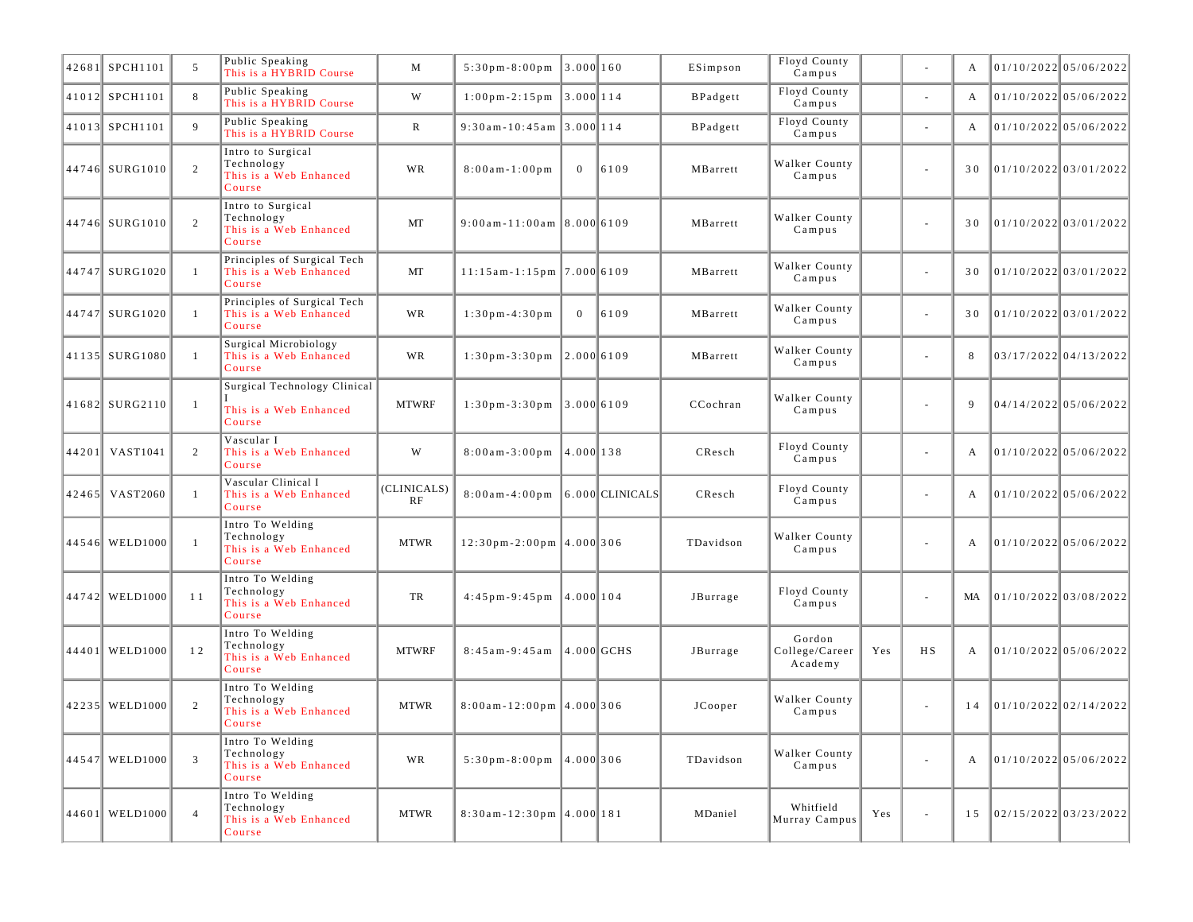| 42681 SPCH1101   | 5              | Public Speaking<br>This is a HYBRID Course                          | M                 | $5:30 \text{ pm} - 8:00 \text{ pm}$ 3.000 160     |                |                | ESimpson  | Floyd County<br>Campus              |     | ä,                       | A  | $01/10/2022$ 05/06/2022 |
|------------------|----------------|---------------------------------------------------------------------|-------------------|---------------------------------------------------|----------------|----------------|-----------|-------------------------------------|-----|--------------------------|----|-------------------------|
| 41012 SPCH1101   | 8              | Public Speaking<br>This is a HYBRID Course                          | W                 | $1:00 \text{ pm} - 2:15 \text{ pm}$ 3.000 114     |                |                | BPadgett  | Floyd County<br>Campus              |     | $\overline{\phantom{a}}$ | A  | 01/10/2022 05/06/2022   |
| 41013 SPCH1101   | 9              | Public Speaking<br>This is a HYBRID Course                          | $\mathbb{R}$      | $9:30$ am-10:45am 3.000 114                       |                |                | BPadgett  | Floyd County<br>Campus              |     | $\blacksquare$           | A  | $01/10/2022$ 05/06/2022 |
| 44746 SURG1010   | 2              | Intro to Surgical<br>Technology<br>This is a Web Enhanced<br>Course | <b>WR</b>         | $8:00$ am - 1:00 pm                               | $\overline{0}$ | 6109           | MBarrett  | Walker County<br>Campus             |     | $\overline{\phantom{a}}$ | 30 | 01/10/2022 03/01/2022   |
| 44746 SURG1010   | 2              | Intro to Surgical<br>Technology<br>This is a Web Enhanced<br>Course | MT                | $9:00$ am-11:00am 8.000 6109                      |                |                | MBarrett  | Walker County<br>Campus             |     | $\overline{\phantom{a}}$ | 30 | 01/10/2022 03/01/2022   |
| 44747 SURG1020   | 1              | Principles of Surgical Tech<br>This is a Web Enhanced<br>Course     | MT                | $11:15$ am - 1:15 pm   7.000 6109                 |                |                | MBarrett  | Walker County<br>Campus             |     | ÷.                       | 30 | 01/10/2022 03/01/2022   |
| 44747 SURG1020   | 1              | Principles of Surgical Tech<br>This is a Web Enhanced<br>Course     | WR                | $1:30$ pm - 4:30 pm                               | $\overline{0}$ | 6109           | MBarrett  | Walker County<br>Campus             |     | $\overline{\phantom{a}}$ | 30 | 01/10/2022 03/01/2022   |
| 41135 SURG1080   | $\mathbf{1}$   | Surgical Microbiology<br>This is a Web Enhanced<br>Course           | WR                | $1:30 \text{ pm} - 3:30 \text{ pm}$ 2.000 6109    |                |                | MBarrett  | Walker County<br>Campus             |     | ÷                        |    | 03/17/2022 04/13/2022   |
| 41682 SURG2110   | $\mathbf{1}$   | Surgical Technology Clinical<br>This is a Web Enhanced<br>Course    | <b>MTWRF</b>      | $1:30 \text{ pm} - 3:30 \text{ pm}$ 3.000 6109    |                |                | CCochran  | Walker County<br>Campus             |     |                          | 9  | $04/14/2022$ 05/06/2022 |
| 44201 VAST1041   | $\overline{2}$ | Vascular I<br>This is a Web Enhanced<br>Course                      | W                 | $8:00$ am - 3:00 pm                               | 4.000  138     |                | CResch    | Floyd County<br>Campus              |     | $\sim$                   | A  | $01/10/2022$ 05/06/2022 |
| 42465 VAST2060   | $\mathbf{1}$   | Vascular Clinical I<br>This is a Web Enhanced<br>Course             | (CLINICALS)<br>RF | $8:00$ am-4:00pm $ 6.000 $ CLINICALS              |                |                | CResch    | Floyd County<br>Campus              |     | $\overline{\phantom{a}}$ | A  | 01/10/2022 05/06/2022   |
| 44546 WELD1000   | $\mathbf{1}$   | Intro To Welding<br>Technology<br>This is a Web Enhanced<br>Course  | <b>MTWR</b>       | 12:30pm-2:00pm 4.000 306                          |                |                | TDavidson | Walker County<br>Campus             |     |                          | A  | $01/10/2022$ 05/06/2022 |
| 44742 WELD1000   | 11             | Intro To Welding<br>Technology<br>This is a Web Enhanced<br>Course  | TR                | $4:45 \text{ pm} - 9:45 \text{ pm}$   4.000   104 |                |                | JBurrage  | Floyd County<br>Campus              |     |                          | MA | 01/10/2022 03/08/2022   |
| 44401   WELD1000 | 12             | Intro To Welding<br>Technology<br>This is a Web Enhanced<br>Course  | <b>MTWRF</b>      | $8:45am-9:45am$                                   |                | $ 4.000 $ GCHS | JBurrage  | Gordon<br>College/Career<br>Academy | Yes | H S                      | A  | $01/10/2022$ 05/06/2022 |
| 42235 WELD1000   | 2              | Intro To Welding<br>Technology<br>This is a Web Enhanced<br>Course  | <b>MTWR</b>       | $8:00am - 12:00pm$ 4.000 306                      |                |                | JCooper   | Walker County<br>Campus             |     |                          | 14 | 01/10/2022 02/14/2022   |
| 44547 WELD1000   | 3              | Intro To Welding<br>Technology<br>This is a Web Enhanced<br>Course  | WR                | $5:30 \text{ pm} - 8:00 \text{ pm}$ 4.000 306     |                |                | TDavidson | Walker County<br>Campus             |     | ä,                       | A  | 01/10/2022 05/06/2022   |
| 44601 WELD1000   | $\overline{4}$ | Intro To Welding<br>Technology<br>This is a Web Enhanced<br>Course  | <b>MTWR</b>       | $8:30$ am - 12:30pm 4.000 181                     |                |                | MDaniel   | Whitfield<br>Murray Campus          | Yes |                          | 15 | 02/15/2022 03/23/2022   |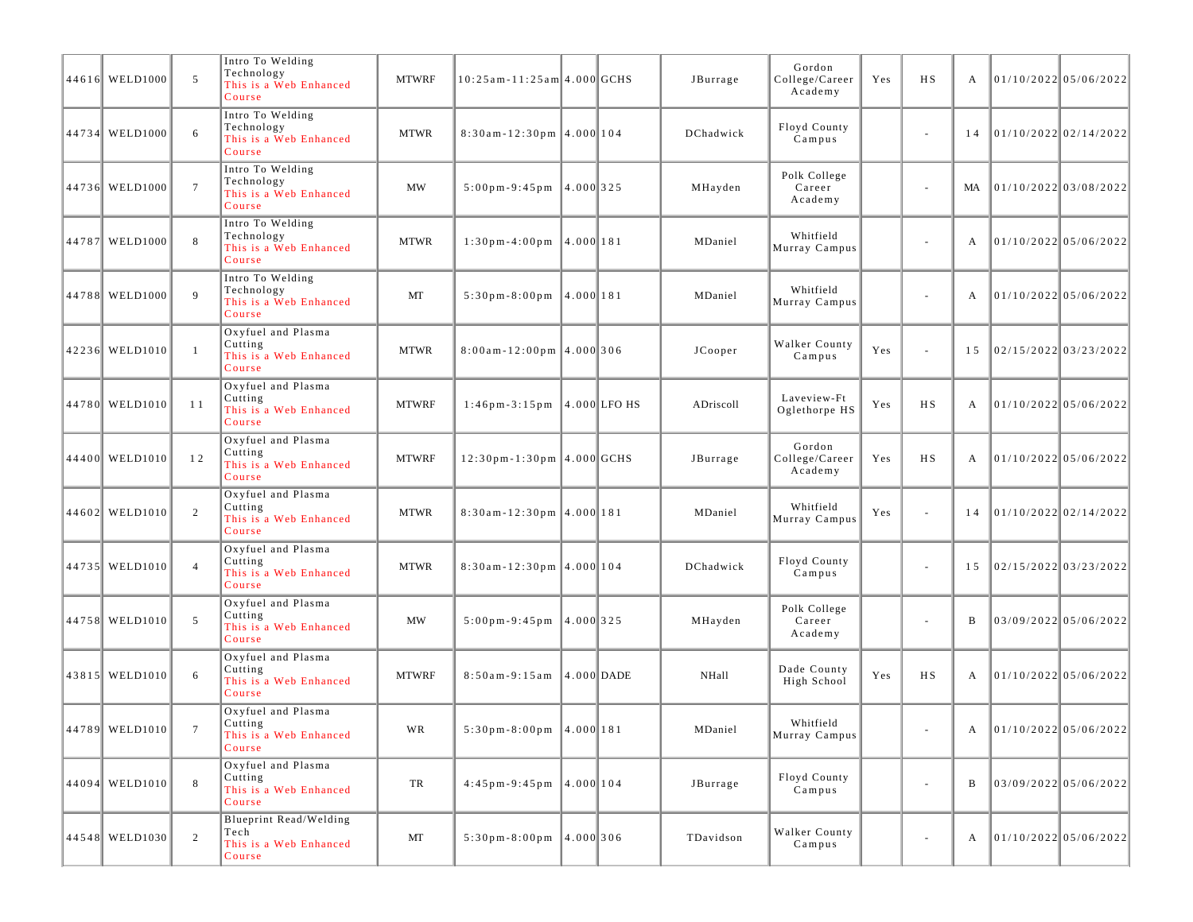| 44616 WELD1000   | 5               | Intro To Welding<br>Technology<br>This is a Web Enhanced<br>Course | <b>MTWRF</b> | 10:25am-11:25am 4.000 GCHS                        |           | JBurrage     | Gordon<br>College/Career<br>Academy | Yes | <b>HS</b>                | A  | $01/10/2022$ 05/06/2022 |
|------------------|-----------------|--------------------------------------------------------------------|--------------|---------------------------------------------------|-----------|--------------|-------------------------------------|-----|--------------------------|----|-------------------------|
| 44734 WELD1000   | 6               | Intro To Welding<br>Technology<br>This is a Web Enhanced<br>Course | <b>MTWR</b>  | $8:30$ am-12:30pm 4.000 104                       |           | DChadwick    | Floyd County<br>Campus              |     | $\overline{\phantom{a}}$ | 14 | 01/10/202202/14/2022    |
| 44736 WELD1000   | $7\phantom{.0}$ | Intro To Welding<br>Technology<br>This is a Web Enhanced<br>Course | <b>MW</b>    | $5:00 \text{ pm} - 9:45 \text{ pm}$               | 4.000 325 | MHayden      | Polk College<br>Career<br>Academy   |     | $\sim$                   | MA | 01/10/2022 03/08/2022   |
| 44787 WELD1000   | 8               | Intro To Welding<br>Technology<br>This is a Web Enhanced<br>Course | <b>MTWR</b>  | $1:30$ pm - 4:00 pm                               | 4.000 181 | MDaniel      | Whitfield<br>Murray Campus          |     | $\overline{\phantom{a}}$ | А  | $01/10/2022$ 05/06/2022 |
| 44788 WELD1000   | 9               | Intro To Welding<br>Technology<br>This is a Web Enhanced<br>Course | MT           | $5:30 \text{ pm} - 8:00 \text{ pm}$ 4.000 181     |           | MDaniel      | Whitfield<br>Murray Campus          |     | $\overline{\phantom{a}}$ | A  | $01/10/2022$ 05/06/2022 |
| 42236 WELD1010   | $\overline{1}$  | Oxyfuel and Plasma<br>Cutting<br>This is a Web Enhanced<br>Course  | <b>MTWR</b>  | $8:00$ am-12:00pm 4.000 306                       |           | JCooper      | Walker County<br>Campus             | Yes | $\sim$                   | 15 | $02/15/2022$ 03/23/2022 |
| 44780 WELD1010   | 11              | Oxyfuel and Plasma<br>Cutting<br>This is a Web Enhanced<br>Course  | <b>MTWRF</b> | $1:46$ pm-3:15pm 4.000 LFO HS                     |           | ADriscoll    | Laveview-Ft<br>Oglethorpe HS        | Yes | <b>HS</b>                | A  | 01/10/202205/06/2022    |
| 44400 WELD1010   | 12              | Oxyfuel and Plasma<br>Cutting<br>This is a Web Enhanced<br>Course  | <b>MTWRF</b> | 12:30pm-1:30pm 4.000 GCHS                         |           | JBurrage     | Gordon<br>College/Career<br>Academy | Yes | <b>HS</b>                | А  | $01/10/2022$ 05/06/2022 |
| 44602 WELD1010   | 2               | Oxyfuel and Plasma<br>Cutting<br>This is a Web Enhanced<br>Course  | <b>MTWR</b>  | $8:30$ am-12:30pm 4.000 181                       |           | MDaniel      | Whitfield<br>Murray Campus          | Yes | $\sim$                   | 14 | $01/10/2022$ 02/14/2022 |
| 44735 WELD1010   | $\overline{4}$  | Oxyfuel and Plasma<br>Cutting<br>This is a Web Enhanced<br>Course  | <b>MTWR</b>  | $8:30$ am-12:30pm 4.000 104                       |           | DChadwick    | Floyd County<br>Campus              |     | $\overline{\phantom{a}}$ | 15 | $02/15/2022$ 03/23/2022 |
| 44758 WELD1010   | 5               | Oxyfuel and Plasma<br>Cutting<br>This is a Web Enhanced<br>Course  | <b>MW</b>    | $5:00 \text{ pm} - 9:45 \text{ pm}$  4.000 325    |           | MHayden      | Polk College<br>Career<br>Academy   |     | $\sim$                   | B  | 03/09/2022 05/06/2022   |
| 43815 WELD1010   | 6               | Oxyfuel and Plasma<br>Cutting<br>This is a Web Enhanced<br>Course  | <b>MTWRF</b> | 8:50am-9:15am 4.000 DADE                          |           | <b>NHall</b> | Dade County<br>High School          | Yes | H S                      | А  | $01/10/2022$ 05/06/2022 |
| 44789 WELD1010   |                 | Oxyfuel and Plasma<br>Cutting<br>This is a Web Enhanced<br>Course  | WR           | $5:30 \text{ pm} - 8:00 \text{ pm}$ 4.000 181     |           | MDaniel      | Whitfield<br>Murray Campus          |     |                          |    | 01/10/2022 05/06/2022   |
| $44094$ WELD1010 | 8               | Oxyfuel and Plasma<br>Cutting<br>This is a Web Enhanced<br>Course  | TR           | $4:45 \text{ pm} - 9:45 \text{ pm}$   4.000   104 |           | JBurrage     | Floyd County<br>Campus              |     | $\sim$                   | B  | $03/09/2022$ 05/06/2022 |
| 44548 WELD1030   | 2               | Blueprint Read/Welding<br>Tech<br>This is a Web Enhanced<br>Course | MT           | $5:30 \text{ pm} - 8:00 \text{ pm}$ 4.000 306     |           | TDavidson    | Walker County<br>Campus             |     | $\overline{\phantom{a}}$ | A  | 01/10/2022 05/06/2022   |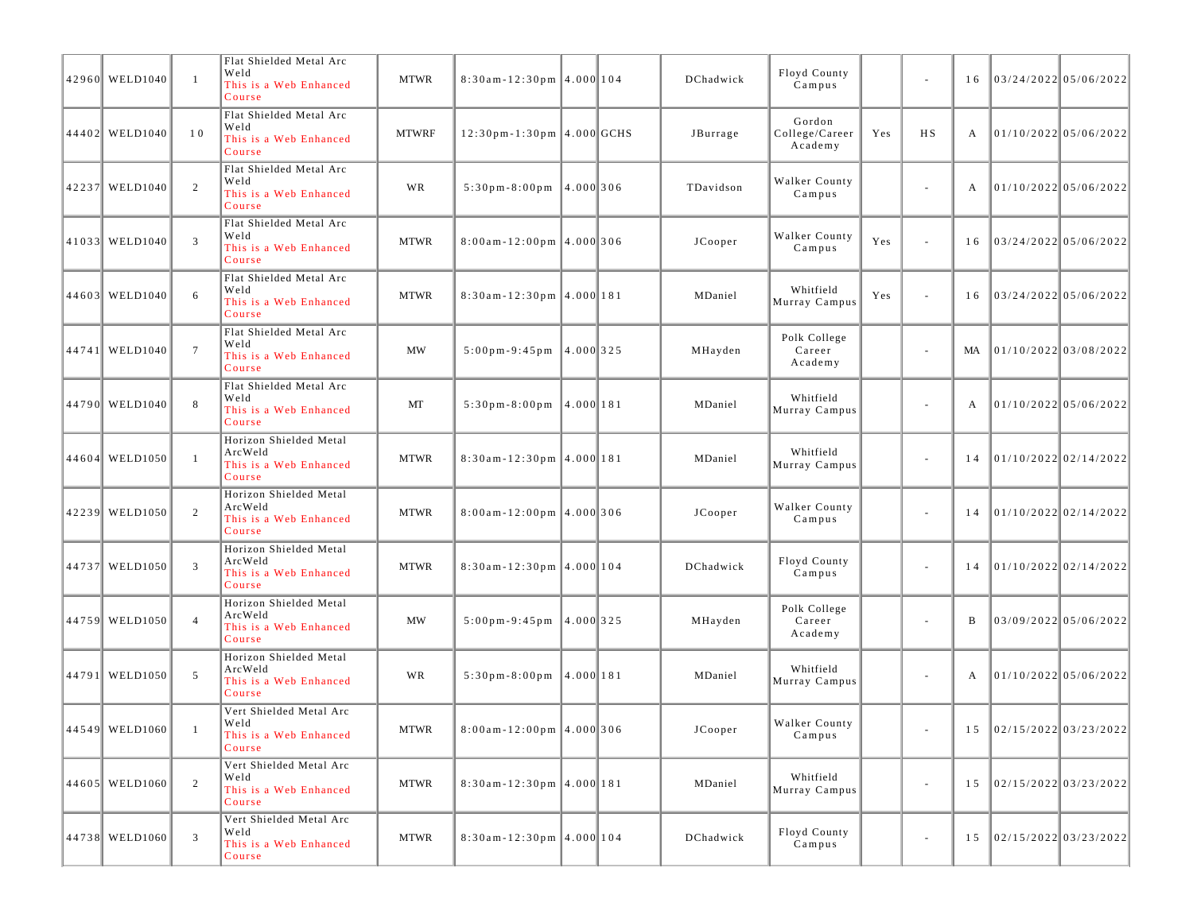| 42960 WELD1040 | -1              | Flat Shielded Metal Arc<br>Weld<br>This is a Web Enhanced<br>Course   | <b>MTWR</b>  | $8:30$ am-12:30pm 4.000 104                    |  | DChadwick        | Floyd County<br>Campus              |     | $\sim$                   | 16 | 03/24/2022 05/06/2022          |  |
|----------------|-----------------|-----------------------------------------------------------------------|--------------|------------------------------------------------|--|------------------|-------------------------------------|-----|--------------------------|----|--------------------------------|--|
| 44402 WELD1040 | 10              | Flat Shielded Metal Arc<br>Weld<br>This is a Web Enhanced<br>Course   | <b>MTWRF</b> | 12:30pm-1:30pm 4.000 GCHS                      |  | JBurrage         | Gordon<br>College/Career<br>Academy | Yes | <b>HS</b>                | А  | $01/10/2022$ 05/06/2022        |  |
| 42237 WELD1040 | 2               | Flat Shielded Metal Arc<br>Weld<br>This is a Web Enhanced<br>Course   | <b>WR</b>    | $5:30p m - 8:00p m$ 4.000 306                  |  | TDavidson        | Walker County<br>Campus             |     | $\sim$                   | A  | $01/10/2022$ 05/06/2022        |  |
| 41033 WELD1040 | 3               | Flat Shielded Metal Arc<br>Weld<br>This is a Web Enhanced<br>Course   | <b>MTWR</b>  | $8:00$ am-12:00pm 4.000 306                    |  | JCooper          | Walker County<br>Campus             | Yes | $\sim$                   | 16 | $03/24/2022$ 05/06/2022        |  |
| 44603 WELD1040 | 6               | Flat Shielded Metal Arc<br>Weld<br>This is a Web Enhanced<br>Course   | <b>MTWR</b>  | $8:30$ am-12:30pm 4.000 181                    |  | MDaniel          | Whitfield<br>Murray Campus          | Yes | $\sim$                   | 16 | 03/24/2022 05/06/2022          |  |
| 44741 WELD1040 | $7\phantom{.0}$ | Flat Shielded Metal Arc<br>Weld<br>This is a Web Enhanced<br>Course   | MW           | $5:00 \text{ pm} - 9:45 \text{ pm}$  4.000 325 |  | MHayden          | Polk College<br>Career<br>Academy   |     | $\overline{\phantom{a}}$ | MA | 01/10/2022 03/08/2022          |  |
| 44790 WELD1040 | 8               | Flat Shielded Metal Arc<br>Weld<br>This is a Web Enhanced<br>Course   | MT           | $5:30 \text{ pm} - 8:00 \text{ pm}$ 4.000 181  |  | MDaniel          | Whitfield<br>Murray Campus          |     | $\sim$                   | A  | $01/10/2022$ 05/06/2022        |  |
| 44604 WELD1050 | $\overline{1}$  | Horizon Shielded Metal<br>ArcWeld<br>This is a Web Enhanced<br>Course | <b>MTWR</b>  | $8:30$ am-12:30pm 4.000 181                    |  | MDaniel          | Whitfield<br>Murray Campus          |     | $\overline{\phantom{a}}$ | 14 | 01/10/2022 02/14/2022          |  |
| 42239 WELD1050 | 2               | Horizon Shielded Metal<br>ArcWeld<br>This is a Web Enhanced<br>Course | <b>MTWR</b>  | $8:00am - 12:00pm$ 4.000 306                   |  | JCooper          | Walker County<br>Campus             |     | $\sim$                   | 14 | 01/10/2022 02/14/2022          |  |
| 44737 WELD1050 | 3               | Horizon Shielded Metal<br>ArcWeld<br>This is a Web Enhanced<br>Course | <b>MTWR</b>  | $8:30$ am-12:30pm 4.000 104                    |  | DChadwick        | Floyd County<br>Campus              |     | $\overline{\phantom{a}}$ | 14 | $01/10/2022$ 02/14/2022        |  |
| 44759 WELD1050 | $\overline{4}$  | Horizon Shielded Metal<br>ArcWeld<br>This is a Web Enhanced<br>Course | MW           | $5:00 \text{ pm} - 9:45 \text{ pm}$  4.000 325 |  | MHayden          | Polk College<br>Career<br>Academy   |     | $\overline{\phantom{a}}$ | B  | 03/09/2022 05/06/2022          |  |
| 44791 WELD1050 | 5               | Horizon Shielded Metal<br>ArcWeld<br>This is a Web Enhanced<br>Course | <b>WR</b>    | $5:30 \text{ pm} - 8:00 \text{ pm}$ 4.000 181  |  | MDaniel          | Whitfield<br>Murray Campus          |     | $\overline{\phantom{a}}$ | A  | $01/10/2022$ 05/06/2022        |  |
| 44549 WELD1060 |                 | Vert Shielded Metal Arc<br>Weld<br>This is a Web Enhanced<br>Course   | <b>MTWR</b>  | $8:00am-12:00pm$ 4.000 306                     |  | $_{\rm JCooper}$ | Walker County<br>Campus             |     |                          |    | $15$   02/15/2022   03/23/2022 |  |
| 44605 WELD1060 | 2               | Vert Shielded Metal Arc<br>Weld<br>This is a Web Enhanced<br>Course   | <b>MTWR</b>  | $8:30$ am-12:30pm 4.000 181                    |  | MDaniel          | Whitfield<br>Murray Campus          |     | $\sim$                   | 15 | 02/15/2022 03/23/2022          |  |
| 44738 WELD1060 | 3               | Vert Shielded Metal Arc<br>Weld<br>This is a Web Enhanced<br>Course   | <b>MTWR</b>  | $8:30$ am-12:30pm 4.000 104                    |  | DChadwick        | Floyd County<br>Campus              |     | $\overline{\phantom{a}}$ | 15 | 02/15/2022 03/23/2022          |  |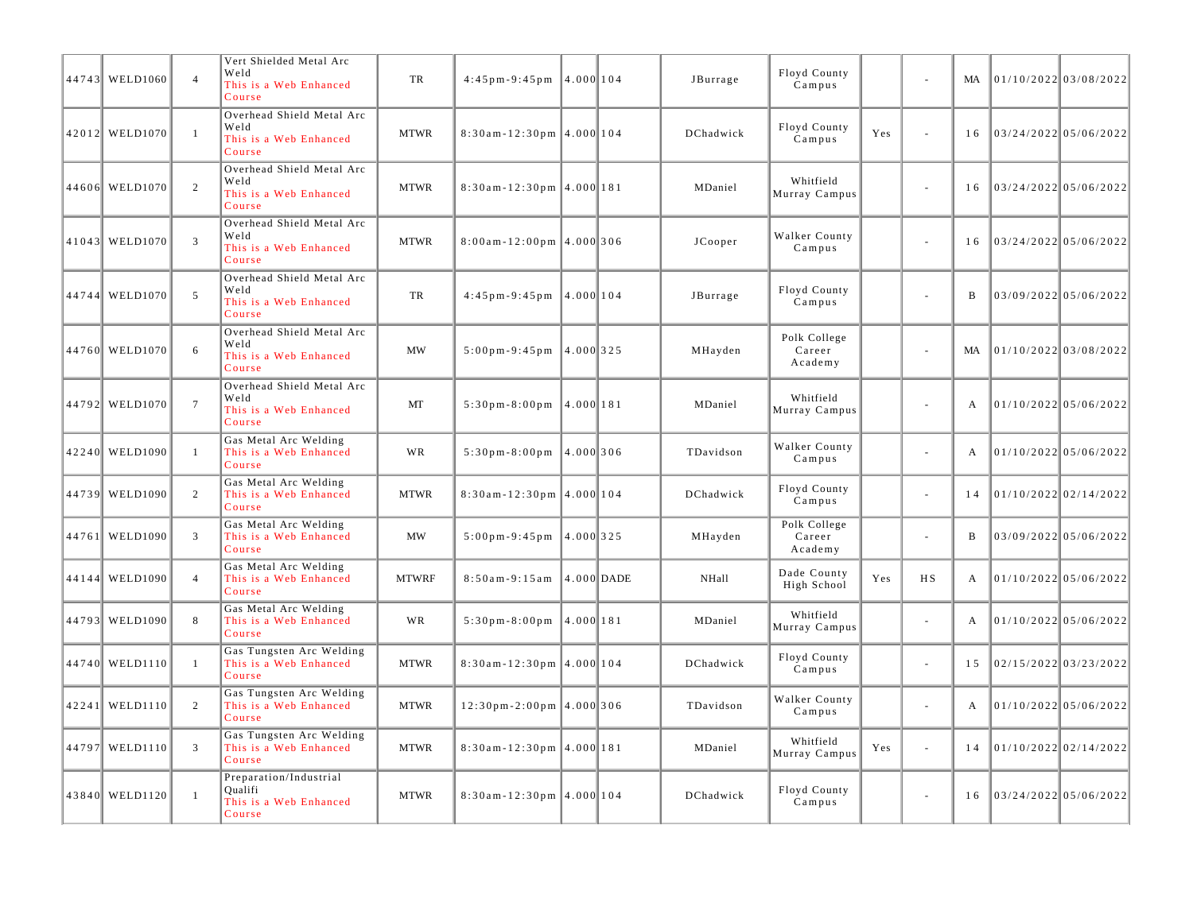| 44743 WELD1060 | $\overline{4}$  | Vert Shielded Metal Arc<br>Weld<br>This is a Web Enhanced<br>Course   | TR           | $4:45p m - 9:45p m$                       | 14.0001104 |                | JBurrage  | Floyd County<br>Campus            |     |                             | MA           | $01/10/2022$ 03/08/2022 |  |
|----------------|-----------------|-----------------------------------------------------------------------|--------------|-------------------------------------------|------------|----------------|-----------|-----------------------------------|-----|-----------------------------|--------------|-------------------------|--|
| 42012 WELD1070 | $\mathbf{1}$    | Overhead Shield Metal Arc<br>Weld<br>This is a Web Enhanced<br>Course | <b>MTWR</b>  | $8:30$ am-12:30pm 4.000 104               |            |                | DChadwick | Floyd County<br>Campus            | Yes | $\sim$                      | 16           | 03/24/2022  05/06/2022  |  |
| 44606 WELD1070 | 2               | Overhead Shield Metal Arc<br>Weld<br>This is a Web Enhanced<br>Course | <b>MTWR</b>  | $8:30$ am-12:30pm 4.000 181               |            |                | MDaniel   | Whitfield<br>Murray Campus        |     | $\sim$                      | 16           | 03/24/2022 05/06/2022   |  |
| 41043 WELD1070 | 3               | Overhead Shield Metal Arc<br>Weld<br>This is a Web Enhanced<br>Course | <b>MTWR</b>  | $8:00am - 12:00pm$ 4.000 306              |            |                | JCooper   | Walker County<br>Campus           |     | $\sim$                      | 16           | 03/24/2022 05/06/2022   |  |
| 44744 WELD1070 | 5               | Overhead Shield Metal Arc<br>Weld<br>This is a Web Enhanced<br>Course | TR           | $4:45 \text{ p m} - 9:45 \text{ p m}$     | 4.000 104  |                | JBurrage  | Floyd County<br>Campus            |     | ÷.                          | $\mathbf B$  | $03/09/2022$ 05/06/2022 |  |
| 44760 WELD1070 | 6               | Overhead Shield Metal Arc<br>Weld<br>This is a Web Enhanced<br>Course | <b>MW</b>    | $5:00 \,\mathrm{p m-9}:45 \,\mathrm{p m}$ | 14.0001325 |                | MHayden   | Polk College<br>Career<br>Academy |     | $\sim$                      | MA           | $01/10/2022$ 03/08/2022 |  |
| 44792 WELD1070 | $7\phantom{.0}$ | Overhead Shield Metal Arc<br>Weld<br>This is a Web Enhanced<br>Course | MT           | $5:30$ pm - $8:00$ pm                     | 4.000 181  |                | MDaniel   | Whitfield<br>Murray Campus        |     | $\sim$                      | $\mathbf{A}$ | $01/10/2022$ 05/06/2022 |  |
| 42240 WELD1090 | $\overline{1}$  | Gas Metal Arc Welding<br>This is a Web Enhanced<br>Course             | WR           | $5:30p m - 8:00p m$                       | 4.000 306  |                | TDavidson | Walker County<br>Campus           |     | $\sim$                      | $\mathbf{A}$ | 01/10/2022 05/06/2022   |  |
| 44739 WELD1090 | 2               | Gas Metal Arc Welding<br>This is a Web Enhanced<br>Course             | <b>MTWR</b>  | $8:30$ am-12:30pm 4.000 104               |            |                | DChadwick | Floyd County<br>Campus            |     | $\sim$                      | 14           | $01/10/2022$ 02/14/2022 |  |
| 44761 WELD1090 | 3               | Gas Metal Arc Welding<br>This is a Web Enhanced<br>Course             | MW           | $5:00 \text{ pm} - 9:45 \text{ pm}$       | 4.000 325  |                | MHayden   | Polk College<br>Career<br>Academy |     | $\sim$                      | B            | 03/09/2022 05/06/2022   |  |
| 44144 WELD1090 | $\overline{4}$  | Gas Metal Arc Welding<br>This is a Web Enhanced<br>Course             | <b>MTWRF</b> | $8:50am - 9:15am$                         |            | $ 4.000 $ DADE | NHall     | Dade County<br>High School        | Yes | H S                         | $\mathbf{A}$ | 01/10/2022 05/06/2022   |  |
| 44793 WELD1090 | 8               | Gas Metal Arc Welding<br>This is a Web Enhanced<br>Course             | <b>WR</b>    | $5:30 \text{ pm} - 8:00 \text{ pm}$       | 4.000 181  |                | MDaniel   | Whitfield<br>Murray Campus        |     | $\omega$                    | $\mathbf{A}$ | $01/10/2022$ 05/06/2022 |  |
| 44740 WELD1110 | $\overline{1}$  | Gas Tungsten Arc Welding<br>This is a Web Enhanced<br>Course          | <b>MTWR</b>  | $8:30$ am-12:30pm 4.000 104               |            |                | DChadwick | Floyd County<br>Campus            |     | $\sim$                      | 15           | $02/15/2022$ 03/23/2022 |  |
| 42241 WELD1110 | 2               | Gas Tungsten Arc Welding<br>This is a Web Enhanced<br>Course          | <b>MTWR</b>  | $12:30$ pm - 2:00pm $ 4.000 306$          |            |                | TDavidson | Walker County<br>Campus           |     | $\sim$                      | A            | $01/10/2022$ 05/06/2022 |  |
| 44797 WELD1110 | 3               | Gas Tungsten Arc Welding<br>This is a Web Enhanced<br>Course          | <b>MTWR</b>  | $8:30$ am-12:30pm 4.000 181               |            |                | MDaniel   | Whitfield<br>Murray Campus        | Yes | $\mathcal{L}_{\mathcal{A}}$ | 14           | 01/10/2022 02/14/2022   |  |
| 43840 WELD1120 | $\overline{1}$  | Preparation/Industrial<br>Oualifi<br>This is a Web Enhanced<br>Course | <b>MTWR</b>  | $8:30$ am-12:30pm 4.000 104               |            |                | DChadwick | Floyd County<br>Campus            |     | $\sim$                      | 16           | $03/24/2022$ 05/06/2022 |  |